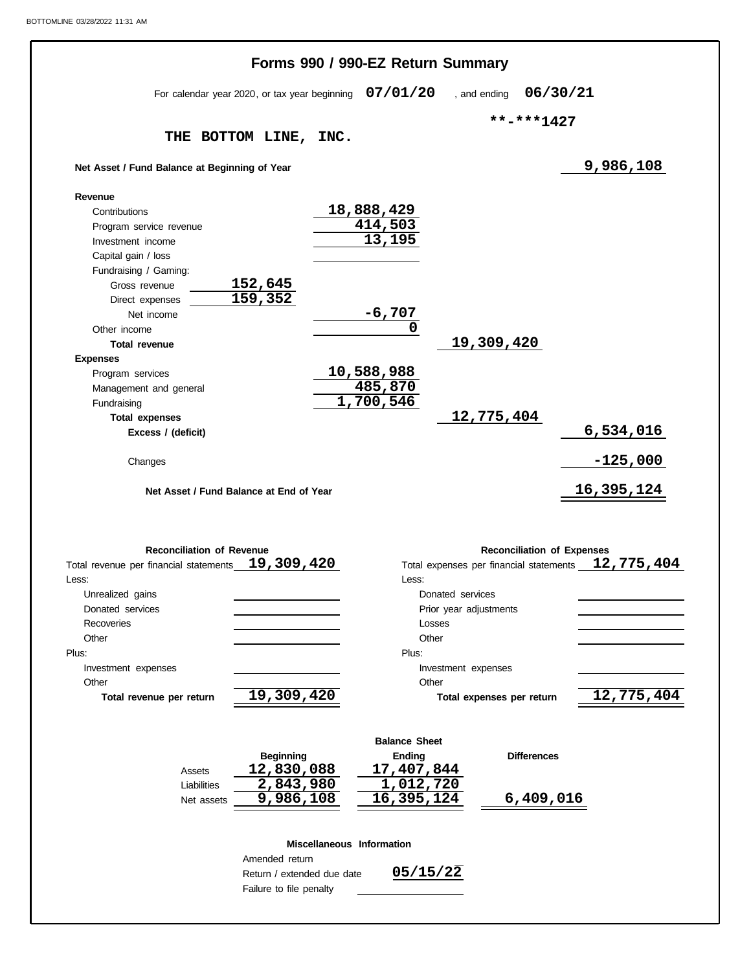|                                                 |                                                       | Forms 990 / 990-EZ Return Summary |                                         |                                   |                          |
|-------------------------------------------------|-------------------------------------------------------|-----------------------------------|-----------------------------------------|-----------------------------------|--------------------------|
|                                                 | For calendar year 2020, or tax year beginning         | 07/01/20                          | , and ending                            | 06/30/21                          |                          |
|                                                 |                                                       |                                   |                                         |                                   |                          |
|                                                 | THE BOTTOM LINE, INC.                                 |                                   |                                         | **-***1427                        |                          |
| Net Asset / Fund Balance at Beginning of Year   |                                                       |                                   |                                         |                                   | 9,986,108                |
|                                                 |                                                       |                                   |                                         |                                   |                          |
| Revenue                                         |                                                       |                                   |                                         |                                   |                          |
| Contributions                                   |                                                       | 18,888,429<br>414,503             |                                         |                                   |                          |
| Program service revenue                         |                                                       | 13,195                            |                                         |                                   |                          |
| Investment income                               |                                                       |                                   |                                         |                                   |                          |
| Capital gain / loss                             |                                                       |                                   |                                         |                                   |                          |
| Fundraising / Gaming:                           | 152,645                                               |                                   |                                         |                                   |                          |
| Gross revenue                                   | 159,352                                               |                                   |                                         |                                   |                          |
| Direct expenses                                 |                                                       | $-6,707$                          |                                         |                                   |                          |
| Net income                                      |                                                       | 0                                 |                                         |                                   |                          |
| Other income                                    |                                                       |                                   | 19,309,420                              |                                   |                          |
| <b>Total revenue</b>                            |                                                       |                                   |                                         |                                   |                          |
| <b>Expenses</b>                                 |                                                       | 10,588,988                        |                                         |                                   |                          |
| Program services                                |                                                       | 485,870                           |                                         |                                   |                          |
| Management and general                          |                                                       | $\overline{1,700,546}$            |                                         |                                   |                          |
| Fundraising                                     |                                                       |                                   |                                         |                                   |                          |
| <b>Total expenses</b>                           |                                                       |                                   | 12,775,404                              |                                   |                          |
| Excess / (deficit)                              |                                                       |                                   |                                         |                                   | 6,534,016                |
|                                                 |                                                       |                                   |                                         |                                   |                          |
| Changes                                         | Net Asset / Fund Balance at End of Year               |                                   |                                         |                                   | $-125,000$<br>16,395,124 |
| <b>Reconciliation of Revenue</b>                |                                                       |                                   |                                         |                                   |                          |
|                                                 | 19,309,420                                            |                                   |                                         | <b>Reconciliation of Expenses</b> |                          |
| Total revenue per financial statements<br>Less: |                                                       | Less:                             | Total expenses per financial statements |                                   |                          |
|                                                 |                                                       |                                   | Donated services                        |                                   |                          |
| Unrealized gains<br>Donated services            |                                                       |                                   | Prior year adjustments                  |                                   |                          |
| Recoveries                                      |                                                       |                                   | Losses                                  |                                   |                          |
| Other                                           |                                                       | Other                             |                                         |                                   |                          |
| Plus:                                           |                                                       | Plus:                             |                                         |                                   |                          |
|                                                 |                                                       |                                   |                                         |                                   |                          |
| Investment expenses<br>Other                    |                                                       | Other                             | Investment expenses                     |                                   |                          |
|                                                 |                                                       |                                   | Total expenses per return               |                                   |                          |
| Total revenue per return                        | 19,309,420                                            |                                   |                                         |                                   |                          |
|                                                 |                                                       | <b>Balance Sheet</b>              |                                         |                                   |                          |
|                                                 | <b>Beginning</b>                                      | Ending                            |                                         | <b>Differences</b>                |                          |
| Assets                                          | 12,830,088                                            | 17,407,844                        |                                         |                                   |                          |
| Liabilities                                     | 2,843,980                                             | 1,012,720                         |                                         |                                   |                          |
| Net assets                                      | 9,986,108                                             | 16,395,124                        |                                         | 6,409,016                         |                          |
|                                                 |                                                       |                                   |                                         |                                   |                          |
|                                                 |                                                       | Miscellaneous Information         |                                         |                                   |                          |
|                                                 | Amended return                                        |                                   |                                         |                                   |                          |
|                                                 | Return / extended due date<br>Failure to file penalty | 05/15/22                          |                                         |                                   | 12,775,404<br>12,775,404 |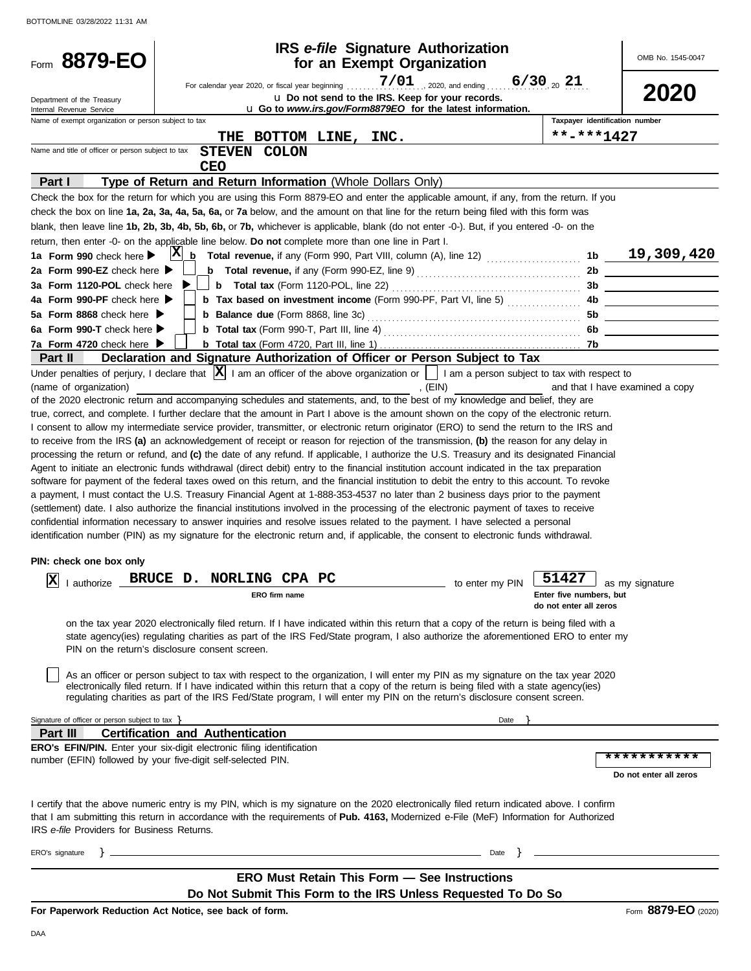| Form 8879-EO                                                    |                                                                                                                                                                                                                                                                                                                                                                                                                            | <b>IRS</b> e-file Signature Authorization<br>for an Exempt Organization                                        |                 |                                                   | OMB No. 1545-0047               |
|-----------------------------------------------------------------|----------------------------------------------------------------------------------------------------------------------------------------------------------------------------------------------------------------------------------------------------------------------------------------------------------------------------------------------------------------------------------------------------------------------------|----------------------------------------------------------------------------------------------------------------|-----------------|---------------------------------------------------|---------------------------------|
|                                                                 |                                                                                                                                                                                                                                                                                                                                                                                                                            |                                                                                                                |                 |                                                   | 2020                            |
| Department of the Treasury<br>Internal Revenue Service          |                                                                                                                                                                                                                                                                                                                                                                                                                            | u Do not send to the IRS. Keep for your records.<br>u Go to www.irs.gov/Form8879EO for the latest information. |                 |                                                   |                                 |
| Name of exempt organization or person subject to tax            |                                                                                                                                                                                                                                                                                                                                                                                                                            |                                                                                                                |                 | Taxpayer identification number                    |                                 |
|                                                                 | THE                                                                                                                                                                                                                                                                                                                                                                                                                        | BOTTOM LINE, INC.                                                                                              |                 | **-***1427                                        |                                 |
| Name and title of officer or person subject to tax              | STEVEN COLON<br>CEO                                                                                                                                                                                                                                                                                                                                                                                                        |                                                                                                                |                 |                                                   |                                 |
| Part I                                                          | Type of Return and Return Information (Whole Dollars Only)                                                                                                                                                                                                                                                                                                                                                                 |                                                                                                                |                 |                                                   |                                 |
|                                                                 | Check the box for the return for which you are using this Form 8879-EO and enter the applicable amount, if any, from the return. If you<br>check the box on line 1a, 2a, 3a, 4a, 5a, 6a, or 7a below, and the amount on that line for the return being filed with this form was<br>blank, then leave line 1b, 2b, 3b, 4b, 5b, 6b, or 7b, whichever is applicable, blank (do not enter -0-). But, if you entered -0- on the |                                                                                                                |                 |                                                   |                                 |
|                                                                 | return, then enter -0- on the applicable line below. Do not complete more than one line in Part I.                                                                                                                                                                                                                                                                                                                         |                                                                                                                |                 |                                                   |                                 |
| 1a Form 990 check here >                                        |                                                                                                                                                                                                                                                                                                                                                                                                                            |                                                                                                                |                 |                                                   |                                 |
| 2a Form 990-EZ check here $\blacktriangleright$                 | <b>b</b> Total revenue, if any (Form 990-EZ, line 9) $\ldots$ $\ldots$ $\ldots$ $\ldots$ $\ldots$ $\ldots$                                                                                                                                                                                                                                                                                                                 |                                                                                                                |                 |                                                   | 2b                              |
| 3a Form 1120-POL check here                                     |                                                                                                                                                                                                                                                                                                                                                                                                                            |                                                                                                                |                 |                                                   |                                 |
| 4a Form 990-PF check here                                       | <b>b</b> Tax based on investment income (Form 990-PF, Part VI, line 5)                                                                                                                                                                                                                                                                                                                                                     |                                                                                                                |                 |                                                   |                                 |
| 5a Form 8868 check here                                         |                                                                                                                                                                                                                                                                                                                                                                                                                            |                                                                                                                |                 |                                                   |                                 |
| 6a Form 990-T check here $\blacktriangleright$                  |                                                                                                                                                                                                                                                                                                                                                                                                                            |                                                                                                                |                 |                                                   | 6b                              |
| 7a Form 4720 check here $\blacktriangleright$<br><b>Part II</b> | Declaration and Signature Authorization of Officer or Person Subject to Tax                                                                                                                                                                                                                                                                                                                                                |                                                                                                                |                 |                                                   |                                 |
|                                                                 | Under penalties of perjury, I declare that $ \mathbf{X} $ I am an officer of the above organization or     I am a person subject to tax with respect to                                                                                                                                                                                                                                                                    |                                                                                                                |                 |                                                   |                                 |
| (name of organization)                                          |                                                                                                                                                                                                                                                                                                                                                                                                                            | , (EIN)                                                                                                        |                 |                                                   | and that I have examined a copy |
|                                                                 | of the 2020 electronic return and accompanying schedules and statements, and, to the best of my knowledge and belief, they are<br>true, correct, and complete. I further declare that the amount in Part I above is the amount shown on the copy of the electronic return.                                                                                                                                                 |                                                                                                                |                 |                                                   |                                 |
|                                                                 | I consent to allow my intermediate service provider, transmitter, or electronic return originator (ERO) to send the return to the IRS and                                                                                                                                                                                                                                                                                  |                                                                                                                |                 |                                                   |                                 |
|                                                                 | to receive from the IRS (a) an acknowledgement of receipt or reason for rejection of the transmission, (b) the reason for any delay in                                                                                                                                                                                                                                                                                     |                                                                                                                |                 |                                                   |                                 |
|                                                                 | processing the return or refund, and (c) the date of any refund. If applicable, I authorize the U.S. Treasury and its designated Financial                                                                                                                                                                                                                                                                                 |                                                                                                                |                 |                                                   |                                 |
|                                                                 | Agent to initiate an electronic funds withdrawal (direct debit) entry to the financial institution account indicated in the tax preparation                                                                                                                                                                                                                                                                                |                                                                                                                |                 |                                                   |                                 |
|                                                                 | software for payment of the federal taxes owed on this return, and the financial institution to debit the entry to this account. To revoke                                                                                                                                                                                                                                                                                 |                                                                                                                |                 |                                                   |                                 |
|                                                                 | a payment, I must contact the U.S. Treasury Financial Agent at 1-888-353-4537 no later than 2 business days prior to the payment                                                                                                                                                                                                                                                                                           |                                                                                                                |                 |                                                   |                                 |
|                                                                 | (settlement) date. I also authorize the financial institutions involved in the processing of the electronic payment of taxes to receive                                                                                                                                                                                                                                                                                    |                                                                                                                |                 |                                                   |                                 |
|                                                                 | confidential information necessary to answer inquiries and resolve issues related to the payment. I have selected a personal                                                                                                                                                                                                                                                                                               |                                                                                                                |                 |                                                   |                                 |
|                                                                 | identification number (PIN) as my signature for the electronic return and, if applicable, the consent to electronic funds withdrawal.                                                                                                                                                                                                                                                                                      |                                                                                                                |                 |                                                   |                                 |
| PIN: check one box only                                         |                                                                                                                                                                                                                                                                                                                                                                                                                            |                                                                                                                |                 |                                                   |                                 |
| lszl<br>∧∣<br>I authorize                                       | BRUCE D. NORLING CPA PC                                                                                                                                                                                                                                                                                                                                                                                                    |                                                                                                                | to enter my PIN | 51427 as my signature                             |                                 |
|                                                                 | ERO firm name                                                                                                                                                                                                                                                                                                                                                                                                              |                                                                                                                |                 | Enter five numbers, but<br>do not enter all zeros |                                 |
|                                                                 | on the tax year 2020 electronically filed return. If I have indicated within this return that a copy of the return is being filed with a<br>state agency(ies) regulating charities as part of the IRS Fed/State program, I also authorize the aforementioned ERO to enter my<br>PIN on the return's disclosure consent screen.                                                                                             |                                                                                                                |                 |                                                   |                                 |
|                                                                 | As an officer or person subject to tax with respect to the organization, I will enter my PIN as my signature on the tax year 2020<br>electronically filed return. If I have indicated within this return that a copy of the return is being filed with a state agency(ies)<br>regulating charities as part of the IRS Fed/State program, I will enter my PIN on the return's disclosure consent screen.                    |                                                                                                                |                 |                                                   |                                 |
| Signature of officer or person subject to tax }                 |                                                                                                                                                                                                                                                                                                                                                                                                                            |                                                                                                                | Date            |                                                   |                                 |
| Part III                                                        | <b>Certification and Authentication</b>                                                                                                                                                                                                                                                                                                                                                                                    |                                                                                                                |                 |                                                   |                                 |
|                                                                 | <b>ERO's EFIN/PIN.</b> Enter your six-digit electronic filing identification                                                                                                                                                                                                                                                                                                                                               |                                                                                                                |                 |                                                   |                                 |
|                                                                 | number (EFIN) followed by your five-digit self-selected PIN.                                                                                                                                                                                                                                                                                                                                                               |                                                                                                                |                 |                                                   | * * * * * * * * * * *           |
|                                                                 |                                                                                                                                                                                                                                                                                                                                                                                                                            |                                                                                                                |                 |                                                   | Do not enter all zeros          |
| IRS e-file Providers for Business Returns.                      | I certify that the above numeric entry is my PIN, which is my signature on the 2020 electronically filed return indicated above. I confirm<br>that I am submitting this return in accordance with the requirements of Pub. 4163, Modernized e-File (MeF) Information for Authorized                                                                                                                                        |                                                                                                                |                 |                                                   |                                 |
| ERO's signature                                                 | <u> 1989 - Johann Stoff, deutscher Stoff, der Stoff, der Stoff, der Stoff, der Stoff, der Stoff, der Stoff, der S</u>                                                                                                                                                                                                                                                                                                      |                                                                                                                | Date $\}$       |                                                   |                                 |
|                                                                 |                                                                                                                                                                                                                                                                                                                                                                                                                            |                                                                                                                |                 |                                                   |                                 |
|                                                                 |                                                                                                                                                                                                                                                                                                                                                                                                                            | <b>ERO Must Retain This Form - See Instructions</b>                                                            |                 |                                                   |                                 |
|                                                                 | Do Not Submit This Form to the IRS Unless Requested To Do So                                                                                                                                                                                                                                                                                                                                                               |                                                                                                                |                 |                                                   |                                 |
|                                                                 | For Paperwork Reduction Act Notice, see back of form.                                                                                                                                                                                                                                                                                                                                                                      |                                                                                                                |                 |                                                   | Form 8879-EO (2020)             |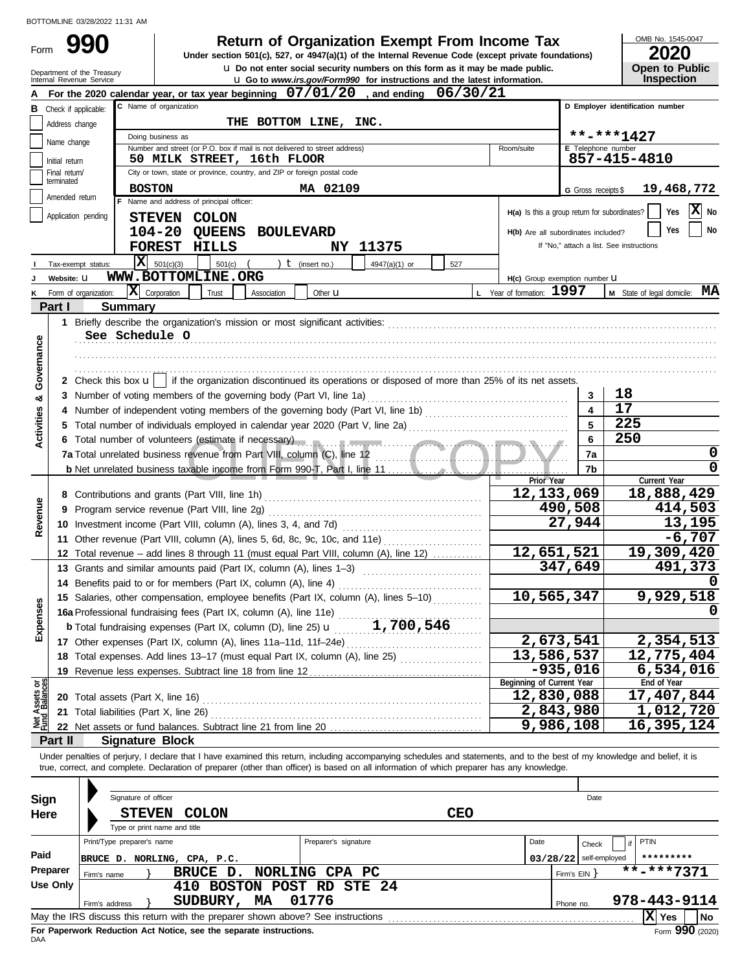Form 990

#### **Return of Organization Exempt From Income Tax**

u **Do not enter social security numbers on this form as it may be made public. Open to Public Under section 501(c), 527, or 4947(a)(1) of the Internal Revenue Code (except private foundations)**

OMB No. 1545-0047

| ZUZU           |
|----------------|
| Open to Public |
| Inspection     |

|                                |                      | Department of the Treasury<br>Internal Revenue Service                                                                                                                                                                         |                                                                  |                                          |                                                                            |                      | $\overline{a}$ social security humbers on this form as it may be made public.<br><b>u</b> Go to www.irs.gov/Form990 for instructions and the latest information. |            |                           |              |                                               | Open to Fublic<br><b>Inspection</b>                                                                                                                                        |          |
|--------------------------------|----------------------|--------------------------------------------------------------------------------------------------------------------------------------------------------------------------------------------------------------------------------|------------------------------------------------------------------|------------------------------------------|----------------------------------------------------------------------------|----------------------|------------------------------------------------------------------------------------------------------------------------------------------------------------------|------------|---------------------------|--------------|-----------------------------------------------|----------------------------------------------------------------------------------------------------------------------------------------------------------------------------|----------|
|                                |                      | For the 2020 calendar year, or tax year beginning $07/01/20$ , and ending $06/30/21$                                                                                                                                           |                                                                  |                                          |                                                                            |                      |                                                                                                                                                                  |            |                           |              |                                               |                                                                                                                                                                            |          |
| В                              | Check if applicable: |                                                                                                                                                                                                                                | C Name of organization                                           |                                          |                                                                            |                      |                                                                                                                                                                  |            |                           |              |                                               | D Employer identification number                                                                                                                                           |          |
|                                | Address change       |                                                                                                                                                                                                                                |                                                                  |                                          | THE BOTTOM LINE, INC.                                                      |                      |                                                                                                                                                                  |            |                           |              |                                               |                                                                                                                                                                            |          |
|                                |                      |                                                                                                                                                                                                                                | Doing business as                                                |                                          |                                                                            |                      |                                                                                                                                                                  |            |                           |              |                                               | **-***1427                                                                                                                                                                 |          |
|                                | Name change          |                                                                                                                                                                                                                                |                                                                  |                                          | Number and street (or P.O. box if mail is not delivered to street address) |                      |                                                                                                                                                                  |            | Room/suite                |              | <b>E</b> Telephone number                     |                                                                                                                                                                            |          |
|                                | Initial return       |                                                                                                                                                                                                                                |                                                                  |                                          | 50 MILK STREET, 16th FLOOR                                                 |                      |                                                                                                                                                                  |            |                           |              |                                               | 857-415-4810                                                                                                                                                               |          |
|                                | Final return/        |                                                                                                                                                                                                                                |                                                                  |                                          | City or town, state or province, country, and ZIP or foreign postal code   |                      |                                                                                                                                                                  |            |                           |              |                                               |                                                                                                                                                                            |          |
|                                | terminated           |                                                                                                                                                                                                                                | <b>BOSTON</b>                                                    |                                          |                                                                            | MA 02109             |                                                                                                                                                                  |            |                           |              | G Gross receipts \$                           | 19,468,772                                                                                                                                                                 |          |
|                                | Amended return       |                                                                                                                                                                                                                                |                                                                  | F Name and address of principal officer: |                                                                            |                      |                                                                                                                                                                  |            |                           |              |                                               |                                                                                                                                                                            |          |
|                                | Application pending  |                                                                                                                                                                                                                                |                                                                  | STEVEN COLON                             |                                                                            |                      |                                                                                                                                                                  |            |                           |              | H(a) Is this a group return for subordinates? | Yes                                                                                                                                                                        | X No     |
|                                |                      |                                                                                                                                                                                                                                | 104-20                                                           | QUEENS                                   | <b>BOULEVARD</b>                                                           |                      |                                                                                                                                                                  |            |                           |              | H(b) Are all subordinates included?           | Yes                                                                                                                                                                        | No       |
|                                |                      |                                                                                                                                                                                                                                |                                                                  | FOREST HILLS                             |                                                                            |                      | NY 11375                                                                                                                                                         |            |                           |              |                                               | If "No," attach a list. See instructions                                                                                                                                   |          |
|                                |                      | Iх<br>Tax-exempt status:                                                                                                                                                                                                       | 501(c)(3)                                                        | 501(c)                                   |                                                                            | $t$ (insert no.)     | 4947(a)(1) or                                                                                                                                                    | 527        |                           |              |                                               |                                                                                                                                                                            |          |
|                                | Website: U           |                                                                                                                                                                                                                                |                                                                  | WWW.BOTTOMLINE.ORG                       |                                                                            |                      |                                                                                                                                                                  |            |                           |              |                                               |                                                                                                                                                                            |          |
|                                |                      |                                                                                                                                                                                                                                | $\mathbf{X}$ Corporation                                         |                                          |                                                                            |                      |                                                                                                                                                                  |            | L Year of formation: 1997 |              | H(c) Group exemption number U                 | M State of legal domicile: MA                                                                                                                                              |          |
| κ                              |                      | Form of organization:                                                                                                                                                                                                          |                                                                  | Trust                                    | Association                                                                | Other <b>u</b>       |                                                                                                                                                                  |            |                           |              |                                               |                                                                                                                                                                            |          |
|                                | Part I               | <b>Summary</b>                                                                                                                                                                                                                 |                                                                  |                                          |                                                                            |                      |                                                                                                                                                                  |            |                           |              |                                               |                                                                                                                                                                            |          |
|                                |                      |                                                                                                                                                                                                                                |                                                                  |                                          |                                                                            |                      |                                                                                                                                                                  |            |                           |              |                                               |                                                                                                                                                                            |          |
|                                |                      | See Schedule O                                                                                                                                                                                                                 |                                                                  |                                          |                                                                            |                      |                                                                                                                                                                  |            |                           |              |                                               |                                                                                                                                                                            |          |
|                                |                      |                                                                                                                                                                                                                                |                                                                  |                                          |                                                                            |                      |                                                                                                                                                                  |            |                           |              |                                               |                                                                                                                                                                            |          |
|                                |                      |                                                                                                                                                                                                                                |                                                                  |                                          |                                                                            |                      |                                                                                                                                                                  |            |                           |              |                                               |                                                                                                                                                                            |          |
| Governance                     |                      | 2 Check this box $\mathbf{u}$   if the organization discontinued its operations or disposed of more than 25% of its net assets.                                                                                                |                                                                  |                                          |                                                                            |                      |                                                                                                                                                                  |            |                           |              |                                               |                                                                                                                                                                            |          |
| œ                              |                      | 3 Number of voting members of the governing body (Part VI, line 1a)                                                                                                                                                            |                                                                  |                                          |                                                                            |                      |                                                                                                                                                                  |            |                           |              | 3                                             | 18                                                                                                                                                                         |          |
|                                |                      |                                                                                                                                                                                                                                |                                                                  |                                          |                                                                            |                      |                                                                                                                                                                  |            |                           |              |                                               | 17                                                                                                                                                                         |          |
| <b>Activities</b>              |                      |                                                                                                                                                                                                                                |                                                                  |                                          |                                                                            |                      |                                                                                                                                                                  |            |                           |              |                                               | 225                                                                                                                                                                        |          |
|                                |                      | 6 Total number of volunteers (estimate if necessary) manufactured and contact the contract of the contract of                                                                                                                  |                                                                  |                                          |                                                                            |                      |                                                                                                                                                                  |            |                           |              | 6                                             | 250                                                                                                                                                                        |          |
|                                |                      | 7a Total unrelated business revenue from Part VIII, column (C), line 12                                                                                                                                                        |                                                                  |                                          |                                                                            |                      |                                                                                                                                                                  |            |                           |              | 7a                                            |                                                                                                                                                                            | 0        |
|                                |                      |                                                                                                                                                                                                                                |                                                                  |                                          |                                                                            |                      |                                                                                                                                                                  |            |                           |              | 7b                                            |                                                                                                                                                                            | 0        |
|                                |                      |                                                                                                                                                                                                                                |                                                                  |                                          |                                                                            |                      |                                                                                                                                                                  |            |                           | Prior Year   |                                               | Current Year                                                                                                                                                               |          |
|                                |                      |                                                                                                                                                                                                                                |                                                                  |                                          |                                                                            |                      |                                                                                                                                                                  |            |                           | 12, 133, 069 |                                               | 18,888,429                                                                                                                                                                 |          |
| Revenue                        | 9                    |                                                                                                                                                                                                                                | Program service revenue (Part VIII, line 2g)                     |                                          |                                                                            |                      |                                                                                                                                                                  |            |                           | 490,508      |                                               | 414,503                                                                                                                                                                    |          |
|                                |                      |                                                                                                                                                                                                                                | 10 Investment income (Part VIII, column (A), lines 3, 4, and 7d) |                                          |                                                                            |                      |                                                                                                                                                                  |            |                           | 27,944       |                                               | 13,195                                                                                                                                                                     |          |
|                                |                      | 11 Other revenue (Part VIII, column (A), lines 5, 6d, 8c, 9c, 10c, and 11e)                                                                                                                                                    |                                                                  |                                          |                                                                            |                      |                                                                                                                                                                  |            |                           |              |                                               |                                                                                                                                                                            | $-6,707$ |
|                                |                      | 12 Total revenue - add lines 8 through 11 (must equal Part VIII, column (A), line 12)                                                                                                                                          |                                                                  |                                          |                                                                            |                      |                                                                                                                                                                  |            |                           | 12,651,521   |                                               | 19,309,420                                                                                                                                                                 |          |
|                                |                      | 13 Grants and similar amounts paid (Part IX, column (A), lines 1-3)                                                                                                                                                            |                                                                  |                                          |                                                                            |                      |                                                                                                                                                                  |            |                           |              | 347,649                                       |                                                                                                                                                                            | 491,373  |
|                                |                      |                                                                                                                                                                                                                                | 14 Benefits paid to or for members (Part IX, column (A), line 4) |                                          |                                                                            |                      |                                                                                                                                                                  |            |                           |              |                                               |                                                                                                                                                                            |          |
|                                |                      | 15 Salaries, other compensation, employee benefits (Part IX, column (A), lines 5-10)                                                                                                                                           |                                                                  |                                          |                                                                            |                      |                                                                                                                                                                  |            |                           | 10,565,347   |                                               | 9,929,518                                                                                                                                                                  |          |
| nses                           |                      | 16a Professional fundraising fees (Part IX, column (A), line 11e)                                                                                                                                                              |                                                                  |                                          |                                                                            |                      |                                                                                                                                                                  |            |                           |              |                                               |                                                                                                                                                                            | 0        |
|                                |                      | <b>b</b> Total fundraising expenses (Part IX, column (D), line 25) $\mathbf{u}$                                                                                                                                                |                                                                  |                                          |                                                                            |                      | 1,700,546                                                                                                                                                        |            |                           |              |                                               |                                                                                                                                                                            |          |
| Exper                          |                      | 17 Other expenses (Part IX, column (A), lines 11a-11d, 11f-24e)                                                                                                                                                                |                                                                  |                                          |                                                                            |                      |                                                                                                                                                                  |            |                           | 2,673,541    |                                               | 2,354,513                                                                                                                                                                  |          |
|                                |                      | 18 Total expenses. Add lines 13-17 (must equal Part IX, column (A), line 25)                                                                                                                                                   |                                                                  |                                          |                                                                            |                      |                                                                                                                                                                  |            |                           | 13,586,537   |                                               | 12,775,404                                                                                                                                                                 |          |
|                                |                      |                                                                                                                                                                                                                                |                                                                  |                                          |                                                                            |                      |                                                                                                                                                                  |            |                           |              | $-935,016$                                    | 6,534,016                                                                                                                                                                  |          |
|                                |                      | 19 Revenue less expenses. Subtract line 18 from line 12                                                                                                                                                                        |                                                                  |                                          |                                                                            |                      |                                                                                                                                                                  |            | Beginning of Current Year |              |                                               | End of Year                                                                                                                                                                |          |
| Net Assets or<br>Fund Balances |                      |                                                                                                                                                                                                                                |                                                                  |                                          |                                                                            |                      |                                                                                                                                                                  |            |                           | 12,830,088   |                                               | 17,407,844                                                                                                                                                                 |          |
|                                |                      | 21 Total liabilities (Part X, line 26) Mathematic Contract Contract Contract Contract Contract Contract Contract Contract Contract Contract Contract Contract Contract Contract Contract Contract Contract Contract Contract C |                                                                  |                                          |                                                                            |                      |                                                                                                                                                                  |            |                           |              | 2,843,980                                     | 1,012,720                                                                                                                                                                  |          |
|                                |                      | 22 Net assets or fund balances. Subtract line 21 from line 20                                                                                                                                                                  |                                                                  |                                          |                                                                            |                      |                                                                                                                                                                  |            |                           |              | 9,986,108                                     | 16,395,124                                                                                                                                                                 |          |
|                                | Part II              | <b>Signature Block</b>                                                                                                                                                                                                         |                                                                  |                                          |                                                                            |                      |                                                                                                                                                                  |            |                           |              |                                               |                                                                                                                                                                            |          |
|                                |                      |                                                                                                                                                                                                                                |                                                                  |                                          |                                                                            |                      |                                                                                                                                                                  |            |                           |              |                                               | Under penalties of perjury, I declare that I have examined this return, including accompanying schedules and statements, and to the best of my knowledge and belief, it is |          |
|                                |                      | true, correct, and complete. Declaration of preparer (other than officer) is based on all information of which preparer has any knowledge.                                                                                     |                                                                  |                                          |                                                                            |                      |                                                                                                                                                                  |            |                           |              |                                               |                                                                                                                                                                            |          |
|                                |                      |                                                                                                                                                                                                                                |                                                                  |                                          |                                                                            |                      |                                                                                                                                                                  |            |                           |              |                                               |                                                                                                                                                                            |          |
|                                |                      | Signature of officer                                                                                                                                                                                                           |                                                                  |                                          |                                                                            |                      |                                                                                                                                                                  |            |                           |              | Date                                          |                                                                                                                                                                            |          |
| Sign                           |                      |                                                                                                                                                                                                                                |                                                                  |                                          |                                                                            |                      |                                                                                                                                                                  |            |                           |              |                                               |                                                                                                                                                                            |          |
| Here                           |                      | <b>STEVEN</b>                                                                                                                                                                                                                  |                                                                  | <b>COLON</b>                             |                                                                            |                      |                                                                                                                                                                  | <b>CEO</b> |                           |              |                                               |                                                                                                                                                                            |          |
|                                |                      |                                                                                                                                                                                                                                | Type or print name and title                                     |                                          |                                                                            |                      |                                                                                                                                                                  |            |                           |              |                                               |                                                                                                                                                                            |          |
|                                |                      | Print/Type preparer's name                                                                                                                                                                                                     |                                                                  |                                          |                                                                            | Preparer's signature |                                                                                                                                                                  |            |                           | Date         | Check                                         | <b>PTIN</b>                                                                                                                                                                |          |
| Paid                           |                      | BRUCE D. NORLING, CPA, P.C.                                                                                                                                                                                                    |                                                                  |                                          |                                                                            |                      |                                                                                                                                                                  |            |                           |              | $03/28/22$ self-employed                      |                                                                                                                                                                            |          |
|                                | Preparer             | Firm's name                                                                                                                                                                                                                    |                                                                  | BRUCE D.                                 |                                                                            | NORLING CPA PC       |                                                                                                                                                                  |            |                           |              | Firm's $EIN$ }                                | $\overline{***}$ ****7371                                                                                                                                                  |          |
|                                | <b>Use Only</b>      |                                                                                                                                                                                                                                |                                                                  |                                          | 410 BOSTON POST RD STE 24                                                  |                      |                                                                                                                                                                  |            |                           |              |                                               |                                                                                                                                                                            |          |
|                                |                      | Firm's address                                                                                                                                                                                                                 |                                                                  | SUDBURY, MA                              |                                                                            | 01776                |                                                                                                                                                                  |            |                           |              | Phone no.                                     | 978-443-9114                                                                                                                                                               |          |
|                                |                      | May the IRS discuss this return with the preparer shown above? See instructions [11] May the IRS discuss this return with the preparer shown above? See instructions                                                           |                                                                  |                                          |                                                                            |                      |                                                                                                                                                                  |            |                           |              |                                               | $\mathbf{X}$ Yes                                                                                                                                                           | No       |

| Sign<br>Here |                                                                                       | Signature of officer<br><b>STEVEN</b> |                                                                                 | Date<br><b>CEO</b> |                       |                          |  |      |              |       |  |              |           |
|--------------|---------------------------------------------------------------------------------------|---------------------------------------|---------------------------------------------------------------------------------|--------------------|-----------------------|--------------------------|--|------|--------------|-------|--|--------------|-----------|
|              |                                                                                       | Type or print name and title          | <b>COLON</b>                                                                    |                    |                       |                          |  |      |              |       |  |              |           |
|              | Print/Type preparer's name                                                            |                                       |                                                                                 |                    | Preparer's signature  |                          |  | Date |              | Check |  | PTIN         |           |
| Paid         |                                                                                       |                                       | BRUCE D. NORLING, CPA, P.C.                                                     |                    |                       | $03/28/22$ self-employed |  |      |              |       |  | *********    |           |
| Preparer     | Firm's name                                                                           |                                       | BRUCE D.                                                                        |                    | NORLING CPA PC        |                          |  |      | Firm's EIN Y |       |  | **-***7371   |           |
| Use Only     |                                                                                       |                                       | 410                                                                             |                    | BOSTON POST RD STE 24 |                          |  |      |              |       |  |              |           |
|              | Firm's address                                                                        |                                       | SUDBURY,                                                                        | MA                 | 01776                 |                          |  |      | Phone no.    |       |  | 978-443-9114 |           |
|              |                                                                                       |                                       | May the IRS discuss this return with the preparer shown above? See instructions |                    |                       |                          |  |      |              |       |  | ΙxΙ<br>Yes   | <b>No</b> |
| DAA          | Form 990 (2020)<br>For Paperwork Reduction Act Notice, see the separate instructions. |                                       |                                                                                 |                    |                       |                          |  |      |              |       |  |              |           |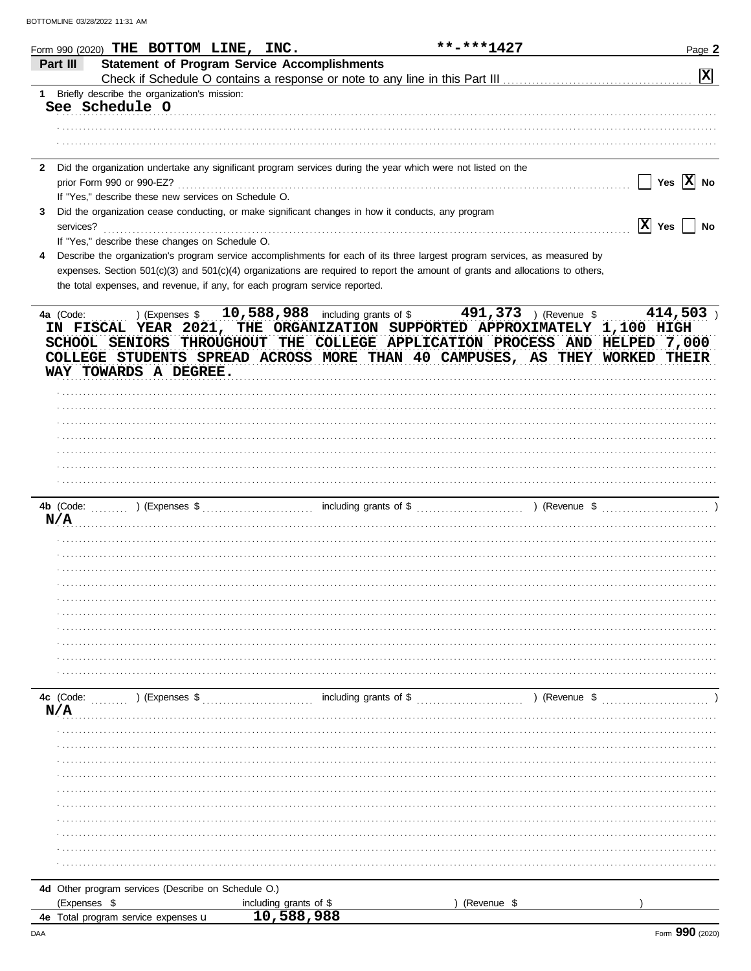|              | Form 990 (2020) THE BOTTOM LINE, INC.                                                                                                                                         |                        | **-***1427  | Page 2                |
|--------------|-------------------------------------------------------------------------------------------------------------------------------------------------------------------------------|------------------------|-------------|-----------------------|
|              | <b>Statement of Program Service Accomplishments</b><br>Part III                                                                                                               |                        |             |                       |
|              |                                                                                                                                                                               |                        |             | $\mathbf{x}$          |
|              | 1 Briefly describe the organization's mission:                                                                                                                                |                        |             |                       |
|              | See Schedule O                                                                                                                                                                |                        |             |                       |
|              |                                                                                                                                                                               |                        |             |                       |
|              |                                                                                                                                                                               |                        |             |                       |
| $\mathbf{2}$ | Did the organization undertake any significant program services during the year which were not listed on the                                                                  |                        |             |                       |
|              |                                                                                                                                                                               |                        |             | Yes $ \mathbf{X} $ No |
|              | If "Yes," describe these new services on Schedule O.                                                                                                                          |                        |             |                       |
| 3            | Did the organization cease conducting, or make significant changes in how it conducts, any program                                                                            |                        |             |                       |
|              | services?                                                                                                                                                                     |                        |             | $ X $ Yes $ $ No      |
|              | If "Yes," describe these changes on Schedule O.<br>Describe the organization's program service accomplishments for each of its three largest program services, as measured by |                        |             |                       |
|              | expenses. Section 501(c)(3) and 501(c)(4) organizations are required to report the amount of grants and allocations to others,                                                |                        |             |                       |
|              | the total expenses, and revenue, if any, for each program service reported.                                                                                                   |                        |             |                       |
|              |                                                                                                                                                                               |                        |             |                       |
|              |                                                                                                                                                                               |                        |             |                       |
|              | IN FISCAL YEAR 2021, THE ORGANIZATION SUPPORTED APPROXIMATELY 1,100 HIGH                                                                                                      |                        |             |                       |
|              | SCHOOL SENIORS THROUGHOUT THE COLLEGE APPLICATION PROCESS AND HELPED 7,000                                                                                                    |                        |             |                       |
|              | COLLEGE STUDENTS SPREAD ACROSS MORE THAN 40 CAMPUSES, AS THEY WORKED THEIR                                                                                                    |                        |             |                       |
|              | WAY TOWARDS A DEGREE.                                                                                                                                                         |                        |             |                       |
|              |                                                                                                                                                                               |                        |             |                       |
|              |                                                                                                                                                                               |                        |             |                       |
|              |                                                                                                                                                                               |                        |             |                       |
|              |                                                                                                                                                                               |                        |             |                       |
|              |                                                                                                                                                                               |                        |             |                       |
|              |                                                                                                                                                                               |                        |             |                       |
|              |                                                                                                                                                                               |                        |             |                       |
|              |                                                                                                                                                                               |                        |             |                       |
|              | N/A                                                                                                                                                                           |                        |             |                       |
|              |                                                                                                                                                                               |                        |             |                       |
|              |                                                                                                                                                                               |                        |             |                       |
|              |                                                                                                                                                                               |                        |             |                       |
|              |                                                                                                                                                                               |                        |             |                       |
|              |                                                                                                                                                                               |                        |             |                       |
|              |                                                                                                                                                                               |                        |             |                       |
|              |                                                                                                                                                                               |                        |             |                       |
|              |                                                                                                                                                                               |                        |             |                       |
|              |                                                                                                                                                                               |                        |             |                       |
|              |                                                                                                                                                                               |                        |             |                       |
|              | 4c (Code: (Code: ) (Expenses \$                                                                                                                                               | including grants of \$ |             | ) (Revenue \$         |
|              | N/A                                                                                                                                                                           |                        |             |                       |
|              |                                                                                                                                                                               |                        |             |                       |
|              |                                                                                                                                                                               |                        |             |                       |
|              |                                                                                                                                                                               |                        |             |                       |
|              |                                                                                                                                                                               |                        |             |                       |
|              |                                                                                                                                                                               |                        |             |                       |
|              |                                                                                                                                                                               |                        |             |                       |
|              |                                                                                                                                                                               |                        |             |                       |
|              |                                                                                                                                                                               |                        |             |                       |
|              |                                                                                                                                                                               |                        |             |                       |
|              |                                                                                                                                                                               |                        |             |                       |
|              | 4d Other program services (Describe on Schedule O.)                                                                                                                           |                        |             |                       |
|              | (Expenses \$                                                                                                                                                                  | including grants of \$ | (Revenue \$ |                       |
|              | 4e Total program service expenses u                                                                                                                                           | 10,588,988             |             |                       |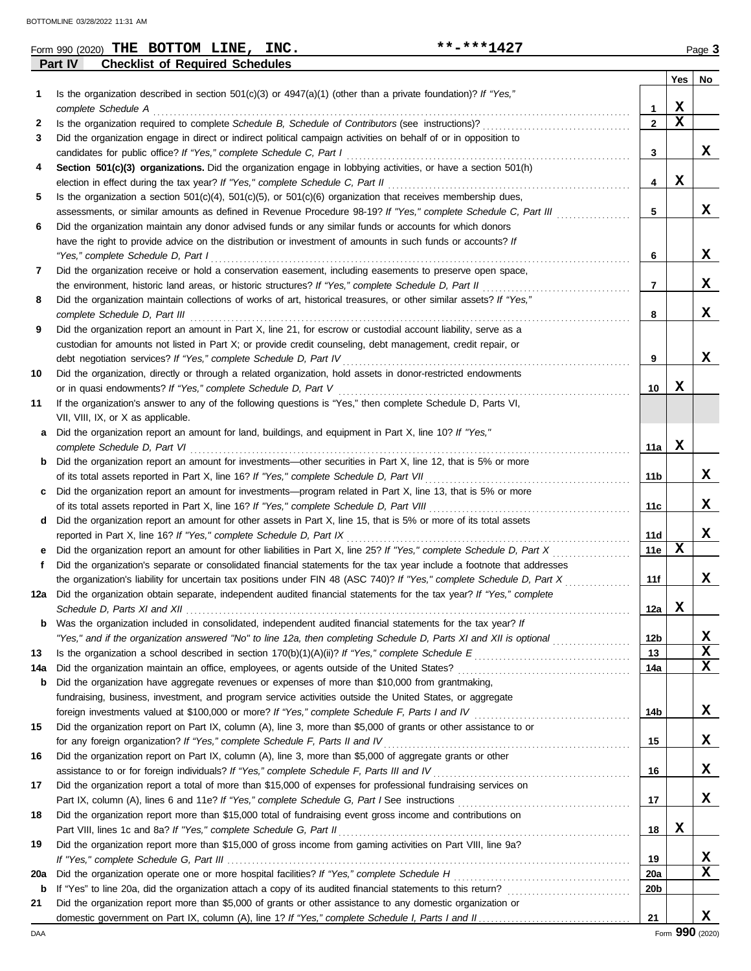|          | **-***1427<br>Form 990 (2020) THE BOTTOM LINE, INC.                                                                                  |                 |             | Page 3 |
|----------|--------------------------------------------------------------------------------------------------------------------------------------|-----------------|-------------|--------|
|          | <b>Checklist of Required Schedules</b><br>Part IV                                                                                    |                 |             |        |
|          |                                                                                                                                      |                 | Yes         | No     |
| 1        | Is the organization described in section $501(c)(3)$ or $4947(a)(1)$ (other than a private foundation)? If "Yes,"                    |                 |             |        |
|          | complete Schedule A                                                                                                                  | $\mathbf{1}$    | X           |        |
| 2        |                                                                                                                                      | $\overline{2}$  | $\mathbf x$ |        |
| 3        | Did the organization engage in direct or indirect political campaign activities on behalf of or in opposition to                     |                 |             |        |
|          |                                                                                                                                      | 3               |             | x      |
| 4        | Section 501(c)(3) organizations. Did the organization engage in lobbying activities, or have a section 501(h)                        |                 |             |        |
|          |                                                                                                                                      | 4               | X           |        |
| 5        | Is the organization a section $501(c)(4)$ , $501(c)(5)$ , or $501(c)(6)$ organization that receives membership dues,                 |                 |             |        |
|          | assessments, or similar amounts as defined in Revenue Procedure 98-19? If "Yes," complete Schedule C, Part III                       | 5               |             | x      |
| 6        | Did the organization maintain any donor advised funds or any similar funds or accounts for which donors                              |                 |             |        |
|          | have the right to provide advice on the distribution or investment of amounts in such funds or accounts? If                          |                 |             |        |
|          | "Yes," complete Schedule D, Part I                                                                                                   | 6               |             | x      |
| 7        | Did the organization receive or hold a conservation easement, including easements to preserve open space,                            |                 |             |        |
|          |                                                                                                                                      | 7               |             | x      |
| 8        | Did the organization maintain collections of works of art, historical treasures, or other similar assets? If "Yes,"                  |                 |             |        |
|          |                                                                                                                                      | 8               |             | X      |
| 9        | Did the organization report an amount in Part X, line 21, for escrow or custodial account liability, serve as a                      |                 |             |        |
|          | custodian for amounts not listed in Part X; or provide credit counseling, debt management, credit repair, or                         |                 |             |        |
|          | debt negotiation services? If "Yes," complete Schedule D, Part IV [[[[[[[[[[[[[[[[[[[[[[[[]]]]]]]]]                                  | 9               |             | X      |
| 10       | Did the organization, directly or through a related organization, hold assets in donor-restricted endowments                         |                 |             |        |
|          |                                                                                                                                      | 10              | x           |        |
| 11       | If the organization's answer to any of the following questions is "Yes," then complete Schedule D, Parts VI,                         |                 |             |        |
|          | VII, VIII, IX, or X as applicable.                                                                                                   |                 |             |        |
| а        | Did the organization report an amount for land, buildings, and equipment in Part X, line 10? If "Yes,"                               |                 |             |        |
|          | complete Schedule D, Part VI                                                                                                         | 11a             | X           |        |
| b        | Did the organization report an amount for investments—other securities in Part X, line 12, that is 5% or more                        |                 |             |        |
|          |                                                                                                                                      | 11b             |             | x      |
| c        | Did the organization report an amount for investments—program related in Part X, line 13, that is 5% or more                         |                 |             |        |
|          |                                                                                                                                      | 11c             |             | х      |
| d        | Did the organization report an amount for other assets in Part X, line 15, that is 5% or more of its total assets                    |                 |             |        |
|          | reported in Part X, line 16? If "Yes," complete Schedule D, Part IX                                                                  | 11d             |             | X      |
| е        | Did the organization report an amount for other liabilities in Part X, line 25? If "Yes," complete Schedule D, Part X                | 11e             | X           |        |
| f        | Did the organization's separate or consolidated financial statements for the tax year include a footnote that addresses              |                 |             |        |
|          | the organization's liability for uncertain tax positions under FIN 48 (ASC 740)? If "Yes," complete Schedule D, Part X               | 11f             |             | x      |
| 12a      | Did the organization obtain separate, independent audited financial statements for the tax year? If "Yes," complete                  |                 | X           |        |
|          |                                                                                                                                      | 12a             |             |        |
| b        | Was the organization included in consolidated, independent audited financial statements for the tax year? If                         |                 |             | х      |
|          | "Yes," and if the organization answered "No" to line 12a, then completing Schedule D, Parts XI and XII is optional <i>commension</i> | 12 <sub>b</sub> |             | X      |
| 13       |                                                                                                                                      | 13              |             | X      |
| 14a      |                                                                                                                                      | 14a             |             |        |
| b        | Did the organization have aggregate revenues or expenses of more than \$10,000 from grantmaking,                                     |                 |             |        |
|          | fundraising, business, investment, and program service activities outside the United States, or aggregate                            |                 |             | X      |
|          | Did the organization report on Part IX, column (A), line 3, more than \$5,000 of grants or other assistance to or                    | 14b             |             |        |
| 15       | for any foreign organization? If "Yes," complete Schedule F, Parts II and IV                                                         |                 |             | x      |
|          |                                                                                                                                      | 15              |             |        |
| 16       | Did the organization report on Part IX, column (A), line 3, more than \$5,000 of aggregate grants or other                           |                 |             | x      |
|          |                                                                                                                                      | 16              |             |        |
| 17       | Did the organization report a total of more than \$15,000 of expenses for professional fundraising services on                       |                 |             | x      |
|          |                                                                                                                                      | 17              |             |        |
| 18       | Did the organization report more than \$15,000 total of fundraising event gross income and contributions on                          |                 | X           |        |
|          | Part VIII, lines 1c and 8a? If "Yes," complete Schedule G, Part II                                                                   | 18              |             |        |
| 19       | Did the organization report more than \$15,000 of gross income from gaming activities on Part VIII, line 9a?                         | 19              |             | х      |
|          |                                                                                                                                      | 20a             |             | X      |
| 20a<br>b | If "Yes" to line 20a, did the organization attach a copy of its audited financial statements to this return?                         | 20 <sub>b</sub> |             |        |
|          |                                                                                                                                      |                 |             |        |

**b** If "Yes" to line 20a, did the organization attach a copy of its audited financial statements to this return? . . . . . . . . . . . . . . . . . . . . . . . . . . . . . .

domestic government on Part IX, column (A), line 1? If "Yes," complete Schedule I, Parts I and II **21** Did the organization report more than \$5,000 of grants or other assistance to any domestic organization or

**X**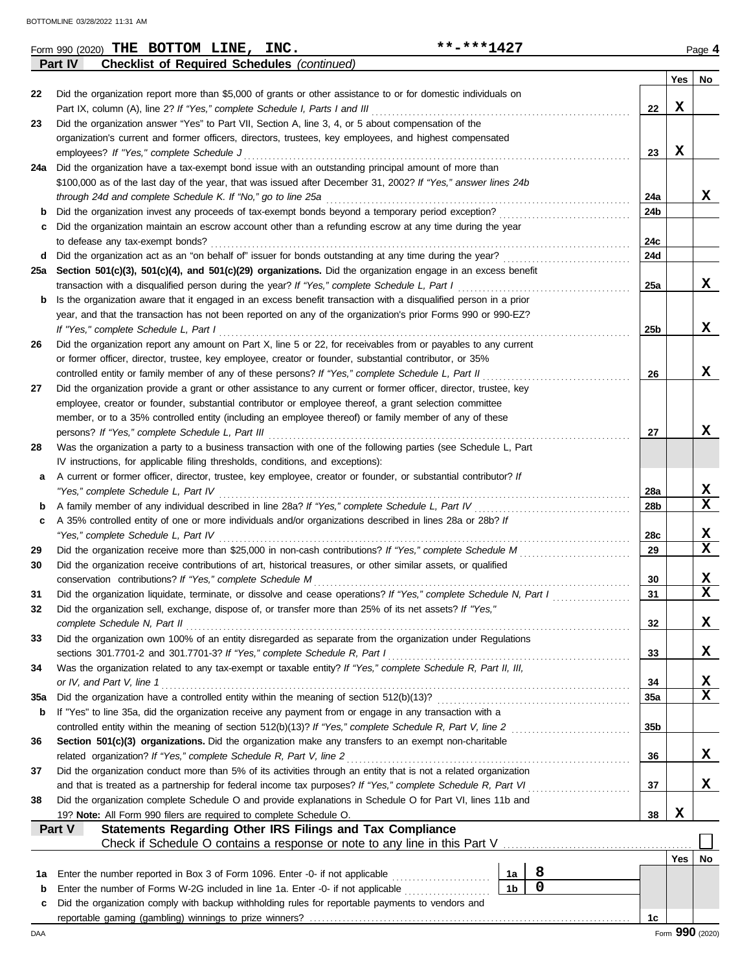|     | **-***1427<br>Form 990 (2020) THE BOTTOM LINE, INC.                                                                                                                                                 |                |                                                     |                   |     | Page 4                  |
|-----|-----------------------------------------------------------------------------------------------------------------------------------------------------------------------------------------------------|----------------|-----------------------------------------------------|-------------------|-----|-------------------------|
|     | Part IV<br><b>Checklist of Required Schedules (continued)</b>                                                                                                                                       |                |                                                     |                   |     |                         |
| 22  | Did the organization report more than \$5,000 of grants or other assistance to or for domestic individuals on                                                                                       |                |                                                     |                   | Yes | No                      |
|     | Part IX, column (A), line 2? If "Yes," complete Schedule I, Parts I and III                                                                                                                         |                |                                                     | 22                | X   |                         |
| 23  | Did the organization answer "Yes" to Part VII, Section A, line 3, 4, or 5 about compensation of the                                                                                                 |                |                                                     |                   |     |                         |
|     | organization's current and former officers, directors, trustees, key employees, and highest compensated                                                                                             |                |                                                     |                   |     |                         |
|     | employees? If "Yes," complete Schedule J                                                                                                                                                            |                |                                                     | 23                | X   |                         |
|     | 24a Did the organization have a tax-exempt bond issue with an outstanding principal amount of more than                                                                                             |                |                                                     |                   |     |                         |
|     | \$100,000 as of the last day of the year, that was issued after December 31, 2002? If "Yes," answer lines 24b                                                                                       |                |                                                     |                   |     |                         |
|     | through 24d and complete Schedule K. If "No," go to line 25a                                                                                                                                        |                |                                                     | 24a               |     | x                       |
| b   | Did the organization invest any proceeds of tax-exempt bonds beyond a temporary period exception?                                                                                                   |                | <u> 1966 - Johann Stoff, Amerikaansk kanton en </u> | 24b               |     |                         |
| c   | Did the organization maintain an escrow account other than a refunding escrow at any time during the year                                                                                           |                |                                                     |                   |     |                         |
|     | to defease any tax-exempt bonds?<br>d Did the organization act as an "on behalf of" issuer for bonds outstanding at any time during the year?                                                       |                |                                                     | 24c<br><b>24d</b> |     |                         |
|     | 25a Section 501(c)(3), 501(c)(4), and 501(c)(29) organizations. Did the organization engage in an excess benefit                                                                                    |                |                                                     |                   |     |                         |
|     | transaction with a disqualified person during the year? If "Yes," complete Schedule L, Part I                                                                                                       |                |                                                     | 25a               |     | x                       |
| b   | Is the organization aware that it engaged in an excess benefit transaction with a disqualified person in a prior                                                                                    |                |                                                     |                   |     |                         |
|     | year, and that the transaction has not been reported on any of the organization's prior Forms 990 or 990-EZ?                                                                                        |                |                                                     |                   |     |                         |
|     | If "Yes," complete Schedule L, Part I                                                                                                                                                               |                |                                                     | 25 <sub>b</sub>   |     | x                       |
| 26  | Did the organization report any amount on Part X, line 5 or 22, for receivables from or payables to any current                                                                                     |                |                                                     |                   |     |                         |
|     | or former officer, director, trustee, key employee, creator or founder, substantial contributor, or 35%                                                                                             |                |                                                     |                   |     |                         |
|     | controlled entity or family member of any of these persons? If "Yes," complete Schedule L, Part II                                                                                                  |                |                                                     | 26                |     | x                       |
| 27  | Did the organization provide a grant or other assistance to any current or former officer, director, trustee, key                                                                                   |                |                                                     |                   |     |                         |
|     | employee, creator or founder, substantial contributor or employee thereof, a grant selection committee                                                                                              |                |                                                     |                   |     |                         |
|     | member, or to a 35% controlled entity (including an employee thereof) or family member of any of these                                                                                              |                |                                                     |                   |     |                         |
|     | persons? If "Yes," complete Schedule L, Part III                                                                                                                                                    |                |                                                     | 27                |     | X                       |
| 28  | Was the organization a party to a business transaction with one of the following parties (see Schedule L, Part                                                                                      |                |                                                     |                   |     |                         |
| а   | IV instructions, for applicable filing thresholds, conditions, and exceptions):<br>A current or former officer, director, trustee, key employee, creator or founder, or substantial contributor? If |                |                                                     |                   |     |                         |
|     | "Yes," complete Schedule L, Part IV                                                                                                                                                                 |                |                                                     | 28a               |     | X                       |
| b   | A family member of any individual described in line 28a? If "Yes," complete Schedule L, Part IV                                                                                                     |                |                                                     | 28b               |     | X                       |
| c   | A 35% controlled entity of one or more individuals and/or organizations described in lines 28a or 28b? If                                                                                           |                |                                                     |                   |     |                         |
|     | "Yes," complete Schedule L, Part IV                                                                                                                                                                 |                |                                                     | 28c               |     | X                       |
| 29  | Did the organization receive more than \$25,000 in non-cash contributions? If "Yes," complete Schedule M                                                                                            |                |                                                     | 29                |     | $\mathbf x$             |
| 30  | Did the organization receive contributions of art, historical treasures, or other similar assets, or qualified                                                                                      |                |                                                     |                   |     |                         |
|     | conservation contributions? If "Yes," complete Schedule M                                                                                                                                           |                |                                                     | 30                |     | X                       |
| 31  | Did the organization liquidate, terminate, or dissolve and cease operations? If "Yes," complete Schedule N, Part I                                                                                  |                |                                                     | 31                |     | $\overline{\mathbf{x}}$ |
| 32  | Did the organization sell, exchange, dispose of, or transfer more than 25% of its net assets? If "Yes,"                                                                                             |                |                                                     |                   |     |                         |
|     | complete Schedule N, Part II                                                                                                                                                                        |                |                                                     | 32                |     | X                       |
| 33  | Did the organization own 100% of an entity disregarded as separate from the organization under Regulations                                                                                          |                |                                                     |                   |     | X                       |
| 34  | sections 301.7701-2 and 301.7701-3? If "Yes," complete Schedule R, Part I<br>Was the organization related to any tax-exempt or taxable entity? If "Yes," complete Schedule R, Part II, III,         |                |                                                     | 33                |     |                         |
|     | or IV, and Part V, line 1                                                                                                                                                                           |                |                                                     | 34                |     | х                       |
| 35a | Did the organization have a controlled entity within the meaning of section 512(b)(13)?                                                                                                             |                |                                                     | 35a               |     | $\mathbf x$             |
| b   | If "Yes" to line 35a, did the organization receive any payment from or engage in any transaction with a                                                                                             |                |                                                     |                   |     |                         |
|     | controlled entity within the meaning of section 512(b)(13)? If "Yes," complete Schedule R, Part V, line 2                                                                                           |                |                                                     | 35b               |     |                         |
| 36  | Section 501(c)(3) organizations. Did the organization make any transfers to an exempt non-charitable                                                                                                |                |                                                     |                   |     |                         |
|     | related organization? If "Yes," complete Schedule R, Part V, line 2                                                                                                                                 |                |                                                     | 36                |     | X                       |
| 37  | Did the organization conduct more than 5% of its activities through an entity that is not a related organization                                                                                    |                |                                                     |                   |     |                         |
|     | and that is treated as a partnership for federal income tax purposes? If "Yes," complete Schedule R, Part VI                                                                                        |                |                                                     | 37                |     | X                       |
| 38  | Did the organization complete Schedule O and provide explanations in Schedule O for Part VI, lines 11b and                                                                                          |                |                                                     |                   |     |                         |
|     | 19? Note: All Form 990 filers are required to complete Schedule O.                                                                                                                                  |                |                                                     | 38                | X   |                         |
|     | Statements Regarding Other IRS Filings and Tax Compliance<br>Part V                                                                                                                                 |                |                                                     |                   |     |                         |
|     |                                                                                                                                                                                                     |                |                                                     |                   | Yes | No                      |
| 1a  | Enter the number reported in Box 3 of Form 1096. Enter -0- if not applicable                                                                                                                        | 1a             | 8                                                   |                   |     |                         |
| b   | Enter the number of Forms W-2G included in line 1a. Enter -0- if not applicable                                                                                                                     | 1 <sub>b</sub> | $\mathbf 0$                                         |                   |     |                         |
| c   | Did the organization comply with backup withholding rules for reportable payments to vendors and                                                                                                    |                |                                                     |                   |     |                         |
|     |                                                                                                                                                                                                     |                |                                                     | 1с                |     |                         |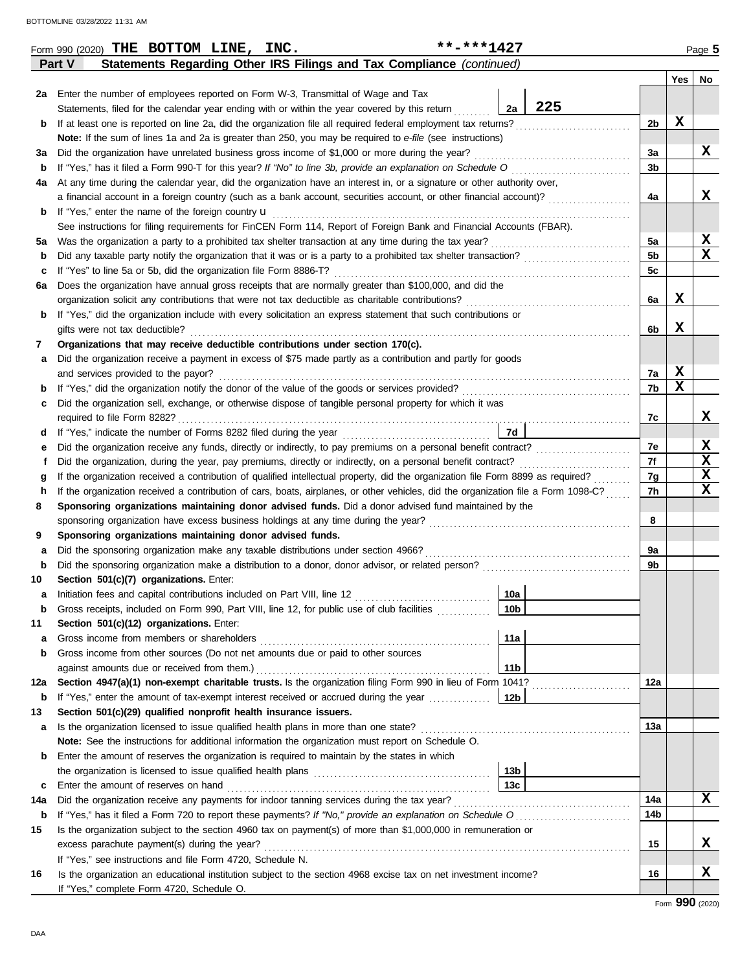|             | Statements Regarding Other IRS Filings and Tax Compliance (continued)<br>Part V                                                                                                                    |                |                  |                         |  |  |  |  |  |  |  |
|-------------|----------------------------------------------------------------------------------------------------------------------------------------------------------------------------------------------------|----------------|------------------|-------------------------|--|--|--|--|--|--|--|
|             |                                                                                                                                                                                                    |                | Yes              | No                      |  |  |  |  |  |  |  |
| 2a          | Enter the number of employees reported on Form W-3, Transmittal of Wage and Tax                                                                                                                    |                |                  |                         |  |  |  |  |  |  |  |
|             | 225<br>Statements, filed for the calendar year ending with or within the year covered by this return<br>2a                                                                                         |                |                  |                         |  |  |  |  |  |  |  |
| b           | If at least one is reported on line 2a, did the organization file all required federal employment tax returns?                                                                                     | 2b             | X                |                         |  |  |  |  |  |  |  |
|             | Note: If the sum of lines 1a and 2a is greater than 250, you may be required to e-file (see instructions)                                                                                          |                |                  | X                       |  |  |  |  |  |  |  |
| за          | Did the organization have unrelated business gross income of \$1,000 or more during the year?                                                                                                      |                |                  |                         |  |  |  |  |  |  |  |
| $\mathbf b$ | If "Yes," has it filed a Form 990-T for this year? If "No" to line 3b, provide an explanation on Schedule O                                                                                        |                |                  |                         |  |  |  |  |  |  |  |
| 4a          | At any time during the calendar year, did the organization have an interest in, or a signature or other authority over,                                                                            |                |                  |                         |  |  |  |  |  |  |  |
|             | a financial account in a foreign country (such as a bank account, securities account, or other financial account)?                                                                                 | 4a             |                  | X                       |  |  |  |  |  |  |  |
| b           | If "Yes," enter the name of the foreign country <b>u</b>                                                                                                                                           |                |                  |                         |  |  |  |  |  |  |  |
|             | See instructions for filing requirements for FinCEN Form 114, Report of Foreign Bank and Financial Accounts (FBAR).                                                                                |                |                  |                         |  |  |  |  |  |  |  |
| 5а          | Was the organization a party to a prohibited tax shelter transaction at any time during the tax year?                                                                                              | 5a             |                  | <u>x</u>                |  |  |  |  |  |  |  |
| b           | Did any taxable party notify the organization that it was or is a party to a prohibited tax shelter transaction?                                                                                   | 5 <sub>b</sub> |                  | $\overline{\mathbf{x}}$ |  |  |  |  |  |  |  |
| c           | If "Yes" to line 5a or 5b, did the organization file Form 8886-T?                                                                                                                                  | 5c             |                  |                         |  |  |  |  |  |  |  |
| 6а          | Does the organization have annual gross receipts that are normally greater than \$100,000, and did the                                                                                             |                |                  |                         |  |  |  |  |  |  |  |
|             | organization solicit any contributions that were not tax deductible as charitable contributions?                                                                                                   | 6a             | X                |                         |  |  |  |  |  |  |  |
| b           | If "Yes," did the organization include with every solicitation an express statement that such contributions or                                                                                     |                |                  |                         |  |  |  |  |  |  |  |
|             | gifts were not tax deductible?                                                                                                                                                                     | 6b             | X                |                         |  |  |  |  |  |  |  |
| 7           | Organizations that may receive deductible contributions under section 170(c).                                                                                                                      |                |                  |                         |  |  |  |  |  |  |  |
| а           | Did the organization receive a payment in excess of \$75 made partly as a contribution and partly for goods                                                                                        |                |                  |                         |  |  |  |  |  |  |  |
|             | and services provided to the payor?                                                                                                                                                                | 7a<br>7b       | X<br>$\mathbf x$ |                         |  |  |  |  |  |  |  |
| b           | If "Yes," did the organization notify the donor of the value of the goods or services provided?<br>If "Yes," did the organization notify the donor of the value of the goods or services provided? |                |                  |                         |  |  |  |  |  |  |  |
| c           | Did the organization sell, exchange, or otherwise dispose of tangible personal property for which it was                                                                                           |                |                  |                         |  |  |  |  |  |  |  |
|             | required to file Form 8282?                                                                                                                                                                        | 7c             |                  | X                       |  |  |  |  |  |  |  |
| a           | 7d                                                                                                                                                                                                 | 7e             |                  | X                       |  |  |  |  |  |  |  |
|             | Did the organization receive any funds, directly or indirectly, to pay premiums on a personal benefit contract?                                                                                    |                |                  |                         |  |  |  |  |  |  |  |
|             | Did the organization, during the year, pay premiums, directly or indirectly, on a personal benefit contract?                                                                                       |                |                  |                         |  |  |  |  |  |  |  |
|             | If the organization received a contribution of qualified intellectual property, did the organization file Form 8899 as required?                                                                   |                |                  |                         |  |  |  |  |  |  |  |
|             | If the organization received a contribution of cars, boats, airplanes, or other vehicles, did the organization file a Form 1098-C?<br>h                                                            |                |                  |                         |  |  |  |  |  |  |  |
| 8           | Sponsoring organizations maintaining donor advised funds. Did a donor advised fund maintained by the                                                                                               | 8              |                  |                         |  |  |  |  |  |  |  |
|             | sponsoring organization have excess business holdings at any time during the year?                                                                                                                 |                |                  |                         |  |  |  |  |  |  |  |
| 9           | Sponsoring organizations maintaining donor advised funds.<br>Did the sponsoring organization make any taxable distributions under section 4966?                                                    | 9a             |                  |                         |  |  |  |  |  |  |  |
| а<br>b      | Did the sponsoring organization make a distribution to a donor, donor advisor, or related person?                                                                                                  | 9b             |                  |                         |  |  |  |  |  |  |  |
| 10          | Section 501(c)(7) organizations. Enter:                                                                                                                                                            |                |                  |                         |  |  |  |  |  |  |  |
| а           | 10a<br>Initiation fees and capital contributions included on Part VIII, line 12 [11] [11] [12] [11] [12] [11] [12] [1                                                                              |                |                  |                         |  |  |  |  |  |  |  |
|             | 10 <sub>b</sub><br>Gross receipts, included on Form 990, Part VIII, line 12, for public use of club facilities                                                                                     |                |                  |                         |  |  |  |  |  |  |  |
| 11          | Section 501(c)(12) organizations. Enter:                                                                                                                                                           |                |                  |                         |  |  |  |  |  |  |  |
| а           | 11a<br>Gross income from members or shareholders                                                                                                                                                   |                |                  |                         |  |  |  |  |  |  |  |
| b           | Gross income from other sources (Do not net amounts due or paid to other sources                                                                                                                   |                |                  |                         |  |  |  |  |  |  |  |
|             | 11 <sub>b</sub><br>against amounts due or received from them.)                                                                                                                                     |                |                  |                         |  |  |  |  |  |  |  |
| 12a         | Section 4947(a)(1) non-exempt charitable trusts. Is the organization filing Form 990 in lieu of Form 1041?                                                                                         | 12a            |                  |                         |  |  |  |  |  |  |  |
| b           | If "Yes," enter the amount of tax-exempt interest received or accrued during the year<br>12b                                                                                                       |                |                  |                         |  |  |  |  |  |  |  |
| 13          | Section 501(c)(29) qualified nonprofit health insurance issuers.                                                                                                                                   |                |                  |                         |  |  |  |  |  |  |  |
| a           | Is the organization licensed to issue qualified health plans in more than one state?<br><u> 1999 - Paris Paris III, martin Amerikaansk konst</u>                                                   | 13а            |                  |                         |  |  |  |  |  |  |  |
|             | <b>Note:</b> See the instructions for additional information the organization must report on Schedule O.                                                                                           |                |                  |                         |  |  |  |  |  |  |  |
| b           | Enter the amount of reserves the organization is required to maintain by the states in which                                                                                                       |                |                  |                         |  |  |  |  |  |  |  |
|             | 13 <sub>b</sub>                                                                                                                                                                                    |                |                  |                         |  |  |  |  |  |  |  |
| c           | 13 <sub>c</sub><br>Enter the amount of reserves on hand                                                                                                                                            |                |                  |                         |  |  |  |  |  |  |  |
| 14a         | Did the organization receive any payments for indoor tanning services during the tax year?                                                                                                         | 14a            |                  | X                       |  |  |  |  |  |  |  |
| b           |                                                                                                                                                                                                    | 14b            |                  |                         |  |  |  |  |  |  |  |
| 15          | Is the organization subject to the section 4960 tax on payment(s) of more than \$1,000,000 in remuneration or                                                                                      |                |                  |                         |  |  |  |  |  |  |  |
|             | excess parachute payment(s) during the year?                                                                                                                                                       |                |                  |                         |  |  |  |  |  |  |  |
|             | If "Yes," see instructions and file Form 4720, Schedule N.                                                                                                                                         |                |                  |                         |  |  |  |  |  |  |  |
| 16          | Is the organization an educational institution subject to the section 4968 excise tax on net investment income?                                                                                    | 16             |                  | X                       |  |  |  |  |  |  |  |
|             | If "Yes," complete Form 4720, Schedule O.                                                                                                                                                          |                |                  |                         |  |  |  |  |  |  |  |

Form 990 (2020) Page **5 THE BOTTOM LINE, INC. \*\*-\*\*\*1427**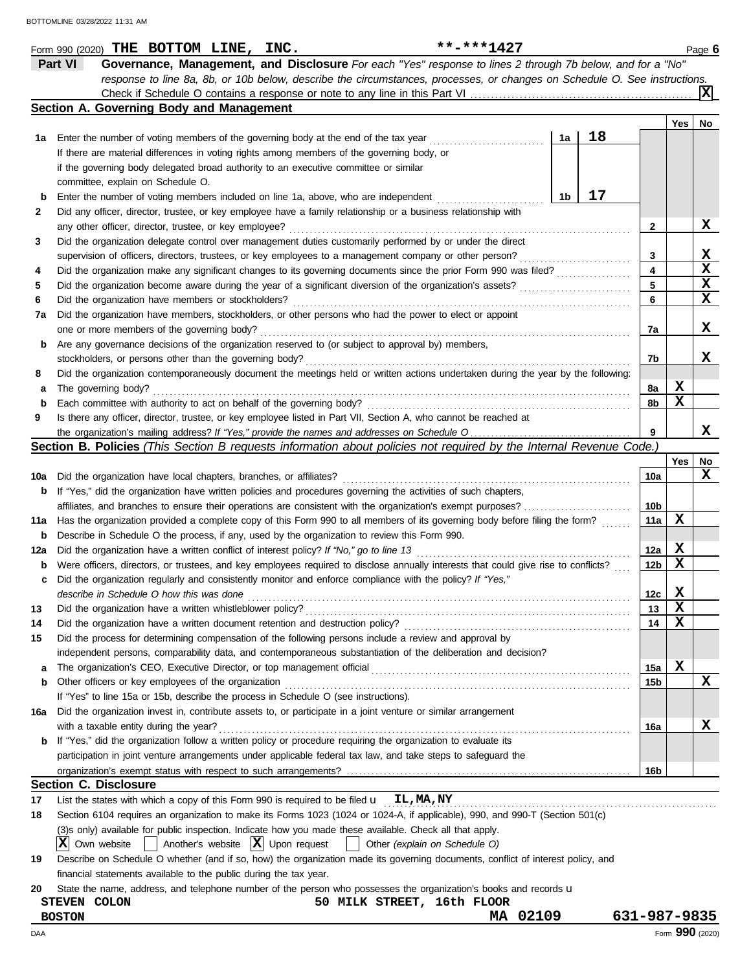|             | **-***1427<br>Form 990 (2020) THE BOTTOM LINE, INC.                                                                                           |                 |             | Page 6          |
|-------------|-----------------------------------------------------------------------------------------------------------------------------------------------|-----------------|-------------|-----------------|
|             | Governance, Management, and Disclosure For each "Yes" response to lines 2 through 7b below, and for a "No"<br>Part VI                         |                 |             |                 |
|             | response to line 8a, 8b, or 10b below, describe the circumstances, processes, or changes on Schedule O. See instructions.                     |                 |             |                 |
|             |                                                                                                                                               |                 |             |                 |
|             | Section A. Governing Body and Management                                                                                                      |                 |             |                 |
|             |                                                                                                                                               |                 | Yes         | No              |
| 1а          | 18<br>1a<br>Enter the number of voting members of the governing body at the end of the tax year                                               |                 |             |                 |
|             | If there are material differences in voting rights among members of the governing body, or                                                    |                 |             |                 |
|             | if the governing body delegated broad authority to an executive committee or similar                                                          |                 |             |                 |
|             | committee, explain on Schedule O.                                                                                                             |                 |             |                 |
| $\mathbf b$ | 17<br>1b<br>Enter the number of voting members included on line 1a, above, who are independent                                                |                 |             |                 |
| 2           | Did any officer, director, trustee, or key employee have a family relationship or a business relationship with                                |                 |             |                 |
|             | any other officer, director, trustee, or key employee?                                                                                        | 2               |             | x               |
| 3           | Did the organization delegate control over management duties customarily performed by or under the direct                                     |                 |             |                 |
|             | supervision of officers, directors, trustees, or key employees to a management company or other person?                                       | 3               |             | x               |
| 4           | Did the organization make any significant changes to its governing documents since the prior Form 990 was filed?                              | 4               |             | X               |
| 5           | Did the organization become aware during the year of a significant diversion of the organization's assets?                                    | 5               |             | X               |
| 6           | Did the organization have members or stockholders?                                                                                            | 6               |             | X               |
| 7а          | Did the organization have members, stockholders, or other persons who had the power to elect or appoint                                       |                 |             |                 |
|             | one or more members of the governing body?                                                                                                    | 7a              |             | x               |
| b           | Are any governance decisions of the organization reserved to (or subject to approval by) members,                                             |                 |             |                 |
|             | stockholders, or persons other than the governing body?                                                                                       | 7b              |             | x               |
| 8           | Did the organization contemporaneously document the meetings held or written actions undertaken during the year by the following:             |                 |             |                 |
| а           | The governing body?                                                                                                                           | 8a              | x           |                 |
| $\mathbf b$ | Each committee with authority to act on behalf of the governing body?                                                                         | 8b              | X           |                 |
| 9           | Is there any officer, director, trustee, or key employee listed in Part VII, Section A, who cannot be reached at                              |                 |             |                 |
|             |                                                                                                                                               | 9               |             | x               |
|             | <b>Section B. Policies</b> (This Section B requests information about policies not required by the Internal Revenue Code.)                    |                 |             |                 |
|             |                                                                                                                                               |                 | <b>Yes</b>  | No              |
| 10a         | Did the organization have local chapters, branches, or affiliates?                                                                            | 10a             |             | x               |
| b           | If "Yes," did the organization have written policies and procedures governing the activities of such chapters,                                |                 |             |                 |
|             | affiliates, and branches to ensure their operations are consistent with the organization's exempt purposes?                                   | 10b             |             |                 |
| 11a         | Has the organization provided a complete copy of this Form 990 to all members of its governing body before filing the form?                   | 11a             | X           |                 |
| b           | Describe in Schedule O the process, if any, used by the organization to review this Form 990.                                                 |                 |             |                 |
| 12a         | Did the organization have a written conflict of interest policy? If "No," go to line 13                                                       | 12a             | x           |                 |
| b           | Were officers, directors, or trustees, and key employees required to disclose annually interests that could give rise to conflicts?           | 12 <sub>b</sub> | X           |                 |
|             | Did the organization regularly and consistently monitor and enforce compliance with the policy? If "Yes,"                                     |                 |             |                 |
|             | describe in Schedule O how this was done                                                                                                      | 12c             | $\mathbf x$ |                 |
| 13          | Did the organization have a written whistleblower policy?                                                                                     | 13              | X           |                 |
| 14          | Did the organization have a written document retention and destruction policy?                                                                | 14              | x           |                 |
| 15          | Did the process for determining compensation of the following persons include a review and approval by                                        |                 |             |                 |
|             | independent persons, comparability data, and contemporaneous substantiation of the deliberation and decision?                                 |                 |             |                 |
|             |                                                                                                                                               | 15a             | x           |                 |
| а<br>b      | Other officers or key employees of the organization                                                                                           | 15b             |             | X               |
|             | If "Yes" to line 15a or 15b, describe the process in Schedule O (see instructions).                                                           |                 |             |                 |
|             | Did the organization invest in, contribute assets to, or participate in a joint venture or similar arrangement                                |                 |             |                 |
| 16a         | with a taxable entity during the year?                                                                                                        | 16a             |             | х               |
| b           | If "Yes," did the organization follow a written policy or procedure requiring the organization to evaluate its                                |                 |             |                 |
|             | participation in joint venture arrangements under applicable federal tax law, and take steps to safeguard the                                 |                 |             |                 |
|             |                                                                                                                                               |                 |             |                 |
|             |                                                                                                                                               | 16b             |             |                 |
|             | <b>Section C. Disclosure</b><br>List the states with which a copy of this Form 990 is required to be filed $\mathbf{u}$ $\mathbf{L}$ , MA, NY |                 |             |                 |
| 17          |                                                                                                                                               |                 |             |                 |
| 18          | Section 6104 requires an organization to make its Forms 1023 (1024 or 1024-A, if applicable), 990, and 990-T (Section 501(c)                  |                 |             |                 |
|             | (3)s only) available for public inspection. Indicate how you made these available. Check all that apply.                                      |                 |             |                 |
|             | $ X $ Own website<br>Another's website $ \mathbf{X} $ Upon request<br>Other (explain on Schedule O)                                           |                 |             |                 |
| 19          | Describe on Schedule O whether (and if so, how) the organization made its governing documents, conflict of interest policy, and               |                 |             |                 |
|             | financial statements available to the public during the tax year.                                                                             |                 |             |                 |
| 20          | State the name, address, and telephone number of the person who possesses the organization's books and records <b>u</b>                       |                 |             |                 |
|             | 50 MILK STREET, 16th FLOOR<br>STEVEN COLON                                                                                                    |                 |             |                 |
|             | MA 02109<br><b>BOSTON</b>                                                                                                                     | 631-987-9835    |             |                 |
| DAA         |                                                                                                                                               |                 |             | Form 990 (2020) |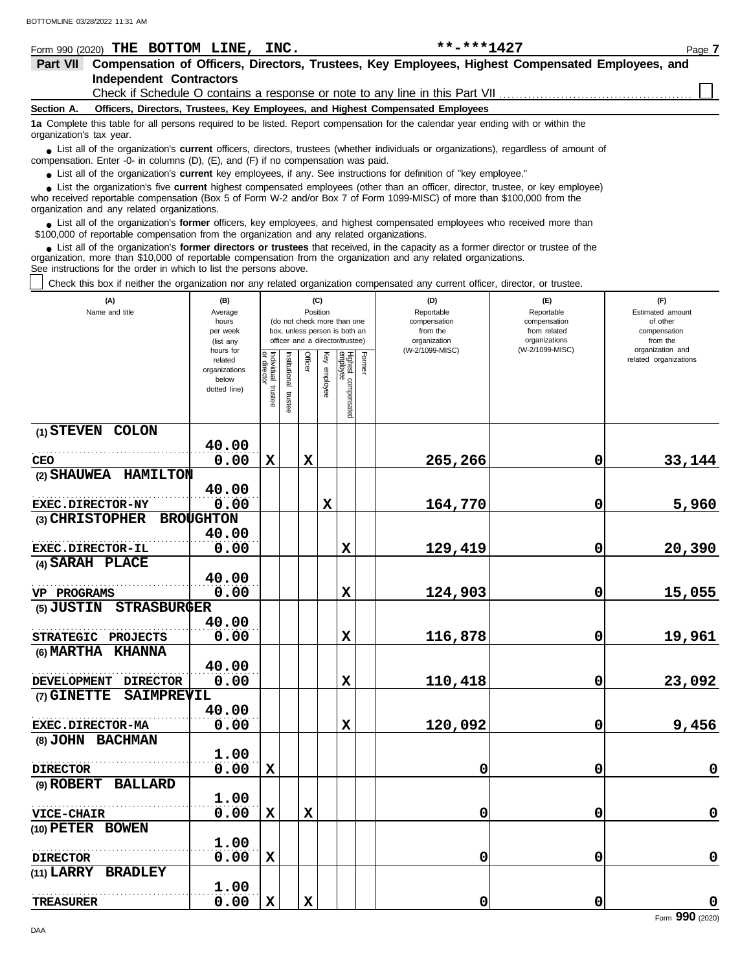|            | Form 990 (2020) THE BOTTOM LINE, INC.                                                                                                                                                                                                      |  | **-***1427                                                                                                                       | Page 7 |  |  |  |  |  |  |
|------------|--------------------------------------------------------------------------------------------------------------------------------------------------------------------------------------------------------------------------------------------|--|----------------------------------------------------------------------------------------------------------------------------------|--------|--|--|--|--|--|--|
| Part VII   | Compensation of Officers, Directors, Trustees, Key Employees, Highest Compensated Employees, and                                                                                                                                           |  |                                                                                                                                  |        |  |  |  |  |  |  |
|            | <b>Independent Contractors</b>                                                                                                                                                                                                             |  |                                                                                                                                  |        |  |  |  |  |  |  |
|            |                                                                                                                                                                                                                                            |  |                                                                                                                                  |        |  |  |  |  |  |  |
| Section A. |                                                                                                                                                                                                                                            |  | Officers, Directors, Trustees, Key Employees, and Highest Compensated Employees                                                  |        |  |  |  |  |  |  |
|            | 1a Complete this table for all persons required to be listed. Report compensation for the calendar vear ending with or within the<br>organization's tax year.                                                                              |  |                                                                                                                                  |        |  |  |  |  |  |  |
|            | • List all of the organization's <b>current</b> officers, directors, trustees (whether individuals or organizations), regardless of amount of<br>compensation. Enter -0- in columns $(D)$ , $(E)$ , and $(F)$ if no compensation was paid. |  |                                                                                                                                  |        |  |  |  |  |  |  |
|            |                                                                                                                                                                                                                                            |  | • List all of the organization's current key employees, if any. See instructions for definition of "key employee."               |        |  |  |  |  |  |  |
|            |                                                                                                                                                                                                                                            |  | • List the organization's five current highest compensated employees (other than an officer, director, trustee, or key employee) |        |  |  |  |  |  |  |

who received reportable compensation (Box 5 of Form W-2 and/or Box 7 of Form 1099-MISC) of more than \$100,000 from the organization and any related organizations. **•**

■ List all of the organization's **former** officers, key employees, and highest compensated employees who received more than<br> **•** 00,000 of reportable compensation from the ergonization and any related ergonizations \$100,000 of reportable compensation from the organization and any related organizations.

List all of the organization's **former directors or trustees** that received, in the capacity as a former director or trustee of the organization, more than \$10,000 of reportable compensation from the organization and any related organizations. See instructions for the order in which to list the persons above. **•**

Check this box if neither the organization nor any related organization compensated any current officer, director, or trustee.

| (A)<br>Name and title                 | (B)<br>Average<br>hours<br>per week<br>(list any<br>hours for |                                   |                          | (C)<br>Position |                 | (do not check more than one<br>box, unless person is both an<br>officer and a director/trustee) |        | (D)<br>Reportable<br>compensation<br>from the<br>organization<br>(W-2/1099-MISC) | (F)<br>Reportable<br>compensation<br>from related<br>organizations<br>(W-2/1099-MISC) | (F)<br>Estimated amount<br>of other<br>compensation<br>from the<br>organization and |
|---------------------------------------|---------------------------------------------------------------|-----------------------------------|--------------------------|-----------------|-----------------|-------------------------------------------------------------------------------------------------|--------|----------------------------------------------------------------------------------|---------------------------------------------------------------------------------------|-------------------------------------------------------------------------------------|
|                                       | related<br>organizations<br>below<br>dotted line)             | Individual trustee<br>or director | Institutional<br>trustee | Officer         | Ķey<br>employee | Highest compensated<br>employee                                                                 | Former |                                                                                  |                                                                                       | related organizations                                                               |
| (1) STEVEN COLON                      |                                                               |                                   |                          |                 |                 |                                                                                                 |        |                                                                                  |                                                                                       |                                                                                     |
| <b>CEO</b>                            | 40.00<br>0.00                                                 | $\mathbf x$                       |                          | $\mathbf x$     |                 |                                                                                                 |        | 265,266                                                                          | 0                                                                                     | 33,144                                                                              |
| (2) SHAUWEA HAMILTON                  |                                                               |                                   |                          |                 |                 |                                                                                                 |        |                                                                                  |                                                                                       |                                                                                     |
|                                       | 40.00                                                         |                                   |                          |                 |                 |                                                                                                 |        |                                                                                  |                                                                                       |                                                                                     |
| <b>EXEC.DIRECTOR-NY</b>               | 0.00<br><b>BROUGHTON</b>                                      |                                   |                          |                 | $\mathbf x$     |                                                                                                 |        | 164,770                                                                          | 0                                                                                     | 5,960                                                                               |
| (3) CHRISTOPHER                       | 40.00                                                         |                                   |                          |                 |                 |                                                                                                 |        |                                                                                  |                                                                                       |                                                                                     |
| <b>EXEC.DIRECTOR-IL</b>               | 0.00                                                          |                                   |                          |                 |                 | X                                                                                               |        | 129,419                                                                          | 0                                                                                     | 20,390                                                                              |
| (4) SARAH PLACE                       |                                                               |                                   |                          |                 |                 |                                                                                                 |        |                                                                                  |                                                                                       |                                                                                     |
|                                       | 40.00                                                         |                                   |                          |                 |                 |                                                                                                 |        |                                                                                  |                                                                                       |                                                                                     |
| VP PROGRAMS                           | 0.00                                                          |                                   |                          |                 |                 | $\mathbf x$                                                                                     |        | 124,903                                                                          | 0                                                                                     | 15,055                                                                              |
| (5) JUSTIN STRASBURGER                |                                                               |                                   |                          |                 |                 |                                                                                                 |        |                                                                                  |                                                                                       |                                                                                     |
|                                       | 40.00                                                         |                                   |                          |                 |                 |                                                                                                 |        |                                                                                  |                                                                                       |                                                                                     |
| <b>STRATEGIC</b><br><b>PROJECTS</b>   | 0.00                                                          |                                   |                          |                 |                 | $\mathbf x$                                                                                     |        | 116,878                                                                          | 0                                                                                     | 19,961                                                                              |
| (6) MARTHA<br><b>KHANNA</b>           |                                                               |                                   |                          |                 |                 |                                                                                                 |        |                                                                                  |                                                                                       |                                                                                     |
|                                       | 40.00                                                         |                                   |                          |                 |                 |                                                                                                 |        |                                                                                  |                                                                                       |                                                                                     |
| <b>DEVELOPMENT</b><br><b>DIRECTOR</b> | 0.00                                                          |                                   |                          |                 |                 | X                                                                                               |        | 110,418                                                                          | 0                                                                                     | 23,092                                                                              |
| SAIMPREVIL<br>(7) GINETTE             |                                                               |                                   |                          |                 |                 |                                                                                                 |        |                                                                                  |                                                                                       |                                                                                     |
|                                       | 40.00                                                         |                                   |                          |                 |                 |                                                                                                 |        |                                                                                  |                                                                                       |                                                                                     |
| <b>EXEC.DIRECTOR-MA</b>               | 0.00                                                          |                                   |                          |                 |                 | $\mathbf x$                                                                                     |        | 120,092                                                                          | 0                                                                                     | 9,456                                                                               |
| (8) JOHN BACHMAN                      | 1.00                                                          |                                   |                          |                 |                 |                                                                                                 |        |                                                                                  |                                                                                       |                                                                                     |
| <b>DIRECTOR</b>                       | 0.00                                                          | $\mathbf x$                       |                          |                 |                 |                                                                                                 |        | 0                                                                                | 0                                                                                     | $\mathbf 0$                                                                         |
| <b>BALLARD</b><br>(9) ROBERT          |                                                               |                                   |                          |                 |                 |                                                                                                 |        |                                                                                  |                                                                                       |                                                                                     |
|                                       | 1.00                                                          |                                   |                          |                 |                 |                                                                                                 |        |                                                                                  |                                                                                       |                                                                                     |
| <b>VICE-CHAIR</b>                     | 0.00                                                          | $\mathbf x$                       |                          | X               |                 |                                                                                                 |        | 0                                                                                | 0                                                                                     | $\mathbf 0$                                                                         |
| (10) PETER BOWEN                      |                                                               |                                   |                          |                 |                 |                                                                                                 |        |                                                                                  |                                                                                       |                                                                                     |
|                                       | 1.00                                                          |                                   |                          |                 |                 |                                                                                                 |        |                                                                                  |                                                                                       |                                                                                     |
| <b>DIRECTOR</b>                       | 0.00                                                          | $\mathbf x$                       |                          |                 |                 |                                                                                                 |        | 0                                                                                | 0                                                                                     | $\mathbf 0$                                                                         |
| (11) LARRY BRADLEY                    |                                                               |                                   |                          |                 |                 |                                                                                                 |        |                                                                                  |                                                                                       |                                                                                     |
|                                       | 1.00                                                          |                                   |                          |                 |                 |                                                                                                 |        |                                                                                  |                                                                                       |                                                                                     |
| <b>TREASURER</b>                      | 0.00                                                          | $\mathbf x$                       |                          | $\mathbf x$     |                 |                                                                                                 |        | 0                                                                                | $\mathbf 0$                                                                           | $\mathbf 0$                                                                         |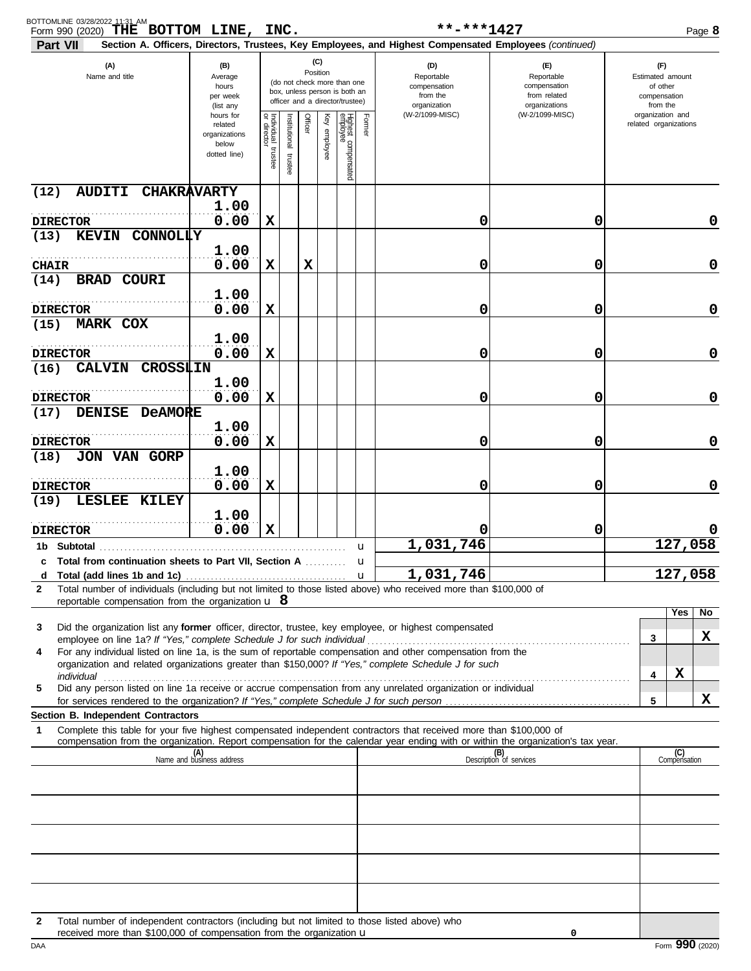| BOTTOMLINE 03/28/2022 11:31 AM<br>Form 990 (2020) THE BOTTOM LINE, INC.<br>Part VII                                                                                                                                            |                                                                |                         |                         |         |                 |                                                                                                 |              | **-***1427<br>Section A. Officers, Directors, Trustees, Key Employees, and Highest Compensated Employees (continued) |                                                                    |                                                                 |                       | Page 8      |
|--------------------------------------------------------------------------------------------------------------------------------------------------------------------------------------------------------------------------------|----------------------------------------------------------------|-------------------------|-------------------------|---------|-----------------|-------------------------------------------------------------------------------------------------|--------------|----------------------------------------------------------------------------------------------------------------------|--------------------------------------------------------------------|-----------------------------------------------------------------|-----------------------|-------------|
| (A)<br>Name and title                                                                                                                                                                                                          | (B)<br>Average<br>hours<br>per week<br>(list any               |                         |                         |         | (C)<br>Position | (do not check more than one<br>box, unless person is both an<br>officer and a director/trustee) |              | (D)<br>Reportable<br>compensation<br>from the<br>organization                                                        | (E)<br>Reportable<br>compensation<br>from related<br>organizations | (F)<br>Estimated amount<br>of other<br>compensation<br>from the |                       |             |
|                                                                                                                                                                                                                                | hours for<br>related<br>organizations<br>below<br>dotted line) | Individual 1<br>trustee | nstitutional<br>trustee | Officer | Key employee    | Highest compensated<br>employee                                                                 | Former       | (W-2/1099-MISC)                                                                                                      | (W-2/1099-MISC)                                                    | organization and                                                | related organizations |             |
| (12)<br><b>AUDITI</b><br><b>CHAKRAVARTY</b>                                                                                                                                                                                    | 1.00                                                           |                         |                         |         |                 |                                                                                                 |              |                                                                                                                      |                                                                    |                                                                 |                       |             |
| <b>DIRECTOR</b>                                                                                                                                                                                                                | 0.00                                                           | X                       |                         |         |                 |                                                                                                 |              | 0                                                                                                                    | 0                                                                  |                                                                 |                       | 0           |
| (13)<br><b>KEVIN</b><br><b>CONNOLLY</b>                                                                                                                                                                                        | 1.00                                                           |                         |                         |         |                 |                                                                                                 |              |                                                                                                                      |                                                                    |                                                                 |                       |             |
| <b>CHAIR</b>                                                                                                                                                                                                                   | 0.00                                                           | X                       |                         | X       |                 |                                                                                                 |              | 0                                                                                                                    | 0                                                                  |                                                                 |                       | $\mathbf 0$ |
| (14)<br><b>BRAD COURI</b>                                                                                                                                                                                                      | 1.00                                                           |                         |                         |         |                 |                                                                                                 |              |                                                                                                                      |                                                                    |                                                                 |                       |             |
| <b>DIRECTOR</b>                                                                                                                                                                                                                | 0.00                                                           | X                       |                         |         |                 |                                                                                                 |              | 0                                                                                                                    | 0                                                                  |                                                                 |                       | $\mathbf 0$ |
| (15)<br><b>MARK COX</b>                                                                                                                                                                                                        |                                                                |                         |                         |         |                 |                                                                                                 |              |                                                                                                                      |                                                                    |                                                                 |                       |             |
|                                                                                                                                                                                                                                | 1.00                                                           | X                       |                         |         |                 |                                                                                                 |              | 0                                                                                                                    | 0                                                                  |                                                                 |                       | $\mathbf 0$ |
| <b>DIRECTOR</b><br><b>CALVIN</b><br><b>CROSSLIN</b><br>(16)                                                                                                                                                                    | 0.00                                                           |                         |                         |         |                 |                                                                                                 |              |                                                                                                                      |                                                                    |                                                                 |                       |             |
| <b>DIRECTOR</b>                                                                                                                                                                                                                | 1.00<br>0.00                                                   | X                       |                         |         |                 |                                                                                                 |              | 0                                                                                                                    | 0                                                                  |                                                                 |                       | $\mathbf 0$ |
| DENISE DeAMORE<br>(17)                                                                                                                                                                                                         |                                                                |                         |                         |         |                 |                                                                                                 |              |                                                                                                                      |                                                                    |                                                                 |                       |             |
|                                                                                                                                                                                                                                | 1.00                                                           |                         |                         |         |                 |                                                                                                 |              |                                                                                                                      |                                                                    |                                                                 |                       |             |
| <b>DIRECTOR</b><br><b>JON VAN GORP</b><br>(18)                                                                                                                                                                                 | 0.00                                                           | х                       |                         |         |                 |                                                                                                 |              | 0                                                                                                                    | 0                                                                  |                                                                 |                       | $\mathbf 0$ |
|                                                                                                                                                                                                                                | 1.00                                                           |                         |                         |         |                 |                                                                                                 |              |                                                                                                                      |                                                                    |                                                                 |                       |             |
| <b>DIRECTOR</b>                                                                                                                                                                                                                | 0.00                                                           | х                       |                         |         |                 |                                                                                                 |              | 0                                                                                                                    | 0                                                                  |                                                                 |                       | 0           |
| (19)<br>LESLEE KILEY                                                                                                                                                                                                           |                                                                |                         |                         |         |                 |                                                                                                 |              |                                                                                                                      |                                                                    |                                                                 |                       |             |
| <b>DIRECTOR</b>                                                                                                                                                                                                                | 1.00<br>0.00                                                   | $\mathbf x$             |                         |         |                 |                                                                                                 |              | 0                                                                                                                    | 0                                                                  |                                                                 |                       |             |
| <b>Subtotal</b><br>1b.                                                                                                                                                                                                         |                                                                |                         |                         |         |                 |                                                                                                 | u            | 1,031,746                                                                                                            |                                                                    |                                                                 | 127,058               |             |
| c Total from continuation sheets to Part VII, Section A                                                                                                                                                                        |                                                                |                         |                         |         |                 |                                                                                                 | u            | 1,031,746                                                                                                            |                                                                    |                                                                 | 127,058               |             |
| Total (add lines 1b and 1c).<br>d<br>Total number of individuals (including but not limited to those listed above) who received more than \$100,000 of<br>$\mathbf{2}$                                                         |                                                                |                         |                         |         |                 |                                                                                                 | $\mathbf{u}$ |                                                                                                                      |                                                                    |                                                                 |                       |             |
| reportable compensation from the organization $\mathbf{u} \cdot \mathbf{8}$                                                                                                                                                    |                                                                |                         |                         |         |                 |                                                                                                 |              |                                                                                                                      |                                                                    |                                                                 |                       |             |
| Did the organization list any former officer, director, trustee, key employee, or highest compensated<br>3                                                                                                                     |                                                                |                         |                         |         |                 |                                                                                                 |              |                                                                                                                      |                                                                    |                                                                 | Yes                   | No          |
|                                                                                                                                                                                                                                |                                                                |                         |                         |         |                 |                                                                                                 |              |                                                                                                                      |                                                                    | 3                                                               |                       | X           |
| For any individual listed on line 1a, is the sum of reportable compensation and other compensation from the<br>4<br>organization and related organizations greater than \$150,000? If "Yes," complete Schedule J for such      |                                                                |                         |                         |         |                 |                                                                                                 |              |                                                                                                                      |                                                                    |                                                                 |                       |             |
| individual discussed and the contract of the contract of the contract of the contract of the contract of the contract of the contract of the contract of the contract of the contract of the contract of the contract of the c |                                                                |                         |                         |         |                 |                                                                                                 |              |                                                                                                                      |                                                                    | 4                                                               | X                     |             |
| Did any person listed on line 1a receive or accrue compensation from any unrelated organization or individual<br>5                                                                                                             |                                                                |                         |                         |         |                 |                                                                                                 |              |                                                                                                                      |                                                                    | 5                                                               |                       | x           |
| <b>Section B. Independent Contractors</b>                                                                                                                                                                                      |                                                                |                         |                         |         |                 |                                                                                                 |              |                                                                                                                      |                                                                    |                                                                 |                       |             |
| Complete this table for your five highest compensated independent contractors that received more than \$100,000 of<br>1                                                                                                        |                                                                |                         |                         |         |                 |                                                                                                 |              |                                                                                                                      |                                                                    |                                                                 |                       |             |
| compensation from the organization. Report compensation for the calendar year ending with or within the organization's tax year.                                                                                               | (A)<br>Name and business address                               |                         |                         |         |                 |                                                                                                 |              |                                                                                                                      | (B)<br>Description of services                                     |                                                                 | (C)<br>Compensation   |             |
|                                                                                                                                                                                                                                |                                                                |                         |                         |         |                 |                                                                                                 |              |                                                                                                                      |                                                                    |                                                                 |                       |             |
|                                                                                                                                                                                                                                |                                                                |                         |                         |         |                 |                                                                                                 |              |                                                                                                                      |                                                                    |                                                                 |                       |             |
|                                                                                                                                                                                                                                |                                                                |                         |                         |         |                 |                                                                                                 |              |                                                                                                                      |                                                                    |                                                                 |                       |             |
|                                                                                                                                                                                                                                |                                                                |                         |                         |         |                 |                                                                                                 |              |                                                                                                                      |                                                                    |                                                                 |                       |             |
|                                                                                                                                                                                                                                |                                                                |                         |                         |         |                 |                                                                                                 |              |                                                                                                                      |                                                                    |                                                                 |                       |             |
|                                                                                                                                                                                                                                |                                                                |                         |                         |         |                 |                                                                                                 |              |                                                                                                                      |                                                                    |                                                                 |                       |             |
|                                                                                                                                                                                                                                |                                                                |                         |                         |         |                 |                                                                                                 |              |                                                                                                                      |                                                                    |                                                                 |                       |             |
|                                                                                                                                                                                                                                |                                                                |                         |                         |         |                 |                                                                                                 |              |                                                                                                                      |                                                                    |                                                                 |                       |             |
| Total number of independent contractors (including but not limited to those listed above) who<br>2                                                                                                                             |                                                                |                         |                         |         |                 |                                                                                                 |              |                                                                                                                      |                                                                    |                                                                 |                       |             |
| received more than \$100,000 of compensation from the organization $\mathbf u$                                                                                                                                                 |                                                                |                         |                         |         |                 |                                                                                                 |              |                                                                                                                      | 0                                                                  |                                                                 |                       |             |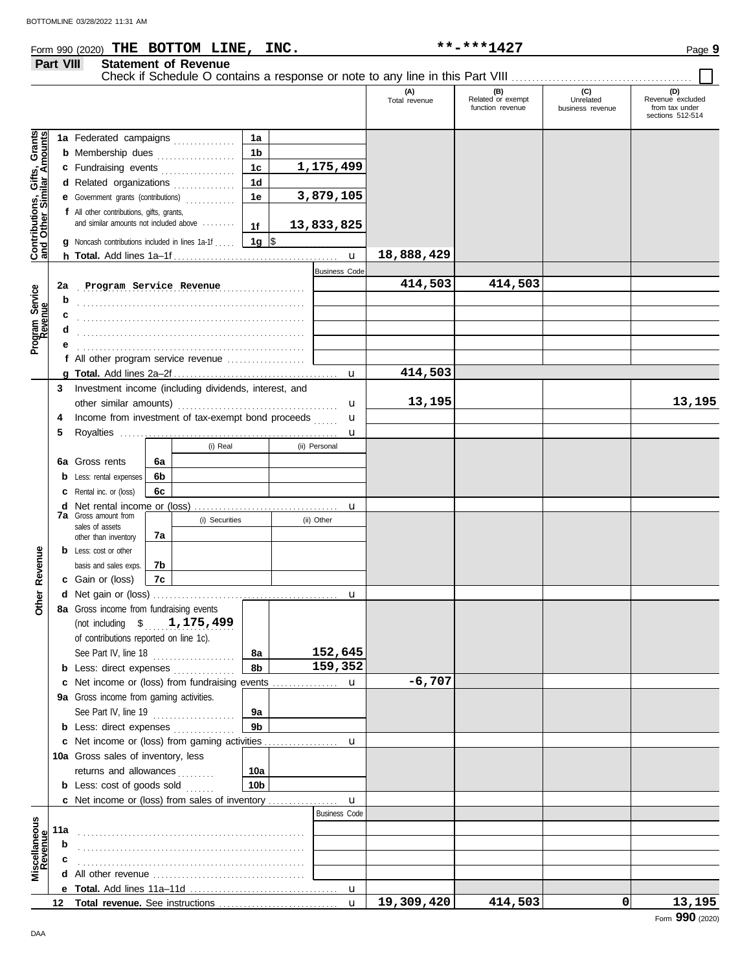## Form 990 (2020) Page **9 THE BOTTOM LINE, INC. \*\*-\*\*\*1427 Part VIII Statement of Revenue** Check if Schedule O contains a response or note to any line in this Part VIII ......<br>
Total revenue Related or exempt

|                                                                  |        |                                                        |          |                |                 |                                     | (A)<br>Total revenue | (B)<br>Related or exempt<br>function revenue | (C)<br>Unrelated<br>business revenue | (D)<br>Revenue excluded<br>from tax under<br>sections 512-514 |
|------------------------------------------------------------------|--------|--------------------------------------------------------|----------|----------------|-----------------|-------------------------------------|----------------------|----------------------------------------------|--------------------------------------|---------------------------------------------------------------|
|                                                                  |        | 1a Federated campaigns                                 |          |                | 1a              |                                     |                      |                                              |                                      |                                                               |
| <b>Contributions, Gifts, Grants</b><br>and Other Similar Amounts |        | <b>b</b> Membership dues                               |          |                | 1 <sub>b</sub>  |                                     |                      |                                              |                                      |                                                               |
|                                                                  |        | c Fundraising events                                   |          |                | 1 <sub>c</sub>  | 1,175,499                           |                      |                                              |                                      |                                                               |
|                                                                  |        | d Related organizations                                |          | .              | 1 <sub>d</sub>  |                                     |                      |                                              |                                      |                                                               |
|                                                                  |        | <b>e</b> Government grants (contributions)             |          | .              | 1e              | 3,879,105                           |                      |                                              |                                      |                                                               |
|                                                                  |        | f All other contributions, gifts, grants,              |          |                |                 |                                     |                      |                                              |                                      |                                                               |
|                                                                  |        | and similar amounts not included above                 |          |                | 1f              | 13,833,825                          |                      |                                              |                                      |                                                               |
|                                                                  |        | <b>g</b> Noncash contributions included in lines 1a-1f |          |                | 1g $\vert$ \$   |                                     |                      |                                              |                                      |                                                               |
|                                                                  |        |                                                        |          |                |                 | $\mathbf{u}$                        | 18,888,429           |                                              |                                      |                                                               |
|                                                                  |        |                                                        |          |                |                 | <b>Business Code</b>                |                      |                                              |                                      |                                                               |
|                                                                  | 2a     | Program Service Revenue                                |          |                |                 |                                     | 414,503              | 414,503                                      |                                      |                                                               |
| Program Service<br>Revenue                                       | b      |                                                        |          |                |                 |                                     |                      |                                              |                                      |                                                               |
|                                                                  | с      |                                                        |          |                |                 |                                     |                      |                                              |                                      |                                                               |
|                                                                  |        |                                                        |          |                |                 |                                     |                      |                                              |                                      |                                                               |
|                                                                  |        |                                                        |          |                |                 |                                     |                      |                                              |                                      |                                                               |
|                                                                  |        | f All other program service revenue                    |          |                |                 |                                     |                      |                                              |                                      |                                                               |
|                                                                  |        |                                                        |          |                |                 | $\mathbf{u}$                        | 414,503              |                                              |                                      |                                                               |
|                                                                  | 3      | Investment income (including dividends, interest, and  |          |                |                 |                                     |                      |                                              |                                      |                                                               |
|                                                                  |        |                                                        |          |                |                 | u                                   | 13,195               |                                              |                                      | 13,195                                                        |
|                                                                  | 4      | Income from investment of tax-exempt bond proceeds     |          |                |                 | u                                   |                      |                                              |                                      |                                                               |
|                                                                  | 5      |                                                        |          | (i) Real       |                 | u<br>(ii) Personal                  |                      |                                              |                                      |                                                               |
|                                                                  |        |                                                        |          |                |                 |                                     |                      |                                              |                                      |                                                               |
|                                                                  | 6a     | Gross rents<br>Less: rental expenses                   | 6а<br>6b |                |                 |                                     |                      |                                              |                                      |                                                               |
|                                                                  | b<br>c | Rental inc. or (loss)                                  | 6c       |                |                 |                                     |                      |                                              |                                      |                                                               |
|                                                                  | d      | Net rental income or (loss)                            |          |                |                 | u                                   |                      |                                              |                                      |                                                               |
|                                                                  |        | <b>7a</b> Gross amount from                            |          | (i) Securities |                 | (ii) Other                          |                      |                                              |                                      |                                                               |
|                                                                  |        | sales of assets                                        | 7a       |                |                 |                                     |                      |                                              |                                      |                                                               |
|                                                                  |        | other than inventory<br><b>b</b> Less: cost or other   |          |                |                 |                                     |                      |                                              |                                      |                                                               |
| Revenue                                                          |        | basis and sales exps.                                  | 7b       |                |                 |                                     |                      |                                              |                                      |                                                               |
|                                                                  |        | c Gain or (loss)                                       | 7c       |                |                 |                                     |                      |                                              |                                      |                                                               |
|                                                                  |        |                                                        |          |                |                 | u                                   |                      |                                              |                                      |                                                               |
| <b>Other</b>                                                     |        | 8a Gross income from fundraising events                |          |                |                 |                                     |                      |                                              |                                      |                                                               |
|                                                                  |        | (not including \$                                      |          | 1,175,499      |                 |                                     |                      |                                              |                                      |                                                               |
|                                                                  |        | of contributions reported on line 1c).                 |          |                |                 |                                     |                      |                                              |                                      |                                                               |
|                                                                  |        | See Part IV, line 18                                   |          | .              | 8а              | 152,645                             |                      |                                              |                                      |                                                               |
|                                                                  |        | <b>b</b> Less: direct expenses                         |          |                | 8b              | 159,352                             |                      |                                              |                                      |                                                               |
|                                                                  |        | c Net income or (loss) from fundraising events         |          |                |                 | $\mathbf u$                         | $-6,707$             |                                              |                                      |                                                               |
|                                                                  |        | 9a Gross income from gaming activities.                |          |                |                 |                                     |                      |                                              |                                      |                                                               |
|                                                                  |        | See Part IV, line 19 $\ldots$                          |          |                | 9a              |                                     |                      |                                              |                                      |                                                               |
|                                                                  |        | <b>b</b> Less: direct expenses $\ldots$                |          |                | 9 <sub>b</sub>  |                                     |                      |                                              |                                      |                                                               |
|                                                                  |        | c Net income or (loss) from gaming activities          |          |                |                 | u                                   |                      |                                              |                                      |                                                               |
|                                                                  |        | 10a Gross sales of inventory, less                     |          |                |                 |                                     |                      |                                              |                                      |                                                               |
|                                                                  |        | returns and allowances                                 |          | .              | 10a             |                                     |                      |                                              |                                      |                                                               |
|                                                                  |        | <b>b</b> Less: cost of goods sold                      |          |                | 10 <sub>b</sub> |                                     |                      |                                              |                                      |                                                               |
|                                                                  |        | c Net income or (loss) from sales of inventory         |          |                |                 | $\mathbf u$<br><b>Business Code</b> |                      |                                              |                                      |                                                               |
|                                                                  | 11a    |                                                        |          |                |                 |                                     |                      |                                              |                                      |                                                               |
|                                                                  | b      |                                                        |          |                |                 |                                     |                      |                                              |                                      |                                                               |
|                                                                  |        |                                                        |          |                |                 |                                     |                      |                                              |                                      |                                                               |
| Miscellaneous<br>Revenue                                         |        |                                                        |          |                |                 |                                     |                      |                                              |                                      |                                                               |
|                                                                  |        |                                                        |          |                |                 | u                                   |                      |                                              |                                      |                                                               |
|                                                                  |        |                                                        |          |                |                 | $\mathbf{u}$                        | 19,309,420           | 414,503                                      | 0                                    | 13,195                                                        |
|                                                                  |        |                                                        |          |                |                 |                                     |                      |                                              |                                      | Form 990 (2020)                                               |
| DAA                                                              |        |                                                        |          |                |                 |                                     |                      |                                              |                                      |                                                               |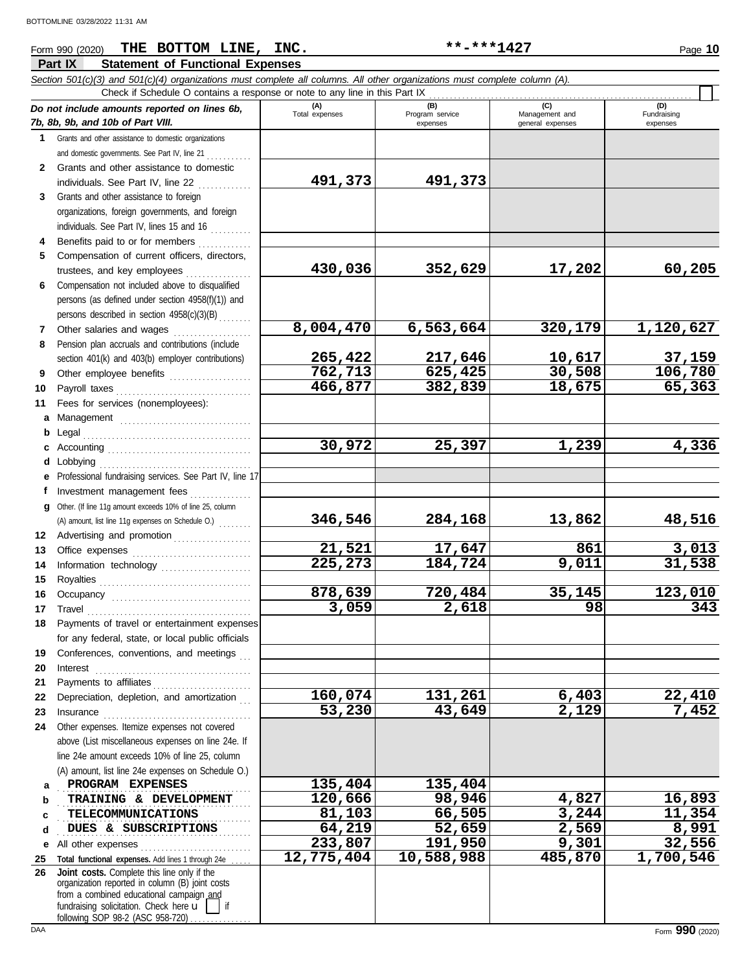#### **Part IX Statement of Functional Expenses** Form 990 (2020) Page **10 THE BOTTOM LINE, INC. \*\*-\*\*\*1427**

|              | Section 501(c)(3) and 501(c)(4) organizations must complete all columns. All other organizations must complete column (A).<br>Check if Schedule O contains a response or note to any line in this Part IX |                       |                        |                                    |                         |
|--------------|-----------------------------------------------------------------------------------------------------------------------------------------------------------------------------------------------------------|-----------------------|------------------------|------------------------------------|-------------------------|
|              | Do not include amounts reported on lines 6b,                                                                                                                                                              | (A)<br>Total expenses | (B)<br>Program service | (C)                                | (D)                     |
|              | 7b, 8b, 9b, and 10b of Part VIII.                                                                                                                                                                         |                       | expenses               | Management and<br>general expenses | Fundraising<br>expenses |
| $\mathbf 1$  | Grants and other assistance to domestic organizations                                                                                                                                                     |                       |                        |                                    |                         |
|              | and domestic governments. See Part IV, line 21                                                                                                                                                            |                       |                        |                                    |                         |
| $\mathbf{2}$ | Grants and other assistance to domestic                                                                                                                                                                   |                       |                        |                                    |                         |
|              | individuals. See Part IV, line 22                                                                                                                                                                         | 491,373               | 491,373                |                                    |                         |
| 3            | Grants and other assistance to foreign                                                                                                                                                                    |                       |                        |                                    |                         |
|              | organizations, foreign governments, and foreign                                                                                                                                                           |                       |                        |                                    |                         |
|              | individuals. See Part IV, lines 15 and 16                                                                                                                                                                 |                       |                        |                                    |                         |
| 4            | Benefits paid to or for members                                                                                                                                                                           |                       |                        |                                    |                         |
| 5            | Compensation of current officers, directors,                                                                                                                                                              |                       |                        |                                    |                         |
|              | trustees, and key employees                                                                                                                                                                               | 430,036               | 352,629                | 17,202                             | 60,205                  |
| 6            | Compensation not included above to disqualified                                                                                                                                                           |                       |                        |                                    |                         |
|              | persons (as defined under section 4958(f)(1)) and                                                                                                                                                         |                       |                        |                                    |                         |
|              | persons described in section 4958(c)(3)(B)                                                                                                                                                                |                       |                        |                                    |                         |
| 7            | Other salaries and wages                                                                                                                                                                                  | 8,004,470             | 6,563,664              | 320,179                            | 1,120,627               |
| 8            | Pension plan accruals and contributions (include                                                                                                                                                          | 265,422               | 217,646                | 10,617                             | 37,159                  |
| 9            | section 401(k) and 403(b) employer contributions)<br>Other employee benefits                                                                                                                              | 762, 713              | 625,425                | 30,508                             | 106,780                 |
| 10           |                                                                                                                                                                                                           | 466,877               | 382,839                | 18,675                             | 65,363                  |
| 11           | Fees for services (nonemployees):                                                                                                                                                                         |                       |                        |                                    |                         |
| a            |                                                                                                                                                                                                           |                       |                        |                                    |                         |
| b            |                                                                                                                                                                                                           |                       |                        |                                    |                         |
|              |                                                                                                                                                                                                           | 30,972                | 25,397                 | 1,239                              | 4,336                   |
| d            | Lobbying                                                                                                                                                                                                  |                       |                        |                                    |                         |
| е            | Professional fundraising services. See Part IV, line 17                                                                                                                                                   |                       |                        |                                    |                         |
| f            | Investment management fees                                                                                                                                                                                |                       |                        |                                    |                         |
| g            | Other. (If line 11g amount exceeds 10% of line 25, column                                                                                                                                                 |                       |                        |                                    |                         |
|              | (A) amount, list line 11g expenses on Schedule O.)                                                                                                                                                        | 346,546               | 284,168                | 13,862                             | 48,516                  |
| 12           | Advertising and promotion                                                                                                                                                                                 |                       |                        |                                    |                         |
| 13           |                                                                                                                                                                                                           | 21,521                | 17,647                 | 861                                | 3,013                   |
| 14           | Information technology                                                                                                                                                                                    | 225,273               | 184,724                | $\overline{9}$ , 011               | 31,538                  |
| 15           |                                                                                                                                                                                                           |                       |                        |                                    |                         |
| 16           |                                                                                                                                                                                                           | 878,639               | 720,484                | 35,145                             | 123,010                 |
| 17           |                                                                                                                                                                                                           | 3,059                 | 2,618                  | 98                                 | 343                     |
| 18           | Payments of travel or entertainment expenses                                                                                                                                                              |                       |                        |                                    |                         |
|              | for any federal, state, or local public officials<br>Conferences, conventions, and meetings                                                                                                               |                       |                        |                                    |                         |
| 19<br>20     | Interest                                                                                                                                                                                                  |                       |                        |                                    |                         |
| 21           | Payments to affiliates                                                                                                                                                                                    |                       |                        |                                    |                         |
| 22           | Depreciation, depletion, and amortization                                                                                                                                                                 | 160,074               | 131,261                | 6,403                              | 22,410                  |
| 23           | Insurance                                                                                                                                                                                                 | 53,230                | 43,649                 | 2,129                              | 7,452                   |
| 24           | Other expenses. Itemize expenses not covered                                                                                                                                                              |                       |                        |                                    |                         |
|              | above (List miscellaneous expenses on line 24e. If                                                                                                                                                        |                       |                        |                                    |                         |
|              | line 24e amount exceeds 10% of line 25, column                                                                                                                                                            |                       |                        |                                    |                         |
|              | (A) amount, list line 24e expenses on Schedule O.)                                                                                                                                                        |                       |                        |                                    |                         |
| а            | PROGRAM EXPENSES                                                                                                                                                                                          | 135,404               | 135,404                |                                    |                         |
| b            | TRAINING & DEVELOPMENT                                                                                                                                                                                    | 120,666               | 98,946                 | 4,827                              | 16,893                  |
| c            | <b>TELECOMMUNICATIONS</b>                                                                                                                                                                                 | 81,103                | 66,505                 | 3,244                              | 11,354                  |
| d            | DUES & SUBSCRIPTIONS                                                                                                                                                                                      | 64,219                | 52,659                 | 2,569                              | 8,991                   |
| е            | All other expenses<br><u> 1999 - Johann Stoff, markatar film ar yezhoù an disponiel a vez an disponiel a vez an disponiel a vez an disp</u>                                                               | 233,807               | 191,950                | 9,301                              | 32,556                  |
| 25           | Total functional expenses. Add lines 1 through 24e                                                                                                                                                        | 12,775,404            | 10,588,988             | 485,870                            | 1,700,546               |
| 26           | Joint costs. Complete this line only if the<br>organization reported in column (B) joint costs                                                                                                            |                       |                        |                                    |                         |
|              | from a combined educational campaign and                                                                                                                                                                  |                       |                        |                                    |                         |
|              | fundraising solicitation. Check here u<br>if                                                                                                                                                              |                       |                        |                                    |                         |

following SOP 98-2 (ASC 958-720) . . . . . . . . . . . . .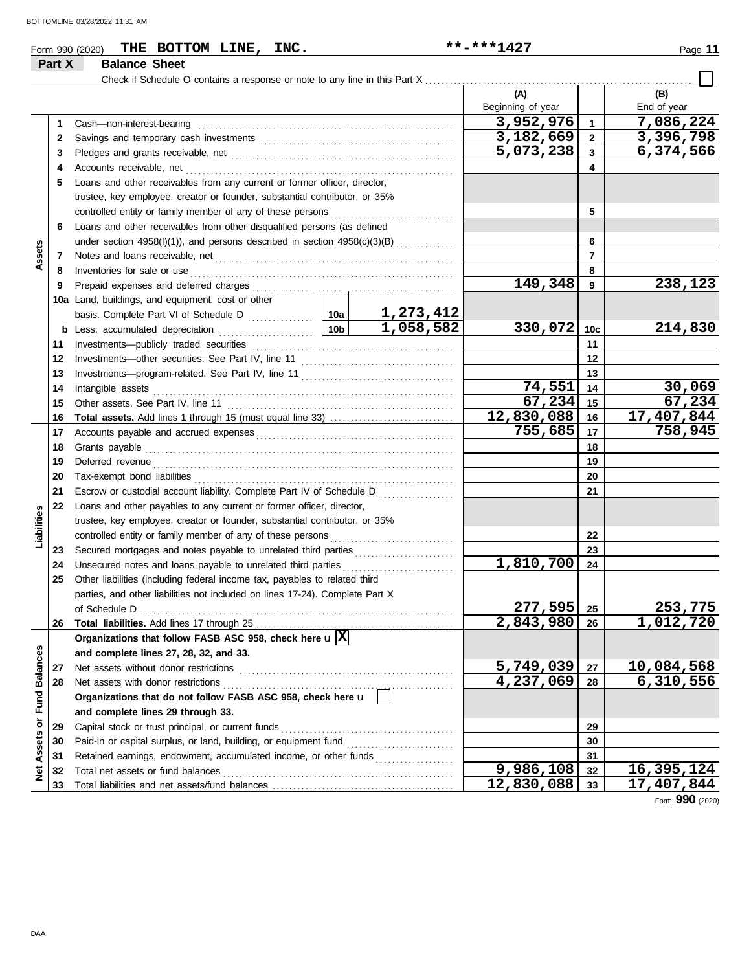|                      |        | THE BOTTOM LINE, INC.<br>Form 990 (2020)                                                                                                                                                                                            |  | **-***1427        |              | Page 11     |
|----------------------|--------|-------------------------------------------------------------------------------------------------------------------------------------------------------------------------------------------------------------------------------------|--|-------------------|--------------|-------------|
|                      | Part X | <b>Balance Sheet</b>                                                                                                                                                                                                                |  |                   |              |             |
|                      |        |                                                                                                                                                                                                                                     |  |                   |              |             |
|                      |        |                                                                                                                                                                                                                                     |  | (A)               |              | (B)         |
|                      |        |                                                                                                                                                                                                                                     |  | Beginning of year |              | End of year |
|                      | 1      |                                                                                                                                                                                                                                     |  | 3,952,976         | $\mathbf{1}$ | 7,086,224   |
|                      | 2      |                                                                                                                                                                                                                                     |  | 3,182,669         | $\mathbf{2}$ | 3,396,798   |
|                      | 3      |                                                                                                                                                                                                                                     |  | 5,073,238         | 3            | 6,374,566   |
|                      | 4      |                                                                                                                                                                                                                                     |  |                   | 4            |             |
|                      | 5      | Loans and other receivables from any current or former officer, director,                                                                                                                                                           |  |                   |              |             |
|                      |        | trustee, key employee, creator or founder, substantial contributor, or 35%                                                                                                                                                          |  |                   |              |             |
|                      |        |                                                                                                                                                                                                                                     |  |                   | 5            |             |
|                      | 6      | Loans and other receivables from other disqualified persons (as defined                                                                                                                                                             |  |                   |              |             |
|                      |        | under section $4958(f)(1)$ ), and persons described in section $4958(c)(3)(B)$                                                                                                                                                      |  |                   | 6            |             |
| Assets               | 7      |                                                                                                                                                                                                                                     |  |                   | 7            |             |
|                      | 8      | Inventories for sale or use <i>communication</i> and the state of the state or use of the state of the state of the state of the state of the state of the state of the state of the state of the state of the state of the state o |  |                   | 8            |             |
|                      | 9      |                                                                                                                                                                                                                                     |  | 149,348           | 9            | 238,123     |
|                      |        | 10a Land, buildings, and equipment: cost or other                                                                                                                                                                                   |  |                   |              |             |
|                      |        |                                                                                                                                                                                                                                     |  |                   |              |             |
|                      |        |                                                                                                                                                                                                                                     |  | 330,072           | 10c          | 214,830     |
|                      | 11     |                                                                                                                                                                                                                                     |  |                   | 11           |             |
|                      | 12     |                                                                                                                                                                                                                                     |  |                   | 12           |             |
|                      | 13     |                                                                                                                                                                                                                                     |  |                   | 13           |             |
|                      | 14     |                                                                                                                                                                                                                                     |  | 74,551            | 14           | 30,069      |
|                      | 15     |                                                                                                                                                                                                                                     |  | 67,234            | 15           | 67,234      |
|                      | 16     |                                                                                                                                                                                                                                     |  | 12,830,088        | 16           | 17,407,844  |
|                      | 17     |                                                                                                                                                                                                                                     |  | 755,685           | 17           | 758,945     |
|                      | 18     |                                                                                                                                                                                                                                     |  |                   | 18           |             |
|                      | 19     |                                                                                                                                                                                                                                     |  |                   | 19           |             |
|                      | 20     |                                                                                                                                                                                                                                     |  |                   | 20           |             |
|                      | 21     | Escrow or custodial account liability. Complete Part IV of Schedule D                                                                                                                                                               |  |                   | 21           |             |
|                      | 22     | Loans and other payables to any current or former officer, director,                                                                                                                                                                |  |                   |              |             |
| Liabilities          |        | trustee, key employee, creator or founder, substantial contributor, or 35%                                                                                                                                                          |  |                   |              |             |
|                      |        |                                                                                                                                                                                                                                     |  |                   | 22           |             |
|                      | 23     | Secured mortgages and notes payable to unrelated third parties                                                                                                                                                                      |  |                   | 23           |             |
|                      | 24     | Unsecured notes and loans payable to unrelated third parties                                                                                                                                                                        |  | 1,810,700         | 24           |             |
|                      | 25     | Other liabilities (including federal income tax, payables to related third                                                                                                                                                          |  |                   |              |             |
|                      |        | parties, and other liabilities not included on lines 17-24). Complete Part X                                                                                                                                                        |  |                   |              |             |
|                      |        | of Schedule D                                                                                                                                                                                                                       |  | 277,595           | 25           | 253,775     |
|                      | 26     |                                                                                                                                                                                                                                     |  | 2,843,980         | 26           | 1,012,720   |
|                      |        | Organizations that follow FASB ASC 958, check here $\mathbf{u}[\overline{\mathbf{X}}]$                                                                                                                                              |  |                   |              |             |
|                      |        | and complete lines 27, 28, 32, and 33.                                                                                                                                                                                              |  |                   |              |             |
|                      | 27     |                                                                                                                                                                                                                                     |  | 5,749,039         | 27           | 10,084,568  |
|                      | 28     |                                                                                                                                                                                                                                     |  | 4,237,069         | 28           | 6,310,556   |
| <b>Fund Balances</b> |        | Organizations that do not follow FASB ASC 958, check here u                                                                                                                                                                         |  |                   |              |             |
|                      |        | and complete lines 29 through 33.                                                                                                                                                                                                   |  |                   |              |             |
| Assets or            | 29     |                                                                                                                                                                                                                                     |  |                   | 29           |             |
|                      | 30     |                                                                                                                                                                                                                                     |  |                   | 30           |             |
|                      | 31     | Retained earnings, endowment, accumulated income, or other funds                                                                                                                                                                    |  |                   | 31           |             |
| ğ                    | 32     |                                                                                                                                                                                                                                     |  | 9,986,108         | 32           | 16,395,124  |
|                      | 33     |                                                                                                                                                                                                                                     |  | 12,830,088        | 33           | 17,407,844  |

Form **990** (2020)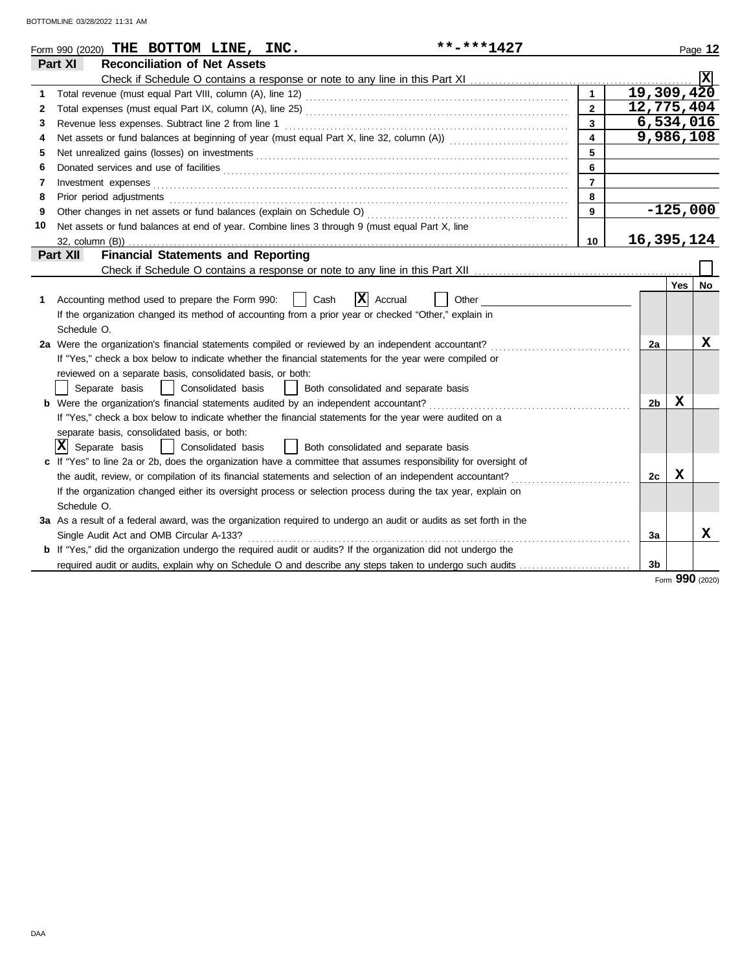| Part XI<br><b>Reconciliation of Net Assets</b><br><b>X</b><br>19,309,420<br>1<br>12,775,404<br>$\overline{2}$<br>$\mathbf{2}$<br>6,534,016<br>$\overline{3}$<br>Revenue less expenses. Subtract line 2 from line 1<br>3<br>9,986,108<br>$\overline{\mathbf{4}}$<br>4<br>5<br>5<br>6<br>6<br>$\overline{7}$<br>Investment expenses<br>7<br>Prior period adjustments entertainments and a series of the series of the series of the series of the series of the series of the series of the series of the series of the series of the series of the series of the series o<br>8<br>8<br>$-125,000$<br>9<br>9<br>Net assets or fund balances at end of year. Combine lines 3 through 9 (must equal Part X, line<br>10<br>16,395,124<br>10<br><b>Financial Statements and Reporting</b><br>Part XII<br>Yes I<br>No<br>$ \mathbf{X} $ Accrual<br>Accounting method used to prepare the Form 990:<br>Cash<br>Other<br>1<br>If the organization changed its method of accounting from a prior year or checked "Other," explain in<br>Schedule O.<br>X<br>2a Were the organization's financial statements compiled or reviewed by an independent accountant?<br>2a<br>If "Yes," check a box below to indicate whether the financial statements for the year were compiled or<br>reviewed on a separate basis, consolidated basis, or both:<br>Separate basis<br>  Consolidated basis<br>  Both consolidated and separate basis<br>X<br><b>b</b> Were the organization's financial statements audited by an independent accountant?<br>2b<br>If "Yes," check a box below to indicate whether the financial statements for the year were audited on a<br>separate basis, consolidated basis, or both:<br>$ X $ Separate basis<br>  Both consolidated and separate basis<br>  Consolidated basis<br>If "Yes" to line 2a or 2b, does the organization have a committee that assumes responsibility for oversight of<br>X<br>the audit, review, or compilation of its financial statements and selection of an independent accountant?<br>2c<br>If the organization changed either its oversight process or selection process during the tax year, explain on<br>Schedule O.<br>3a As a result of a federal award, was the organization required to undergo an audit or audits as set forth in the<br>х<br>Single Audit Act and OMB Circular A-133?<br>3a<br><b>b</b> If "Yes," did the organization undergo the required audit or audits? If the organization did not undergo the<br>required audit or audits, explain why on Schedule O and describe any steps taken to undergo such audits<br>3b | **-***1427<br>Form 990 (2020) THE BOTTOM LINE, INC. |  |  | Page 12 |
|----------------------------------------------------------------------------------------------------------------------------------------------------------------------------------------------------------------------------------------------------------------------------------------------------------------------------------------------------------------------------------------------------------------------------------------------------------------------------------------------------------------------------------------------------------------------------------------------------------------------------------------------------------------------------------------------------------------------------------------------------------------------------------------------------------------------------------------------------------------------------------------------------------------------------------------------------------------------------------------------------------------------------------------------------------------------------------------------------------------------------------------------------------------------------------------------------------------------------------------------------------------------------------------------------------------------------------------------------------------------------------------------------------------------------------------------------------------------------------------------------------------------------------------------------------------------------------------------------------------------------------------------------------------------------------------------------------------------------------------------------------------------------------------------------------------------------------------------------------------------------------------------------------------------------------------------------------------------------------------------------------------------------------------------------------------------------------------------------------------------------------------------------------------------------------------------------------------------------------------------------------------------------------------------------------------------------------------------------------------------------------------------------------------------------------------------------------------------------------------------------------------------------------------------------------------------------------------|-----------------------------------------------------|--|--|---------|
|                                                                                                                                                                                                                                                                                                                                                                                                                                                                                                                                                                                                                                                                                                                                                                                                                                                                                                                                                                                                                                                                                                                                                                                                                                                                                                                                                                                                                                                                                                                                                                                                                                                                                                                                                                                                                                                                                                                                                                                                                                                                                                                                                                                                                                                                                                                                                                                                                                                                                                                                                                                        |                                                     |  |  |         |
|                                                                                                                                                                                                                                                                                                                                                                                                                                                                                                                                                                                                                                                                                                                                                                                                                                                                                                                                                                                                                                                                                                                                                                                                                                                                                                                                                                                                                                                                                                                                                                                                                                                                                                                                                                                                                                                                                                                                                                                                                                                                                                                                                                                                                                                                                                                                                                                                                                                                                                                                                                                        |                                                     |  |  |         |
|                                                                                                                                                                                                                                                                                                                                                                                                                                                                                                                                                                                                                                                                                                                                                                                                                                                                                                                                                                                                                                                                                                                                                                                                                                                                                                                                                                                                                                                                                                                                                                                                                                                                                                                                                                                                                                                                                                                                                                                                                                                                                                                                                                                                                                                                                                                                                                                                                                                                                                                                                                                        |                                                     |  |  |         |
|                                                                                                                                                                                                                                                                                                                                                                                                                                                                                                                                                                                                                                                                                                                                                                                                                                                                                                                                                                                                                                                                                                                                                                                                                                                                                                                                                                                                                                                                                                                                                                                                                                                                                                                                                                                                                                                                                                                                                                                                                                                                                                                                                                                                                                                                                                                                                                                                                                                                                                                                                                                        |                                                     |  |  |         |
|                                                                                                                                                                                                                                                                                                                                                                                                                                                                                                                                                                                                                                                                                                                                                                                                                                                                                                                                                                                                                                                                                                                                                                                                                                                                                                                                                                                                                                                                                                                                                                                                                                                                                                                                                                                                                                                                                                                                                                                                                                                                                                                                                                                                                                                                                                                                                                                                                                                                                                                                                                                        |                                                     |  |  |         |
|                                                                                                                                                                                                                                                                                                                                                                                                                                                                                                                                                                                                                                                                                                                                                                                                                                                                                                                                                                                                                                                                                                                                                                                                                                                                                                                                                                                                                                                                                                                                                                                                                                                                                                                                                                                                                                                                                                                                                                                                                                                                                                                                                                                                                                                                                                                                                                                                                                                                                                                                                                                        |                                                     |  |  |         |
|                                                                                                                                                                                                                                                                                                                                                                                                                                                                                                                                                                                                                                                                                                                                                                                                                                                                                                                                                                                                                                                                                                                                                                                                                                                                                                                                                                                                                                                                                                                                                                                                                                                                                                                                                                                                                                                                                                                                                                                                                                                                                                                                                                                                                                                                                                                                                                                                                                                                                                                                                                                        |                                                     |  |  |         |
|                                                                                                                                                                                                                                                                                                                                                                                                                                                                                                                                                                                                                                                                                                                                                                                                                                                                                                                                                                                                                                                                                                                                                                                                                                                                                                                                                                                                                                                                                                                                                                                                                                                                                                                                                                                                                                                                                                                                                                                                                                                                                                                                                                                                                                                                                                                                                                                                                                                                                                                                                                                        |                                                     |  |  |         |
|                                                                                                                                                                                                                                                                                                                                                                                                                                                                                                                                                                                                                                                                                                                                                                                                                                                                                                                                                                                                                                                                                                                                                                                                                                                                                                                                                                                                                                                                                                                                                                                                                                                                                                                                                                                                                                                                                                                                                                                                                                                                                                                                                                                                                                                                                                                                                                                                                                                                                                                                                                                        |                                                     |  |  |         |
|                                                                                                                                                                                                                                                                                                                                                                                                                                                                                                                                                                                                                                                                                                                                                                                                                                                                                                                                                                                                                                                                                                                                                                                                                                                                                                                                                                                                                                                                                                                                                                                                                                                                                                                                                                                                                                                                                                                                                                                                                                                                                                                                                                                                                                                                                                                                                                                                                                                                                                                                                                                        |                                                     |  |  |         |
|                                                                                                                                                                                                                                                                                                                                                                                                                                                                                                                                                                                                                                                                                                                                                                                                                                                                                                                                                                                                                                                                                                                                                                                                                                                                                                                                                                                                                                                                                                                                                                                                                                                                                                                                                                                                                                                                                                                                                                                                                                                                                                                                                                                                                                                                                                                                                                                                                                                                                                                                                                                        |                                                     |  |  |         |
|                                                                                                                                                                                                                                                                                                                                                                                                                                                                                                                                                                                                                                                                                                                                                                                                                                                                                                                                                                                                                                                                                                                                                                                                                                                                                                                                                                                                                                                                                                                                                                                                                                                                                                                                                                                                                                                                                                                                                                                                                                                                                                                                                                                                                                                                                                                                                                                                                                                                                                                                                                                        |                                                     |  |  |         |
|                                                                                                                                                                                                                                                                                                                                                                                                                                                                                                                                                                                                                                                                                                                                                                                                                                                                                                                                                                                                                                                                                                                                                                                                                                                                                                                                                                                                                                                                                                                                                                                                                                                                                                                                                                                                                                                                                                                                                                                                                                                                                                                                                                                                                                                                                                                                                                                                                                                                                                                                                                                        |                                                     |  |  |         |
|                                                                                                                                                                                                                                                                                                                                                                                                                                                                                                                                                                                                                                                                                                                                                                                                                                                                                                                                                                                                                                                                                                                                                                                                                                                                                                                                                                                                                                                                                                                                                                                                                                                                                                                                                                                                                                                                                                                                                                                                                                                                                                                                                                                                                                                                                                                                                                                                                                                                                                                                                                                        |                                                     |  |  |         |
|                                                                                                                                                                                                                                                                                                                                                                                                                                                                                                                                                                                                                                                                                                                                                                                                                                                                                                                                                                                                                                                                                                                                                                                                                                                                                                                                                                                                                                                                                                                                                                                                                                                                                                                                                                                                                                                                                                                                                                                                                                                                                                                                                                                                                                                                                                                                                                                                                                                                                                                                                                                        |                                                     |  |  |         |
|                                                                                                                                                                                                                                                                                                                                                                                                                                                                                                                                                                                                                                                                                                                                                                                                                                                                                                                                                                                                                                                                                                                                                                                                                                                                                                                                                                                                                                                                                                                                                                                                                                                                                                                                                                                                                                                                                                                                                                                                                                                                                                                                                                                                                                                                                                                                                                                                                                                                                                                                                                                        |                                                     |  |  |         |
|                                                                                                                                                                                                                                                                                                                                                                                                                                                                                                                                                                                                                                                                                                                                                                                                                                                                                                                                                                                                                                                                                                                                                                                                                                                                                                                                                                                                                                                                                                                                                                                                                                                                                                                                                                                                                                                                                                                                                                                                                                                                                                                                                                                                                                                                                                                                                                                                                                                                                                                                                                                        |                                                     |  |  |         |
|                                                                                                                                                                                                                                                                                                                                                                                                                                                                                                                                                                                                                                                                                                                                                                                                                                                                                                                                                                                                                                                                                                                                                                                                                                                                                                                                                                                                                                                                                                                                                                                                                                                                                                                                                                                                                                                                                                                                                                                                                                                                                                                                                                                                                                                                                                                                                                                                                                                                                                                                                                                        |                                                     |  |  |         |
|                                                                                                                                                                                                                                                                                                                                                                                                                                                                                                                                                                                                                                                                                                                                                                                                                                                                                                                                                                                                                                                                                                                                                                                                                                                                                                                                                                                                                                                                                                                                                                                                                                                                                                                                                                                                                                                                                                                                                                                                                                                                                                                                                                                                                                                                                                                                                                                                                                                                                                                                                                                        |                                                     |  |  |         |
|                                                                                                                                                                                                                                                                                                                                                                                                                                                                                                                                                                                                                                                                                                                                                                                                                                                                                                                                                                                                                                                                                                                                                                                                                                                                                                                                                                                                                                                                                                                                                                                                                                                                                                                                                                                                                                                                                                                                                                                                                                                                                                                                                                                                                                                                                                                                                                                                                                                                                                                                                                                        |                                                     |  |  |         |
|                                                                                                                                                                                                                                                                                                                                                                                                                                                                                                                                                                                                                                                                                                                                                                                                                                                                                                                                                                                                                                                                                                                                                                                                                                                                                                                                                                                                                                                                                                                                                                                                                                                                                                                                                                                                                                                                                                                                                                                                                                                                                                                                                                                                                                                                                                                                                                                                                                                                                                                                                                                        |                                                     |  |  |         |
|                                                                                                                                                                                                                                                                                                                                                                                                                                                                                                                                                                                                                                                                                                                                                                                                                                                                                                                                                                                                                                                                                                                                                                                                                                                                                                                                                                                                                                                                                                                                                                                                                                                                                                                                                                                                                                                                                                                                                                                                                                                                                                                                                                                                                                                                                                                                                                                                                                                                                                                                                                                        |                                                     |  |  |         |
|                                                                                                                                                                                                                                                                                                                                                                                                                                                                                                                                                                                                                                                                                                                                                                                                                                                                                                                                                                                                                                                                                                                                                                                                                                                                                                                                                                                                                                                                                                                                                                                                                                                                                                                                                                                                                                                                                                                                                                                                                                                                                                                                                                                                                                                                                                                                                                                                                                                                                                                                                                                        |                                                     |  |  |         |
|                                                                                                                                                                                                                                                                                                                                                                                                                                                                                                                                                                                                                                                                                                                                                                                                                                                                                                                                                                                                                                                                                                                                                                                                                                                                                                                                                                                                                                                                                                                                                                                                                                                                                                                                                                                                                                                                                                                                                                                                                                                                                                                                                                                                                                                                                                                                                                                                                                                                                                                                                                                        |                                                     |  |  |         |
|                                                                                                                                                                                                                                                                                                                                                                                                                                                                                                                                                                                                                                                                                                                                                                                                                                                                                                                                                                                                                                                                                                                                                                                                                                                                                                                                                                                                                                                                                                                                                                                                                                                                                                                                                                                                                                                                                                                                                                                                                                                                                                                                                                                                                                                                                                                                                                                                                                                                                                                                                                                        |                                                     |  |  |         |
|                                                                                                                                                                                                                                                                                                                                                                                                                                                                                                                                                                                                                                                                                                                                                                                                                                                                                                                                                                                                                                                                                                                                                                                                                                                                                                                                                                                                                                                                                                                                                                                                                                                                                                                                                                                                                                                                                                                                                                                                                                                                                                                                                                                                                                                                                                                                                                                                                                                                                                                                                                                        |                                                     |  |  |         |
|                                                                                                                                                                                                                                                                                                                                                                                                                                                                                                                                                                                                                                                                                                                                                                                                                                                                                                                                                                                                                                                                                                                                                                                                                                                                                                                                                                                                                                                                                                                                                                                                                                                                                                                                                                                                                                                                                                                                                                                                                                                                                                                                                                                                                                                                                                                                                                                                                                                                                                                                                                                        |                                                     |  |  |         |
|                                                                                                                                                                                                                                                                                                                                                                                                                                                                                                                                                                                                                                                                                                                                                                                                                                                                                                                                                                                                                                                                                                                                                                                                                                                                                                                                                                                                                                                                                                                                                                                                                                                                                                                                                                                                                                                                                                                                                                                                                                                                                                                                                                                                                                                                                                                                                                                                                                                                                                                                                                                        |                                                     |  |  |         |
|                                                                                                                                                                                                                                                                                                                                                                                                                                                                                                                                                                                                                                                                                                                                                                                                                                                                                                                                                                                                                                                                                                                                                                                                                                                                                                                                                                                                                                                                                                                                                                                                                                                                                                                                                                                                                                                                                                                                                                                                                                                                                                                                                                                                                                                                                                                                                                                                                                                                                                                                                                                        |                                                     |  |  |         |
|                                                                                                                                                                                                                                                                                                                                                                                                                                                                                                                                                                                                                                                                                                                                                                                                                                                                                                                                                                                                                                                                                                                                                                                                                                                                                                                                                                                                                                                                                                                                                                                                                                                                                                                                                                                                                                                                                                                                                                                                                                                                                                                                                                                                                                                                                                                                                                                                                                                                                                                                                                                        |                                                     |  |  |         |
|                                                                                                                                                                                                                                                                                                                                                                                                                                                                                                                                                                                                                                                                                                                                                                                                                                                                                                                                                                                                                                                                                                                                                                                                                                                                                                                                                                                                                                                                                                                                                                                                                                                                                                                                                                                                                                                                                                                                                                                                                                                                                                                                                                                                                                                                                                                                                                                                                                                                                                                                                                                        |                                                     |  |  |         |
|                                                                                                                                                                                                                                                                                                                                                                                                                                                                                                                                                                                                                                                                                                                                                                                                                                                                                                                                                                                                                                                                                                                                                                                                                                                                                                                                                                                                                                                                                                                                                                                                                                                                                                                                                                                                                                                                                                                                                                                                                                                                                                                                                                                                                                                                                                                                                                                                                                                                                                                                                                                        |                                                     |  |  |         |
|                                                                                                                                                                                                                                                                                                                                                                                                                                                                                                                                                                                                                                                                                                                                                                                                                                                                                                                                                                                                                                                                                                                                                                                                                                                                                                                                                                                                                                                                                                                                                                                                                                                                                                                                                                                                                                                                                                                                                                                                                                                                                                                                                                                                                                                                                                                                                                                                                                                                                                                                                                                        |                                                     |  |  |         |
|                                                                                                                                                                                                                                                                                                                                                                                                                                                                                                                                                                                                                                                                                                                                                                                                                                                                                                                                                                                                                                                                                                                                                                                                                                                                                                                                                                                                                                                                                                                                                                                                                                                                                                                                                                                                                                                                                                                                                                                                                                                                                                                                                                                                                                                                                                                                                                                                                                                                                                                                                                                        |                                                     |  |  |         |
|                                                                                                                                                                                                                                                                                                                                                                                                                                                                                                                                                                                                                                                                                                                                                                                                                                                                                                                                                                                                                                                                                                                                                                                                                                                                                                                                                                                                                                                                                                                                                                                                                                                                                                                                                                                                                                                                                                                                                                                                                                                                                                                                                                                                                                                                                                                                                                                                                                                                                                                                                                                        |                                                     |  |  |         |

Form **990** (2020)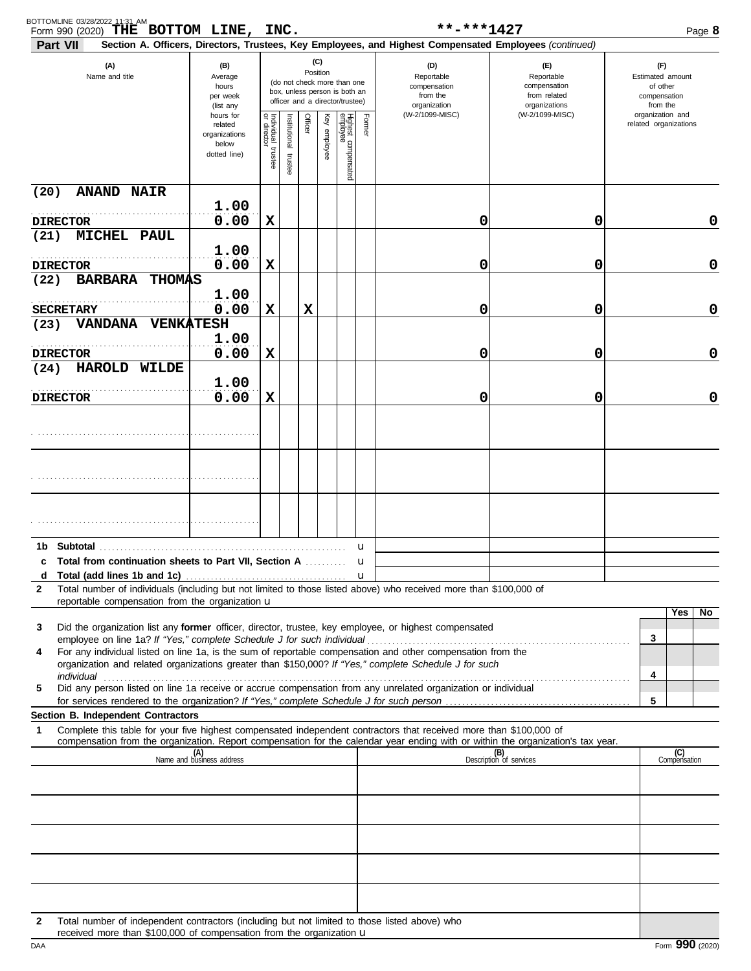| Section A. Officers, Directors, Trustees, Key Employees, and Highest Compensated Employees (continued)<br>(C)<br>(A)<br>(D)<br>(B)<br>(E)<br>(F)<br>Position<br>Name and title<br>Average<br>Reportable<br>Reportable<br>Estimated amount<br>(do not check more than one<br>compensation<br>compensation<br>of other<br>hours<br>box, unless person is both an<br>from the<br>from related<br>per week<br>compensation<br>officer and a director/trustee)<br>organizations<br>organization<br>from the<br>(list any<br>(W-2/1099-MISC)<br>organization and<br>(W-2/1099-MISC)<br>hours for<br>Individual t<br>Officer<br>Key employee<br>Highest compensated<br>employee<br>Former<br>nstitutional<br>related organizations<br>related<br>organizations<br>below<br>trustee<br>trustee<br>dotted line)<br>(20)<br><b>ANAND NAIR</b><br>1.00<br>0.00<br>X<br>0<br>0<br>0<br><b>DIRECTOR</b><br>(21)<br>MICHEL PAUL<br>1.00<br>0.00<br>X<br>0<br>0<br>0<br><b>DIRECTOR</b><br><b>BARBARA</b><br><b>THOMAS</b><br>(22)<br>1.00<br>0.00<br>X<br>0<br>0<br>х<br>0<br><b>SECRETARY</b><br>VANDANA VENKATESH<br>(23)<br>1.00<br>0.00<br>0<br>0<br>х<br>0<br><b>DIRECTOR</b><br><b>HAROLD WILDE</b><br>(24)<br>1.00<br>0.00<br>X<br>0<br>0<br>0<br><b>DIRECTOR</b><br>Subtotal<br>1b.<br>u<br>c Total from continuation sheets to Part VII, Section A<br>u<br>u<br>d<br>Total number of individuals (including but not limited to those listed above) who received more than \$100,000 of<br>$\mathbf{2}$<br>reportable compensation from the organization <b>u</b><br>Yes<br>No.<br>Did the organization list any former officer, director, trustee, key employee, or highest compensated<br>3<br>3<br>For any individual listed on line 1a, is the sum of reportable compensation and other compensation from the<br>4<br>organization and related organizations greater than \$150,000? If "Yes," complete Schedule J for such<br>4<br>Did any person listed on line 1a receive or accrue compensation from any unrelated organization or individual<br>5<br>5<br>Section B. Independent Contractors<br>Complete this table for your five highest compensated independent contractors that received more than \$100,000 of<br>$\mathbf 1$<br>compensation from the organization. Report compensation for the calendar year ending with or within the organization's tax year.<br>(B)<br>Description of services<br>(C)<br>Compensation<br>(A)<br>Name and business address<br>Total number of independent contractors (including but not limited to those listed above) who<br>2 | BOTTOMLINE 03/28/2022 11:31 AM<br>THE BOTTOM LINE, INC.<br>Form 990 (2020) |  |  |  | **-***1427 | Page 8 |
|-----------------------------------------------------------------------------------------------------------------------------------------------------------------------------------------------------------------------------------------------------------------------------------------------------------------------------------------------------------------------------------------------------------------------------------------------------------------------------------------------------------------------------------------------------------------------------------------------------------------------------------------------------------------------------------------------------------------------------------------------------------------------------------------------------------------------------------------------------------------------------------------------------------------------------------------------------------------------------------------------------------------------------------------------------------------------------------------------------------------------------------------------------------------------------------------------------------------------------------------------------------------------------------------------------------------------------------------------------------------------------------------------------------------------------------------------------------------------------------------------------------------------------------------------------------------------------------------------------------------------------------------------------------------------------------------------------------------------------------------------------------------------------------------------------------------------------------------------------------------------------------------------------------------------------------------------------------------------------------------------------------------------------------------------------------------------------------------------------------------------------------------------------------------------------------------------------------------------------------------------------------------------------------------------------------------------------------------------------------------------------------------------------------------------------------------------------------------------------------------------------------------------------------------------------------------------------|----------------------------------------------------------------------------|--|--|--|------------|--------|
|                                                                                                                                                                                                                                                                                                                                                                                                                                                                                                                                                                                                                                                                                                                                                                                                                                                                                                                                                                                                                                                                                                                                                                                                                                                                                                                                                                                                                                                                                                                                                                                                                                                                                                                                                                                                                                                                                                                                                                                                                                                                                                                                                                                                                                                                                                                                                                                                                                                                                                                                                                             | Part VII                                                                   |  |  |  |            |        |
|                                                                                                                                                                                                                                                                                                                                                                                                                                                                                                                                                                                                                                                                                                                                                                                                                                                                                                                                                                                                                                                                                                                                                                                                                                                                                                                                                                                                                                                                                                                                                                                                                                                                                                                                                                                                                                                                                                                                                                                                                                                                                                                                                                                                                                                                                                                                                                                                                                                                                                                                                                             |                                                                            |  |  |  |            |        |
|                                                                                                                                                                                                                                                                                                                                                                                                                                                                                                                                                                                                                                                                                                                                                                                                                                                                                                                                                                                                                                                                                                                                                                                                                                                                                                                                                                                                                                                                                                                                                                                                                                                                                                                                                                                                                                                                                                                                                                                                                                                                                                                                                                                                                                                                                                                                                                                                                                                                                                                                                                             |                                                                            |  |  |  |            |        |
|                                                                                                                                                                                                                                                                                                                                                                                                                                                                                                                                                                                                                                                                                                                                                                                                                                                                                                                                                                                                                                                                                                                                                                                                                                                                                                                                                                                                                                                                                                                                                                                                                                                                                                                                                                                                                                                                                                                                                                                                                                                                                                                                                                                                                                                                                                                                                                                                                                                                                                                                                                             |                                                                            |  |  |  |            |        |
|                                                                                                                                                                                                                                                                                                                                                                                                                                                                                                                                                                                                                                                                                                                                                                                                                                                                                                                                                                                                                                                                                                                                                                                                                                                                                                                                                                                                                                                                                                                                                                                                                                                                                                                                                                                                                                                                                                                                                                                                                                                                                                                                                                                                                                                                                                                                                                                                                                                                                                                                                                             |                                                                            |  |  |  |            |        |
|                                                                                                                                                                                                                                                                                                                                                                                                                                                                                                                                                                                                                                                                                                                                                                                                                                                                                                                                                                                                                                                                                                                                                                                                                                                                                                                                                                                                                                                                                                                                                                                                                                                                                                                                                                                                                                                                                                                                                                                                                                                                                                                                                                                                                                                                                                                                                                                                                                                                                                                                                                             |                                                                            |  |  |  |            |        |
|                                                                                                                                                                                                                                                                                                                                                                                                                                                                                                                                                                                                                                                                                                                                                                                                                                                                                                                                                                                                                                                                                                                                                                                                                                                                                                                                                                                                                                                                                                                                                                                                                                                                                                                                                                                                                                                                                                                                                                                                                                                                                                                                                                                                                                                                                                                                                                                                                                                                                                                                                                             |                                                                            |  |  |  |            |        |
|                                                                                                                                                                                                                                                                                                                                                                                                                                                                                                                                                                                                                                                                                                                                                                                                                                                                                                                                                                                                                                                                                                                                                                                                                                                                                                                                                                                                                                                                                                                                                                                                                                                                                                                                                                                                                                                                                                                                                                                                                                                                                                                                                                                                                                                                                                                                                                                                                                                                                                                                                                             |                                                                            |  |  |  |            |        |
|                                                                                                                                                                                                                                                                                                                                                                                                                                                                                                                                                                                                                                                                                                                                                                                                                                                                                                                                                                                                                                                                                                                                                                                                                                                                                                                                                                                                                                                                                                                                                                                                                                                                                                                                                                                                                                                                                                                                                                                                                                                                                                                                                                                                                                                                                                                                                                                                                                                                                                                                                                             |                                                                            |  |  |  |            |        |
|                                                                                                                                                                                                                                                                                                                                                                                                                                                                                                                                                                                                                                                                                                                                                                                                                                                                                                                                                                                                                                                                                                                                                                                                                                                                                                                                                                                                                                                                                                                                                                                                                                                                                                                                                                                                                                                                                                                                                                                                                                                                                                                                                                                                                                                                                                                                                                                                                                                                                                                                                                             |                                                                            |  |  |  |            |        |
|                                                                                                                                                                                                                                                                                                                                                                                                                                                                                                                                                                                                                                                                                                                                                                                                                                                                                                                                                                                                                                                                                                                                                                                                                                                                                                                                                                                                                                                                                                                                                                                                                                                                                                                                                                                                                                                                                                                                                                                                                                                                                                                                                                                                                                                                                                                                                                                                                                                                                                                                                                             |                                                                            |  |  |  |            |        |
|                                                                                                                                                                                                                                                                                                                                                                                                                                                                                                                                                                                                                                                                                                                                                                                                                                                                                                                                                                                                                                                                                                                                                                                                                                                                                                                                                                                                                                                                                                                                                                                                                                                                                                                                                                                                                                                                                                                                                                                                                                                                                                                                                                                                                                                                                                                                                                                                                                                                                                                                                                             |                                                                            |  |  |  |            |        |
|                                                                                                                                                                                                                                                                                                                                                                                                                                                                                                                                                                                                                                                                                                                                                                                                                                                                                                                                                                                                                                                                                                                                                                                                                                                                                                                                                                                                                                                                                                                                                                                                                                                                                                                                                                                                                                                                                                                                                                                                                                                                                                                                                                                                                                                                                                                                                                                                                                                                                                                                                                             |                                                                            |  |  |  |            |        |
|                                                                                                                                                                                                                                                                                                                                                                                                                                                                                                                                                                                                                                                                                                                                                                                                                                                                                                                                                                                                                                                                                                                                                                                                                                                                                                                                                                                                                                                                                                                                                                                                                                                                                                                                                                                                                                                                                                                                                                                                                                                                                                                                                                                                                                                                                                                                                                                                                                                                                                                                                                             |                                                                            |  |  |  |            |        |
|                                                                                                                                                                                                                                                                                                                                                                                                                                                                                                                                                                                                                                                                                                                                                                                                                                                                                                                                                                                                                                                                                                                                                                                                                                                                                                                                                                                                                                                                                                                                                                                                                                                                                                                                                                                                                                                                                                                                                                                                                                                                                                                                                                                                                                                                                                                                                                                                                                                                                                                                                                             |                                                                            |  |  |  |            |        |
|                                                                                                                                                                                                                                                                                                                                                                                                                                                                                                                                                                                                                                                                                                                                                                                                                                                                                                                                                                                                                                                                                                                                                                                                                                                                                                                                                                                                                                                                                                                                                                                                                                                                                                                                                                                                                                                                                                                                                                                                                                                                                                                                                                                                                                                                                                                                                                                                                                                                                                                                                                             |                                                                            |  |  |  |            |        |
|                                                                                                                                                                                                                                                                                                                                                                                                                                                                                                                                                                                                                                                                                                                                                                                                                                                                                                                                                                                                                                                                                                                                                                                                                                                                                                                                                                                                                                                                                                                                                                                                                                                                                                                                                                                                                                                                                                                                                                                                                                                                                                                                                                                                                                                                                                                                                                                                                                                                                                                                                                             |                                                                            |  |  |  |            |        |
|                                                                                                                                                                                                                                                                                                                                                                                                                                                                                                                                                                                                                                                                                                                                                                                                                                                                                                                                                                                                                                                                                                                                                                                                                                                                                                                                                                                                                                                                                                                                                                                                                                                                                                                                                                                                                                                                                                                                                                                                                                                                                                                                                                                                                                                                                                                                                                                                                                                                                                                                                                             |                                                                            |  |  |  |            |        |
|                                                                                                                                                                                                                                                                                                                                                                                                                                                                                                                                                                                                                                                                                                                                                                                                                                                                                                                                                                                                                                                                                                                                                                                                                                                                                                                                                                                                                                                                                                                                                                                                                                                                                                                                                                                                                                                                                                                                                                                                                                                                                                                                                                                                                                                                                                                                                                                                                                                                                                                                                                             |                                                                            |  |  |  |            |        |
|                                                                                                                                                                                                                                                                                                                                                                                                                                                                                                                                                                                                                                                                                                                                                                                                                                                                                                                                                                                                                                                                                                                                                                                                                                                                                                                                                                                                                                                                                                                                                                                                                                                                                                                                                                                                                                                                                                                                                                                                                                                                                                                                                                                                                                                                                                                                                                                                                                                                                                                                                                             |                                                                            |  |  |  |            |        |
|                                                                                                                                                                                                                                                                                                                                                                                                                                                                                                                                                                                                                                                                                                                                                                                                                                                                                                                                                                                                                                                                                                                                                                                                                                                                                                                                                                                                                                                                                                                                                                                                                                                                                                                                                                                                                                                                                                                                                                                                                                                                                                                                                                                                                                                                                                                                                                                                                                                                                                                                                                             |                                                                            |  |  |  |            |        |
|                                                                                                                                                                                                                                                                                                                                                                                                                                                                                                                                                                                                                                                                                                                                                                                                                                                                                                                                                                                                                                                                                                                                                                                                                                                                                                                                                                                                                                                                                                                                                                                                                                                                                                                                                                                                                                                                                                                                                                                                                                                                                                                                                                                                                                                                                                                                                                                                                                                                                                                                                                             |                                                                            |  |  |  |            |        |
|                                                                                                                                                                                                                                                                                                                                                                                                                                                                                                                                                                                                                                                                                                                                                                                                                                                                                                                                                                                                                                                                                                                                                                                                                                                                                                                                                                                                                                                                                                                                                                                                                                                                                                                                                                                                                                                                                                                                                                                                                                                                                                                                                                                                                                                                                                                                                                                                                                                                                                                                                                             |                                                                            |  |  |  |            |        |
|                                                                                                                                                                                                                                                                                                                                                                                                                                                                                                                                                                                                                                                                                                                                                                                                                                                                                                                                                                                                                                                                                                                                                                                                                                                                                                                                                                                                                                                                                                                                                                                                                                                                                                                                                                                                                                                                                                                                                                                                                                                                                                                                                                                                                                                                                                                                                                                                                                                                                                                                                                             |                                                                            |  |  |  |            |        |
|                                                                                                                                                                                                                                                                                                                                                                                                                                                                                                                                                                                                                                                                                                                                                                                                                                                                                                                                                                                                                                                                                                                                                                                                                                                                                                                                                                                                                                                                                                                                                                                                                                                                                                                                                                                                                                                                                                                                                                                                                                                                                                                                                                                                                                                                                                                                                                                                                                                                                                                                                                             |                                                                            |  |  |  |            |        |
|                                                                                                                                                                                                                                                                                                                                                                                                                                                                                                                                                                                                                                                                                                                                                                                                                                                                                                                                                                                                                                                                                                                                                                                                                                                                                                                                                                                                                                                                                                                                                                                                                                                                                                                                                                                                                                                                                                                                                                                                                                                                                                                                                                                                                                                                                                                                                                                                                                                                                                                                                                             |                                                                            |  |  |  |            |        |
|                                                                                                                                                                                                                                                                                                                                                                                                                                                                                                                                                                                                                                                                                                                                                                                                                                                                                                                                                                                                                                                                                                                                                                                                                                                                                                                                                                                                                                                                                                                                                                                                                                                                                                                                                                                                                                                                                                                                                                                                                                                                                                                                                                                                                                                                                                                                                                                                                                                                                                                                                                             |                                                                            |  |  |  |            |        |
|                                                                                                                                                                                                                                                                                                                                                                                                                                                                                                                                                                                                                                                                                                                                                                                                                                                                                                                                                                                                                                                                                                                                                                                                                                                                                                                                                                                                                                                                                                                                                                                                                                                                                                                                                                                                                                                                                                                                                                                                                                                                                                                                                                                                                                                                                                                                                                                                                                                                                                                                                                             |                                                                            |  |  |  |            |        |
|                                                                                                                                                                                                                                                                                                                                                                                                                                                                                                                                                                                                                                                                                                                                                                                                                                                                                                                                                                                                                                                                                                                                                                                                                                                                                                                                                                                                                                                                                                                                                                                                                                                                                                                                                                                                                                                                                                                                                                                                                                                                                                                                                                                                                                                                                                                                                                                                                                                                                                                                                                             |                                                                            |  |  |  |            |        |
|                                                                                                                                                                                                                                                                                                                                                                                                                                                                                                                                                                                                                                                                                                                                                                                                                                                                                                                                                                                                                                                                                                                                                                                                                                                                                                                                                                                                                                                                                                                                                                                                                                                                                                                                                                                                                                                                                                                                                                                                                                                                                                                                                                                                                                                                                                                                                                                                                                                                                                                                                                             |                                                                            |  |  |  |            |        |
|                                                                                                                                                                                                                                                                                                                                                                                                                                                                                                                                                                                                                                                                                                                                                                                                                                                                                                                                                                                                                                                                                                                                                                                                                                                                                                                                                                                                                                                                                                                                                                                                                                                                                                                                                                                                                                                                                                                                                                                                                                                                                                                                                                                                                                                                                                                                                                                                                                                                                                                                                                             |                                                                            |  |  |  |            |        |
|                                                                                                                                                                                                                                                                                                                                                                                                                                                                                                                                                                                                                                                                                                                                                                                                                                                                                                                                                                                                                                                                                                                                                                                                                                                                                                                                                                                                                                                                                                                                                                                                                                                                                                                                                                                                                                                                                                                                                                                                                                                                                                                                                                                                                                                                                                                                                                                                                                                                                                                                                                             |                                                                            |  |  |  |            |        |

received more than  $$100,000$  of compensation from the organization  $$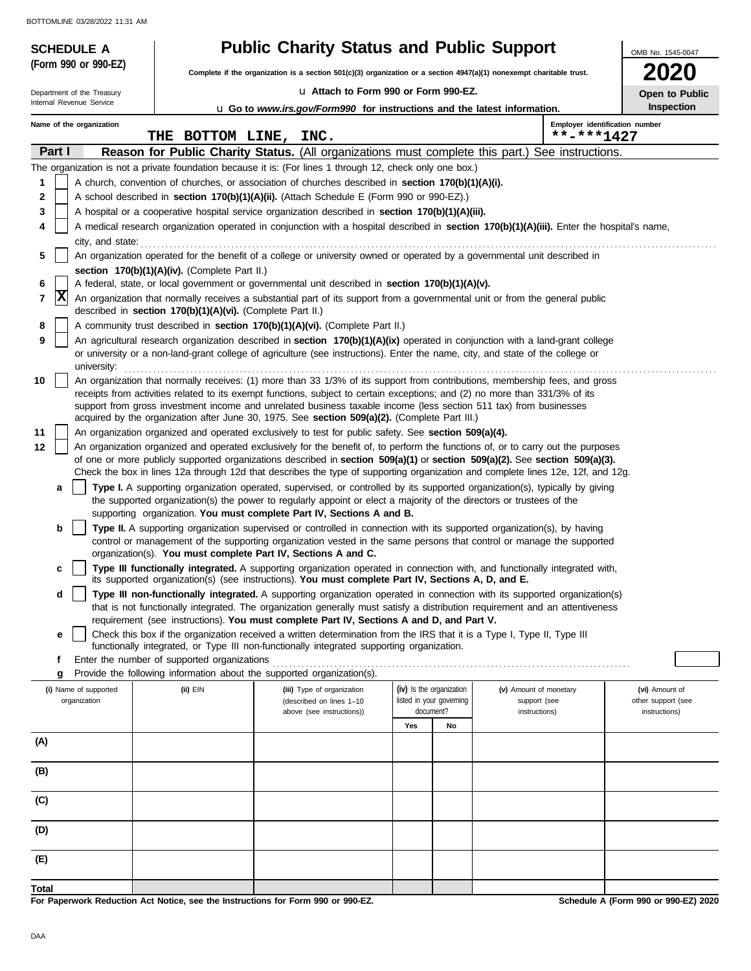| BOTTOMLINE 03/28/2022 11:31 AM                         |                                                            | <b>Public Charity Status and Public Support</b>                                                                                                                                                                     |                          |                                                                                                                                            |                              |
|--------------------------------------------------------|------------------------------------------------------------|---------------------------------------------------------------------------------------------------------------------------------------------------------------------------------------------------------------------|--------------------------|--------------------------------------------------------------------------------------------------------------------------------------------|------------------------------|
| <b>SCHEDULE A</b><br>(Form 990 or 990-EZ)              |                                                            | Complete if the organization is a section $501(c)(3)$ organization or a section $4947(a)(1)$ nonexempt charitable trust.                                                                                            |                          |                                                                                                                                            | OMB No. 1545-0047            |
|                                                        |                                                            | u Attach to Form 990 or Form 990-EZ.                                                                                                                                                                                |                          |                                                                                                                                            | 2020                         |
| Department of the Treasury<br>Internal Revenue Service |                                                            | <b>u</b> Go to www.irs.gov/Form990 for instructions and the latest information.                                                                                                                                     |                          |                                                                                                                                            | Open to Public<br>Inspection |
| Name of the organization                               |                                                            |                                                                                                                                                                                                                     |                          | Employer identification number                                                                                                             |                              |
|                                                        | THE BOTTOM LINE, INC.                                      |                                                                                                                                                                                                                     |                          | **-***1427                                                                                                                                 |                              |
| Part I                                                 |                                                            |                                                                                                                                                                                                                     |                          | <b>Reason for Public Charity Status.</b> (All organizations must complete this part.) See instructions.                                    |                              |
|                                                        |                                                            | The organization is not a private foundation because it is: (For lines 1 through 12, check only one box.)                                                                                                           |                          |                                                                                                                                            |                              |
| 1                                                      |                                                            | A church, convention of churches, or association of churches described in section 170(b)(1)(A)(i).                                                                                                                  |                          |                                                                                                                                            |                              |
| 2<br>3                                                 |                                                            | A school described in section 170(b)(1)(A)(ii). (Attach Schedule E (Form 990 or 990-EZ).)                                                                                                                           |                          |                                                                                                                                            |                              |
| 4                                                      |                                                            | A hospital or a cooperative hospital service organization described in section 170(b)(1)(A)(iii).                                                                                                                   |                          | A medical research organization operated in conjunction with a hospital described in section 170(b)(1)(A)(iii). Enter the hospital's name, |                              |
|                                                        |                                                            | city, and state:<br>$\frac{1}{2}$                                                                                                                                                                                   |                          |                                                                                                                                            |                              |
| 5                                                      |                                                            | An organization operated for the benefit of a college or university owned or operated by a governmental unit described in                                                                                           |                          |                                                                                                                                            |                              |
|                                                        | section 170(b)(1)(A)(iv). (Complete Part II.)              |                                                                                                                                                                                                                     |                          |                                                                                                                                            |                              |
| 6                                                      |                                                            | A federal, state, or local government or governmental unit described in section 170(b)(1)(A)(v).                                                                                                                    |                          |                                                                                                                                            |                              |
| X<br>7                                                 | described in section 170(b)(1)(A)(vi). (Complete Part II.) | An organization that normally receives a substantial part of its support from a governmental unit or from the general public                                                                                        |                          |                                                                                                                                            |                              |
| 8                                                      |                                                            | A community trust described in section 170(b)(1)(A)(vi). (Complete Part II.)                                                                                                                                        |                          |                                                                                                                                            |                              |
| 9                                                      |                                                            |                                                                                                                                                                                                                     |                          | An agricultural research organization described in section 170(b)(1)(A)(ix) operated in conjunction with a land-grant college              |                              |
|                                                        |                                                            | or university or a non-land-grant college of agriculture (see instructions). Enter the name, city, and state of the college or                                                                                      |                          |                                                                                                                                            |                              |
| university:<br>10                                      |                                                            |                                                                                                                                                                                                                     |                          | An organization that normally receives: (1) more than 33 1/3% of its support from contributions, membership fees, and gross                |                              |
|                                                        |                                                            | receipts from activities related to its exempt functions, subject to certain exceptions; and (2) no more than 331/3% of its                                                                                         |                          |                                                                                                                                            |                              |
|                                                        |                                                            | support from gross investment income and unrelated business taxable income (less section 511 tax) from businesses                                                                                                   |                          |                                                                                                                                            |                              |
|                                                        |                                                            | acquired by the organization after June 30, 1975. See section 509(a)(2). (Complete Part III.)                                                                                                                       |                          |                                                                                                                                            |                              |
| 11<br>12                                               |                                                            | An organization organized and operated exclusively to test for public safety. See section 509(a)(4).                                                                                                                |                          | An organization organized and operated exclusively for the benefit of, to perform the functions of, or to carry out the purposes           |                              |
|                                                        |                                                            |                                                                                                                                                                                                                     |                          | of one or more publicly supported organizations described in section 509(a)(1) or section 509(a)(2). See section 509(a)(3).                |                              |
|                                                        |                                                            |                                                                                                                                                                                                                     |                          | Check the box in lines 12a through 12d that describes the type of supporting organization and complete lines 12e, 12f, and 12g.            |                              |
| a                                                      |                                                            |                                                                                                                                                                                                                     |                          | Type I. A supporting organization operated, supervised, or controlled by its supported organization(s), typically by giving                |                              |
|                                                        |                                                            | the supported organization(s) the power to regularly appoint or elect a majority of the directors or trustees of the<br>supporting organization. You must complete Part IV, Sections A and B.                       |                          |                                                                                                                                            |                              |
| b                                                      |                                                            | Type II. A supporting organization supervised or controlled in connection with its supported organization(s), by having                                                                                             |                          |                                                                                                                                            |                              |
|                                                        |                                                            |                                                                                                                                                                                                                     |                          | control or management of the supporting organization vested in the same persons that control or manage the supported                       |                              |
|                                                        |                                                            | organization(s). You must complete Part IV, Sections A and C.                                                                                                                                                       |                          | Type III functionally integrated. A supporting organization operated in connection with, and functionally integrated with,                 |                              |
|                                                        |                                                            | its supported organization(s) (see instructions). You must complete Part IV, Sections A, D, and E.                                                                                                                  |                          |                                                                                                                                            |                              |
| d                                                      |                                                            |                                                                                                                                                                                                                     |                          | Type III non-functionally integrated. A supporting organization operated in connection with its supported organization(s)                  |                              |
|                                                        |                                                            |                                                                                                                                                                                                                     |                          | that is not functionally integrated. The organization generally must satisfy a distribution requirement and an attentiveness               |                              |
| е                                                      |                                                            | requirement (see instructions). You must complete Part IV, Sections A and D, and Part V.<br>Check this box if the organization received a written determination from the IRS that it is a Type I, Type II, Type III |                          |                                                                                                                                            |                              |
|                                                        |                                                            | functionally integrated, or Type III non-functionally integrated supporting organization.                                                                                                                           |                          |                                                                                                                                            |                              |
| f                                                      | Enter the number of supported organizations                |                                                                                                                                                                                                                     |                          |                                                                                                                                            |                              |
| g                                                      |                                                            | Provide the following information about the supported organization(s).                                                                                                                                              | (iv) Is the organization |                                                                                                                                            | (vi) Amount of               |
| (i) Name of supported<br>organization                  | (ii) EIN                                                   | (iii) Type of organization<br>(described on lines 1-10                                                                                                                                                              | listed in your governing | (v) Amount of monetary<br>support (see                                                                                                     | other support (see           |
|                                                        |                                                            | above (see instructions))                                                                                                                                                                                           | document?                | instructions)                                                                                                                              | instructions)                |
|                                                        |                                                            |                                                                                                                                                                                                                     | Yes<br>No                |                                                                                                                                            |                              |
| (A)                                                    |                                                            |                                                                                                                                                                                                                     |                          |                                                                                                                                            |                              |
| (B)                                                    |                                                            |                                                                                                                                                                                                                     |                          |                                                                                                                                            |                              |
|                                                        |                                                            |                                                                                                                                                                                                                     |                          |                                                                                                                                            |                              |
| (C)                                                    |                                                            |                                                                                                                                                                                                                     |                          |                                                                                                                                            |                              |
| (D)                                                    |                                                            |                                                                                                                                                                                                                     |                          |                                                                                                                                            |                              |
| (E)                                                    |                                                            |                                                                                                                                                                                                                     |                          |                                                                                                                                            |                              |
|                                                        |                                                            |                                                                                                                                                                                                                     |                          |                                                                                                                                            |                              |

-1

**For Paperwork Reduction Act Notice, see the Instructions for Form 990 or 990-EZ.**

**Schedule A (Form 990 or 990-EZ) 2020**

**Total**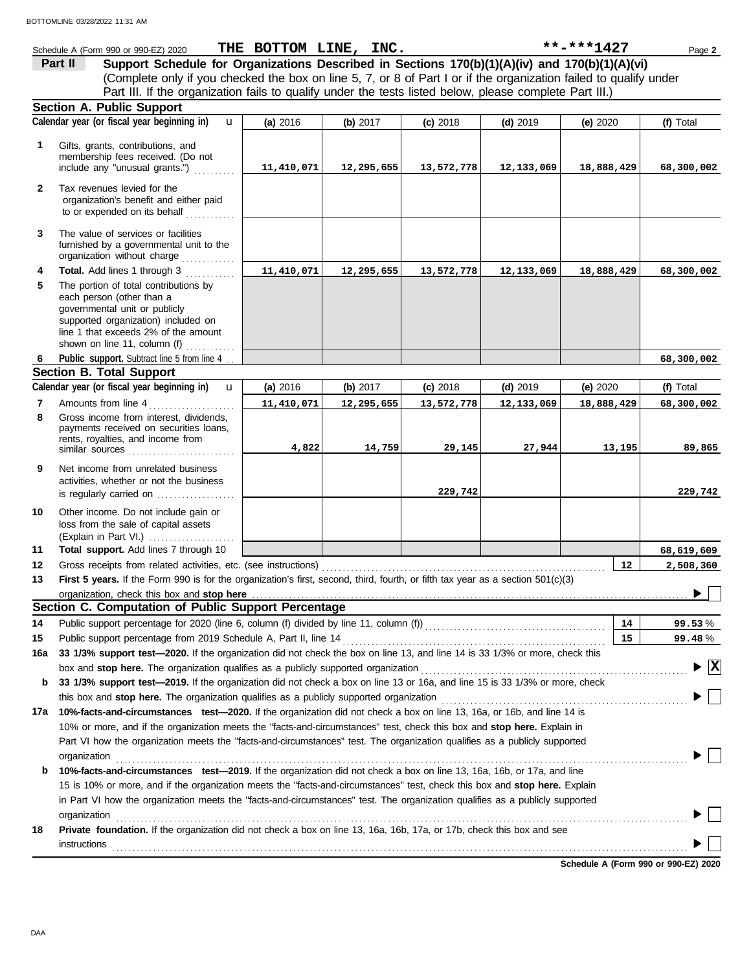|              | Schedule A (Form 990 or 990-EZ) 2020                                                                                                                                                                                        | THE BOTTOM LINE, INC. |            |            |            | **-***1427 | Page 2                   |
|--------------|-----------------------------------------------------------------------------------------------------------------------------------------------------------------------------------------------------------------------------|-----------------------|------------|------------|------------|------------|--------------------------|
|              | Support Schedule for Organizations Described in Sections 170(b)(1)(A)(iv) and 170(b)(1)(A)(vi)<br>Part II                                                                                                                   |                       |            |            |            |            |                          |
|              | (Complete only if you checked the box on line 5, 7, or 8 of Part I or if the organization failed to qualify under                                                                                                           |                       |            |            |            |            |                          |
|              | Part III. If the organization fails to qualify under the tests listed below, please complete Part III.)                                                                                                                     |                       |            |            |            |            |                          |
|              | <b>Section A. Public Support</b>                                                                                                                                                                                            |                       |            |            |            |            |                          |
|              | Calendar year (or fiscal year beginning in)<br>$\mathbf{u}$                                                                                                                                                                 | (a) 2016              | (b) $2017$ | $(c)$ 2018 | $(d)$ 2019 | (e) 2020   | (f) Total                |
| 1            | Gifts, grants, contributions, and<br>membership fees received. (Do not<br>include any "unusual grants.")                                                                                                                    |                       |            |            |            |            |                          |
|              |                                                                                                                                                                                                                             | 11,410,071            | 12,295,655 | 13,572,778 | 12,133,069 | 18,888,429 | 68,300,002               |
| $\mathbf{2}$ | Tax revenues levied for the<br>organization's benefit and either paid<br>to or expended on its behalf<br>.                                                                                                                  |                       |            |            |            |            |                          |
| 3            | The value of services or facilities<br>furnished by a governmental unit to the<br>organization without charge                                                                                                               |                       |            |            |            |            |                          |
| 4            | Total. Add lines 1 through 3                                                                                                                                                                                                | 11,410,071            | 12,295,655 | 13,572,778 | 12,133,069 | 18,888,429 | 68,300,002               |
| 5            | The portion of total contributions by<br>each person (other than a<br>governmental unit or publicly<br>supported organization) included on<br>line 1 that exceeds 2% of the amount<br>shown on line 11, column (f) $\ldots$ |                       |            |            |            |            |                          |
| 6            | Public support. Subtract line 5 from line 4                                                                                                                                                                                 |                       |            |            |            |            | 68,300,002               |
|              | <b>Section B. Total Support</b>                                                                                                                                                                                             |                       |            |            |            |            |                          |
|              | Calendar year (or fiscal year beginning in)<br>$\mathbf{u}$                                                                                                                                                                 | (a) 2016              | (b) $2017$ | $(c)$ 2018 | $(d)$ 2019 | (e) 2020   | (f) Total                |
| 7            | Amounts from line 4                                                                                                                                                                                                         | 11,410,071            | 12,295,655 | 13,572,778 | 12,133,069 | 18,888,429 | 68,300,002               |
| 8            | Gross income from interest, dividends,<br>payments received on securities loans,<br>rents, royalties, and income from<br>similar sources                                                                                    | 4,822                 | 14,759     | 29,145     | 27,944     | 13,195     | 89,865                   |
| 9            | Net income from unrelated business<br>activities, whether or not the business<br>is regularly carried on                                                                                                                    |                       |            | 229,742    |            |            | 229,742                  |
| 10           | Other income. Do not include gain or<br>loss from the sale of capital assets<br>(Explain in Part VI.)                                                                                                                       |                       |            |            |            |            |                          |
| 11           | Total support. Add lines 7 through 10                                                                                                                                                                                       |                       |            |            |            |            | 68,619,609               |
| 12           | Gross receipts from related activities, etc. (see instructions)                                                                                                                                                             |                       |            |            |            | 12         | 2,508,360                |
| 13           | First 5 years. If the Form 990 is for the organization's first, second, third, fourth, or fifth tax year as a section 501(c)(3)                                                                                             |                       |            |            |            |            |                          |
|              | organization, check this box and stop here                                                                                                                                                                                  |                       |            |            |            |            |                          |
|              | Section C. Computation of Public Support Percentage                                                                                                                                                                         |                       |            |            |            |            |                          |
| 14           | Public support percentage for 2020 (line 6, column (f) divided by line 11, column (f)) [[[[[[[[[[[[[[[[[[[[[[                                                                                                               |                       |            |            |            | 14         | 99.53%                   |
| 15           |                                                                                                                                                                                                                             |                       |            |            |            | 15         | 99.48%                   |
| 16a          | 33 1/3% support test-2020. If the organization did not check the box on line 13, and line 14 is 33 1/3% or more, check this                                                                                                 |                       |            |            |            |            |                          |
|              |                                                                                                                                                                                                                             |                       |            |            |            |            | $\vert \mathbf{x} \vert$ |
| b            | 33 1/3% support test-2019. If the organization did not check a box on line 13 or 16a, and line 15 is 33 1/3% or more, check                                                                                                 |                       |            |            |            |            |                          |
|              |                                                                                                                                                                                                                             |                       |            |            |            |            |                          |
| 17a          | 10%-facts-and-circumstances test-2020. If the organization did not check a box on line 13, 16a, or 16b, and line 14 is                                                                                                      |                       |            |            |            |            |                          |
|              | 10% or more, and if the organization meets the "facts-and-circumstances" test, check this box and stop here. Explain in                                                                                                     |                       |            |            |            |            |                          |
|              | Part VI how the organization meets the "facts-and-circumstances" test. The organization qualifies as a publicly supported                                                                                                   |                       |            |            |            |            |                          |
|              | organization                                                                                                                                                                                                                |                       |            |            |            |            |                          |
| b            | 10%-facts-and-circumstances test-2019. If the organization did not check a box on line 13, 16a, 16b, or 17a, and line                                                                                                       |                       |            |            |            |            |                          |
|              | 15 is 10% or more, and if the organization meets the "facts-and-circumstances" test, check this box and stop here. Explain                                                                                                  |                       |            |            |            |            |                          |
|              | in Part VI how the organization meets the "facts-and-circumstances" test. The organization qualifies as a publicly supported                                                                                                |                       |            |            |            |            |                          |
| 18           | organization<br>Private foundation. If the organization did not check a box on line 13, 16a, 16b, 17a, or 17b, check this box and see                                                                                       |                       |            |            |            |            |                          |
|              | instructions                                                                                                                                                                                                                |                       |            |            |            |            |                          |

**Schedule A (Form 990 or 990-EZ) 2020**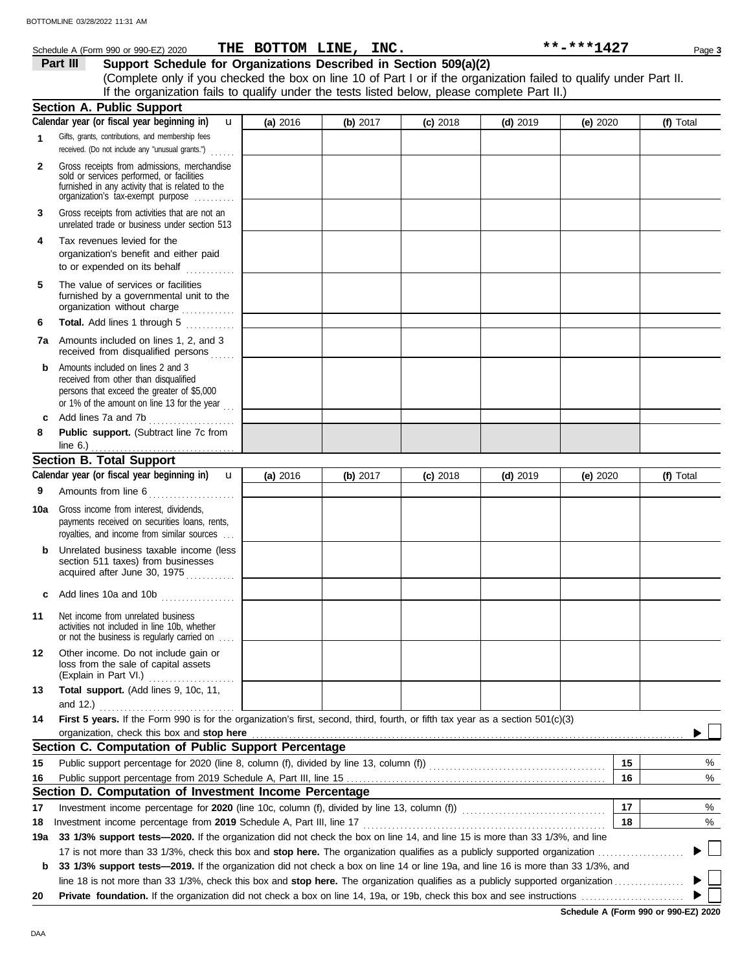|              | Schedule A (Form 990 or 990-EZ) 2020                                                                                                                                              |                          | THE BOTTOM LINE, INC. |            |            | **-***1427 | Page 3    |
|--------------|-----------------------------------------------------------------------------------------------------------------------------------------------------------------------------------|--------------------------|-----------------------|------------|------------|------------|-----------|
|              | Support Schedule for Organizations Described in Section 509(a)(2)<br>Part III                                                                                                     |                          |                       |            |            |            |           |
|              | (Complete only if you checked the box on line 10 of Part I or if the organization failed to qualify under Part II.                                                                |                          |                       |            |            |            |           |
|              | If the organization fails to qualify under the tests listed below, please complete Part II.)                                                                                      |                          |                       |            |            |            |           |
|              | <b>Section A. Public Support</b>                                                                                                                                                  |                          |                       |            |            |            |           |
|              | Calendar year (or fiscal year beginning in)                                                                                                                                       | $\mathbf{u}$<br>(a) 2016 | (b) 2017              | $(c)$ 2018 | $(d)$ 2019 | (e) 2020   | (f) Total |
| 1            | Gifts, grants, contributions, and membership fees<br>received. (Do not include any "unusual grants.")<br>.                                                                        |                          |                       |            |            |            |           |
| $\mathbf{2}$ | Gross receipts from admissions, merchandise<br>sold or services performed, or facilities<br>furnished in any activity that is related to the<br>organization's fax-exempt purpose |                          |                       |            |            |            |           |
| 3            | Gross receipts from activities that are not an<br>unrelated trade or business under section 513                                                                                   |                          |                       |            |            |            |           |
| 4            | Tax revenues levied for the<br>organization's benefit and either paid<br>to or expended on its behalf                                                                             |                          |                       |            |            |            |           |
| 5            | The value of services or facilities<br>furnished by a governmental unit to the<br>organization without charge                                                                     |                          |                       |            |            |            |           |
| 6            | Total. Add lines 1 through 5<br>an de la calendaria.<br>Constitución                                                                                                              |                          |                       |            |            |            |           |
|              | <b>7a</b> Amounts included on lines 1, 2, and 3<br>received from disqualified persons                                                                                             |                          |                       |            |            |            |           |
| b            | Amounts included on lines 2 and 3<br>received from other than disqualified<br>persons that exceed the greater of \$5,000<br>or 1% of the amount on line 13 for the year $\ldots$  |                          |                       |            |            |            |           |
| c            | Add lines 7a and 7b                                                                                                                                                               |                          |                       |            |            |            |           |
| 8            | Public support. (Subtract line 7c from<br>line 6.) $\ldots$                                                                                                                       |                          |                       |            |            |            |           |
|              | <b>Section B. Total Support</b>                                                                                                                                                   |                          |                       |            |            |            |           |
|              | Calendar year (or fiscal year beginning in)                                                                                                                                       | (a) 2016<br>$\mathbf{u}$ | (b) $2017$            | $(c)$ 2018 | $(d)$ 2019 | (e) $2020$ | (f) Total |
| 9            | Amounts from line 6<br><u>.</u><br>1980 - Johann Land, amerikansk politik                                                                                                         |                          |                       |            |            |            |           |
| 10a          | Gross income from interest, dividends,<br>payments received on securities loans, rents,<br>royalties, and income from similar sources                                             |                          |                       |            |            |            |           |
| b            | Unrelated business taxable income (less<br>section 511 taxes) from businesses<br>acquired after June 30, 1975                                                                     |                          |                       |            |            |            |           |
|              | Add lines 10a and 10b                                                                                                                                                             |                          |                       |            |            |            |           |
| 11           | Net income from unrelated business<br>activities not included in line 10b, whether<br>or not the business is regularly carried on                                                 |                          |                       |            |            |            |           |
| 12           | Other income. Do not include gain or<br>loss from the sale of capital assets<br>(Explain in Part VI.)                                                                             |                          |                       |            |            |            |           |
| 13           | Total support. (Add lines 9, 10c, 11,                                                                                                                                             |                          |                       |            |            |            |           |
|              | and 12.)                                                                                                                                                                          |                          |                       |            |            |            |           |
| 14           | First 5 years. If the Form 990 is for the organization's first, second, third, fourth, or fifth tax year as a section 501(c)(3)                                                   |                          |                       |            |            |            |           |
|              | organization, check this box and stop here                                                                                                                                        |                          |                       |            |            |            |           |
|              | Section C. Computation of Public Support Percentage                                                                                                                               |                          |                       |            |            |            |           |
| 15           |                                                                                                                                                                                   |                          |                       |            |            |            | 15<br>%   |
| 16           |                                                                                                                                                                                   |                          |                       |            |            |            | 16<br>%   |
|              | Section D. Computation of Investment Income Percentage                                                                                                                            |                          |                       |            |            |            |           |
| 17           | Investment income percentage for 2020 (line 10c, column (f), divided by line 13, column (f)) [[[[[[[[[[[[[[[[                                                                     |                          |                       |            |            |            | 17<br>%   |
| 18           | Investment income percentage from 2019 Schedule A, Part III, line 17                                                                                                              |                          |                       |            |            |            | 18<br>%   |
| 19a          | 33 1/3% support tests-2020. If the organization did not check the box on line 14, and line 15 is more than 33 1/3%, and line                                                      |                          |                       |            |            |            |           |
|              |                                                                                                                                                                                   |                          |                       |            |            |            |           |
| b            | 33 1/3% support tests-2019. If the organization did not check a box on line 14 or line 19a, and line 16 is more than 33 1/3%, and                                                 |                          |                       |            |            |            |           |
|              |                                                                                                                                                                                   |                          |                       |            |            |            |           |
| 20           |                                                                                                                                                                                   |                          |                       |            |            |            |           |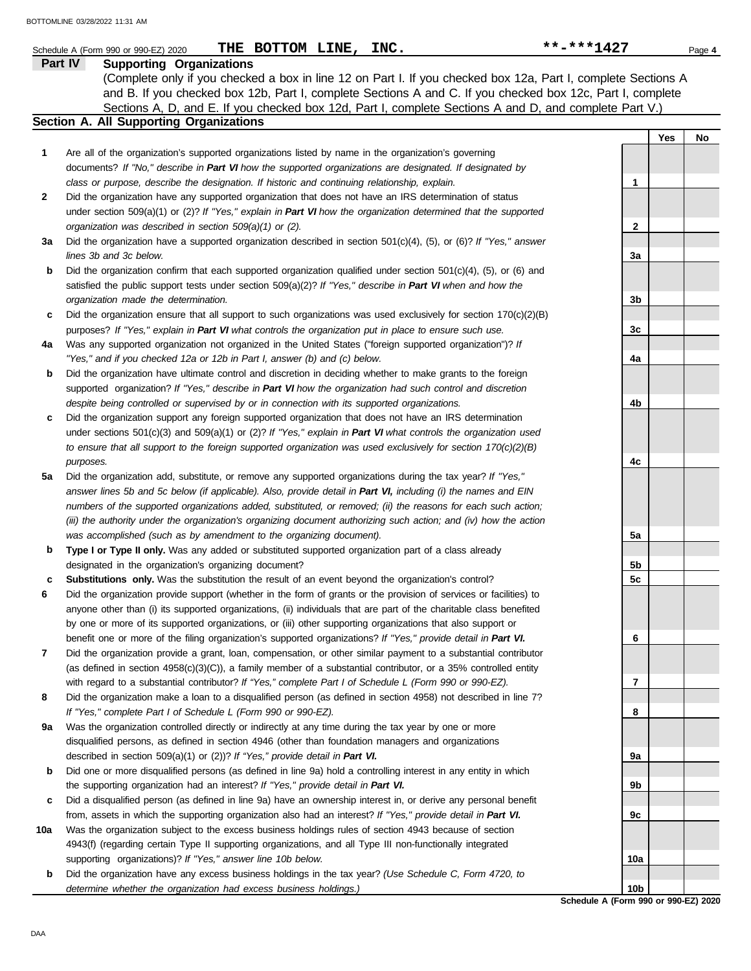|     | THE BOTTOM LINE, INC.<br>Schedule A (Form 990 or 990-EZ) 2020                                                                                                                                           | **-***1427      | Page 4    |
|-----|---------------------------------------------------------------------------------------------------------------------------------------------------------------------------------------------------------|-----------------|-----------|
|     | <b>Supporting Organizations</b><br>Part IV                                                                                                                                                              |                 |           |
|     | (Complete only if you checked a box in line 12 on Part I. If you checked box 12a, Part I, complete Sections A                                                                                           |                 |           |
|     | and B. If you checked box 12b, Part I, complete Sections A and C. If you checked box 12c, Part I, complete                                                                                              |                 |           |
|     | Sections A, D, and E. If you checked box 12d, Part I, complete Sections A and D, and complete Part V.)                                                                                                  |                 |           |
|     | Section A. All Supporting Organizations                                                                                                                                                                 |                 |           |
|     |                                                                                                                                                                                                         |                 | Yes<br>No |
| 1   | Are all of the organization's supported organizations listed by name in the organization's governing                                                                                                    |                 |           |
|     | documents? If "No," describe in Part VI how the supported organizations are designated. If designated by                                                                                                |                 |           |
|     | class or purpose, describe the designation. If historic and continuing relationship, explain.                                                                                                           | 1               |           |
| 2   | Did the organization have any supported organization that does not have an IRS determination of status                                                                                                  |                 |           |
|     | under section 509(a)(1) or (2)? If "Yes," explain in Part VI how the organization determined that the supported                                                                                         |                 |           |
|     | organization was described in section 509(a)(1) or (2).                                                                                                                                                 | $\mathbf{2}$    |           |
| За  | Did the organization have a supported organization described in section $501(c)(4)$ , (5), or (6)? If "Yes," answer                                                                                     |                 |           |
|     | lines 3b and 3c below.                                                                                                                                                                                  | 3a              |           |
| b   | Did the organization confirm that each supported organization qualified under section $501(c)(4)$ , $(5)$ , or $(6)$ and                                                                                |                 |           |
|     | satisfied the public support tests under section 509(a)(2)? If "Yes," describe in Part VI when and how the                                                                                              |                 |           |
|     | organization made the determination.                                                                                                                                                                    | 3b              |           |
| c   | Did the organization ensure that all support to such organizations was used exclusively for section $170(c)(2)(B)$                                                                                      |                 |           |
|     | purposes? If "Yes," explain in Part VI what controls the organization put in place to ensure such use.                                                                                                  | 3c              |           |
| 4a  | Was any supported organization not organized in the United States ("foreign supported organization")? If                                                                                                |                 |           |
|     | "Yes," and if you checked 12a or 12b in Part I, answer (b) and (c) below.                                                                                                                               | 4a              |           |
| b   | Did the organization have ultimate control and discretion in deciding whether to make grants to the foreign                                                                                             |                 |           |
|     | supported organization? If "Yes," describe in Part VI how the organization had such control and discretion                                                                                              |                 |           |
| c   | despite being controlled or supervised by or in connection with its supported organizations.<br>Did the organization support any foreign supported organization that does not have an IRS determination | 4b              |           |
|     | under sections $501(c)(3)$ and $509(a)(1)$ or (2)? If "Yes," explain in Part VI what controls the organization used                                                                                     |                 |           |
|     | to ensure that all support to the foreign supported organization was used exclusively for section $170(c)(2)(B)$                                                                                        |                 |           |
|     | purposes.                                                                                                                                                                                               | 4c              |           |
| 5a  | Did the organization add, substitute, or remove any supported organizations during the tax year? If "Yes,"                                                                                              |                 |           |
|     | answer lines 5b and 5c below (if applicable). Also, provide detail in Part VI, including (i) the names and EIN                                                                                          |                 |           |
|     | numbers of the supported organizations added, substituted, or removed; (ii) the reasons for each such action;                                                                                           |                 |           |
|     | (iii) the authority under the organization's organizing document authorizing such action; and (iv) how the action                                                                                       |                 |           |
|     | was accomplished (such as by amendment to the organizing document).                                                                                                                                     | 5a              |           |
| b   | Type I or Type II only. Was any added or substituted supported organization part of a class already                                                                                                     |                 |           |
|     | designated in the organization's organizing document?                                                                                                                                                   | 5b              |           |
| c   | Substitutions only. Was the substitution the result of an event beyond the organization's control?                                                                                                      | 5c              |           |
| 6   | Did the organization provide support (whether in the form of grants or the provision of services or facilities) to                                                                                      |                 |           |
|     | anyone other than (i) its supported organizations, (ii) individuals that are part of the charitable class benefited                                                                                     |                 |           |
|     | by one or more of its supported organizations, or (iii) other supporting organizations that also support or                                                                                             |                 |           |
|     | benefit one or more of the filing organization's supported organizations? If "Yes," provide detail in Part VI.                                                                                          | 6               |           |
| 7   | Did the organization provide a grant, loan, compensation, or other similar payment to a substantial contributor                                                                                         |                 |           |
|     | (as defined in section 4958(c)(3)(C)), a family member of a substantial contributor, or a 35% controlled entity                                                                                         |                 |           |
|     | with regard to a substantial contributor? If "Yes," complete Part I of Schedule L (Form 990 or 990-EZ).                                                                                                 | 7               |           |
| 8   | Did the organization make a loan to a disqualified person (as defined in section 4958) not described in line 7?                                                                                         |                 |           |
|     | If "Yes," complete Part I of Schedule L (Form 990 or 990-EZ).                                                                                                                                           | 8               |           |
| 9a  | Was the organization controlled directly or indirectly at any time during the tax year by one or more                                                                                                   |                 |           |
|     | disqualified persons, as defined in section 4946 (other than foundation managers and organizations                                                                                                      |                 |           |
|     | described in section 509(a)(1) or (2))? If "Yes," provide detail in Part VI.                                                                                                                            | 9a              |           |
| b   | Did one or more disqualified persons (as defined in line 9a) hold a controlling interest in any entity in which                                                                                         |                 |           |
|     | the supporting organization had an interest? If "Yes," provide detail in Part VI.                                                                                                                       | 9b              |           |
| c   | Did a disqualified person (as defined in line 9a) have an ownership interest in, or derive any personal benefit                                                                                         |                 |           |
|     | from, assets in which the supporting organization also had an interest? If "Yes," provide detail in Part VI.                                                                                            | 9c              |           |
| 10a | Was the organization subject to the excess business holdings rules of section 4943 because of section                                                                                                   |                 |           |
|     | 4943(f) (regarding certain Type II supporting organizations, and all Type III non-functionally integrated                                                                                               |                 |           |
|     | supporting organizations)? If "Yes," answer line 10b below.                                                                                                                                             | 10a             |           |
| b   | Did the organization have any excess business holdings in the tax year? (Use Schedule C, Form 4720, to                                                                                                  |                 |           |
|     | determine whether the organization had excess business holdings.)                                                                                                                                       | 10 <sub>b</sub> |           |

**Schedule A (Form 990 or 990-EZ) 2020**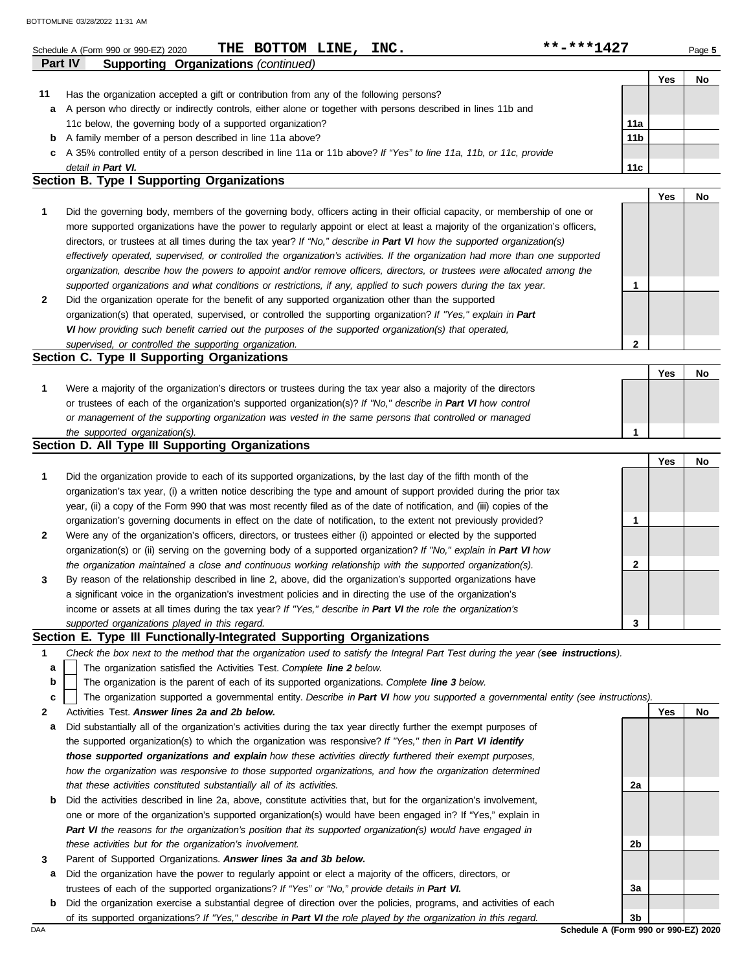|         | **-***1427<br>THE BOTTOM LINE, INC.<br>Schedule A (Form 990 or 990-EZ) 2020                                                       |                 |     | Page 5 |
|---------|-----------------------------------------------------------------------------------------------------------------------------------|-----------------|-----|--------|
| Part IV | <b>Supporting Organizations (continued)</b>                                                                                       |                 |     |        |
|         |                                                                                                                                   |                 | Yes | No     |
| 11      | Has the organization accepted a gift or contribution from any of the following persons?                                           |                 |     |        |
| а       | A person who directly or indirectly controls, either alone or together with persons described in lines 11b and                    |                 |     |        |
|         | 11c below, the governing body of a supported organization?                                                                        | 11a             |     |        |
| b       | A family member of a person described in line 11a above?                                                                          | 11 <sub>b</sub> |     |        |
| c       | A 35% controlled entity of a person described in line 11a or 11b above? If "Yes" to line 11a, 11b, or 11c, provide                |                 |     |        |
|         | detail in Part VI.                                                                                                                | 11c             |     |        |
|         | Section B. Type I Supporting Organizations                                                                                        |                 |     |        |
|         |                                                                                                                                   |                 | Yes | No     |
| 1       | Did the governing body, members of the governing body, officers acting in their official capacity, or membership of one or        |                 |     |        |
|         | more supported organizations have the power to regularly appoint or elect at least a majority of the organization's officers,     |                 |     |        |
|         | directors, or trustees at all times during the tax year? If "No," describe in Part VI how the supported organization(s)           |                 |     |        |
|         | effectively operated, supervised, or controlled the organization's activities. If the organization had more than one supported    |                 |     |        |
|         | organization, describe how the powers to appoint and/or remove officers, directors, or trustees were allocated among the          |                 |     |        |
|         | supported organizations and what conditions or restrictions, if any, applied to such powers during the tax year.                  | 1               |     |        |
| 2       | Did the organization operate for the benefit of any supported organization other than the supported                               |                 |     |        |
|         | organization(s) that operated, supervised, or controlled the supporting organization? If "Yes," explain in Part                   |                 |     |        |
|         | VI how providing such benefit carried out the purposes of the supported organization(s) that operated,                            |                 |     |        |
|         | supervised, or controlled the supporting organization.                                                                            | $\mathbf{2}$    |     |        |
|         | Section C. Type II Supporting Organizations                                                                                       |                 |     |        |
|         |                                                                                                                                   |                 | Yes | No     |
| 1       | Were a majority of the organization's directors or trustees during the tax year also a majority of the directors                  |                 |     |        |
|         | or trustees of each of the organization's supported organization(s)? If "No," describe in Part VI how control                     |                 |     |        |
|         | or management of the supporting organization was vested in the same persons that controlled or managed                            |                 |     |        |
|         | the supported organization(s).                                                                                                    | 1               |     |        |
|         | Section D. All Type III Supporting Organizations                                                                                  |                 |     |        |
|         |                                                                                                                                   |                 | Yes | No     |
| 1       | Did the organization provide to each of its supported organizations, by the last day of the fifth month of the                    |                 |     |        |
|         | organization's tax year, (i) a written notice describing the type and amount of support provided during the prior tax             |                 |     |        |
|         |                                                                                                                                   |                 |     |        |
|         | year, (ii) a copy of the Form 990 that was most recently filed as of the date of notification, and (iii) copies of the            |                 |     |        |
|         | organization's governing documents in effect on the date of notification, to the extent not previously provided?                  | 1               |     |        |
| 2       | Were any of the organization's officers, directors, or trustees either (i) appointed or elected by the supported                  |                 |     |        |
|         | organization(s) or (ii) serving on the governing body of a supported organization? If "No," explain in Part VI how                |                 |     |        |
|         | the organization maintained a close and continuous working relationship with the supported organization(s).                       | 2               |     |        |
| 3       | By reason of the relationship described in line 2, above, did the organization's supported organizations have                     |                 |     |        |
|         | a significant voice in the organization's investment policies and in directing the use of the organization's                      |                 |     |        |
|         | income or assets at all times during the tax year? If "Yes," describe in Part VI the role the organization's                      |                 |     |        |
|         | supported organizations played in this regard.                                                                                    | 3               |     |        |
|         | Section E. Type III Functionally-Integrated Supporting Organizations                                                              |                 |     |        |
| 1       | Check the box next to the method that the organization used to satisfy the Integral Part Test during the year (see instructions). |                 |     |        |
| а       | The organization satisfied the Activities Test. Complete line 2 below.                                                            |                 |     |        |
| b       | The organization is the parent of each of its supported organizations. Complete line 3 below.                                     |                 |     |        |
| c       | The organization supported a governmental entity. Describe in Part VI how you supported a governmental entity (see instructions). |                 |     |        |
| 2       | Activities Test. Answer lines 2a and 2b below.                                                                                    |                 | Yes | No     |
| а       | Did substantially all of the organization's activities during the tax year directly further the exempt purposes of                |                 |     |        |
|         | the supported organization(s) to which the organization was responsive? If "Yes," then in Part VI identify                        |                 |     |        |

| that these activities constituted substantially all of its activities.                                                       |
|------------------------------------------------------------------------------------------------------------------------------|
| <b>b</b> Did the activities described in line 2a, above, constitute activities that, but for the organization's involvement, |
| one or more of the organization's supported organization(s) would have been engaged in? If "Yes," explain in                 |
| Part VI the reasons for the organization's position that its supported organization(s) would have engaged in                 |
| these activities but for the organization's involvement.                                                                     |

*those supported organizations and explain how these activities directly furthered their exempt purposes, how the organization was responsive to those supported organizations, and how the organization determined* 

- **3** Parent of Supported Organizations. *Answer lines 3a and 3b below.*
- **a** Did the organization have the power to regularly appoint or elect a majority of the officers, directors, or trustees of each of the supported organizations? *If "Yes" or "No," provide details in Part VI.*
- **b** Did the organization exercise a substantial degree of direction over the policies, programs, and activities of each of its supported organizations? *If "Yes," describe in Part VI the role played by the organization in this regard.*

DAA **Schedule A (Form 990 or 990-EZ) 2020 3b**

**2a**

**2b**

**3a**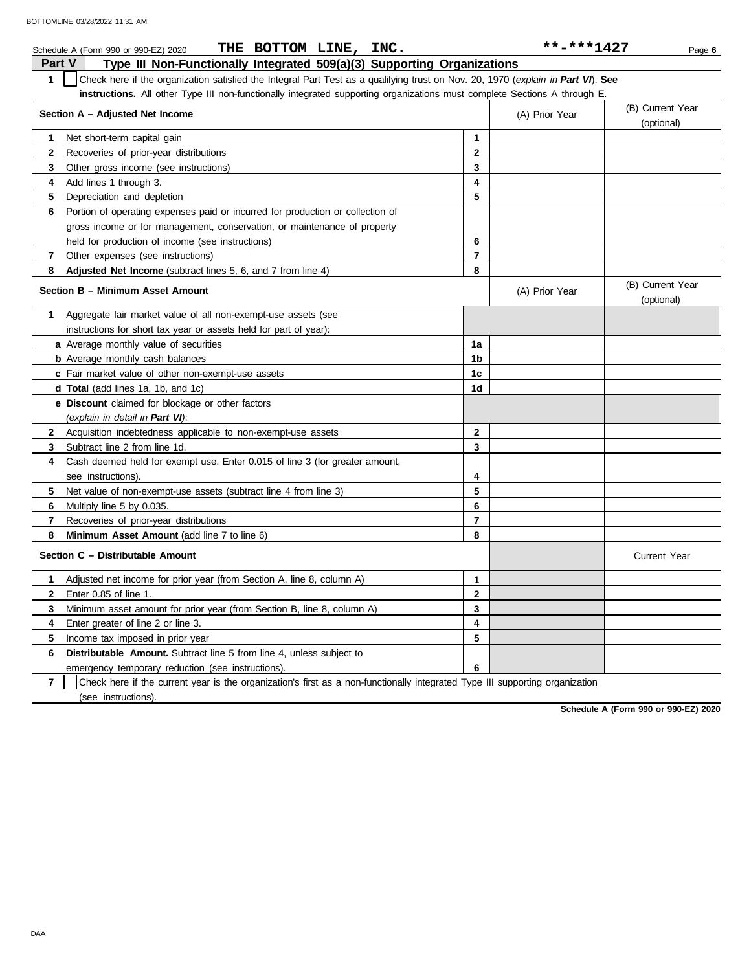| THE BOTTOM LINE, INC.<br>Schedule A (Form 990 or 990-EZ) 2020                                                                                    |                | **-***1427     | Page 6                         |
|--------------------------------------------------------------------------------------------------------------------------------------------------|----------------|----------------|--------------------------------|
| Part V<br>Type III Non-Functionally Integrated 509(a)(3) Supporting Organizations                                                                |                |                |                                |
| $\mathbf{1}$<br>Check here if the organization satisfied the Integral Part Test as a qualifying trust on Nov. 20, 1970 (explain in Part VI). See |                |                |                                |
| instructions. All other Type III non-functionally integrated supporting organizations must complete Sections A through E.                        |                |                |                                |
| Section A - Adjusted Net Income                                                                                                                  |                | (A) Prior Year | (B) Current Year<br>(optional) |
| 1<br>Net short-term capital gain                                                                                                                 | 1              |                |                                |
| $\mathbf{2}$<br>Recoveries of prior-year distributions                                                                                           | $\mathbf{2}$   |                |                                |
| 3<br>Other gross income (see instructions)                                                                                                       | 3              |                |                                |
| Add lines 1 through 3.<br>4                                                                                                                      | 4              |                |                                |
| 5<br>Depreciation and depletion                                                                                                                  | 5              |                |                                |
| Portion of operating expenses paid or incurred for production or collection of<br>6                                                              |                |                |                                |
| gross income or for management, conservation, or maintenance of property                                                                         |                |                |                                |
| held for production of income (see instructions)                                                                                                 | 6              |                |                                |
| $\overline{7}$<br>Other expenses (see instructions)                                                                                              | $\overline{7}$ |                |                                |
| 8<br><b>Adjusted Net Income</b> (subtract lines 5, 6, and 7 from line 4)                                                                         | 8              |                |                                |
| Section B - Minimum Asset Amount                                                                                                                 |                | (A) Prior Year | (B) Current Year<br>(optional) |
| Aggregate fair market value of all non-exempt-use assets (see<br>1                                                                               |                |                |                                |
| instructions for short tax year or assets held for part of year):                                                                                |                |                |                                |
| a Average monthly value of securities                                                                                                            | 1a             |                |                                |
| <b>b</b> Average monthly cash balances                                                                                                           | 1b             |                |                                |
| c Fair market value of other non-exempt-use assets                                                                                               | 1c             |                |                                |
| <b>d Total</b> (add lines 1a, 1b, and 1c)                                                                                                        | 1 <sub>d</sub> |                |                                |
| <b>e</b> Discount claimed for blockage or other factors                                                                                          |                |                |                                |
| (explain in detail in Part VI):                                                                                                                  |                |                |                                |
| $\mathbf{2}$<br>Acquisition indebtedness applicable to non-exempt-use assets                                                                     | $\mathbf{2}$   |                |                                |
| 3<br>Subtract line 2 from line 1d.                                                                                                               | 3              |                |                                |
| Cash deemed held for exempt use. Enter 0.015 of line 3 (for greater amount,<br>4                                                                 |                |                |                                |
| see instructions).                                                                                                                               | 4              |                |                                |
| 5<br>Net value of non-exempt-use assets (subtract line 4 from line 3)                                                                            | 5              |                |                                |
| Multiply line 5 by 0.035.<br>6                                                                                                                   | 6              |                |                                |
| 7<br>Recoveries of prior-year distributions                                                                                                      | $\overline{7}$ |                |                                |
| 8<br>Minimum Asset Amount (add line 7 to line 6)                                                                                                 | 8              |                |                                |
| Section C - Distributable Amount                                                                                                                 |                |                | <b>Current Year</b>            |
| Adjusted net income for prior year (from Section A, line 8, column A)<br>$\mathbf{1}$                                                            | 1              |                |                                |
| $\mathbf{2}$<br>Enter 0.85 of line 1.                                                                                                            | $\mathbf{2}$   |                |                                |
| 3<br>Minimum asset amount for prior year (from Section B, line 8, column A)                                                                      | 3              |                |                                |
| 4<br>Enter greater of line 2 or line 3.                                                                                                          | 4              |                |                                |
| 5<br>Income tax imposed in prior year                                                                                                            | 5              |                |                                |
| <b>Distributable Amount.</b> Subtract line 5 from line 4, unless subject to<br>6                                                                 |                |                |                                |
| emergency temporary reduction (see instructions).                                                                                                | 6              |                |                                |

**7** (see instructions). Check here if the current year is the organization's first as a non-functionally integrated Type III supporting organization

**Schedule A (Form 990 or 990-EZ) 2020**

DAA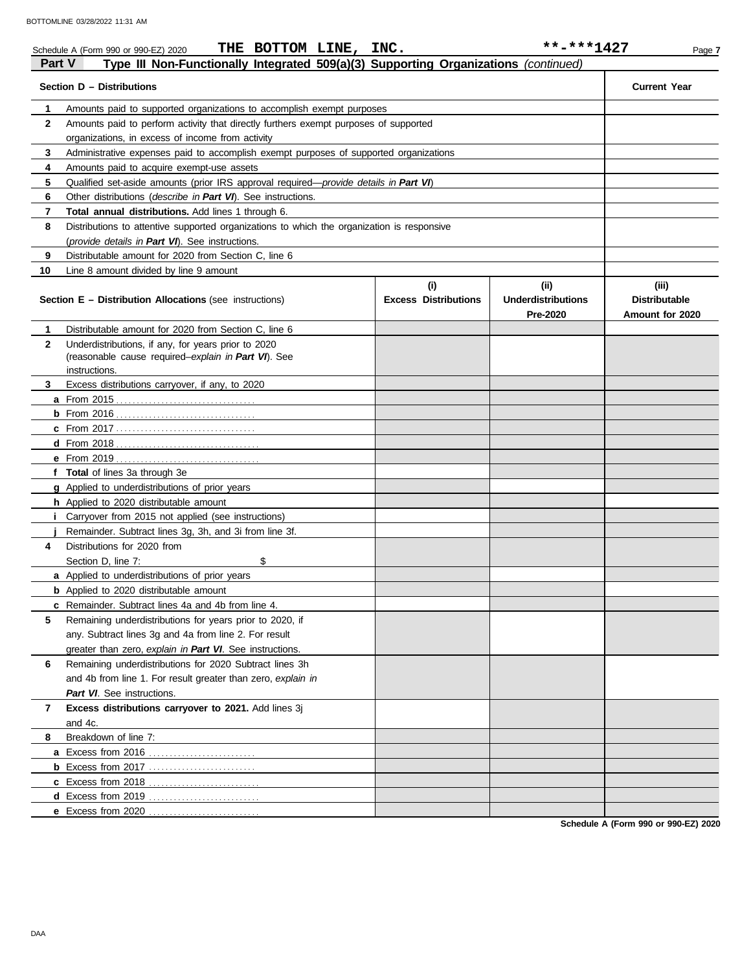|               | THE BOTTOM LINE, INC.<br>Schedule A (Form 990 or 990-EZ) 2020                              |                             | **-***1427                            | Page 7                                  |
|---------------|--------------------------------------------------------------------------------------------|-----------------------------|---------------------------------------|-----------------------------------------|
| <b>Part V</b> | Type III Non-Functionally Integrated 509(a)(3) Supporting Organizations (continued)        |                             |                                       |                                         |
|               | Section D - Distributions                                                                  |                             |                                       | <b>Current Year</b>                     |
| 1             | Amounts paid to supported organizations to accomplish exempt purposes                      |                             |                                       |                                         |
| $\mathbf{2}$  | Amounts paid to perform activity that directly furthers exempt purposes of supported       |                             |                                       |                                         |
|               |                                                                                            |                             |                                       |                                         |
| 3             | Administrative expenses paid to accomplish exempt purposes of supported organizations      |                             |                                       |                                         |
| 4             | Amounts paid to acquire exempt-use assets                                                  |                             |                                       |                                         |
| 5             | Qualified set-aside amounts (prior IRS approval required—provide details in Part VI)       |                             |                                       |                                         |
| 6             | Other distributions ( <i>describe in Part VI</i> ). See instructions.                      |                             |                                       |                                         |
| 7             | Total annual distributions. Add lines 1 through 6.                                         |                             |                                       |                                         |
| 8             | Distributions to attentive supported organizations to which the organization is responsive |                             |                                       |                                         |
|               | (provide details in Part VI). See instructions.                                            |                             |                                       |                                         |
| 9             | Distributable amount for 2020 from Section C, line 6                                       |                             |                                       |                                         |
| 10            | Line 8 amount divided by line 9 amount                                                     |                             |                                       |                                         |
|               |                                                                                            | (i)                         | (iii)                                 | (iii)                                   |
|               | <b>Section E - Distribution Allocations (see instructions)</b>                             | <b>Excess Distributions</b> | <b>Underdistributions</b><br>Pre-2020 | <b>Distributable</b><br>Amount for 2020 |
| 1             | Distributable amount for 2020 from Section C, line 6                                       |                             |                                       |                                         |
| $\mathbf{2}$  | Underdistributions, if any, for years prior to 2020                                        |                             |                                       |                                         |
|               | (reasonable cause required-explain in Part VI). See                                        |                             |                                       |                                         |
|               | instructions.                                                                              |                             |                                       |                                         |
| 3             | Excess distributions carryover, if any, to 2020                                            |                             |                                       |                                         |
|               |                                                                                            |                             |                                       |                                         |
|               |                                                                                            |                             |                                       |                                         |
|               |                                                                                            |                             |                                       |                                         |
|               |                                                                                            |                             |                                       |                                         |
|               |                                                                                            |                             |                                       |                                         |
|               | f Total of lines 3a through 3e                                                             |                             |                                       |                                         |
|               | <b>g</b> Applied to underdistributions of prior years                                      |                             |                                       |                                         |
|               | <b>h</b> Applied to 2020 distributable amount                                              |                             |                                       |                                         |
|               | <i>i</i> Carryover from 2015 not applied (see instructions)                                |                             |                                       |                                         |
|               | Remainder. Subtract lines 3g, 3h, and 3i from line 3f.                                     |                             |                                       |                                         |
| 4             | Distributions for 2020 from                                                                |                             |                                       |                                         |
|               | \$<br>Section D, line 7:                                                                   |                             |                                       |                                         |
|               | <b>a</b> Applied to underdistributions of prior years                                      |                             |                                       |                                         |
|               | <b>b</b> Applied to 2020 distributable amount                                              |                             |                                       |                                         |
| 5             | <b>c</b> Remainder. Subtract lines 4a and 4b from line 4.                                  |                             |                                       |                                         |
|               | Remaining underdistributions for years prior to 2020, if                                   |                             |                                       |                                         |
|               | any. Subtract lines 3g and 4a from line 2. For result                                      |                             |                                       |                                         |
|               | greater than zero, explain in Part VI. See instructions.                                   |                             |                                       |                                         |
| 6             | Remaining underdistributions for 2020 Subtract lines 3h                                    |                             |                                       |                                         |
|               | and 4b from line 1. For result greater than zero, explain in                               |                             |                                       |                                         |
|               | Part VI. See instructions.                                                                 |                             |                                       |                                         |
| 7             | Excess distributions carryover to 2021. Add lines 3j                                       |                             |                                       |                                         |
|               | and 4c.                                                                                    |                             |                                       |                                         |
| 8             | Breakdown of line 7:                                                                       |                             |                                       |                                         |
|               | a Excess from 2016                                                                         |                             |                                       |                                         |
|               |                                                                                            |                             |                                       |                                         |
|               |                                                                                            |                             |                                       |                                         |
|               | <b>d</b> Excess from 2019                                                                  |                             |                                       |                                         |
|               | e Excess from 2020                                                                         |                             |                                       |                                         |

**Schedule A (Form 990 or 990-EZ) 2020**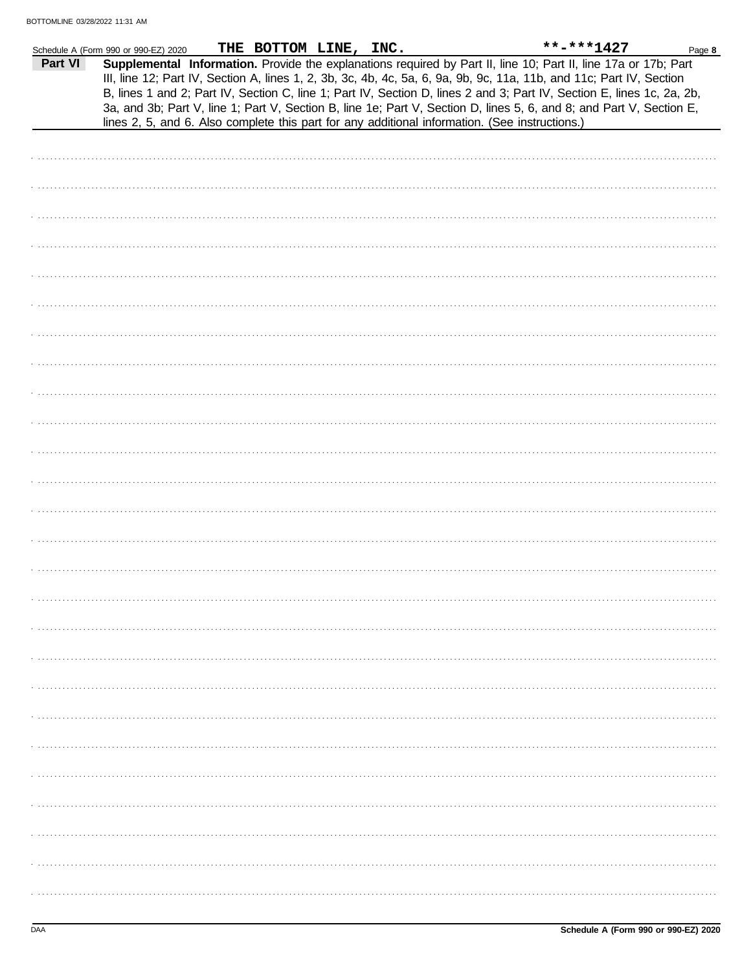|         | Schedule A (Form 990 or 990-EZ) 2020                                                           | THE BOTTOM LINE, INC. |  |  | **-***1427                                                                                                                                                                                                                                                                                                                                                                                                                                                                                | Page 8 |
|---------|------------------------------------------------------------------------------------------------|-----------------------|--|--|-------------------------------------------------------------------------------------------------------------------------------------------------------------------------------------------------------------------------------------------------------------------------------------------------------------------------------------------------------------------------------------------------------------------------------------------------------------------------------------------|--------|
| Part VI | lines 2, 5, and 6. Also complete this part for any additional information. (See instructions.) |                       |  |  | Supplemental Information. Provide the explanations required by Part II, line 10; Part II, line 17a or 17b; Part<br>III, line 12; Part IV, Section A, lines 1, 2, 3b, 3c, 4b, 4c, 5a, 6, 9a, 9b, 9c, 11a, 11b, and 11c; Part IV, Section<br>B, lines 1 and 2; Part IV, Section C, line 1; Part IV, Section D, lines 2 and 3; Part IV, Section E, lines 1c, 2a, 2b,<br>3a, and 3b; Part V, line 1; Part V, Section B, line 1e; Part V, Section D, lines 5, 6, and 8; and Part V, Section E, |        |
|         |                                                                                                |                       |  |  |                                                                                                                                                                                                                                                                                                                                                                                                                                                                                           |        |
|         |                                                                                                |                       |  |  |                                                                                                                                                                                                                                                                                                                                                                                                                                                                                           |        |
|         |                                                                                                |                       |  |  |                                                                                                                                                                                                                                                                                                                                                                                                                                                                                           |        |
|         |                                                                                                |                       |  |  |                                                                                                                                                                                                                                                                                                                                                                                                                                                                                           |        |
|         |                                                                                                |                       |  |  |                                                                                                                                                                                                                                                                                                                                                                                                                                                                                           |        |
|         |                                                                                                |                       |  |  |                                                                                                                                                                                                                                                                                                                                                                                                                                                                                           |        |
|         |                                                                                                |                       |  |  |                                                                                                                                                                                                                                                                                                                                                                                                                                                                                           |        |
|         |                                                                                                |                       |  |  |                                                                                                                                                                                                                                                                                                                                                                                                                                                                                           |        |
|         |                                                                                                |                       |  |  |                                                                                                                                                                                                                                                                                                                                                                                                                                                                                           |        |
|         |                                                                                                |                       |  |  |                                                                                                                                                                                                                                                                                                                                                                                                                                                                                           |        |
|         |                                                                                                |                       |  |  |                                                                                                                                                                                                                                                                                                                                                                                                                                                                                           |        |
|         |                                                                                                |                       |  |  |                                                                                                                                                                                                                                                                                                                                                                                                                                                                                           |        |
|         |                                                                                                |                       |  |  |                                                                                                                                                                                                                                                                                                                                                                                                                                                                                           |        |
|         |                                                                                                |                       |  |  |                                                                                                                                                                                                                                                                                                                                                                                                                                                                                           |        |
|         |                                                                                                |                       |  |  |                                                                                                                                                                                                                                                                                                                                                                                                                                                                                           |        |
|         |                                                                                                |                       |  |  |                                                                                                                                                                                                                                                                                                                                                                                                                                                                                           |        |
|         |                                                                                                |                       |  |  |                                                                                                                                                                                                                                                                                                                                                                                                                                                                                           |        |
|         |                                                                                                |                       |  |  |                                                                                                                                                                                                                                                                                                                                                                                                                                                                                           |        |
|         |                                                                                                |                       |  |  |                                                                                                                                                                                                                                                                                                                                                                                                                                                                                           |        |
|         |                                                                                                |                       |  |  |                                                                                                                                                                                                                                                                                                                                                                                                                                                                                           |        |
|         |                                                                                                |                       |  |  |                                                                                                                                                                                                                                                                                                                                                                                                                                                                                           |        |
|         |                                                                                                |                       |  |  |                                                                                                                                                                                                                                                                                                                                                                                                                                                                                           |        |
|         |                                                                                                |                       |  |  |                                                                                                                                                                                                                                                                                                                                                                                                                                                                                           |        |
|         |                                                                                                |                       |  |  |                                                                                                                                                                                                                                                                                                                                                                                                                                                                                           |        |
|         |                                                                                                |                       |  |  |                                                                                                                                                                                                                                                                                                                                                                                                                                                                                           |        |
|         |                                                                                                |                       |  |  |                                                                                                                                                                                                                                                                                                                                                                                                                                                                                           |        |
|         |                                                                                                |                       |  |  |                                                                                                                                                                                                                                                                                                                                                                                                                                                                                           |        |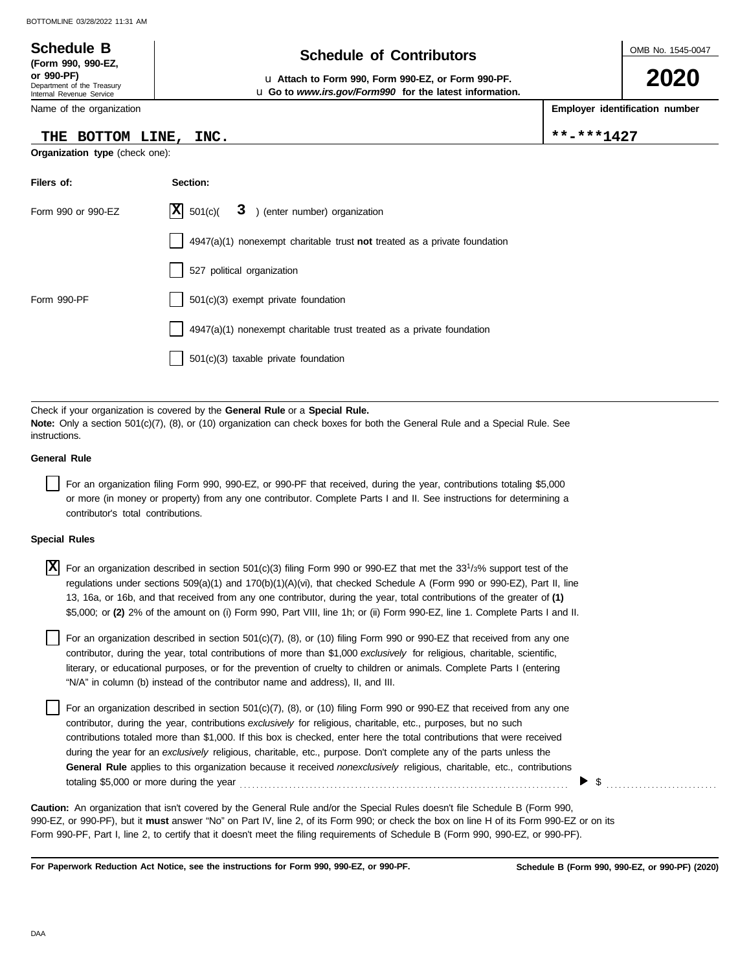#### OMB No. 1545-0047 Department of the Treasury Internal Revenue Service Name of the organization **2020 Schedule of Contributors Schedule B (Form 990, 990-EZ, or 990-PF)** u **Attach to Form 990, Form 990-EZ, or Form 990-PF. Employer identification number** u **Go to** *www.irs.gov/Form990* **for the latest information. THE BOTTOM LINE, INC. \*\*-\*\*\*1427**

**Organization type** (check one):

| Filers of:         | Section:                                                                           |
|--------------------|------------------------------------------------------------------------------------|
| Form 990 or 990-EZ | $ \mathbf{X} $ 501(c)(<br>3 ) (enter number) organization                          |
|                    | $4947(a)(1)$ nonexempt charitable trust <b>not</b> treated as a private foundation |
|                    | 527 political organization                                                         |
| Form 990-PF        | 501(c)(3) exempt private foundation                                                |
|                    | 4947(a)(1) nonexempt charitable trust treated as a private foundation              |
|                    | $501(c)(3)$ taxable private foundation                                             |

Check if your organization is covered by the **General Rule** or a **Special Rule. Note:** Only a section 501(c)(7), (8), or (10) organization can check boxes for both the General Rule and a Special Rule. See instructions.

#### **General Rule**

For an organization filing Form 990, 990-EZ, or 990-PF that received, during the year, contributions totaling \$5,000 or more (in money or property) from any one contributor. Complete Parts I and II. See instructions for determining a contributor's total contributions.

#### **Special Rules**

| $\overline{X}$ For an organization described in section 501(c)(3) filing Form 990 or 990-EZ that met the 33 <sup>1</sup> /3% support test of the |
|--------------------------------------------------------------------------------------------------------------------------------------------------|
| regulations under sections 509(a)(1) and 170(b)(1)(A)(vi), that checked Schedule A (Form 990 or 990-EZ), Part II, line                           |
| 13, 16a, or 16b, and that received from any one contributor, during the year, total contributions of the greater of (1)                          |
| \$5,000; or (2) 2% of the amount on (i) Form 990, Part VIII, line 1h; or (ii) Form 990-EZ, line 1. Complete Parts I and II.                      |

literary, or educational purposes, or for the prevention of cruelty to children or animals. Complete Parts I (entering For an organization described in section 501(c)(7), (8), or (10) filing Form 990 or 990-EZ that received from any one contributor, during the year, total contributions of more than \$1,000 *exclusively* for religious, charitable, scientific, "N/A" in column (b) instead of the contributor name and address), II, and III.

For an organization described in section 501(c)(7), (8), or (10) filing Form 990 or 990-EZ that received from any one contributor, during the year, contributions *exclusively* for religious, charitable, etc., purposes, but no such contributions totaled more than \$1,000. If this box is checked, enter here the total contributions that were received during the year for an *exclusively* religious, charitable, etc., purpose. Don't complete any of the parts unless the **General Rule** applies to this organization because it received *nonexclusively* religious, charitable, etc., contributions totaling \$5,000 or more during the year . . . . . . . . . . . . . . . . . . . . . . . . . . . . . . . . . . . . . . . . . . . . . . . . . . . . . . . . . . . . . . . . . . . . . . . . . . . . . . . .

990-EZ, or 990-PF), but it **must** answer "No" on Part IV, line 2, of its Form 990; or check the box on line H of its Form 990-EZ or on its Form 990-PF, Part I, line 2, to certify that it doesn't meet the filing requirements of Schedule B (Form 990, 990-EZ, or 990-PF). **Caution:** An organization that isn't covered by the General Rule and/or the Special Rules doesn't file Schedule B (Form 990,

**For Paperwork Reduction Act Notice, see the instructions for Form 990, 990-EZ, or 990-PF.**

\$ . . . . . . . . . . . . . . . . . . . . . . . . . . .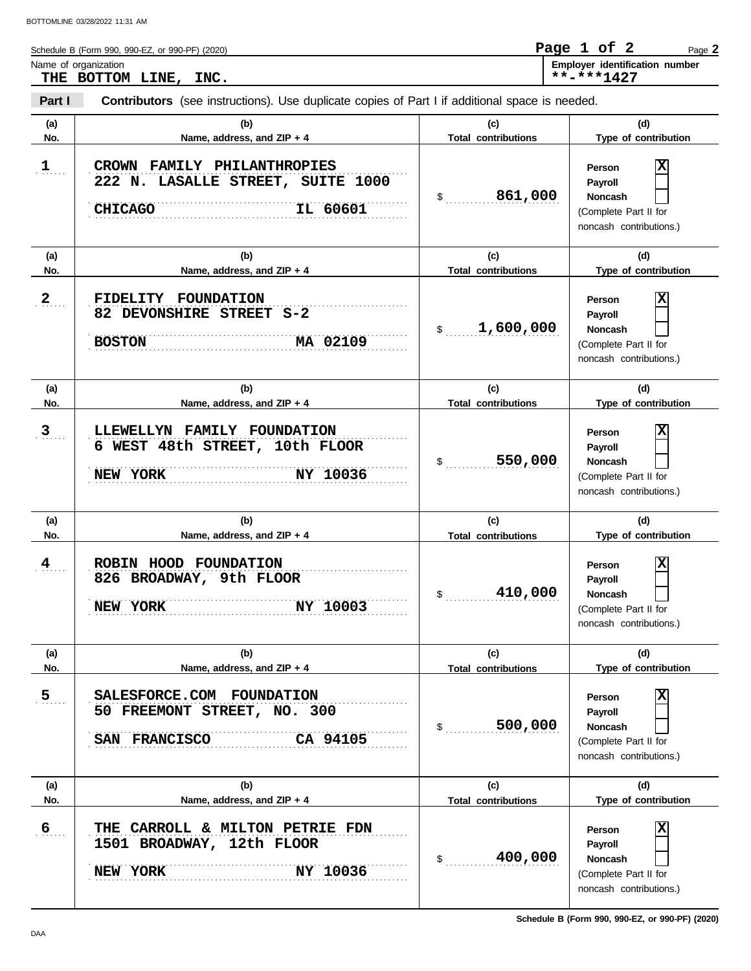| Schedule B (Form 990, 990-EZ, or 990-PF) (2020) | Page 1 of 2 |  | Page 2                                |
|-------------------------------------------------|-------------|--|---------------------------------------|
| Name of organization                            |             |  | <b>Employer identification number</b> |
| THE BOTTOM LINE, INC.                           | **_***1427  |  |                                       |
|                                                 |             |  |                                       |

| Part I               | Contributors (see instructions). Use duplicate copies of Part I if additional space is needed.         |                                                        |                                                                                                                    |  |  |  |  |  |
|----------------------|--------------------------------------------------------------------------------------------------------|--------------------------------------------------------|--------------------------------------------------------------------------------------------------------------------|--|--|--|--|--|
| (a)<br>No.           | (b)<br>Name, address, and ZIP + 4                                                                      | (c)<br><b>Total contributions</b>                      | (d)<br>Type of contribution                                                                                        |  |  |  |  |  |
| $1$                  | CROWN FAMILY PHILANTHROPIES<br>222 N. LASALLE STREET, SUITE 1000<br>IL 60601<br><b>CHICAGO</b>         | 861,000<br>$\mathsf{\$}$                               | $\overline{\mathbf{x}}$<br>Person<br>Payroll<br><b>Noncash</b><br>(Complete Part II for<br>noncash contributions.) |  |  |  |  |  |
| (a)<br>No.           | (b)<br>Name, address, and ZIP + 4                                                                      | (c)<br><b>Total contributions</b>                      | (d)<br>Type of contribution                                                                                        |  |  |  |  |  |
| 2 <sub>1</sub>       | FIDELITY FOUNDATION<br>82 DEVONSHIRE STREET S-2<br>MA 02109<br><b>BOSTON</b>                           | 1,600,000<br>$\frac{1}{2}$                             | $\overline{\mathbf{x}}$<br>Person<br>Payroll<br>Noncash<br>(Complete Part II for<br>noncash contributions.)        |  |  |  |  |  |
| (a)                  | (b)                                                                                                    | (c)                                                    | (d)                                                                                                                |  |  |  |  |  |
| No.                  | Name, address, and ZIP + 4                                                                             | <b>Total contributions</b>                             | Type of contribution                                                                                               |  |  |  |  |  |
| 3                    | LLEWELLYN FAMILY FOUNDATION<br>6 WEST 48th STREET, 10th FLOOR<br>NEW YORK<br>NY 10036                  | 550,000<br>$\frac{1}{2}$                               | $\overline{\mathbf{x}}$<br>Person<br>Payroll<br>Noncash<br>(Complete Part II for<br>noncash contributions.)        |  |  |  |  |  |
| (a)                  | (b)                                                                                                    | (c)                                                    | (d)                                                                                                                |  |  |  |  |  |
| No.<br>$\frac{4}{1}$ | Name, address, and ZIP + 4<br>ROBIN HOOD FOUNDATION<br>826 BROADWAY, 9th FLOOR<br>NY 10003<br>NEW YORK | <b>Total contributions</b><br>410,000<br>$\frac{1}{2}$ | Type of contribution<br>X<br>Person<br>Payroll<br>Noncash<br>(Complete Part II for<br>noncash contributions.)      |  |  |  |  |  |
| (a)<br>No.           | (b)<br>Name, address, and ZIP + 4                                                                      | (c)<br><b>Total contributions</b>                      | (d)<br>Type of contribution                                                                                        |  |  |  |  |  |
| $\overline{5}$       | SALESFORCE.COM FOUNDATION<br>50 FREEMONT STREET, NO. 300<br>SAN FRANCISCO<br>CA 94105                  | 500,000<br>\$                                          | X<br>Person<br>Payroll<br><b>Noncash</b><br>(Complete Part II for<br>noncash contributions.)                       |  |  |  |  |  |
| (a)<br>No.           | (b)<br>Name, address, and ZIP + 4                                                                      | (c)<br><b>Total contributions</b>                      | (d)<br>Type of contribution                                                                                        |  |  |  |  |  |
| $6 \overline{6}$     | CARROLL & MILTON PETRIE FDN<br>THE<br>1501 BROADWAY, 12th FLOOR<br>NY 10036<br>NEW YORK                | 400,000<br>\$                                          | X<br>Person<br>Payroll<br><b>Noncash</b><br>(Complete Part II for<br>noncash contributions.)                       |  |  |  |  |  |

**Schedule B (Form 990, 990-EZ, or 990-PF) (2020)**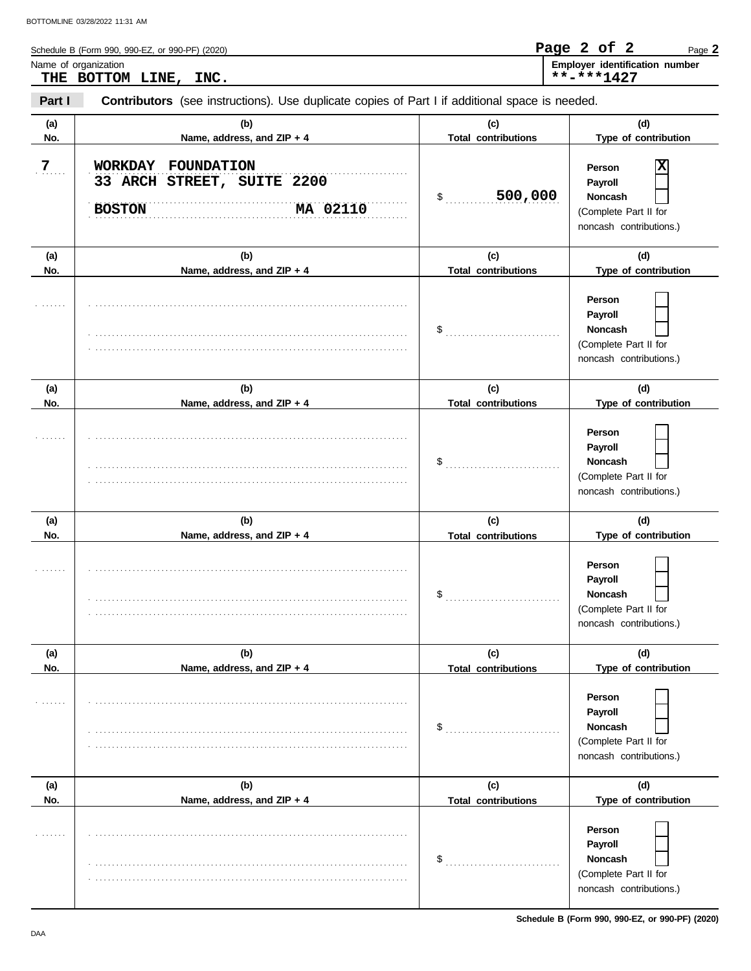| Schedule B (Form 990, 990-EZ, or 990-PF) (2020) | Page 2 of 2<br>Page 2                 |
|-------------------------------------------------|---------------------------------------|
| Name of organization                            | <b>Employer identification number</b> |
| INC.<br>THE BOTTOM LINE,                        | **-***1427                            |
|                                                 |                                       |

| Part I         | Contributors (see instructions). Use duplicate copies of Part I if additional space is needed. |                                   |                                                                                                          |  |  |  |  |
|----------------|------------------------------------------------------------------------------------------------|-----------------------------------|----------------------------------------------------------------------------------------------------------|--|--|--|--|
| (a)<br>No.     | (b)<br>Name, address, and ZIP + 4                                                              | (c)<br><b>Total contributions</b> | (d)<br>Type of contribution                                                                              |  |  |  |  |
| $\overline{7}$ | WORKDAY FOUNDATION<br>33 ARCH STREET, SUITE 2200<br><b>BOSTON</b><br>MA 02110                  | 500,000<br>\$                     | X<br>Person<br>Payroll<br><b>Noncash</b><br>(Complete Part II for<br>noncash contributions.)             |  |  |  |  |
| (a)<br>No.     | (b)<br>Name, address, and ZIP + 4                                                              | (c)<br><b>Total contributions</b> | (d)<br>Type of contribution                                                                              |  |  |  |  |
|                |                                                                                                | $\$\quad$                         | Person<br>Payroll<br><b>Noncash</b><br>(Complete Part II for<br>noncash contributions.)                  |  |  |  |  |
| (a)            | (b)                                                                                            | (c)                               | (d)                                                                                                      |  |  |  |  |
| No.            | Name, address, and ZIP + 4                                                                     | <b>Total contributions</b>        | Type of contribution                                                                                     |  |  |  |  |
|                |                                                                                                | $\frac{1}{2}$                     | Person<br>Payroll<br><b>Noncash</b><br>(Complete Part II for<br>noncash contributions.)                  |  |  |  |  |
| (a)<br>No.     | (b)<br>Name, address, and ZIP + 4                                                              | (c)                               | (d)<br>Type of contribution                                                                              |  |  |  |  |
|                |                                                                                                | <b>Total contributions</b><br>\$  | Person<br>Payroll<br><b>Noncash</b><br>(Complete Part II for<br>noncash contributions.)                  |  |  |  |  |
| (a)            | (b)                                                                                            | (c)                               | (d)                                                                                                      |  |  |  |  |
| No.            | Name, address, and ZIP + 4                                                                     | <b>Total contributions</b><br>\$  | Type of contribution<br>Person<br>Payroll<br>Noncash<br>(Complete Part II for<br>noncash contributions.) |  |  |  |  |
| (a)<br>No.     | (b)<br>Name, address, and ZIP + 4                                                              | (c)<br><b>Total contributions</b> | (d)<br>Type of contribution                                                                              |  |  |  |  |
|                |                                                                                                | \$                                | Person<br>Payroll<br>Noncash<br>(Complete Part II for<br>noncash contributions.)                         |  |  |  |  |

**Schedule B (Form 990, 990-EZ, or 990-PF) (2020)**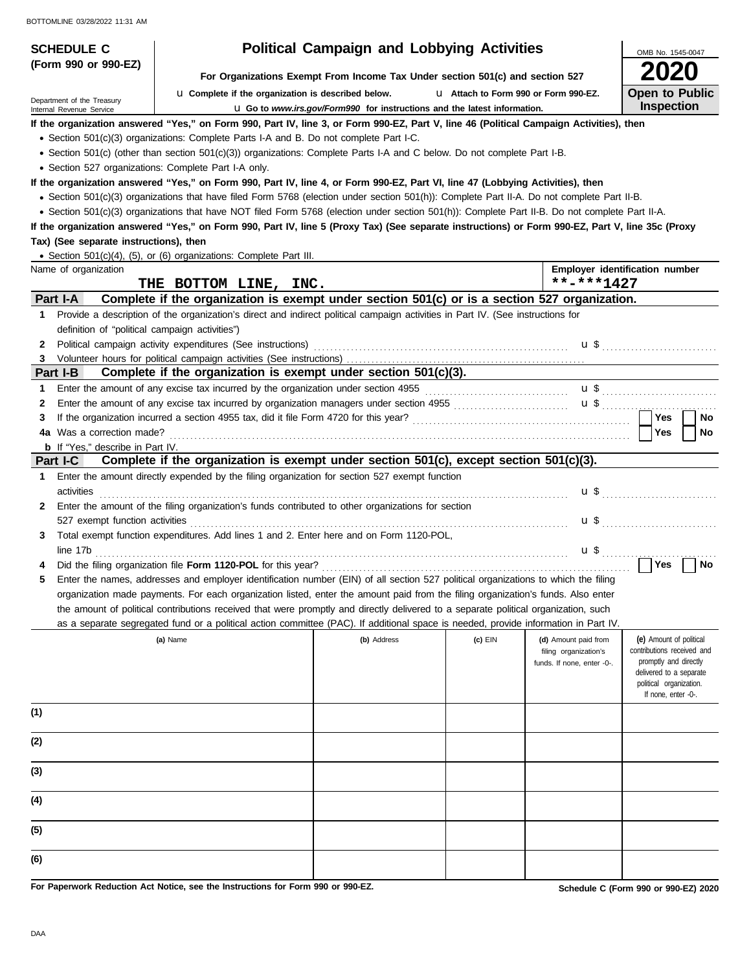| <b>SCHEDULE C</b>                                      |                                                                                                                                                                                                                                                                                                     | <b>Political Campaign and Lobbying Activities</b>                               |                                       |                                                     | OMB No. 1545-0047                                                              |  |  |  |
|--------------------------------------------------------|-----------------------------------------------------------------------------------------------------------------------------------------------------------------------------------------------------------------------------------------------------------------------------------------------------|---------------------------------------------------------------------------------|---------------------------------------|-----------------------------------------------------|--------------------------------------------------------------------------------|--|--|--|
| (Form 990 or 990-EZ)                                   |                                                                                                                                                                                                                                                                                                     |                                                                                 |                                       |                                                     |                                                                                |  |  |  |
|                                                        | La Complete if the organization is described below.                                                                                                                                                                                                                                                 | For Organizations Exempt From Income Tax Under section 501(c) and section 527   | L1 Attach to Form 990 or Form 990-EZ. |                                                     | <b>Open to Public</b>                                                          |  |  |  |
| Department of the Treasury<br>Internal Revenue Service |                                                                                                                                                                                                                                                                                                     | <b>u</b> Go to www.irs.gov/Form990 for instructions and the latest information. |                                       |                                                     | <b>Inspection</b>                                                              |  |  |  |
|                                                        | If the organization answered "Yes," on Form 990, Part IV, line 3, or Form 990-EZ, Part V, line 46 (Political Campaign Activities), then                                                                                                                                                             |                                                                                 |                                       |                                                     |                                                                                |  |  |  |
|                                                        | • Section 501(c)(3) organizations: Complete Parts I-A and B. Do not complete Part I-C.                                                                                                                                                                                                              |                                                                                 |                                       |                                                     |                                                                                |  |  |  |
|                                                        | • Section 501(c) (other than section 501(c)(3)) organizations: Complete Parts I-A and C below. Do not complete Part I-B.                                                                                                                                                                            |                                                                                 |                                       |                                                     |                                                                                |  |  |  |
| • Section 527 organizations: Complete Part I-A only.   |                                                                                                                                                                                                                                                                                                     |                                                                                 |                                       |                                                     |                                                                                |  |  |  |
|                                                        | If the organization answered "Yes," on Form 990, Part IV, line 4, or Form 990-EZ, Part VI, line 47 (Lobbying Activities), then                                                                                                                                                                      |                                                                                 |                                       |                                                     |                                                                                |  |  |  |
|                                                        | • Section 501(c)(3) organizations that have filed Form 5768 (election under section 501(h)): Complete Part II-A. Do not complete Part II-B.                                                                                                                                                         |                                                                                 |                                       |                                                     |                                                                                |  |  |  |
|                                                        | • Section 501(c)(3) organizations that have NOT filed Form 5768 (election under section 501(h)): Complete Part II-B. Do not complete Part II-A.<br>If the organization answered "Yes," on Form 990, Part IV, line 5 (Proxy Tax) (See separate instructions) or Form 990-EZ, Part V, line 35c (Proxy |                                                                                 |                                       |                                                     |                                                                                |  |  |  |
| Tax) (See separate instructions), then                 |                                                                                                                                                                                                                                                                                                     |                                                                                 |                                       |                                                     |                                                                                |  |  |  |
|                                                        | • Section 501(c)(4), (5), or (6) organizations: Complete Part III.                                                                                                                                                                                                                                  |                                                                                 |                                       |                                                     |                                                                                |  |  |  |
| Name of organization                                   |                                                                                                                                                                                                                                                                                                     |                                                                                 |                                       |                                                     | Employer identification number                                                 |  |  |  |
| THE BOTTOM LINE, INC.                                  |                                                                                                                                                                                                                                                                                                     |                                                                                 |                                       | **-***1427                                          |                                                                                |  |  |  |
| Part I-A                                               | Complete if the organization is exempt under section 501(c) or is a section 527 organization.                                                                                                                                                                                                       |                                                                                 |                                       |                                                     |                                                                                |  |  |  |
| 1                                                      | Provide a description of the organization's direct and indirect political campaign activities in Part IV. (See instructions for                                                                                                                                                                     |                                                                                 |                                       |                                                     |                                                                                |  |  |  |
| definition of "political campaign activities")         |                                                                                                                                                                                                                                                                                                     |                                                                                 |                                       |                                                     |                                                                                |  |  |  |
| 2                                                      | Political campaign activity expenditures (See instructions)                                                                                                                                                                                                                                         |                                                                                 |                                       |                                                     | $\mathbf{u}$ \$ $\ldots$ $\ldots$ $\ldots$ $\ldots$ $\ldots$ $\ldots$ $\ldots$ |  |  |  |
| 3<br>Part I-B                                          | Complete if the organization is exempt under section 501(c)(3).                                                                                                                                                                                                                                     |                                                                                 |                                       |                                                     |                                                                                |  |  |  |
| 1                                                      | Enter the amount of any excise tax incurred by the organization under section 4955 [[[[[[[[[[[[[[[[[[[[[[[[[[[                                                                                                                                                                                      |                                                                                 |                                       |                                                     |                                                                                |  |  |  |
| 2                                                      | Enter the amount of any excise tax incurred by organization managers under section 4955 [[[[[[[[[[[[[[[[[[[[[                                                                                                                                                                                       |                                                                                 |                                       |                                                     | $\mathbf{u}$ \$                                                                |  |  |  |
| З                                                      |                                                                                                                                                                                                                                                                                                     |                                                                                 |                                       |                                                     | Yes<br>No                                                                      |  |  |  |
| Was a correction made?<br>4a                           |                                                                                                                                                                                                                                                                                                     |                                                                                 |                                       |                                                     | Yes<br>No                                                                      |  |  |  |
| <b>b</b> If "Yes," describe in Part IV.                |                                                                                                                                                                                                                                                                                                     |                                                                                 |                                       |                                                     |                                                                                |  |  |  |
| Part I-C                                               | Complete if the organization is exempt under section 501(c), except section 501(c)(3).                                                                                                                                                                                                              |                                                                                 |                                       |                                                     |                                                                                |  |  |  |
| 1.                                                     | Enter the amount directly expended by the filing organization for section 527 exempt function                                                                                                                                                                                                       |                                                                                 |                                       |                                                     |                                                                                |  |  |  |
| activities                                             |                                                                                                                                                                                                                                                                                                     |                                                                                 |                                       |                                                     | $\mathbf{u}$ \$ $\ldots$ $\ldots$ $\ldots$ $\ldots$ $\ldots$ $\ldots$          |  |  |  |
| 2                                                      | Enter the amount of the filing organization's funds contributed to other organizations for section                                                                                                                                                                                                  |                                                                                 |                                       |                                                     |                                                                                |  |  |  |
| 527 exempt function activities<br>3                    | Total exempt function expenditures. Add lines 1 and 2. Enter here and on Form 1120-POL,                                                                                                                                                                                                             |                                                                                 |                                       |                                                     |                                                                                |  |  |  |
| line 17b                                               |                                                                                                                                                                                                                                                                                                     |                                                                                 |                                       | $\mathbf{u} \mathbf{\$}$                            |                                                                                |  |  |  |
|                                                        |                                                                                                                                                                                                                                                                                                     |                                                                                 |                                       |                                                     | Yes<br>No                                                                      |  |  |  |
|                                                        | Enter the names, addresses and employer identification number (EIN) of all section 527 political organizations to which the filing                                                                                                                                                                  |                                                                                 |                                       |                                                     |                                                                                |  |  |  |
|                                                        | organization made payments. For each organization listed, enter the amount paid from the filing organization's funds. Also enter                                                                                                                                                                    |                                                                                 |                                       |                                                     |                                                                                |  |  |  |
|                                                        | the amount of political contributions received that were promptly and directly delivered to a separate political organization, such                                                                                                                                                                 |                                                                                 |                                       |                                                     |                                                                                |  |  |  |
|                                                        | as a separate segregated fund or a political action committee (PAC). If additional space is needed, provide information in Part IV.                                                                                                                                                                 |                                                                                 |                                       |                                                     |                                                                                |  |  |  |
|                                                        | (a) Name                                                                                                                                                                                                                                                                                            | (b) Address                                                                     | $(c)$ EIN                             | (d) Amount paid from                                | (e) Amount of political                                                        |  |  |  |
|                                                        |                                                                                                                                                                                                                                                                                                     |                                                                                 |                                       | filing organization's<br>funds. If none, enter -0-. | contributions received and<br>promptly and directly                            |  |  |  |
|                                                        |                                                                                                                                                                                                                                                                                                     |                                                                                 |                                       |                                                     | delivered to a separate                                                        |  |  |  |
|                                                        |                                                                                                                                                                                                                                                                                                     |                                                                                 |                                       |                                                     | political organization.<br>If none, enter -0-.                                 |  |  |  |
| (1)                                                    |                                                                                                                                                                                                                                                                                                     |                                                                                 |                                       |                                                     |                                                                                |  |  |  |
|                                                        |                                                                                                                                                                                                                                                                                                     |                                                                                 |                                       |                                                     |                                                                                |  |  |  |
| (2)                                                    |                                                                                                                                                                                                                                                                                                     |                                                                                 |                                       |                                                     |                                                                                |  |  |  |
|                                                        |                                                                                                                                                                                                                                                                                                     |                                                                                 |                                       |                                                     |                                                                                |  |  |  |
| (3)                                                    |                                                                                                                                                                                                                                                                                                     |                                                                                 |                                       |                                                     |                                                                                |  |  |  |
|                                                        |                                                                                                                                                                                                                                                                                                     |                                                                                 |                                       |                                                     |                                                                                |  |  |  |
| (4)                                                    |                                                                                                                                                                                                                                                                                                     |                                                                                 |                                       |                                                     |                                                                                |  |  |  |
|                                                        |                                                                                                                                                                                                                                                                                                     |                                                                                 |                                       |                                                     |                                                                                |  |  |  |
| (5)                                                    |                                                                                                                                                                                                                                                                                                     |                                                                                 |                                       |                                                     |                                                                                |  |  |  |
|                                                        |                                                                                                                                                                                                                                                                                                     |                                                                                 |                                       |                                                     |                                                                                |  |  |  |
| (6)                                                    |                                                                                                                                                                                                                                                                                                     |                                                                                 |                                       |                                                     |                                                                                |  |  |  |

**For Paperwork Reduction Act Notice, see the Instructions for Form 990 or 990-EZ.**

**Schedule C (Form 990 or 990-EZ) 2020**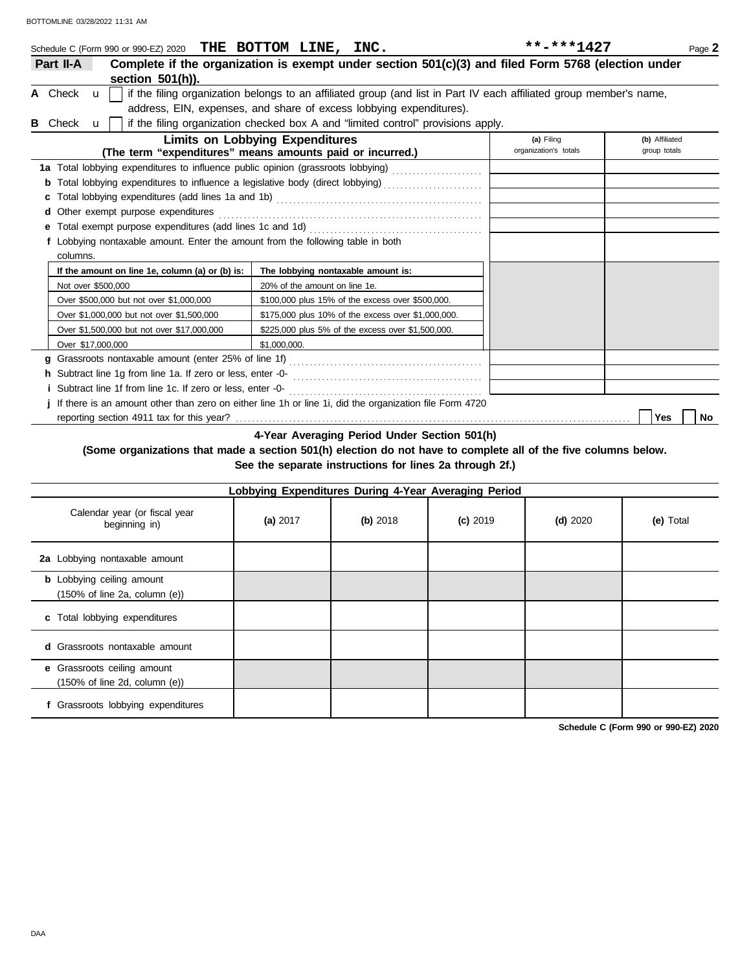|   | Schedule C (Form 990 or 990-EZ) 2020 THE BOTTOM LINE, INC.                                                |                                                                                                                     | **-***1427 | Page 2 |  |  |  |  |
|---|-----------------------------------------------------------------------------------------------------------|---------------------------------------------------------------------------------------------------------------------|------------|--------|--|--|--|--|
|   | Part II-A                                                                                                 | Complete if the organization is exempt under section 501(c)(3) and filed Form 5768 (election under                  |            |        |  |  |  |  |
|   | section 501(h)).                                                                                          |                                                                                                                     |            |        |  |  |  |  |
|   | A Check $\mathbf{u}$                                                                                      | if the filing organization belongs to an affiliated group (and list in Part IV each affiliated group member's name, |            |        |  |  |  |  |
|   |                                                                                                           | address, EIN, expenses, and share of excess lobbying expenditures).                                                 |            |        |  |  |  |  |
| в | if the filing organization checked box A and "limited control" provisions apply.<br>Check<br>$\mathbf{u}$ |                                                                                                                     |            |        |  |  |  |  |
|   | <b>Limits on Lobbying Expenditures</b><br>(b) Affiliated<br>(a) Filing                                    |                                                                                                                     |            |        |  |  |  |  |
|   | (The term "expenditures" means amounts paid or incurred.)<br>organization's totals<br>group totals        |                                                                                                                     |            |        |  |  |  |  |
|   |                                                                                                           |                                                                                                                     |            |        |  |  |  |  |
|   | <b>b</b> Total lobbying expenditures to influence a legislative body (direct lobbying)                    |                                                                                                                     |            |        |  |  |  |  |
|   |                                                                                                           |                                                                                                                     |            |        |  |  |  |  |
|   | Other exempt purpose expenditures                                                                         |                                                                                                                     |            |        |  |  |  |  |
|   |                                                                                                           |                                                                                                                     |            |        |  |  |  |  |
|   | f Lobbying nontaxable amount. Enter the amount from the following table in both                           |                                                                                                                     |            |        |  |  |  |  |
|   | columns.                                                                                                  |                                                                                                                     |            |        |  |  |  |  |
|   | If the amount on line 1e, column (a) or (b) is:                                                           | The lobbying nontaxable amount is:                                                                                  |            |        |  |  |  |  |
|   | Not over \$500,000                                                                                        | 20% of the amount on line 1e.                                                                                       |            |        |  |  |  |  |
|   | Over \$500,000 but not over \$1,000,000                                                                   | \$100,000 plus 15% of the excess over \$500,000.                                                                    |            |        |  |  |  |  |
|   | Over \$1,000,000 but not over \$1,500,000                                                                 | \$175,000 plus 10% of the excess over \$1,000,000.                                                                  |            |        |  |  |  |  |
|   | Over \$1,500,000 but not over \$17,000,000                                                                | \$225,000 plus 5% of the excess over \$1,500,000.                                                                   |            |        |  |  |  |  |
|   | Over \$17,000,000                                                                                         | \$1,000,000.                                                                                                        |            |        |  |  |  |  |
|   | a                                                                                                         |                                                                                                                     |            |        |  |  |  |  |
|   | h Subtract line 1g from line 1a. If zero or less, enter -0-                                               |                                                                                                                     |            |        |  |  |  |  |
|   | <i>i</i> Subtract line 1f from line 1c. If zero or less, enter -0-                                        |                                                                                                                     |            |        |  |  |  |  |
|   | If there is an amount other than zero on either line 1h or line 1i, did the organization file Form 4720   |                                                                                                                     |            |        |  |  |  |  |

reporting section 4911 tax for this year? . . . . . . . . . . . . . . . . . . . . . . . . . . . . . . . . . . . . . . . . . . . . . . . . . . . . . . . . . . . . . . . . . . . . . . . . . . . . . . . . . . . . . . . . . . . . . . . . **Yes No**

**4-Year Averaging Period Under Section 501(h)**

#### **(Some organizations that made a section 501(h) election do not have to complete all of the five columns below. See the separate instructions for lines 2a through 2f.)**

| Lobbying Expenditures During 4-Year Averaging Period                                   |          |          |            |            |           |  |  |
|----------------------------------------------------------------------------------------|----------|----------|------------|------------|-----------|--|--|
| Calendar year (or fiscal year<br>beginning in)                                         | (a) 2017 | (b) 2018 | $(c)$ 2019 | $(d)$ 2020 | (e) Total |  |  |
| 2a Lobbying nontaxable amount                                                          |          |          |            |            |           |  |  |
| <b>b</b> Lobbying ceiling amount<br>$(150\% \text{ of line } 2a, \text{ column } (e))$ |          |          |            |            |           |  |  |
| c Total lobbying expenditures                                                          |          |          |            |            |           |  |  |
| <b>d</b> Grassroots nontaxable amount                                                  |          |          |            |            |           |  |  |
| e Grassroots ceiling amount<br>$(150\% \text{ of line } 2d, \text{ column } (e))$      |          |          |            |            |           |  |  |
| f Grassroots lobbying expenditures                                                     |          |          |            |            |           |  |  |

**Schedule C (Form 990 or 990-EZ) 2020**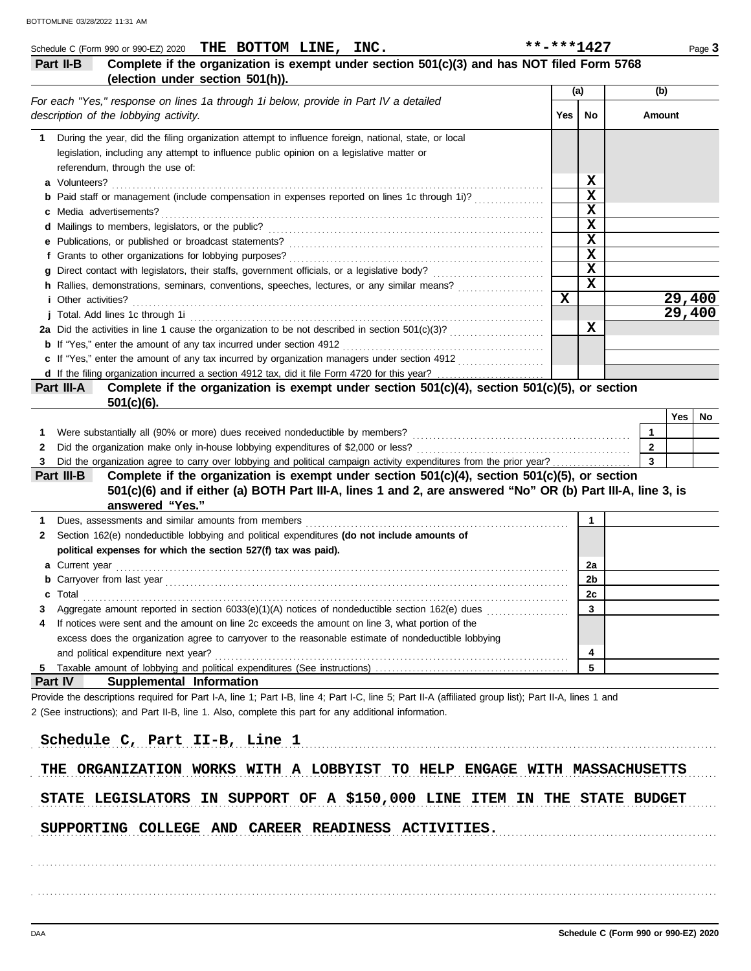|   | Schedule C (Form 990 or 990-EZ) 2020 THE BOTTOM $LINE$ , INC.                                                                                         | **-***1427  |             |                |     | Page 3 |
|---|-------------------------------------------------------------------------------------------------------------------------------------------------------|-------------|-------------|----------------|-----|--------|
|   | Complete if the organization is exempt under section 501(c)(3) and has NOT filed Form 5768<br>Part II-B                                               |             |             |                |     |        |
|   | (election under section 501(h)).                                                                                                                      |             |             |                |     |        |
|   | For each "Yes," response on lines 1a through 1i below, provide in Part IV a detailed                                                                  |             | (a)         | (b)            |     |        |
|   | description of the lobbying activity.                                                                                                                 | Yes         | No          | Amount         |     |        |
|   | During the year, did the filing organization attempt to influence foreign, national, state, or local                                                  |             |             |                |     |        |
|   | legislation, including any attempt to influence public opinion on a legislative matter or                                                             |             |             |                |     |        |
|   | referendum, through the use of:                                                                                                                       |             |             |                |     |        |
|   | a Volunteers?                                                                                                                                         |             | X           |                |     |        |
|   | <b>b</b> Paid staff or management (include compensation in expenses reported on lines 1c through 1i)?                                                 |             | X           |                |     |        |
|   | c Media advertisements?                                                                                                                               |             | $\mathbf x$ |                |     |        |
|   |                                                                                                                                                       |             | $\mathbf x$ |                |     |        |
|   | e Publications, or published or broadcast statements?                                                                                                 |             | $\mathbf x$ |                |     |        |
|   | f Grants to other organizations for lobbying purposes?                                                                                                |             | $\mathbf x$ |                |     |        |
|   |                                                                                                                                                       |             | $\mathbf x$ |                |     |        |
|   | h Rallies, demonstrations, seminars, conventions, speeches, lectures, or any similar means?                                                           |             | X           |                |     |        |
|   | <i>i</i> Other activities?                                                                                                                            | $\mathbf x$ |             |                |     | 29,400 |
|   | j Total. Add lines 1c through 1i                                                                                                                      |             |             |                |     | 29,400 |
|   | 2a Did the activities in line 1 cause the organization to be not described in section 501(c)(3)?                                                      |             | X           |                |     |        |
|   | <b>b</b> If "Yes," enter the amount of any tax incurred under section 4912                                                                            |             |             |                |     |        |
|   | c If "Yes," enter the amount of any tax incurred by organization managers under section 4912                                                          |             |             |                |     |        |
|   |                                                                                                                                                       |             |             |                |     |        |
|   | Complete if the organization is exempt under section 501(c)(4), section 501(c)(5), or section<br>Part III-A                                           |             |             |                |     |        |
|   | $501(c)(6)$ .                                                                                                                                         |             |             |                |     |        |
|   |                                                                                                                                                       |             |             |                | Yes | No     |
| 1 | Were substantially all (90% or more) dues received nondeductible by members?                                                                          |             |             | 1              |     |        |
| 2 | Did the organization make only in-house lobbying expenditures of \$2,000 or less?                                                                     |             |             | $\overline{2}$ |     |        |
| З | Did the organization agree to carry over lobbying and political campaign activity expenditures from the prior year?                                   |             |             | 3              |     |        |
|   | Complete if the organization is exempt under section 501(c)(4), section 501(c)(5), or section<br>Part III-B                                           |             |             |                |     |        |
|   | 501(c)(6) and if either (a) BOTH Part III-A, lines 1 and 2, are answered "No" OR (b) Part III-A, line 3, is                                           |             |             |                |     |        |
|   | answered "Yes."                                                                                                                                       |             |             |                |     |        |
| 1 | Dues, assessments and similar amounts from members                                                                                                    |             | 1           |                |     |        |
| 2 | Section 162(e) nondeductible lobbying and political expenditures (do not include amounts of                                                           |             |             |                |     |        |
|   | political expenses for which the section 527(f) tax was paid).                                                                                        |             |             |                |     |        |
|   | <b>a</b> Current year                                                                                                                                 |             | 2a          |                |     |        |
|   | <b>b</b> Carryover from last year <i>manual content content content of the carryover from last year</i>                                               |             | 2b          |                |     |        |
| c | Total                                                                                                                                                 |             | 2c          |                |     |        |
| 3 | Aggregate amount reported in section $6033(e)(1)(A)$ notices of nondeductible section $162(e)$ dues                                                   |             | 3           |                |     |        |
| 4 | If notices were sent and the amount on line 2c exceeds the amount on line 3, what portion of the                                                      |             |             |                |     |        |
|   | excess does the organization agree to carryover to the reasonable estimate of nondeductible lobbying                                                  |             |             |                |     |        |
|   | and political expenditure next year?                                                                                                                  |             | 4           |                |     |        |
| 5 |                                                                                                                                                       |             | 5           |                |     |        |
|   | <b>Part IV</b><br>Supplemental Information                                                                                                            |             |             |                |     |        |
|   | Provide the descriptions required for Part I-A, line 1; Part I-B, line 4; Part I-C, line 5; Part II-A (affiliated group list); Part II-A, lines 1 and |             |             |                |     |        |
|   | 2 (See instructions); and Part II-B, line 1. Also, complete this part for any additional information.                                                 |             |             |                |     |        |
|   |                                                                                                                                                       |             |             |                |     |        |
|   | Schedule C, Part II-B, Line 1                                                                                                                         |             |             |                |     |        |
|   |                                                                                                                                                       |             |             |                |     |        |
|   | THE ORGANIZATION WORKS WITH A LOBBYIST TO HELP ENGAGE WITH MASSACHUSETTS                                                                              |             |             |                |     |        |
|   |                                                                                                                                                       |             |             |                |     |        |
|   | STATE LEGISLATORS IN SUPPORT OF A \$150,000 LINE ITEM IN THE STATE BUDGET                                                                             |             |             |                |     |        |
|   |                                                                                                                                                       |             |             |                |     |        |
|   | SUPPORTING COLLEGE AND CAREER READINESS ACTIVITIES.                                                                                                   |             |             |                |     |        |
|   |                                                                                                                                                       |             |             |                |     |        |
|   |                                                                                                                                                       |             |             |                |     |        |
|   |                                                                                                                                                       |             |             |                |     |        |
|   |                                                                                                                                                       |             |             |                |     |        |
|   |                                                                                                                                                       |             |             |                |     |        |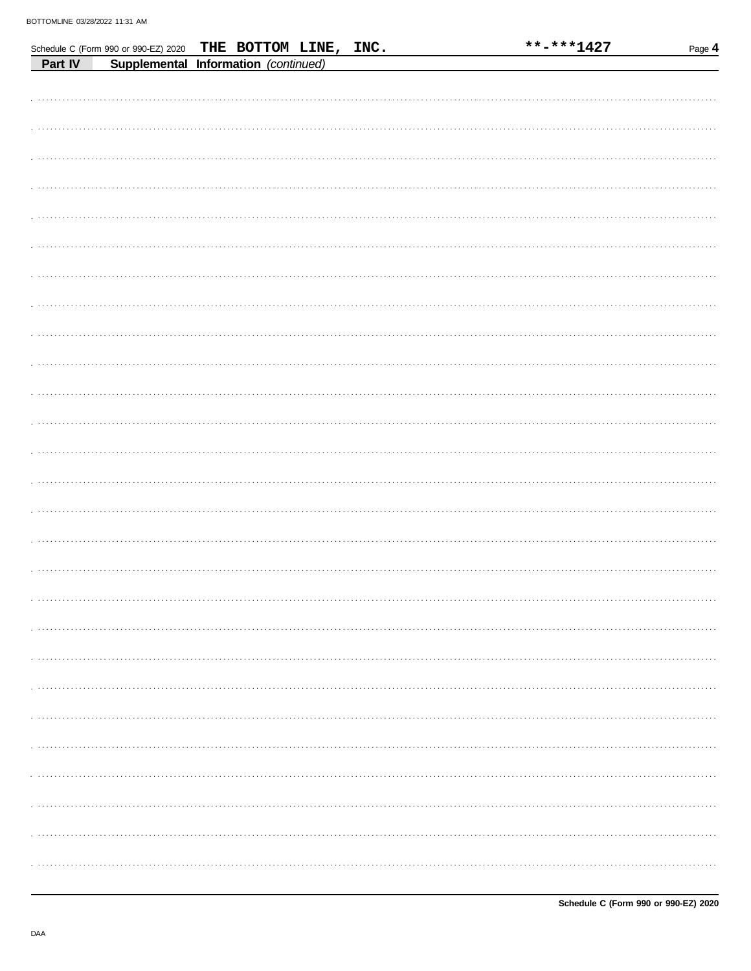|         | Schedule C (Form 990 or 990-EZ) 2020 |  | THE BOTTOM LINE, INC. |  | **-***1427 | Page 4 |
|---------|--------------------------------------|--|-----------------------|--|------------|--------|
| Part IV | Supplemental Information (continued) |  |                       |  |            |        |
|         |                                      |  |                       |  |            |        |
|         |                                      |  |                       |  |            |        |
|         |                                      |  |                       |  |            |        |
|         |                                      |  |                       |  |            |        |
|         |                                      |  |                       |  |            |        |
|         |                                      |  |                       |  |            |        |
|         |                                      |  |                       |  |            |        |
|         |                                      |  |                       |  |            |        |
|         |                                      |  |                       |  |            |        |
|         |                                      |  |                       |  |            |        |
|         |                                      |  |                       |  |            |        |
|         |                                      |  |                       |  |            |        |
|         |                                      |  |                       |  |            |        |
|         |                                      |  |                       |  |            |        |
|         |                                      |  |                       |  |            |        |
|         |                                      |  |                       |  |            |        |
|         |                                      |  |                       |  |            |        |
|         |                                      |  |                       |  |            |        |
|         |                                      |  |                       |  |            |        |
|         |                                      |  |                       |  |            |        |
|         |                                      |  |                       |  |            |        |
|         |                                      |  |                       |  |            |        |
|         |                                      |  |                       |  |            |        |
|         |                                      |  |                       |  |            |        |
|         |                                      |  |                       |  |            |        |
|         |                                      |  |                       |  |            |        |
|         |                                      |  |                       |  |            |        |
|         |                                      |  |                       |  |            |        |
|         |                                      |  |                       |  |            |        |
|         |                                      |  |                       |  |            |        |
|         |                                      |  |                       |  |            |        |
|         |                                      |  |                       |  |            |        |
|         |                                      |  |                       |  |            |        |
|         |                                      |  |                       |  |            |        |
|         |                                      |  |                       |  |            |        |
|         |                                      |  |                       |  |            |        |
|         |                                      |  |                       |  |            |        |
|         |                                      |  |                       |  |            |        |
|         |                                      |  |                       |  |            |        |
|         |                                      |  |                       |  |            |        |
|         |                                      |  |                       |  |            |        |
|         |                                      |  |                       |  |            |        |
|         |                                      |  |                       |  |            |        |
|         |                                      |  |                       |  |            |        |
|         |                                      |  |                       |  |            |        |
|         |                                      |  |                       |  |            |        |
|         |                                      |  |                       |  |            |        |
|         |                                      |  |                       |  |            |        |
|         |                                      |  |                       |  |            |        |
|         |                                      |  |                       |  |            |        |
|         |                                      |  |                       |  |            |        |
|         |                                      |  |                       |  |            |        |
|         |                                      |  |                       |  |            |        |
|         |                                      |  |                       |  |            |        |
|         |                                      |  |                       |  |            |        |
|         |                                      |  |                       |  |            |        |
|         |                                      |  |                       |  |            |        |
|         |                                      |  |                       |  |            |        |

\*\*-\*\*\*1427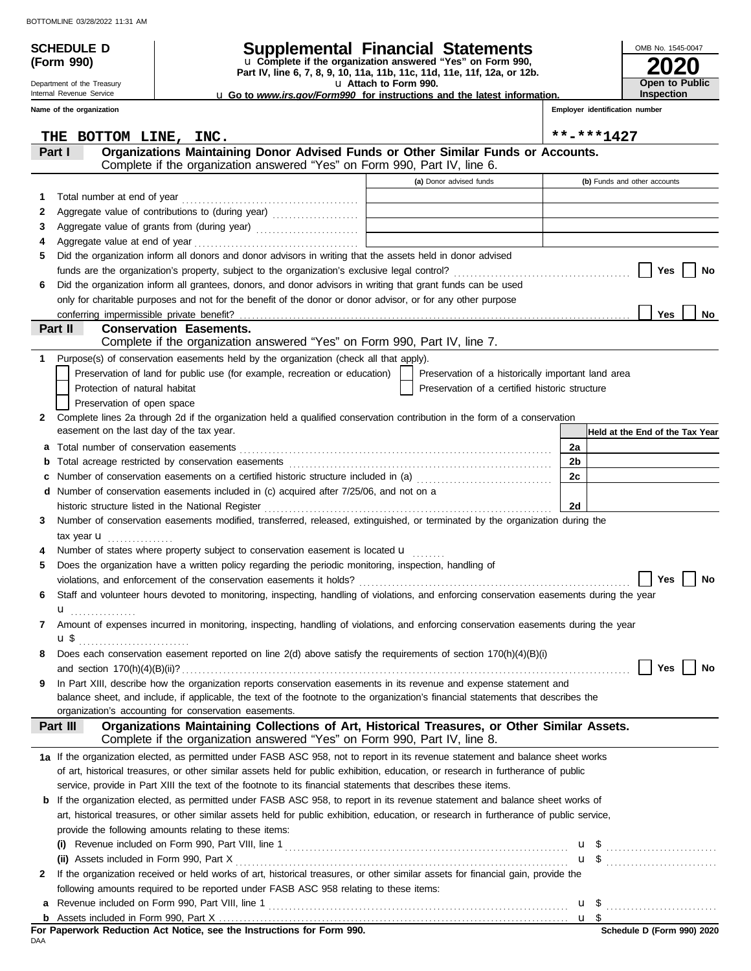**(Form 990)**

Department of the Treasury Internal Revenue Service

## **SCHEDULE D Supplemental Financial Statements**

**Part IV, line 6, 7, 8, 9, 10, 11a, 11b, 11c, 11d, 11e, 11f, 12a, or 12b.** u **Complete if the organization answered "Yes" on Form 990,**

u **Attach to Form 990.** 

u **Go to** *www.irs.gov/Form990* **for instructions and the latest information.**

**Inspection**

**2020**

**Open to Public**

OMB No. 1545-0047

|              | Name of the organization                                                                                                                                                              |                                                    |    | Employer identification number  |
|--------------|---------------------------------------------------------------------------------------------------------------------------------------------------------------------------------------|----------------------------------------------------|----|---------------------------------|
|              | THE BOTTOM LINE, INC.                                                                                                                                                                 |                                                    |    | **-***1427                      |
|              | Organizations Maintaining Donor Advised Funds or Other Similar Funds or Accounts.<br>Part I                                                                                           |                                                    |    |                                 |
|              | Complete if the organization answered "Yes" on Form 990, Part IV, line 6.                                                                                                             |                                                    |    |                                 |
|              |                                                                                                                                                                                       | (a) Donor advised funds                            |    | (b) Funds and other accounts    |
| 1            | Total number at end of year                                                                                                                                                           |                                                    |    |                                 |
| 2            | Aggregate value of contributions to (during year) [1] [1] [1] [1] [1] Aggregate value of contributions to (during year)                                                               |                                                    |    |                                 |
| 3            | Aggregate value of grants from (during year)                                                                                                                                          |                                                    |    |                                 |
| 4            |                                                                                                                                                                                       |                                                    |    |                                 |
| 5            | Did the organization inform all donors and donor advisors in writing that the assets held in donor advised                                                                            |                                                    |    |                                 |
|              |                                                                                                                                                                                       |                                                    |    | Yes<br>No                       |
| 6            | Did the organization inform all grantees, donors, and donor advisors in writing that grant funds can be used                                                                          |                                                    |    |                                 |
|              | only for charitable purposes and not for the benefit of the donor or donor advisor, or for any other purpose                                                                          |                                                    |    | Yes                             |
|              | conferring impermissible private benefit?<br>Part II<br><b>Conservation Easements.</b>                                                                                                |                                                    |    | No                              |
|              | Complete if the organization answered "Yes" on Form 990, Part IV, line 7.                                                                                                             |                                                    |    |                                 |
| 1            | Purpose(s) of conservation easements held by the organization (check all that apply).                                                                                                 |                                                    |    |                                 |
|              | Preservation of land for public use (for example, recreation or education)                                                                                                            | Preservation of a historically important land area |    |                                 |
|              | Protection of natural habitat                                                                                                                                                         | Preservation of a certified historic structure     |    |                                 |
|              | Preservation of open space                                                                                                                                                            |                                                    |    |                                 |
| $\mathbf{2}$ | Complete lines 2a through 2d if the organization held a qualified conservation contribution in the form of a conservation                                                             |                                                    |    |                                 |
|              | easement on the last day of the tax year.                                                                                                                                             |                                                    |    | Held at the End of the Tax Year |
| а            |                                                                                                                                                                                       |                                                    | 2a |                                 |
| b            |                                                                                                                                                                                       |                                                    | 2b |                                 |
| с            | Number of conservation easements on a certified historic structure included in (a) [[[[[[[[[[[[[[[[[[[[[[[[[]]]]]]]                                                                   |                                                    | 2c |                                 |
| d            | Number of conservation easements included in (c) acquired after 7/25/06, and not on a                                                                                                 |                                                    |    |                                 |
|              | historic structure listed in the National Register                                                                                                                                    |                                                    | 2d |                                 |
| 3            | Number of conservation easements modified, transferred, released, extinguished, or terminated by the organization during the                                                          |                                                    |    |                                 |
|              | tax year $\mathbf u$                                                                                                                                                                  |                                                    |    |                                 |
|              | Number of states where property subject to conservation easement is located <b>u</b>                                                                                                  |                                                    |    |                                 |
| 5            | Does the organization have a written policy regarding the periodic monitoring, inspection, handling of                                                                                |                                                    |    |                                 |
|              |                                                                                                                                                                                       |                                                    |    | <b>No</b><br>Yes                |
| 6            | Staff and volunteer hours devoted to monitoring, inspecting, handling of violations, and enforcing conservation easements during the year                                             |                                                    |    |                                 |
|              | u <sub></sub>                                                                                                                                                                         |                                                    |    |                                 |
| 7            | Amount of expenses incurred in monitoring, inspecting, handling of violations, and enforcing conservation easements during the year                                                   |                                                    |    |                                 |
|              | $\mathbf{u}$                                                                                                                                                                          |                                                    |    |                                 |
| 8            | Does each conservation easement reported on line 2(d) above satisfy the requirements of section 170(h)(4)(B)(i)                                                                       |                                                    |    |                                 |
|              |                                                                                                                                                                                       |                                                    |    | No<br>Yes                       |
| 9            | In Part XIII, describe how the organization reports conservation easements in its revenue and expense statement and                                                                   |                                                    |    |                                 |
|              | balance sheet, and include, if applicable, the text of the footnote to the organization's financial statements that describes the                                                     |                                                    |    |                                 |
|              | organization's accounting for conservation easements.                                                                                                                                 |                                                    |    |                                 |
|              | Organizations Maintaining Collections of Art, Historical Treasures, or Other Similar Assets.<br>Part III<br>Complete if the organization answered "Yes" on Form 990, Part IV, line 8. |                                                    |    |                                 |
|              | 1a If the organization elected, as permitted under FASB ASC 958, not to report in its revenue statement and balance sheet works                                                       |                                                    |    |                                 |
|              | of art, historical treasures, or other similar assets held for public exhibition, education, or research in furtherance of public                                                     |                                                    |    |                                 |
|              | service, provide in Part XIII the text of the footnote to its financial statements that describes these items.                                                                        |                                                    |    |                                 |
|              | <b>b</b> If the organization elected, as permitted under FASB ASC 958, to report in its revenue statement and balance sheet works of                                                  |                                                    |    |                                 |
|              | art, historical treasures, or other similar assets held for public exhibition, education, or research in furtherance of public service,                                               |                                                    |    |                                 |
|              | provide the following amounts relating to these items:                                                                                                                                |                                                    |    |                                 |
|              |                                                                                                                                                                                       |                                                    |    | $\mathbf{u}$ \$                 |
|              | (ii) Assets included in Form 990, Part X                                                                                                                                              |                                                    |    |                                 |
| 2            | If the organization received or held works of art, historical treasures, or other similar assets for financial gain, provide the                                                      |                                                    |    |                                 |
|              | following amounts required to be reported under FASB ASC 958 relating to these items:                                                                                                 |                                                    |    |                                 |
|              | a Revenue included on Form 990, Part VIII, line 1                                                                                                                                     |                                                    |    | u \$                            |

<u>u \$</u>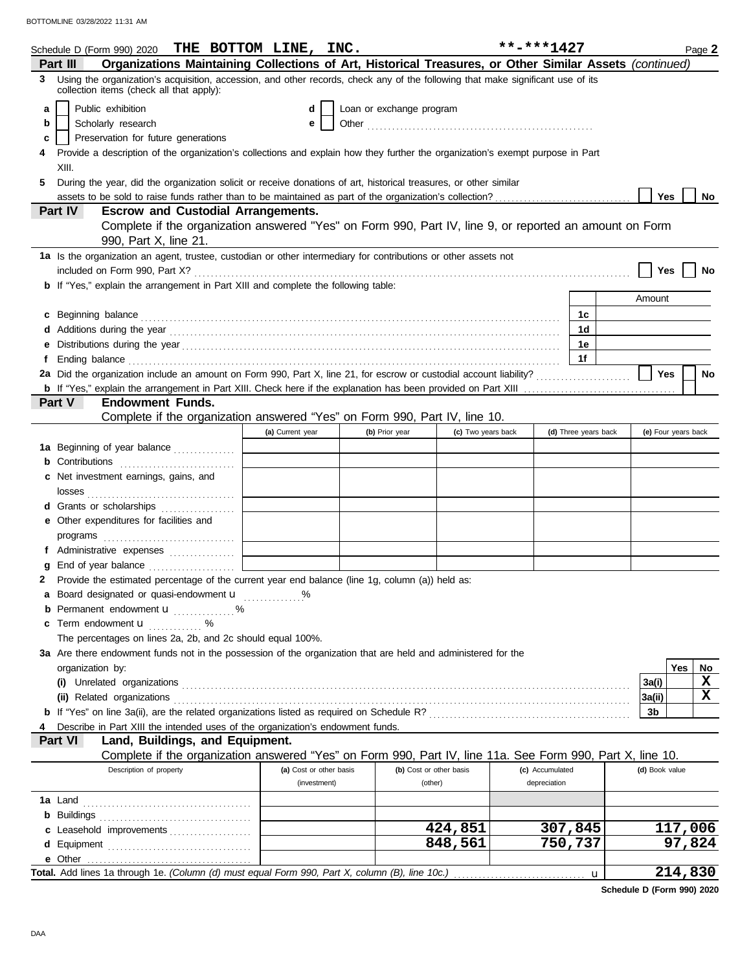|   | Schedule D (Form 990) 2020 THE BOTTOM LINE, INC.                                                                                                                                                                                     |                         |                          |                         | **-***1427      |                      |                | Page 2              |
|---|--------------------------------------------------------------------------------------------------------------------------------------------------------------------------------------------------------------------------------------|-------------------------|--------------------------|-------------------------|-----------------|----------------------|----------------|---------------------|
|   | Organizations Maintaining Collections of Art, Historical Treasures, or Other Similar Assets (continued)<br>Part III                                                                                                                  |                         |                          |                         |                 |                      |                |                     |
|   | 3 Using the organization's acquisition, accession, and other records, check any of the following that make significant use of its<br>collection items (check all that apply):                                                        |                         |                          |                         |                 |                      |                |                     |
| a | Public exhibition                                                                                                                                                                                                                    | d                       | Loan or exchange program |                         |                 |                      |                |                     |
| b | Scholarly research                                                                                                                                                                                                                   | е                       |                          |                         |                 |                      |                |                     |
| c | Preservation for future generations                                                                                                                                                                                                  |                         |                          |                         |                 |                      |                |                     |
|   | Provide a description of the organization's collections and explain how they further the organization's exempt purpose in Part                                                                                                       |                         |                          |                         |                 |                      |                |                     |
|   | XIII.                                                                                                                                                                                                                                |                         |                          |                         |                 |                      |                |                     |
| 5 | During the year, did the organization solicit or receive donations of art, historical treasures, or other similar                                                                                                                    |                         |                          |                         |                 |                      |                |                     |
|   |                                                                                                                                                                                                                                      |                         |                          |                         |                 |                      | <b>Yes</b>     | No                  |
|   | <b>Escrow and Custodial Arrangements.</b><br>Part IV                                                                                                                                                                                 |                         |                          |                         |                 |                      |                |                     |
|   | Complete if the organization answered "Yes" on Form 990, Part IV, line 9, or reported an amount on Form                                                                                                                              |                         |                          |                         |                 |                      |                |                     |
|   | 990, Part X, line 21.                                                                                                                                                                                                                |                         |                          |                         |                 |                      |                |                     |
|   | 1a Is the organization an agent, trustee, custodian or other intermediary for contributions or other assets not                                                                                                                      |                         |                          |                         |                 |                      |                |                     |
|   |                                                                                                                                                                                                                                      |                         |                          |                         |                 |                      | Yes            | No                  |
|   | <b>b</b> If "Yes," explain the arrangement in Part XIII and complete the following table:                                                                                                                                            |                         |                          |                         |                 |                      |                |                     |
|   |                                                                                                                                                                                                                                      |                         |                          |                         |                 |                      | Amount         |                     |
|   | c Beginning balance <b>contract to the contract of the set of the contract of the contract of the contract of the contract of the contract of the contract of the contract of the contract of the contract of the contract of th</b> |                         |                          |                         |                 | 1c                   |                |                     |
| d | Additions during the year contains and according to the year contained and year and year and year and year and year and year and year and year and year and year and year and year and year and year and year and year and yea       |                         |                          |                         |                 | 1d                   |                |                     |
| е |                                                                                                                                                                                                                                      |                         |                          |                         |                 | 1е                   |                |                     |
| f | Ending balance <b>constructs</b> and constructs and constructs and constructs and constructs and constructs and constructs and constructs and constructs and constructs and constructs and constructs and constructs and constructs  |                         |                          |                         |                 | 1f                   |                |                     |
|   |                                                                                                                                                                                                                                      |                         |                          |                         |                 |                      | Yes            | No                  |
|   |                                                                                                                                                                                                                                      |                         |                          |                         |                 |                      |                |                     |
|   | <b>Endowment Funds.</b><br>Part V                                                                                                                                                                                                    |                         |                          |                         |                 |                      |                |                     |
|   | Complete if the organization answered "Yes" on Form 990, Part IV, line 10.                                                                                                                                                           |                         |                          |                         |                 |                      |                |                     |
|   |                                                                                                                                                                                                                                      | (a) Current year        | (b) Prior year           | (c) Two years back      |                 | (d) Three years back |                | (e) Four years back |
|   | 1a Beginning of year balance                                                                                                                                                                                                         |                         |                          |                         |                 |                      |                |                     |
|   | <b>b</b> Contributions <b>contributions</b>                                                                                                                                                                                          |                         |                          |                         |                 |                      |                |                     |
|   | c Net investment earnings, gains, and                                                                                                                                                                                                |                         |                          |                         |                 |                      |                |                     |
|   |                                                                                                                                                                                                                                      |                         |                          |                         |                 |                      |                |                     |
|   | d Grants or scholarships                                                                                                                                                                                                             |                         |                          |                         |                 |                      |                |                     |
|   | e Other expenditures for facilities and                                                                                                                                                                                              |                         |                          |                         |                 |                      |                |                     |
|   |                                                                                                                                                                                                                                      |                         |                          |                         |                 |                      |                |                     |
| f | Administrative expenses                                                                                                                                                                                                              |                         |                          |                         |                 |                      |                |                     |
| g | Provide the estimated percentage of the current year end balance (line 1g, column (a)) held as:                                                                                                                                      |                         |                          |                         |                 |                      |                |                     |
| 2 | a Board designated or quasi-endowment u                                                                                                                                                                                              |                         |                          |                         |                 |                      |                |                     |
| b | Permanent endowment <b>u</b> %                                                                                                                                                                                                       |                         |                          |                         |                 |                      |                |                     |
|   | c Term endowment <b>u</b> %                                                                                                                                                                                                          |                         |                          |                         |                 |                      |                |                     |
|   | The percentages on lines 2a, 2b, and 2c should equal 100%.                                                                                                                                                                           |                         |                          |                         |                 |                      |                |                     |
|   | 3a Are there endowment funds not in the possession of the organization that are held and administered for the                                                                                                                        |                         |                          |                         |                 |                      |                |                     |
|   | organization by:                                                                                                                                                                                                                     |                         |                          |                         |                 |                      |                | Yes<br>No           |
|   |                                                                                                                                                                                                                                      |                         |                          |                         |                 |                      | 3a(i)          | X                   |
|   |                                                                                                                                                                                                                                      |                         |                          |                         |                 |                      | 3a(ii)         | х                   |
|   |                                                                                                                                                                                                                                      |                         |                          |                         |                 |                      | 3b             |                     |
|   | Describe in Part XIII the intended uses of the organization's endowment funds.                                                                                                                                                       |                         |                          |                         |                 |                      |                |                     |
|   | Land, Buildings, and Equipment.<br>Part VI                                                                                                                                                                                           |                         |                          |                         |                 |                      |                |                     |
|   | Complete if the organization answered "Yes" on Form 990, Part IV, line 11a. See Form 990, Part X, line 10.                                                                                                                           |                         |                          |                         |                 |                      |                |                     |
|   | Description of property                                                                                                                                                                                                              | (a) Cost or other basis |                          | (b) Cost or other basis | (c) Accumulated |                      | (d) Book value |                     |
|   |                                                                                                                                                                                                                                      | (investment)            |                          | (other)                 | depreciation    |                      |                |                     |
|   |                                                                                                                                                                                                                                      |                         |                          |                         |                 |                      |                |                     |
|   |                                                                                                                                                                                                                                      |                         |                          |                         |                 |                      |                |                     |
|   | c Leasehold improvements                                                                                                                                                                                                             |                         |                          | 424,851                 |                 | 307,845              |                | 117,006             |
| d |                                                                                                                                                                                                                                      |                         |                          | 848,561                 |                 | 750,737              |                | 97,824              |
|   | e Other                                                                                                                                                                                                                              |                         |                          |                         |                 |                      |                |                     |
|   | Total. Add lines 1a through 1e. (Column (d) must equal Form 990, Part X, column (B), line 10c.)                                                                                                                                      |                         |                          |                         |                 | u                    |                | 214,830             |

**Schedule D (Form 990) 2020**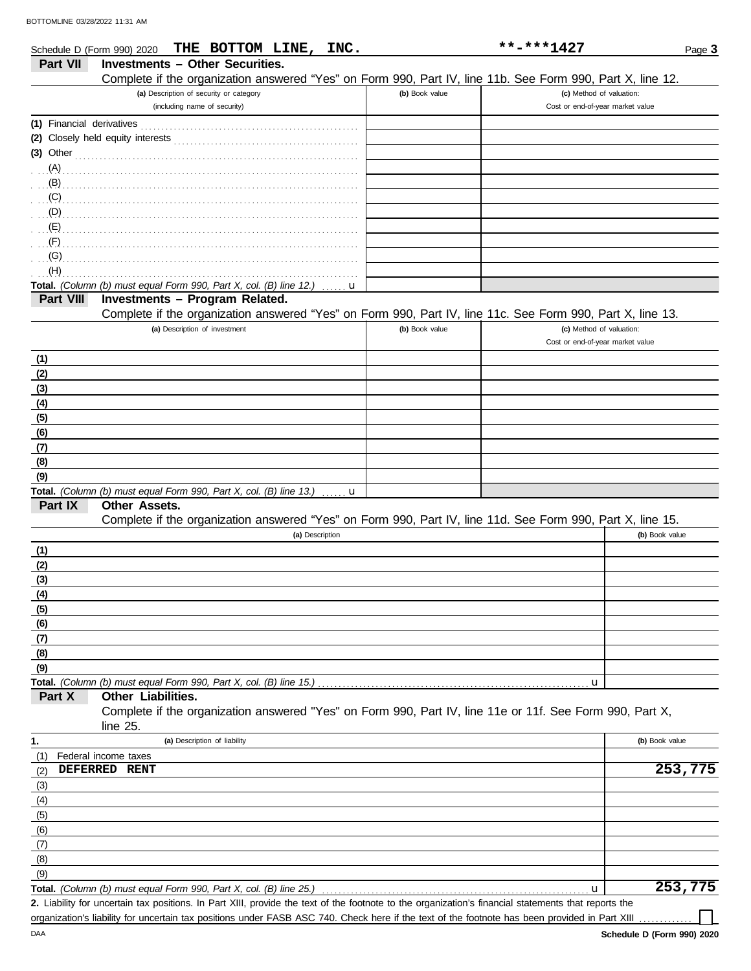| Schedule D (Form 990) 2020 | THE BOTTOM LINE, INC.                                                                                      |                | **-***1427                       | Page 3               |
|----------------------------|------------------------------------------------------------------------------------------------------------|----------------|----------------------------------|----------------------|
| <b>Part VII</b>            | <b>Investments - Other Securities.</b>                                                                     |                |                                  |                      |
|                            | Complete if the organization answered "Yes" on Form 990, Part IV, line 11b. See Form 990, Part X, line 12. |                |                                  |                      |
|                            | (a) Description of security or category                                                                    | (b) Book value | (c) Method of valuation:         |                      |
|                            | (including name of security)                                                                               |                | Cost or end-of-year market value |                      |
|                            |                                                                                                            |                |                                  |                      |
|                            | (2) Closely held equity interests                                                                          |                |                                  |                      |
|                            | $(3)$ Other                                                                                                |                |                                  |                      |
| (A)                        |                                                                                                            |                |                                  |                      |
| $\mathbf{B}$               |                                                                                                            |                |                                  |                      |
| (C)                        |                                                                                                            |                |                                  |                      |
| (D)                        |                                                                                                            |                |                                  |                      |
| (E)                        |                                                                                                            |                |                                  |                      |
| (F)                        |                                                                                                            |                |                                  |                      |
| (G)                        |                                                                                                            |                |                                  |                      |
| (H)                        |                                                                                                            |                |                                  |                      |
|                            | Total. (Column (b) must equal Form 990, Part X, col. (B) line 12.)<br>u                                    |                |                                  |                      |
| Part VIII                  | Investments - Program Related.                                                                             |                |                                  |                      |
|                            | Complete if the organization answered "Yes" on Form 990, Part IV, line 11c. See Form 990, Part X, line 13. |                |                                  |                      |
|                            | (a) Description of investment                                                                              | (b) Book value | (c) Method of valuation:         |                      |
|                            |                                                                                                            |                | Cost or end-of-year market value |                      |
| (1)                        |                                                                                                            |                |                                  |                      |
| (2)                        |                                                                                                            |                |                                  |                      |
| (3)                        |                                                                                                            |                |                                  |                      |
| (4)                        |                                                                                                            |                |                                  |                      |
| (5)                        |                                                                                                            |                |                                  |                      |
| (6)                        |                                                                                                            |                |                                  |                      |
| (7)                        |                                                                                                            |                |                                  |                      |
| (8)                        |                                                                                                            |                |                                  |                      |
| (9)                        |                                                                                                            |                |                                  |                      |
|                            | Total. (Column (b) must equal Form 990, Part X, col. (B) line 13.)<br>u                                    |                |                                  |                      |
| Part IX                    | <b>Other Assets.</b>                                                                                       |                |                                  |                      |
|                            | Complete if the organization answered "Yes" on Form 990, Part IV, line 11d. See Form 990, Part X, line 15. |                |                                  |                      |
|                            | (a) Description                                                                                            |                |                                  | (b) Book value       |
| (1)                        |                                                                                                            |                |                                  |                      |
| (2)                        |                                                                                                            |                |                                  |                      |
| (3)                        |                                                                                                            |                |                                  |                      |
| (4)                        |                                                                                                            |                |                                  |                      |
| (5)                        |                                                                                                            |                |                                  |                      |
| (6)                        |                                                                                                            |                |                                  |                      |
| (7)                        |                                                                                                            |                |                                  |                      |
| (8)                        |                                                                                                            |                |                                  |                      |
| (9)                        |                                                                                                            |                |                                  |                      |
|                            | Total. (Column (b) must equal Form 990, Part X, col. (B) line 15.)                                         |                | u                                |                      |
| Part X                     | Other Liabilities.                                                                                         |                |                                  |                      |
|                            | Complete if the organization answered "Yes" on Form 990, Part IV, line 11e or 11f. See Form 990, Part X,   |                |                                  |                      |
|                            | line 25.                                                                                                   |                |                                  |                      |
| 1.                         | (a) Description of liability                                                                               |                |                                  | (b) Book value       |
| (1)                        | Federal income taxes                                                                                       |                |                                  |                      |
| (2)                        | DEFERRED RENT                                                                                              |                |                                  | $\overline{253,775}$ |
| (3)                        |                                                                                                            |                |                                  |                      |
| (4)                        |                                                                                                            |                |                                  |                      |
| (5)                        |                                                                                                            |                |                                  |                      |
| (6)                        |                                                                                                            |                |                                  |                      |
| (7)                        |                                                                                                            |                |                                  |                      |
| (8)                        |                                                                                                            |                |                                  |                      |
| (9)                        |                                                                                                            |                |                                  |                      |
|                            | Total. (Column (b) must equal Form 990, Part X, col. (B) line 25.)                                         |                | u                                | 253,775              |

Liability for uncertain tax positions. In Part XIII, provide the text of the footnote to the organization's financial statements that reports the **2.**

organization's liability for uncertain tax positions under FASB ASC 740. Check here if the text of the footnote has been provided in Part XIII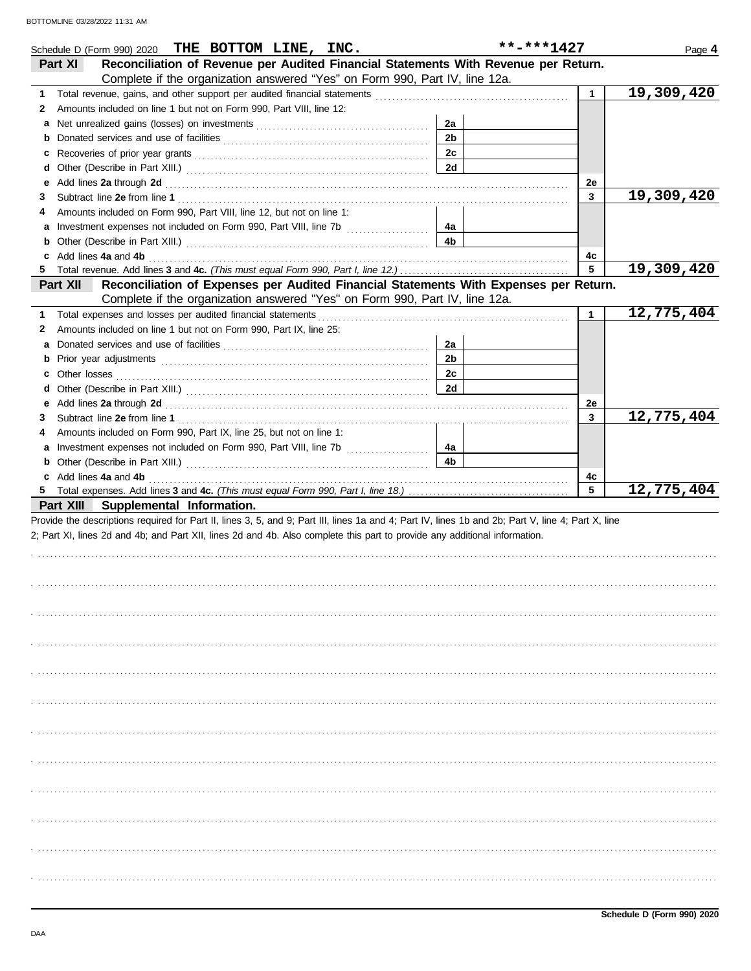| Schedule D (Form 990) 2020 THE BOTTOM LINE, INC.                                                                                                                                                                                    |                | **-***1427   | Page 4     |
|-------------------------------------------------------------------------------------------------------------------------------------------------------------------------------------------------------------------------------------|----------------|--------------|------------|
| Reconciliation of Revenue per Audited Financial Statements With Revenue per Return.<br>Part XI                                                                                                                                      |                |              |            |
| Complete if the organization answered "Yes" on Form 990, Part IV, line 12a.                                                                                                                                                         |                |              |            |
| 1                                                                                                                                                                                                                                   |                | $\mathbf{1}$ | 19,309,420 |
| Amounts included on line 1 but not on Form 990, Part VIII, line 12:<br>2                                                                                                                                                            |                |              |            |
| a                                                                                                                                                                                                                                   | 2a             |              |            |
|                                                                                                                                                                                                                                     | 2 <sub>b</sub> |              |            |
|                                                                                                                                                                                                                                     | 2c             |              |            |
|                                                                                                                                                                                                                                     | <b>2d</b>      |              |            |
| Add lines 2a through 2d [11] All and the contract of the contract of the contract of the contract of the contract of the contract of the contract of the contract of the contract of the contract of the contract of the contr<br>е |                | 2e           |            |
| З                                                                                                                                                                                                                                   |                | $\mathbf{3}$ | 19,309,420 |
| Amounts included on Form 990, Part VIII, line 12, but not on line 1:<br>4                                                                                                                                                           |                |              |            |
|                                                                                                                                                                                                                                     | 4a             |              |            |
|                                                                                                                                                                                                                                     | 4 <sub>b</sub> |              |            |
| c Add lines 4a and 4b                                                                                                                                                                                                               |                | 4с           |            |
| Reconciliation of Expenses per Audited Financial Statements With Expenses per Return.                                                                                                                                               |                | 5            | 19,309,420 |
| Part XII<br>Complete if the organization answered "Yes" on Form 990, Part IV, line 12a.                                                                                                                                             |                |              |            |
| Total expenses and losses per audited financial statements<br>1                                                                                                                                                                     |                | $\mathbf{1}$ | 12,775,404 |
| Amounts included on line 1 but not on Form 990, Part IX, line 25:<br>2                                                                                                                                                              |                |              |            |
|                                                                                                                                                                                                                                     | 2a             |              |            |
| a                                                                                                                                                                                                                                   | 2 <sub>b</sub> |              |            |
|                                                                                                                                                                                                                                     | 2c             |              |            |
|                                                                                                                                                                                                                                     | 2d             |              |            |
| е                                                                                                                                                                                                                                   |                | 2e           |            |
| З                                                                                                                                                                                                                                   |                | 3            | 12,775,404 |
| Amounts included on Form 990, Part IX, line 25, but not on line 1:<br>4                                                                                                                                                             |                |              |            |
|                                                                                                                                                                                                                                     | 4a             |              |            |
|                                                                                                                                                                                                                                     | 4 <sub>b</sub> |              |            |
| c Add lines 4a and 4b (a) and the contract of the state of the state of the state of the state of the state of the state of the state of the state of the state of the state of the state of the state of the state of the sta      |                | 4c           |            |
|                                                                                                                                                                                                                                     |                | 5            | 12,775,404 |
| Part XIII Supplemental Information.                                                                                                                                                                                                 |                |              |            |
| Provide the descriptions required for Part II, lines 3, 5, and 9; Part III, lines 1a and 4; Part IV, lines 1b and 2b; Part V, line 4; Part X, line                                                                                  |                |              |            |
| 2; Part XI, lines 2d and 4b; and Part XII, lines 2d and 4b. Also complete this part to provide any additional information.                                                                                                          |                |              |            |
|                                                                                                                                                                                                                                     |                |              |            |
|                                                                                                                                                                                                                                     |                |              |            |
|                                                                                                                                                                                                                                     |                |              |            |
|                                                                                                                                                                                                                                     |                |              |            |
|                                                                                                                                                                                                                                     |                |              |            |
|                                                                                                                                                                                                                                     |                |              |            |
|                                                                                                                                                                                                                                     |                |              |            |
|                                                                                                                                                                                                                                     |                |              |            |
|                                                                                                                                                                                                                                     |                |              |            |
|                                                                                                                                                                                                                                     |                |              |            |
|                                                                                                                                                                                                                                     |                |              |            |
|                                                                                                                                                                                                                                     |                |              |            |
|                                                                                                                                                                                                                                     |                |              |            |
|                                                                                                                                                                                                                                     |                |              |            |
|                                                                                                                                                                                                                                     |                |              |            |
|                                                                                                                                                                                                                                     |                |              |            |
|                                                                                                                                                                                                                                     |                |              |            |
|                                                                                                                                                                                                                                     |                |              |            |
|                                                                                                                                                                                                                                     |                |              |            |
|                                                                                                                                                                                                                                     |                |              |            |
|                                                                                                                                                                                                                                     |                |              |            |
|                                                                                                                                                                                                                                     |                |              |            |
|                                                                                                                                                                                                                                     |                |              |            |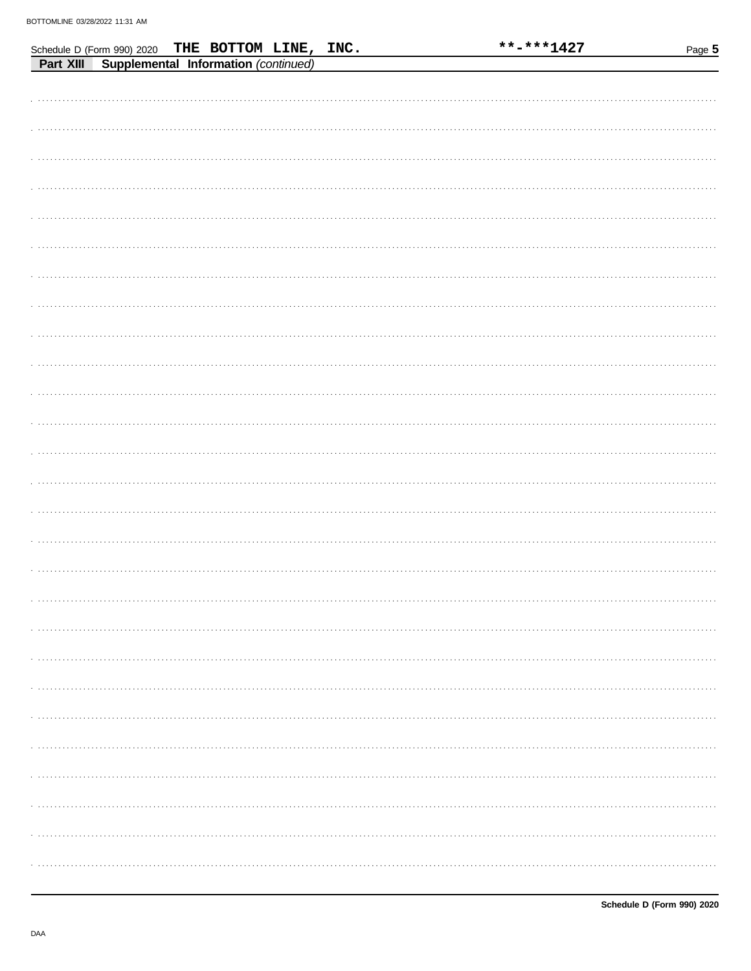|                                                                                                    | **-***1427 | Page 5 |
|----------------------------------------------------------------------------------------------------|------------|--------|
| Schedule D (Form 990) 2020 THE BOTTOM LINE, INC.<br>Part XIII Supplemental Information (continued) |            |        |
|                                                                                                    |            |        |
|                                                                                                    |            |        |
|                                                                                                    |            |        |
|                                                                                                    |            |        |
|                                                                                                    |            |        |
|                                                                                                    |            |        |
|                                                                                                    |            |        |
|                                                                                                    |            |        |
|                                                                                                    |            |        |
|                                                                                                    |            |        |
|                                                                                                    |            |        |
|                                                                                                    |            |        |
|                                                                                                    |            |        |
|                                                                                                    |            |        |
|                                                                                                    |            |        |
|                                                                                                    |            |        |
|                                                                                                    |            |        |
|                                                                                                    |            |        |
|                                                                                                    |            |        |
|                                                                                                    |            |        |
|                                                                                                    |            |        |
|                                                                                                    |            |        |
|                                                                                                    |            |        |
|                                                                                                    |            |        |
|                                                                                                    |            |        |
|                                                                                                    |            |        |
|                                                                                                    |            |        |
|                                                                                                    |            |        |
|                                                                                                    |            |        |
|                                                                                                    |            |        |
|                                                                                                    |            |        |
|                                                                                                    |            |        |
|                                                                                                    |            |        |
|                                                                                                    |            |        |
|                                                                                                    |            |        |
|                                                                                                    |            |        |
|                                                                                                    |            |        |
|                                                                                                    |            |        |
|                                                                                                    |            |        |
|                                                                                                    |            |        |
|                                                                                                    |            |        |
|                                                                                                    |            |        |
|                                                                                                    |            |        |
|                                                                                                    |            | .      |
|                                                                                                    |            |        |
|                                                                                                    |            |        |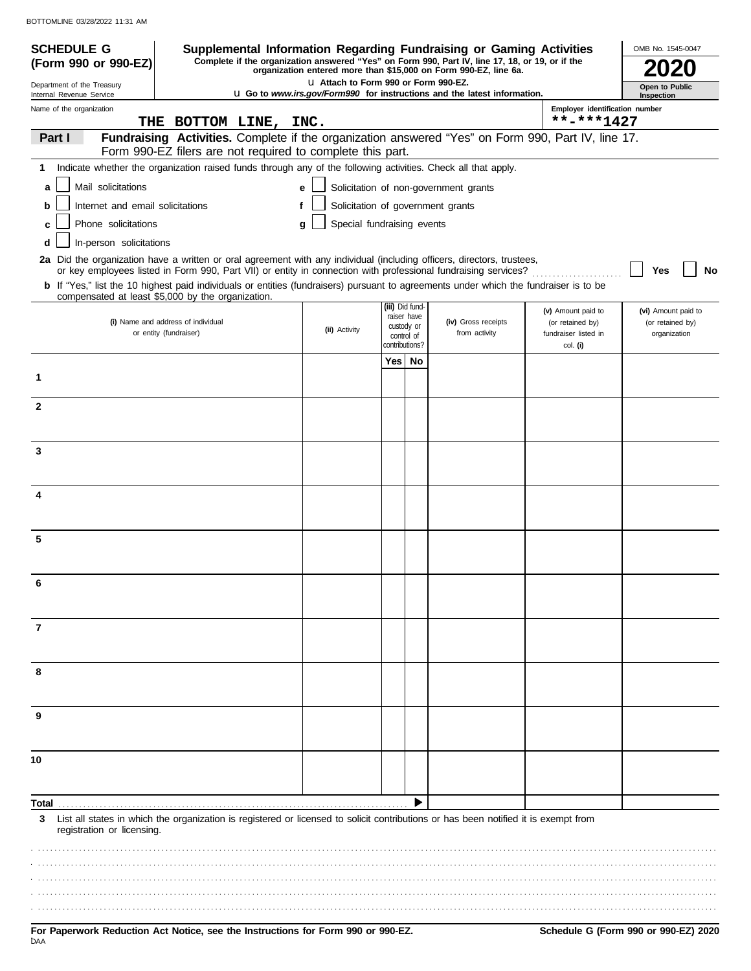| <b>SCHEDULE G</b>                                      | Supplemental Information Regarding Fundraising or Gaming Activities                                                                                                                                                                                     |                                       |                                                        |  |                                                                                                                                                                     |                                        | OMB No. 1545-0047                       |
|--------------------------------------------------------|---------------------------------------------------------------------------------------------------------------------------------------------------------------------------------------------------------------------------------------------------------|---------------------------------------|--------------------------------------------------------|--|---------------------------------------------------------------------------------------------------------------------------------------------------------------------|----------------------------------------|-----------------------------------------|
| (Form 990 or 990-EZ)                                   |                                                                                                                                                                                                                                                         |                                       |                                                        |  | Complete if the organization answered "Yes" on Form 990, Part IV, line 17, 18, or 19, or if the<br>organization entered more than \$15,000 on Form 990-EZ, line 6a. |                                        |                                         |
| Department of the Treasury<br>Internal Revenue Service |                                                                                                                                                                                                                                                         | LI Attach to Form 990 or Form 990-EZ. |                                                        |  | <b>u</b> Go to www.irs.gov/Form990 for instructions and the latest information.                                                                                     |                                        | Open to Public<br>Inspection            |
| Name of the organization                               |                                                                                                                                                                                                                                                         |                                       |                                                        |  |                                                                                                                                                                     | Employer identification number         |                                         |
|                                                        | THE BOTTOM LINE, INC.                                                                                                                                                                                                                                   |                                       |                                                        |  |                                                                                                                                                                     | $***$ -***1427                         |                                         |
| Part I                                                 | Fundraising Activities. Complete if the organization answered "Yes" on Form 990, Part IV, line 17.<br>Form 990-EZ filers are not required to complete this part.                                                                                        |                                       |                                                        |  |                                                                                                                                                                     |                                        |                                         |
| 1                                                      | Indicate whether the organization raised funds through any of the following activities. Check all that apply.                                                                                                                                           |                                       |                                                        |  |                                                                                                                                                                     |                                        |                                         |
| Mail solicitations<br>a                                |                                                                                                                                                                                                                                                         | e                                     |                                                        |  | Solicitation of non-government grants                                                                                                                               |                                        |                                         |
| Internet and email solicitations<br>b                  |                                                                                                                                                                                                                                                         | f                                     |                                                        |  | Solicitation of government grants                                                                                                                                   |                                        |                                         |
| Phone solicitations<br>c                               |                                                                                                                                                                                                                                                         | Special fundraising events<br>q       |                                                        |  |                                                                                                                                                                     |                                        |                                         |
| In-person solicitations<br>d                           |                                                                                                                                                                                                                                                         |                                       |                                                        |  |                                                                                                                                                                     |                                        |                                         |
|                                                        | 2a Did the organization have a written or oral agreement with any individual (including officers, directors, trustees,                                                                                                                                  |                                       |                                                        |  |                                                                                                                                                                     |                                        |                                         |
|                                                        | or key employees listed in Form 990, Part VII) or entity in connection with professional fundraising services?<br>b If "Yes," list the 10 highest paid individuals or entities (fundraisers) pursuant to agreements under which the fundraiser is to be |                                       |                                                        |  |                                                                                                                                                                     |                                        | Yes<br>No                               |
|                                                        | compensated at least \$5,000 by the organization.                                                                                                                                                                                                       |                                       |                                                        |  |                                                                                                                                                                     |                                        |                                         |
|                                                        | (i) Name and address of individual                                                                                                                                                                                                                      |                                       | (iii) Did fund-<br>raiser have                         |  | (iv) Gross receipts                                                                                                                                                 | (v) Amount paid to<br>(or retained by) | (vi) Amount paid to<br>(or retained by) |
|                                                        | or entity (fundraiser)                                                                                                                                                                                                                                  | (ii) Activity                         | custody or<br>control of<br>contributions?<br>Yes   No |  | from activity                                                                                                                                                       | fundraiser listed in                   | organization                            |
|                                                        |                                                                                                                                                                                                                                                         |                                       |                                                        |  |                                                                                                                                                                     | col. (i)                               |                                         |
| 1                                                      |                                                                                                                                                                                                                                                         |                                       |                                                        |  |                                                                                                                                                                     |                                        |                                         |
|                                                        |                                                                                                                                                                                                                                                         |                                       |                                                        |  |                                                                                                                                                                     |                                        |                                         |
| $\mathbf{2}$                                           |                                                                                                                                                                                                                                                         |                                       |                                                        |  |                                                                                                                                                                     |                                        |                                         |
|                                                        |                                                                                                                                                                                                                                                         |                                       |                                                        |  |                                                                                                                                                                     |                                        |                                         |
| 3                                                      |                                                                                                                                                                                                                                                         |                                       |                                                        |  |                                                                                                                                                                     |                                        |                                         |
|                                                        |                                                                                                                                                                                                                                                         |                                       |                                                        |  |                                                                                                                                                                     |                                        |                                         |
|                                                        |                                                                                                                                                                                                                                                         |                                       |                                                        |  |                                                                                                                                                                     |                                        |                                         |
|                                                        |                                                                                                                                                                                                                                                         |                                       |                                                        |  |                                                                                                                                                                     |                                        |                                         |
|                                                        |                                                                                                                                                                                                                                                         |                                       |                                                        |  |                                                                                                                                                                     |                                        |                                         |
| 5                                                      |                                                                                                                                                                                                                                                         |                                       |                                                        |  |                                                                                                                                                                     |                                        |                                         |
|                                                        |                                                                                                                                                                                                                                                         |                                       |                                                        |  |                                                                                                                                                                     |                                        |                                         |
|                                                        |                                                                                                                                                                                                                                                         |                                       |                                                        |  |                                                                                                                                                                     |                                        |                                         |
|                                                        |                                                                                                                                                                                                                                                         |                                       |                                                        |  |                                                                                                                                                                     |                                        |                                         |
|                                                        |                                                                                                                                                                                                                                                         |                                       |                                                        |  |                                                                                                                                                                     |                                        |                                         |
| 7                                                      |                                                                                                                                                                                                                                                         |                                       |                                                        |  |                                                                                                                                                                     |                                        |                                         |
|                                                        |                                                                                                                                                                                                                                                         |                                       |                                                        |  |                                                                                                                                                                     |                                        |                                         |
| 8                                                      |                                                                                                                                                                                                                                                         |                                       |                                                        |  |                                                                                                                                                                     |                                        |                                         |
|                                                        |                                                                                                                                                                                                                                                         |                                       |                                                        |  |                                                                                                                                                                     |                                        |                                         |
|                                                        |                                                                                                                                                                                                                                                         |                                       |                                                        |  |                                                                                                                                                                     |                                        |                                         |
| 9                                                      |                                                                                                                                                                                                                                                         |                                       |                                                        |  |                                                                                                                                                                     |                                        |                                         |
|                                                        |                                                                                                                                                                                                                                                         |                                       |                                                        |  |                                                                                                                                                                     |                                        |                                         |
| 10                                                     |                                                                                                                                                                                                                                                         |                                       |                                                        |  |                                                                                                                                                                     |                                        |                                         |
|                                                        |                                                                                                                                                                                                                                                         |                                       |                                                        |  |                                                                                                                                                                     |                                        |                                         |
| Total                                                  |                                                                                                                                                                                                                                                         |                                       |                                                        |  |                                                                                                                                                                     |                                        |                                         |
| 3<br>registration or licensing.                        | List all states in which the organization is registered or licensed to solicit contributions or has been notified it is exempt from                                                                                                                     |                                       |                                                        |  |                                                                                                                                                                     |                                        |                                         |
|                                                        |                                                                                                                                                                                                                                                         |                                       |                                                        |  |                                                                                                                                                                     |                                        |                                         |
|                                                        |                                                                                                                                                                                                                                                         |                                       |                                                        |  |                                                                                                                                                                     |                                        |                                         |
|                                                        |                                                                                                                                                                                                                                                         |                                       |                                                        |  |                                                                                                                                                                     |                                        |                                         |
|                                                        |                                                                                                                                                                                                                                                         |                                       |                                                        |  |                                                                                                                                                                     |                                        |                                         |
|                                                        |                                                                                                                                                                                                                                                         |                                       |                                                        |  |                                                                                                                                                                     |                                        |                                         |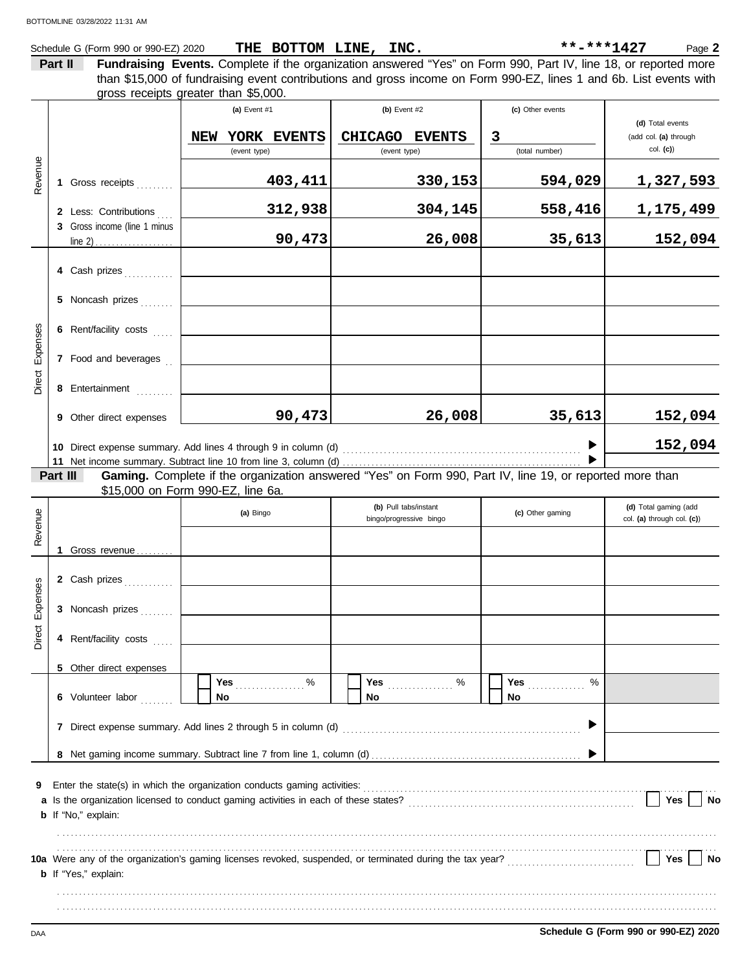#### Schedule G (Form 990 or 990-EZ) 2020 Page **2 THE BOTTOM LINE, INC. \*\*-\*\*\*1427**

**Part II Fundraising Events.** Complete if the organization answered "Yes" on Form 990, Part IV, line 18, or reported more gross receipts greater than \$5,000. than \$15,000 of fundraising event contributions and gross income on Form 990-EZ, lines 1 and 6b. List events with

| Revenue                                                                                                                                                        |          | 1 Gross receipts<br>2 Less: Contributions<br>3 Gross income (line 1 minus                             | (a) Event $#1$<br>YORK EVENTS<br>NEW<br>(event type)<br>403,411<br>312,938<br>90,473                               | (b) Event $#2$<br>CHICAGO EVENTS<br>(event type)<br>330,153<br>304,145<br>26,008 | (c) Other events<br>$\mathbf{3}$<br>(total number)<br>594,029<br>558,416<br>35,613 | (d) Total events<br>(add col. (a) through<br>$col.$ (c))<br>1,327,593<br>1,175,499<br>152,094 |  |  |  |
|----------------------------------------------------------------------------------------------------------------------------------------------------------------|----------|-------------------------------------------------------------------------------------------------------|--------------------------------------------------------------------------------------------------------------------|----------------------------------------------------------------------------------|------------------------------------------------------------------------------------|-----------------------------------------------------------------------------------------------|--|--|--|
| Direct Expenses                                                                                                                                                |          | 4 Cash prizes<br>5 Noncash prizes<br>6 Rent/facility costs<br>7 Food and beverages<br>8 Entertainment |                                                                                                                    |                                                                                  |                                                                                    |                                                                                               |  |  |  |
|                                                                                                                                                                | Part III | 9 Other direct expenses                                                                               | 90,473<br>Gaming. Complete if the organization answered "Yes" on Form 990, Part IV, line 19, or reported more than | 26,008                                                                           | 35,613                                                                             | 152,094<br>152,094                                                                            |  |  |  |
| Revenue                                                                                                                                                        |          | 1 Gross revenue                                                                                       | \$15,000 on Form 990-EZ, line 6a.<br>(a) Bingo                                                                     | (b) Pull tabs/instant<br>bingo/progressive bingo                                 | (c) Other gaming                                                                   | (d) Total gaming (add<br>col. (a) through col. (c))                                           |  |  |  |
| Direct Expenses                                                                                                                                                |          | 2 Cash prizes<br>3 Noncash prizes<br>4 Rent/facility costs                                            |                                                                                                                    |                                                                                  |                                                                                    |                                                                                               |  |  |  |
| 5 Other direct expenses<br>Yes 2000<br>%<br><b>Yes</b><br>6 Volunteer labor<br>No<br>No<br>No<br>7 Direct expense summary. Add lines 2 through 5 in column (d) |          |                                                                                                       |                                                                                                                    |                                                                                  |                                                                                    |                                                                                               |  |  |  |
| 9                                                                                                                                                              |          | b If "No," explain:                                                                                   |                                                                                                                    |                                                                                  |                                                                                    | Yes<br>No                                                                                     |  |  |  |
|                                                                                                                                                                |          | <b>b</b> If "Yes," explain:                                                                           |                                                                                                                    |                                                                                  |                                                                                    | Yes<br>No                                                                                     |  |  |  |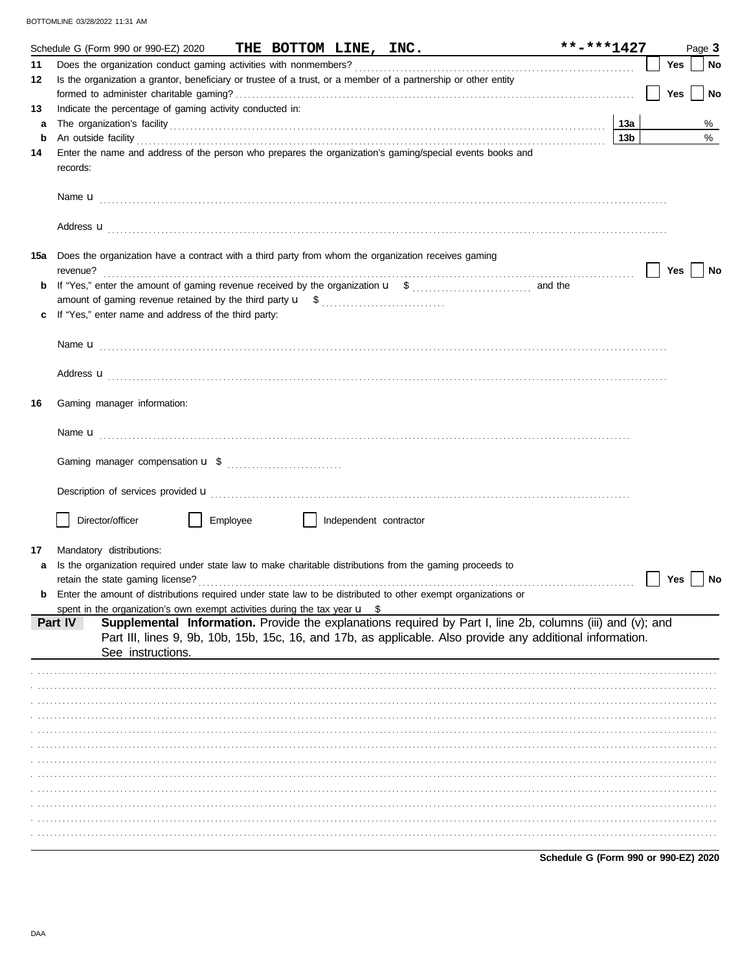|     | Schedule G (Form 990 or 990-EZ) 2020                                                                            |          |                        | THE BOTTOM LINE, INC.                                                                                                                                                                                                                | **-***1427                           |                 |     | Page 3 |
|-----|-----------------------------------------------------------------------------------------------------------------|----------|------------------------|--------------------------------------------------------------------------------------------------------------------------------------------------------------------------------------------------------------------------------------|--------------------------------------|-----------------|-----|--------|
| 11  |                                                                                                                 |          |                        |                                                                                                                                                                                                                                      |                                      |                 | Yes | No     |
| 12  | Is the organization a grantor, beneficiary or trustee of a trust, or a member of a partnership or other entity  |          |                        |                                                                                                                                                                                                                                      |                                      |                 |     |        |
|     |                                                                                                                 |          |                        |                                                                                                                                                                                                                                      |                                      |                 | Yes | No     |
| 13  | Indicate the percentage of gaming activity conducted in:                                                        |          |                        |                                                                                                                                                                                                                                      |                                      |                 |     |        |
| a   |                                                                                                                 |          |                        |                                                                                                                                                                                                                                      |                                      | 13а             |     | %      |
| b   |                                                                                                                 |          |                        | An outside facility <b>contained a contract a contract of the contract of the contract of the contract of the contract of the contract of the contract of the contract of the contract of the contract of the contract of the co</b> |                                      | 13 <sub>b</sub> |     | $\%$   |
| 14  | records:                                                                                                        |          |                        | Enter the name and address of the person who prepares the organization's gaming/special events books and                                                                                                                             |                                      |                 |     |        |
|     |                                                                                                                 |          |                        |                                                                                                                                                                                                                                      |                                      |                 |     |        |
|     |                                                                                                                 |          |                        | Address <b>u</b>                                                                                                                                                                                                                     |                                      |                 |     |        |
| 15a | Does the organization have a contract with a third party from whom the organization receives gaming<br>revenue? |          |                        |                                                                                                                                                                                                                                      |                                      |                 | Yes | No     |
| b   |                                                                                                                 |          |                        |                                                                                                                                                                                                                                      |                                      |                 |     |        |
|     |                                                                                                                 |          |                        |                                                                                                                                                                                                                                      |                                      |                 |     |        |
| c   | If "Yes," enter name and address of the third party:                                                            |          |                        |                                                                                                                                                                                                                                      |                                      |                 |     |        |
|     |                                                                                                                 |          |                        |                                                                                                                                                                                                                                      |                                      |                 |     |        |
|     |                                                                                                                 |          |                        |                                                                                                                                                                                                                                      |                                      |                 |     |        |
|     |                                                                                                                 |          |                        | Address <b>u</b>                                                                                                                                                                                                                     |                                      |                 |     |        |
| 16  | Gaming manager information:                                                                                     |          |                        |                                                                                                                                                                                                                                      |                                      |                 |     |        |
|     |                                                                                                                 |          |                        |                                                                                                                                                                                                                                      |                                      |                 |     |        |
|     |                                                                                                                 |          |                        |                                                                                                                                                                                                                                      |                                      |                 |     |        |
|     |                                                                                                                 |          |                        |                                                                                                                                                                                                                                      |                                      |                 |     |        |
|     |                                                                                                                 |          |                        |                                                                                                                                                                                                                                      |                                      |                 |     |        |
|     | Director/officer                                                                                                | Employee | Independent contractor |                                                                                                                                                                                                                                      |                                      |                 |     |        |
|     |                                                                                                                 |          |                        |                                                                                                                                                                                                                                      |                                      |                 |     |        |
| 17  | Mandatory distributions:                                                                                        |          |                        |                                                                                                                                                                                                                                      |                                      |                 |     |        |
| a   | Is the organization required under state law to make charitable distributions from the gaming proceeds to       |          |                        |                                                                                                                                                                                                                                      |                                      |                 | Yes | No     |
| b   |                                                                                                                 |          |                        | Enter the amount of distributions required under state law to be distributed to other exempt organizations or                                                                                                                        |                                      |                 |     |        |
|     | spent in the organization's own exempt activities during the tax year $\mathbf{u}$ \$                           |          |                        |                                                                                                                                                                                                                                      |                                      |                 |     |        |
|     | Part IV                                                                                                         |          |                        | Supplemental Information. Provide the explanations required by Part I, line 2b, columns (iii) and (v); and<br>Part III, lines 9, 9b, 10b, 15b, 15c, 16, and 17b, as applicable. Also provide any additional information.             |                                      |                 |     |        |
|     | See instructions.                                                                                               |          |                        |                                                                                                                                                                                                                                      |                                      |                 |     |        |
|     |                                                                                                                 |          |                        |                                                                                                                                                                                                                                      |                                      |                 |     |        |
|     |                                                                                                                 |          |                        |                                                                                                                                                                                                                                      |                                      |                 |     |        |
|     |                                                                                                                 |          |                        |                                                                                                                                                                                                                                      |                                      |                 |     |        |
|     |                                                                                                                 |          |                        |                                                                                                                                                                                                                                      |                                      |                 |     |        |
|     |                                                                                                                 |          |                        |                                                                                                                                                                                                                                      |                                      |                 |     |        |
|     |                                                                                                                 |          |                        |                                                                                                                                                                                                                                      |                                      |                 |     |        |
|     |                                                                                                                 |          |                        |                                                                                                                                                                                                                                      |                                      |                 |     |        |
|     |                                                                                                                 |          |                        |                                                                                                                                                                                                                                      |                                      |                 |     |        |
|     |                                                                                                                 |          |                        |                                                                                                                                                                                                                                      |                                      |                 |     |        |
|     |                                                                                                                 |          |                        |                                                                                                                                                                                                                                      |                                      |                 |     |        |
|     |                                                                                                                 |          |                        |                                                                                                                                                                                                                                      |                                      |                 |     |        |
|     |                                                                                                                 |          |                        |                                                                                                                                                                                                                                      |                                      |                 |     |        |
|     |                                                                                                                 |          |                        |                                                                                                                                                                                                                                      | Cahadule C (Ferm 000 er 000 EZ) 2020 |                 |     |        |

Schedule G (Form 990 or 990-EZ) 2020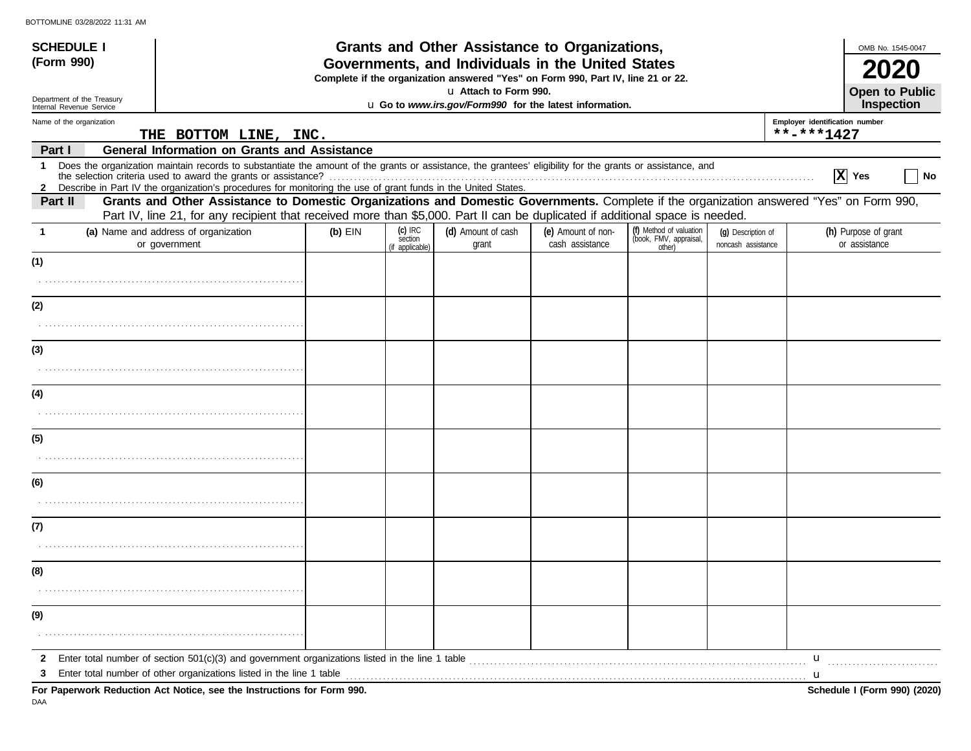| <b>SCHEDULE I</b>                                      |                                                                                                                                                                                                                                                                               |           |                                       | Grants and Other Assistance to Organizations,                                                                                         |                                       |                                                             |                                          |                                | OMB No. 1545-0047                          |
|--------------------------------------------------------|-------------------------------------------------------------------------------------------------------------------------------------------------------------------------------------------------------------------------------------------------------------------------------|-----------|---------------------------------------|---------------------------------------------------------------------------------------------------------------------------------------|---------------------------------------|-------------------------------------------------------------|------------------------------------------|--------------------------------|--------------------------------------------|
| (Form 990)                                             |                                                                                                                                                                                                                                                                               |           |                                       | Governments, and Individuals in the United States<br>Complete if the organization answered "Yes" on Form 990, Part IV, line 21 or 22. |                                       |                                                             |                                          |                                |                                            |
| Department of the Treasury<br>Internal Revenue Service |                                                                                                                                                                                                                                                                               |           |                                       | u Attach to Form 990.<br>u Go to www.irs.gov/Form990 for the latest information.                                                      |                                       |                                                             |                                          |                                | <b>Open to Public</b><br><b>Inspection</b> |
| Name of the organization                               |                                                                                                                                                                                                                                                                               |           |                                       |                                                                                                                                       |                                       |                                                             |                                          | Employer identification number |                                            |
|                                                        | THE BOTTOM LINE, INC.                                                                                                                                                                                                                                                         |           |                                       |                                                                                                                                       |                                       |                                                             |                                          | **-***1427                     |                                            |
| Part I                                                 | <b>General Information on Grants and Assistance</b>                                                                                                                                                                                                                           |           |                                       |                                                                                                                                       |                                       |                                                             |                                          |                                |                                            |
| -1                                                     | Does the organization maintain records to substantiate the amount of the grants or assistance, the grantees' eligibility for the grants or assistance, and<br>2 Describe in Part IV the organization's procedures for monitoring the use of grant funds in the United States. |           |                                       |                                                                                                                                       |                                       |                                                             |                                          |                                | $ X $ Yes<br>No                            |
| Part II                                                | Grants and Other Assistance to Domestic Organizations and Domestic Governments. Complete if the organization answered "Yes" on Form 990,                                                                                                                                      |           |                                       |                                                                                                                                       |                                       |                                                             |                                          |                                |                                            |
|                                                        | Part IV, line 21, for any recipient that received more than \$5,000. Part II can be duplicated if additional space is needed.                                                                                                                                                 |           |                                       |                                                                                                                                       |                                       |                                                             |                                          |                                |                                            |
| -1                                                     | (a) Name and address of organization<br>or government                                                                                                                                                                                                                         | $(b)$ EIN | (c) IRC<br>section<br>(if applicable) | (d) Amount of cash<br>grant                                                                                                           | (e) Amount of non-<br>cash assistance | (f) Method of valuation<br>(book, FMV, appraisal,<br>other) | (q) Description of<br>noncash assistance |                                | (h) Purpose of grant<br>or assistance      |
| (1)                                                    |                                                                                                                                                                                                                                                                               |           |                                       |                                                                                                                                       |                                       |                                                             |                                          |                                |                                            |
|                                                        |                                                                                                                                                                                                                                                                               |           |                                       |                                                                                                                                       |                                       |                                                             |                                          |                                |                                            |
| (2)                                                    |                                                                                                                                                                                                                                                                               |           |                                       |                                                                                                                                       |                                       |                                                             |                                          |                                |                                            |
| (3)                                                    |                                                                                                                                                                                                                                                                               |           |                                       |                                                                                                                                       |                                       |                                                             |                                          |                                |                                            |
|                                                        |                                                                                                                                                                                                                                                                               |           |                                       |                                                                                                                                       |                                       |                                                             |                                          |                                |                                            |
| (4)                                                    |                                                                                                                                                                                                                                                                               |           |                                       |                                                                                                                                       |                                       |                                                             |                                          |                                |                                            |
|                                                        |                                                                                                                                                                                                                                                                               |           |                                       |                                                                                                                                       |                                       |                                                             |                                          |                                |                                            |
| (5)                                                    |                                                                                                                                                                                                                                                                               |           |                                       |                                                                                                                                       |                                       |                                                             |                                          |                                |                                            |
|                                                        |                                                                                                                                                                                                                                                                               |           |                                       |                                                                                                                                       |                                       |                                                             |                                          |                                |                                            |
| (6)                                                    |                                                                                                                                                                                                                                                                               |           |                                       |                                                                                                                                       |                                       |                                                             |                                          |                                |                                            |
|                                                        |                                                                                                                                                                                                                                                                               |           |                                       |                                                                                                                                       |                                       |                                                             |                                          |                                |                                            |
| (7)                                                    |                                                                                                                                                                                                                                                                               |           |                                       |                                                                                                                                       |                                       |                                                             |                                          |                                |                                            |
|                                                        |                                                                                                                                                                                                                                                                               |           |                                       |                                                                                                                                       |                                       |                                                             |                                          |                                |                                            |
| (8)                                                    |                                                                                                                                                                                                                                                                               |           |                                       |                                                                                                                                       |                                       |                                                             |                                          |                                |                                            |
| (9)                                                    |                                                                                                                                                                                                                                                                               |           |                                       |                                                                                                                                       |                                       |                                                             |                                          |                                |                                            |
|                                                        |                                                                                                                                                                                                                                                                               |           |                                       |                                                                                                                                       |                                       |                                                             |                                          |                                |                                            |
| 2                                                      |                                                                                                                                                                                                                                                                               |           |                                       |                                                                                                                                       |                                       |                                                             |                                          | $\mathbf{u}$                   |                                            |
| З                                                      | Enter total number of other organizations listed in the line 1 table                                                                                                                                                                                                          |           |                                       |                                                                                                                                       |                                       |                                                             |                                          | u                              |                                            |
|                                                        | For Paperwork Reduction Act Notice, see the Instructions for Form 990.                                                                                                                                                                                                        |           |                                       |                                                                                                                                       |                                       |                                                             |                                          |                                | Schedule I (Form 990) (2020)               |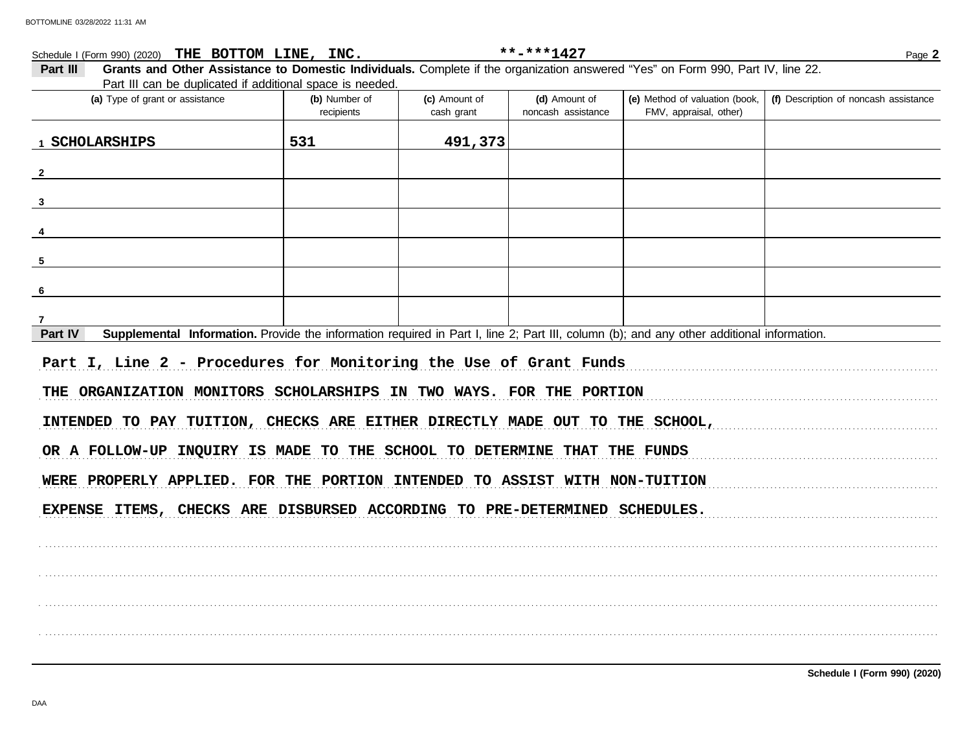| Schedule I (Form 990) (2020) THE BOTTOM LINE, INC.                                                                                                   |                             |                             | **-***1427                          |                                                          | Page 2                                |
|------------------------------------------------------------------------------------------------------------------------------------------------------|-----------------------------|-----------------------------|-------------------------------------|----------------------------------------------------------|---------------------------------------|
| Grants and Other Assistance to Domestic Individuals. Complete if the organization answered "Yes" on Form 990, Part IV, line 22.<br>Part III          |                             |                             |                                     |                                                          |                                       |
| Part III can be duplicated if additional space is needed.<br>(a) Type of grant or assistance                                                         | (b) Number of<br>recipients | (c) Amount of<br>cash grant | (d) Amount of<br>noncash assistance | (e) Method of valuation (book,<br>FMV, appraisal, other) | (f) Description of noncash assistance |
| 1 SCHOLARSHIPS                                                                                                                                       | 531                         | 491,373                     |                                     |                                                          |                                       |
|                                                                                                                                                      |                             |                             |                                     |                                                          |                                       |
|                                                                                                                                                      |                             |                             |                                     |                                                          |                                       |
|                                                                                                                                                      |                             |                             |                                     |                                                          |                                       |
|                                                                                                                                                      |                             |                             |                                     |                                                          |                                       |
|                                                                                                                                                      |                             |                             |                                     |                                                          |                                       |
|                                                                                                                                                      |                             |                             |                                     |                                                          |                                       |
| Supplemental Information. Provide the information required in Part I, line 2; Part III, column (b); and any other additional information.<br>Part IV |                             |                             |                                     |                                                          |                                       |
| Part I, Line 2 - Procedures for Monitoring the Use of Grant Funds                                                                                    |                             |                             |                                     |                                                          |                                       |
| THE ORGANIZATION MONITORS SCHOLARSHIPS IN TWO WAYS. FOR THE PORTION                                                                                  |                             |                             |                                     |                                                          |                                       |
| INTENDED TO PAY TUITION, CHECKS ARE EITHER DIRECTLY MADE OUT TO THE SCHOOL,                                                                          |                             |                             |                                     |                                                          |                                       |
| OR A FOLLOW-UP INQUIRY IS MADE TO THE SCHOOL TO DETERMINE THAT THE FUNDS                                                                             |                             |                             |                                     |                                                          |                                       |
| WERE PROPERLY APPLIED. FOR THE PORTION INTENDED TO ASSIST WITH NON-TUITION                                                                           |                             |                             |                                     |                                                          |                                       |
| EXPENSE ITEMS, CHECKS ARE DISBURSED ACCORDING TO PRE-DETERMINED SCHEDULES.                                                                           |                             |                             |                                     |                                                          |                                       |
|                                                                                                                                                      |                             |                             |                                     |                                                          |                                       |
|                                                                                                                                                      |                             |                             |                                     |                                                          |                                       |
|                                                                                                                                                      |                             |                             |                                     |                                                          |                                       |
|                                                                                                                                                      |                             |                             |                                     |                                                          |                                       |
|                                                                                                                                                      |                             |                             |                                     |                                                          |                                       |

Schedule I (Form 990) (2020)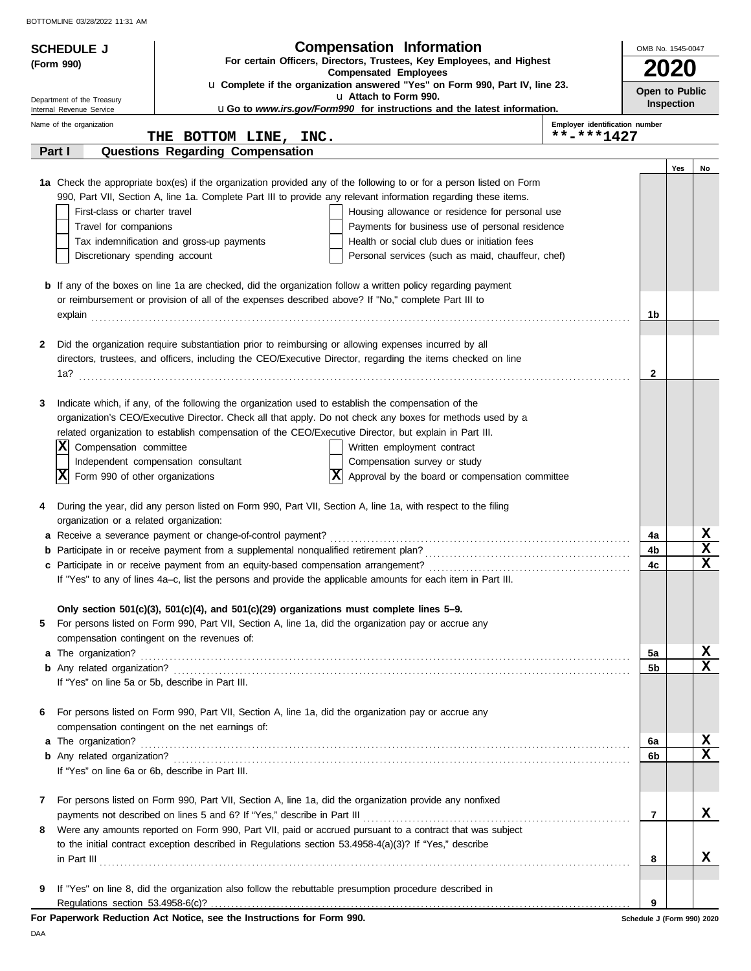| <b>SCHEDULE J</b>                                    | <b>Compensation Information</b>                                                                                                                                                                                       | OMB No. 1545-0047          |                   |                            |  |  |  |
|------------------------------------------------------|-----------------------------------------------------------------------------------------------------------------------------------------------------------------------------------------------------------------------|----------------------------|-------------------|----------------------------|--|--|--|
| (Form 990)                                           | For certain Officers, Directors, Trustees, Key Employees, and Highest                                                                                                                                                 |                            |                   |                            |  |  |  |
|                                                      | <b>Compensated Employees</b><br>u Complete if the organization answered "Yes" on Form 990, Part IV, line 23.                                                                                                          |                            | <b>2020</b>       |                            |  |  |  |
| Department of the Treasury                           | u Attach to Form 990.                                                                                                                                                                                                 | Open to Public             | <b>Inspection</b> |                            |  |  |  |
| Internal Revenue Service<br>Name of the organization | uGo to www.irs.gov/Form990 for instructions and the latest information.<br>Employer identification number                                                                                                             |                            |                   |                            |  |  |  |
|                                                      | **-***1427<br>THE BOTTOM LINE, INC.                                                                                                                                                                                   |                            |                   |                            |  |  |  |
| Part I                                               | <b>Questions Regarding Compensation</b>                                                                                                                                                                               |                            |                   |                            |  |  |  |
|                                                      |                                                                                                                                                                                                                       |                            | Yes               | No                         |  |  |  |
|                                                      | 1a Check the appropriate box(es) if the organization provided any of the following to or for a person listed on Form                                                                                                  |                            |                   |                            |  |  |  |
| First-class or charter travel                        | 990, Part VII, Section A, line 1a. Complete Part III to provide any relevant information regarding these items.<br>Housing allowance or residence for personal use                                                    |                            |                   |                            |  |  |  |
| Travel for companions                                | Payments for business use of personal residence                                                                                                                                                                       |                            |                   |                            |  |  |  |
|                                                      | Tax indemnification and gross-up payments<br>Health or social club dues or initiation fees                                                                                                                            |                            |                   |                            |  |  |  |
| Discretionary spending account                       | Personal services (such as maid, chauffeur, chef)                                                                                                                                                                     |                            |                   |                            |  |  |  |
|                                                      | <b>b</b> If any of the boxes on line 1a are checked, did the organization follow a written policy regarding payment                                                                                                   |                            |                   |                            |  |  |  |
|                                                      | or reimbursement or provision of all of the expenses described above? If "No," complete Part III to                                                                                                                   |                            |                   |                            |  |  |  |
|                                                      |                                                                                                                                                                                                                       | 1b                         |                   |                            |  |  |  |
|                                                      |                                                                                                                                                                                                                       |                            |                   |                            |  |  |  |
| 2                                                    | Did the organization require substantiation prior to reimbursing or allowing expenses incurred by all<br>directors, trustees, and officers, including the CEO/Executive Director, regarding the items checked on line |                            |                   |                            |  |  |  |
|                                                      |                                                                                                                                                                                                                       | $\mathbf{2}$               |                   |                            |  |  |  |
|                                                      |                                                                                                                                                                                                                       |                            |                   |                            |  |  |  |
| 3                                                    | Indicate which, if any, of the following the organization used to establish the compensation of the                                                                                                                   |                            |                   |                            |  |  |  |
|                                                      | organization's CEO/Executive Director. Check all that apply. Do not check any boxes for methods used by a                                                                                                             |                            |                   |                            |  |  |  |
|                                                      | related organization to establish compensation of the CEO/Executive Director, but explain in Part III.                                                                                                                |                            |                   |                            |  |  |  |
| ΙXΙ<br>Compensation committee                        | Written employment contract                                                                                                                                                                                           |                            |                   |                            |  |  |  |
| x <br>Form 990 of other organizations                | Independent compensation consultant<br>Compensation survey or study<br> x <br>Approval by the board or compensation committee                                                                                         |                            |                   |                            |  |  |  |
|                                                      |                                                                                                                                                                                                                       |                            |                   |                            |  |  |  |
| 4                                                    | During the year, did any person listed on Form 990, Part VII, Section A, line 1a, with respect to the filing                                                                                                          |                            |                   |                            |  |  |  |
| organization or a related organization:              |                                                                                                                                                                                                                       |                            |                   |                            |  |  |  |
|                                                      | a Receive a severance payment or change-of-control payment?                                                                                                                                                           | 4a                         |                   | X                          |  |  |  |
|                                                      |                                                                                                                                                                                                                       | 4b                         |                   | $\mathbf x$<br>$\mathbf x$ |  |  |  |
|                                                      | If "Yes" to any of lines 4a-c, list the persons and provide the applicable amounts for each item in Part III.                                                                                                         | 4c                         |                   |                            |  |  |  |
|                                                      |                                                                                                                                                                                                                       |                            |                   |                            |  |  |  |
|                                                      | Only section 501(c)(3), 501(c)(4), and 501(c)(29) organizations must complete lines $5-9$ .                                                                                                                           |                            |                   |                            |  |  |  |
| 5                                                    | For persons listed on Form 990, Part VII, Section A, line 1a, did the organization pay or accrue any                                                                                                                  |                            |                   |                            |  |  |  |
|                                                      | compensation contingent on the revenues of:                                                                                                                                                                           |                            |                   |                            |  |  |  |
|                                                      |                                                                                                                                                                                                                       | 5a<br>5b                   |                   | X<br>$\mathbf x$           |  |  |  |
|                                                      | If "Yes" on line 5a or 5b, describe in Part III.                                                                                                                                                                      |                            |                   |                            |  |  |  |
|                                                      |                                                                                                                                                                                                                       |                            |                   |                            |  |  |  |
| 6                                                    | For persons listed on Form 990, Part VII, Section A, line 1a, did the organization pay or accrue any                                                                                                                  |                            |                   |                            |  |  |  |
|                                                      | compensation contingent on the net earnings of:                                                                                                                                                                       |                            |                   |                            |  |  |  |
|                                                      |                                                                                                                                                                                                                       | 6a                         |                   | х<br>$\mathbf x$           |  |  |  |
|                                                      | If "Yes" on line 6a or 6b, describe in Part III.                                                                                                                                                                      | 6b                         |                   |                            |  |  |  |
|                                                      |                                                                                                                                                                                                                       |                            |                   |                            |  |  |  |
| 7                                                    | For persons listed on Form 990, Part VII, Section A, line 1a, did the organization provide any nonfixed                                                                                                               |                            |                   |                            |  |  |  |
|                                                      |                                                                                                                                                                                                                       | 7                          |                   | X                          |  |  |  |
| 8                                                    | Were any amounts reported on Form 990, Part VII, paid or accrued pursuant to a contract that was subject                                                                                                              |                            |                   |                            |  |  |  |
|                                                      | to the initial contract exception described in Regulations section 53.4958-4(a)(3)? If "Yes," describe                                                                                                                |                            |                   |                            |  |  |  |
|                                                      | $\ $ n Part III $\ $                                                                                                                                                                                                  | 8                          |                   | x                          |  |  |  |
| 9                                                    | If "Yes" on line 8, did the organization also follow the rebuttable presumption procedure described in                                                                                                                |                            |                   |                            |  |  |  |
|                                                      |                                                                                                                                                                                                                       | 9                          |                   |                            |  |  |  |
|                                                      | For Paperwork Reduction Act Notice, see the Instructions for Form 990.                                                                                                                                                | Schedule J (Form 990) 2020 |                   |                            |  |  |  |

DAA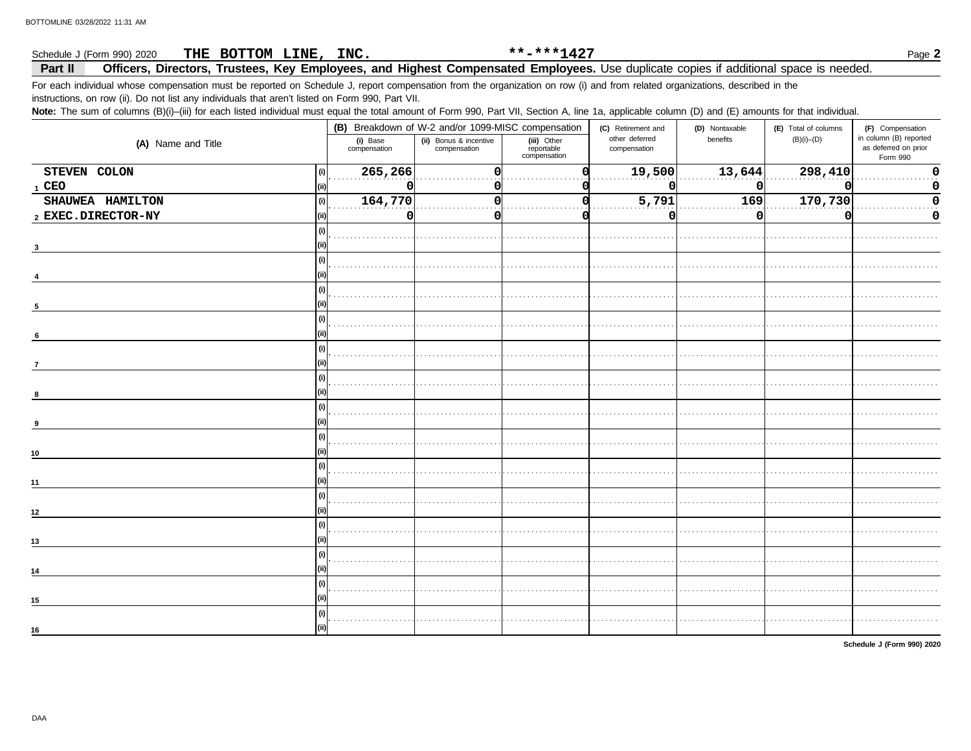#### THE BOTTOM LINE, INC. \*\*-\*\*\*1427 Schedule J (Form 990) 2020

Part II Officers, Directors, Trustees, Key Employees, and Highest Compensated Employees. Use duplicate copies if additional space is needed.

For each individual whose compensation must be reported on Schedule J, report compensation from the organization on row (i) and from related organizations, described in the

instructions, on row (ii). Do not list any individuals that aren't listed on Form 990, Part VII.

Note: The sum of columns (B)(i)-(iii) for each listed individual must equal the total amount of Form 990, Part VII, Section A, line 1a, applicable column (D) and (E) amounts for that individual.

|                    |                                | (B) Breakdown of W-2 and/or 1099-MISC compensation |                                           | (C) Retirement and             | (D) Nontaxable | (E) Total of columns | (F) Compensation                                           |
|--------------------|--------------------------------|----------------------------------------------------|-------------------------------------------|--------------------------------|----------------|----------------------|------------------------------------------------------------|
| (A) Name and Title | (i) Base<br>compensation       | (ii) Bonus & incentive<br>compensation             | (iii) Other<br>reportable<br>compensation | other deferred<br>compensation | benefits       | $(B)(i)$ - $(D)$     | in column (B) reported<br>as deferred on prior<br>Form 990 |
| STEVEN COLON       | 265,266<br>$\vert$ (i) $\vert$ | O                                                  |                                           | 19,500                         | 13,644         | 298,410              | $\Omega$                                                   |
| $1$ CEO            |                                |                                                    |                                           |                                | O              |                      |                                                            |
| SHAUWEA HAMILTON   | 164,770<br>$\vert$ (i) $\vert$ |                                                    |                                           | 5,791                          | 169            | 170,730              |                                                            |
| 2 EXEC.DIRECTOR-NY | O                              | 0                                                  |                                           |                                | 0              | O                    | 0                                                          |
|                    | (i)                            |                                                    |                                           |                                |                |                      |                                                            |
|                    |                                |                                                    |                                           |                                |                |                      |                                                            |
|                    | (i)                            |                                                    |                                           |                                |                |                      |                                                            |
|                    |                                |                                                    |                                           |                                |                |                      |                                                            |
|                    | (i)                            |                                                    |                                           |                                |                |                      |                                                            |
| 5                  |                                |                                                    |                                           |                                |                |                      |                                                            |
|                    | (i)                            |                                                    |                                           |                                |                |                      |                                                            |
| 6                  |                                |                                                    |                                           |                                |                |                      |                                                            |
|                    | (i)                            |                                                    |                                           |                                |                |                      |                                                            |
| $\overline{7}$     |                                |                                                    |                                           |                                |                |                      |                                                            |
|                    | (i)                            |                                                    |                                           |                                |                |                      |                                                            |
|                    |                                |                                                    |                                           |                                |                |                      |                                                            |
|                    | (i)                            |                                                    |                                           |                                |                |                      |                                                            |
|                    |                                |                                                    |                                           |                                |                |                      |                                                            |
|                    | (i)                            |                                                    |                                           |                                |                |                      |                                                            |
| 10                 |                                |                                                    |                                           |                                |                |                      |                                                            |
|                    | (i)                            |                                                    |                                           |                                |                |                      |                                                            |
| 11                 |                                |                                                    |                                           |                                |                |                      |                                                            |
|                    | (i)                            |                                                    |                                           |                                |                |                      |                                                            |
| 12 <sup>2</sup>    |                                |                                                    |                                           |                                |                |                      |                                                            |
|                    | (i)                            |                                                    |                                           |                                |                |                      |                                                            |
| 13                 |                                |                                                    |                                           |                                |                |                      |                                                            |
|                    | (i)                            |                                                    |                                           |                                |                |                      |                                                            |
| 14                 |                                |                                                    |                                           |                                |                |                      |                                                            |
|                    |                                |                                                    |                                           |                                |                |                      |                                                            |
| 15                 |                                |                                                    |                                           |                                |                |                      |                                                            |
|                    | (i)                            |                                                    |                                           |                                |                |                      |                                                            |
| 16                 | (ii)                           |                                                    |                                           |                                |                |                      |                                                            |
|                    |                                |                                                    |                                           |                                |                |                      |                                                            |

Schedule J (Form 990) 2020

Page 2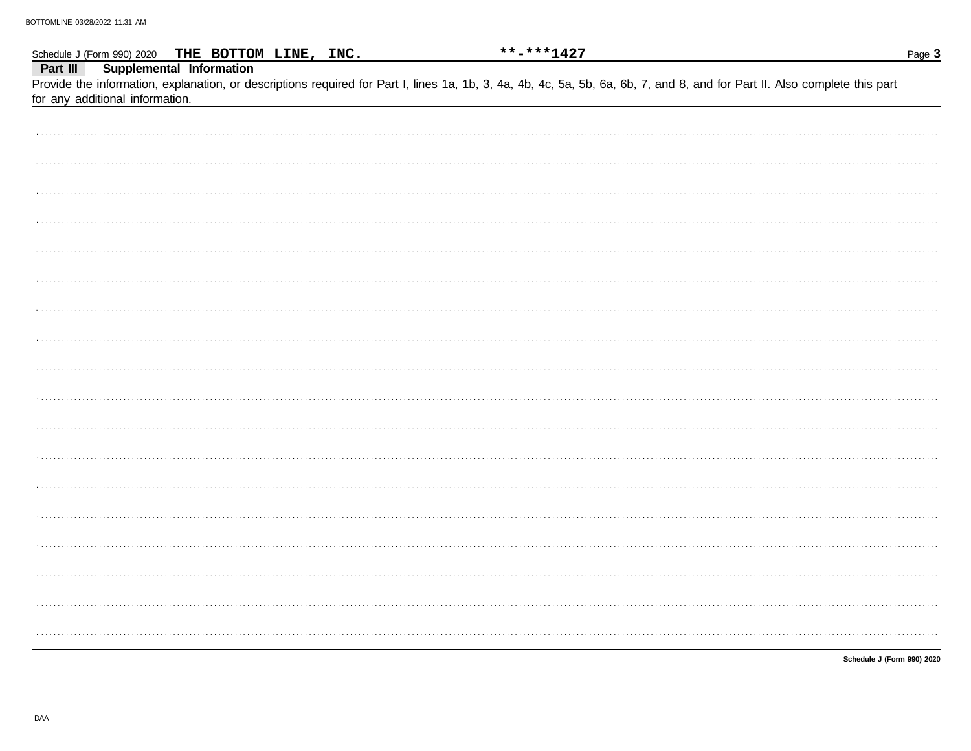|          | Schedule J (Form 990) 2020 THE BOTTOM LINE, INC.            | **-***1427 |                                                                                                                                                                            | Page 3                     |
|----------|-------------------------------------------------------------|------------|----------------------------------------------------------------------------------------------------------------------------------------------------------------------------|----------------------------|
| Part III | Supplemental Information<br>for any additional information. |            | Provide the information, explanation, or descriptions required for Part I, lines 1a, 1b, 3, 4a, 4b, 4c, 5a, 5b, 6a, 6b, 7, and 8, and for Part II. Also complete this part |                            |
|          |                                                             |            |                                                                                                                                                                            |                            |
|          |                                                             |            |                                                                                                                                                                            |                            |
|          |                                                             |            |                                                                                                                                                                            |                            |
|          |                                                             |            |                                                                                                                                                                            |                            |
|          |                                                             |            |                                                                                                                                                                            |                            |
|          |                                                             |            |                                                                                                                                                                            |                            |
|          |                                                             |            |                                                                                                                                                                            |                            |
|          |                                                             |            |                                                                                                                                                                            |                            |
|          |                                                             |            |                                                                                                                                                                            |                            |
|          |                                                             |            |                                                                                                                                                                            |                            |
|          |                                                             |            |                                                                                                                                                                            |                            |
|          |                                                             |            |                                                                                                                                                                            |                            |
|          |                                                             |            |                                                                                                                                                                            |                            |
|          |                                                             |            |                                                                                                                                                                            |                            |
|          |                                                             |            |                                                                                                                                                                            |                            |
|          |                                                             |            |                                                                                                                                                                            |                            |
|          |                                                             |            |                                                                                                                                                                            |                            |
|          |                                                             |            |                                                                                                                                                                            |                            |
|          |                                                             |            |                                                                                                                                                                            | Schedule J (Form 990) 2020 |

DAA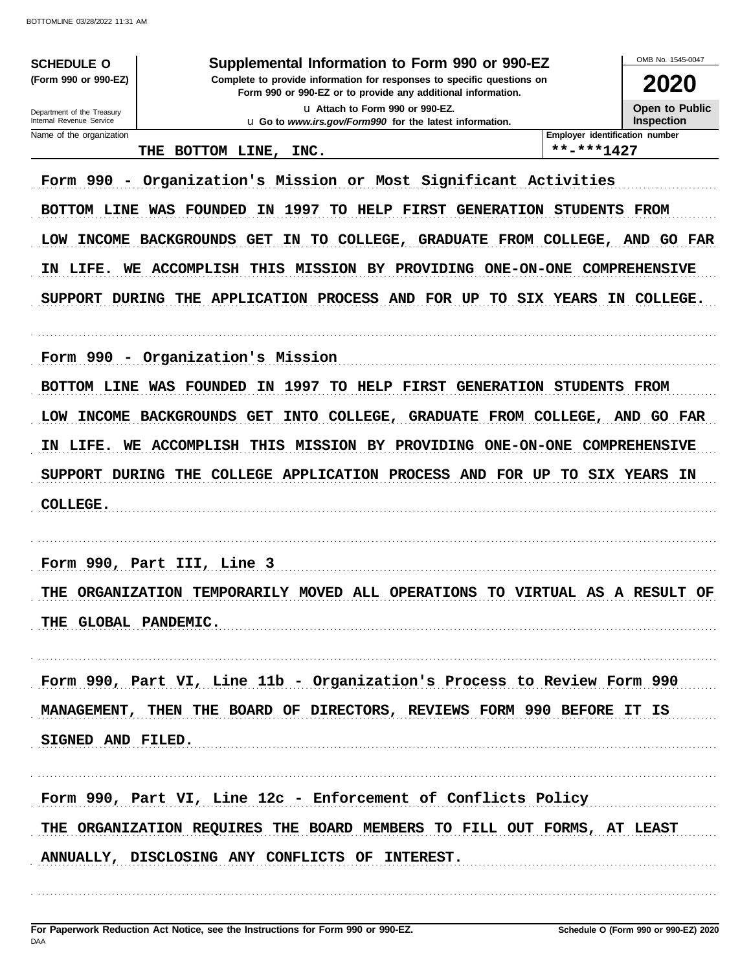**SCHEDULE O** (Form 990 or 990-EZ)

#### Supplemental Information to Form 990 or 990-EZ

Complete to provide information for responses to specific questions on Form 990 or 990-EZ or to provide any additional information. u Attach to Form 990 or 990-EZ.

u Go to www.irs.gov/Form990 for the latest information.

OMB No 1545-0047 2020

Open to Public

Inspection

| Department of the Treasury |
|----------------------------|
| Internal Revenue Service   |
| Name of the organization   |

#### THE BOTTOM LINE, INC.

\*\*-\*\*\*1427

Employer identification number

Form 990 - Organization's Mission or Most Significant Activities

BOTTOM LINE WAS FOUNDED IN 1997 TO HELP FIRST GENERATION STUDENTS FROM

LOW INCOME BACKGROUNDS GET IN TO COLLEGE, GRADUATE FROM COLLEGE, AND GO FAR

IN LIFE. WE ACCOMPLISH THIS MISSION BY PROVIDING ONE-ON-ONE COMPREHENSIVE

SUPPORT DURING THE APPLICATION PROCESS AND FOR UP TO SIX YEARS IN COLLEGE.

Form 990 - Organization's Mission

BOTTOM LINE WAS FOUNDED IN 1997 TO HELP FIRST GENERATION STUDENTS FROM LOW INCOME BACKGROUNDS GET INTO COLLEGE, GRADUATE FROM COLLEGE, AND GO FAR IN LIFE. WE ACCOMPLISH THIS MISSION BY PROVIDING ONE-ON-ONE COMPREHENSIVE SUPPORT DURING THE COLLEGE APPLICATION PROCESS AND FOR UP TO SIX YEARS IN COLLEGE.

Form 990, Part III, Line 3

THE ORGANIZATION TEMPORARILY MOVED ALL OPERATIONS TO VIRTUAL AS A RESULT OF THE GLOBAL PANDEMIC.

Form 990, Part VI, Line 11b - Organization's Process to Review Form 990 MANAGEMENT, THEN THE BOARD OF DIRECTORS, REVIEWS FORM 990 BEFORE IT IS SIGNED AND FILED.

Form 990, Part VI, Line 12c - Enforcement of Conflicts Policy THE ORGANIZATION REQUIRES THE BOARD MEMBERS TO FILL OUT FORMS, AT LEAST ANNUALLY, DISCLOSING ANY CONFLICTS OF INTEREST.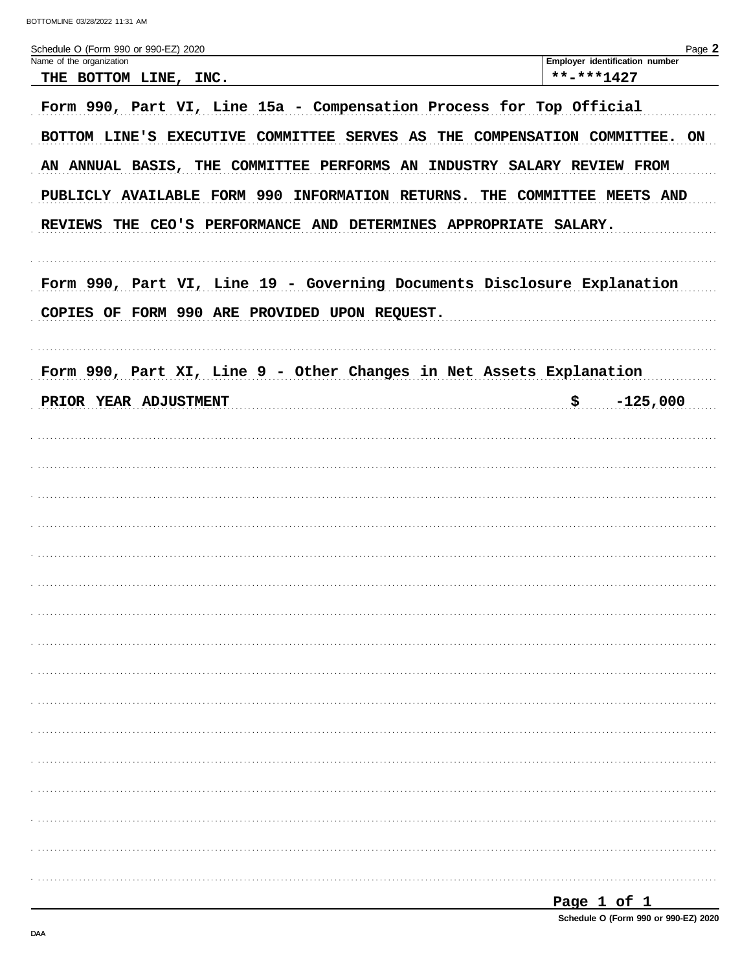| Schedule O (Form 990 or 990-EZ) 2020                                                                                                                                                                                                                                                                                                                                                                                                                                                                    | Page 2                                       |
|---------------------------------------------------------------------------------------------------------------------------------------------------------------------------------------------------------------------------------------------------------------------------------------------------------------------------------------------------------------------------------------------------------------------------------------------------------------------------------------------------------|----------------------------------------------|
| Name of the organization<br>THE BOTTOM LINE, INC.                                                                                                                                                                                                                                                                                                                                                                                                                                                       | Employer identification number<br>**-***1427 |
| Form 990, Part VI, Line 15a - Compensation Process for Top Official<br>BOTTOM LINE'S EXECUTIVE COMMITTEE SERVES AS THE COMPENSATION COMMITTEE. ON<br>AN ANNUAL BASIS, THE COMMITTEE PERFORMS AN INDUSTRY SALARY REVIEW FROM<br>PUBLICLY AVAILABLE FORM 990 INFORMATION RETURNS. THE COMMITTEE MEETS AND<br>REVIEWS THE CEO'S PERFORMANCE AND DETERMINES APPROPRIATE SALARY.<br>Form 990, Part VI, Line 19 - Governing Documents Disclosure Explanation<br>COPIES OF FORM 990 ARE PROVIDED UPON REQUEST. |                                              |
| Form 990, Part XI, Line 9 - Other Changes in Net Assets Explanation                                                                                                                                                                                                                                                                                                                                                                                                                                     |                                              |
| PRIOR YEAR ADJUSTMENT                                                                                                                                                                                                                                                                                                                                                                                                                                                                                   | \$<br>$-125,000$                             |
|                                                                                                                                                                                                                                                                                                                                                                                                                                                                                                         |                                              |
|                                                                                                                                                                                                                                                                                                                                                                                                                                                                                                         |                                              |
|                                                                                                                                                                                                                                                                                                                                                                                                                                                                                                         |                                              |
|                                                                                                                                                                                                                                                                                                                                                                                                                                                                                                         |                                              |
|                                                                                                                                                                                                                                                                                                                                                                                                                                                                                                         |                                              |
|                                                                                                                                                                                                                                                                                                                                                                                                                                                                                                         |                                              |
|                                                                                                                                                                                                                                                                                                                                                                                                                                                                                                         |                                              |
|                                                                                                                                                                                                                                                                                                                                                                                                                                                                                                         |                                              |
|                                                                                                                                                                                                                                                                                                                                                                                                                                                                                                         |                                              |
|                                                                                                                                                                                                                                                                                                                                                                                                                                                                                                         |                                              |
|                                                                                                                                                                                                                                                                                                                                                                                                                                                                                                         |                                              |
|                                                                                                                                                                                                                                                                                                                                                                                                                                                                                                         |                                              |
|                                                                                                                                                                                                                                                                                                                                                                                                                                                                                                         |                                              |
|                                                                                                                                                                                                                                                                                                                                                                                                                                                                                                         |                                              |
|                                                                                                                                                                                                                                                                                                                                                                                                                                                                                                         |                                              |
|                                                                                                                                                                                                                                                                                                                                                                                                                                                                                                         |                                              |
|                                                                                                                                                                                                                                                                                                                                                                                                                                                                                                         |                                              |

Page 1 of 1

Schedule O (Form 990 or 990-EZ) 2020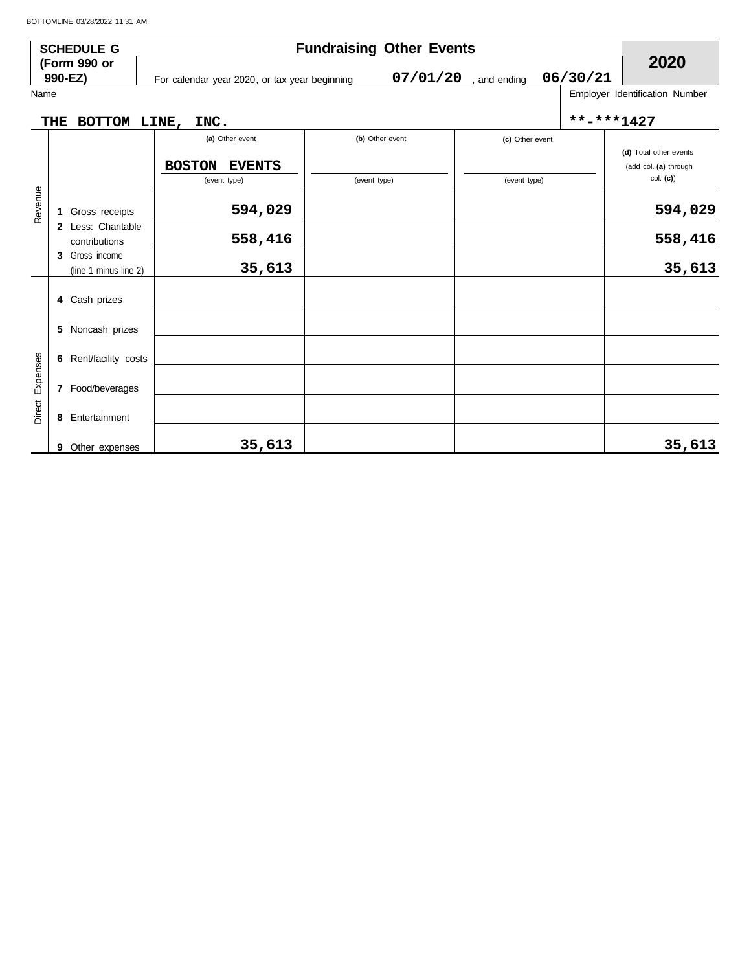|                 | <b>SCHEDULE G</b>                          |                                               | <b>Fundraising Other Events</b> |                                      |            | 2020                                            |  |  |
|-----------------|--------------------------------------------|-----------------------------------------------|---------------------------------|--------------------------------------|------------|-------------------------------------------------|--|--|
|                 | (Form 990 or<br>990-EZ)                    | For calendar year 2020, or tax year beginning |                                 | 06/30/21<br>07/01/20<br>, and ending |            |                                                 |  |  |
| Name            |                                            |                                               |                                 |                                      |            | Employer Identification Number                  |  |  |
|                 | BOTTOM LINE,<br><b>THE</b>                 | INC.                                          |                                 |                                      | **-***1427 |                                                 |  |  |
|                 |                                            | (a) Other event                               | (b) Other event                 | (c) Other event                      |            |                                                 |  |  |
|                 |                                            | <b>BOSTON</b><br><b>EVENTS</b>                |                                 |                                      |            | (d) Total other events<br>(add col. (a) through |  |  |
|                 |                                            | (event type)                                  | (event type)                    | (event type)                         |            | col. (c)                                        |  |  |
| Revenue         | Gross receipts<br>1                        | 594,029                                       |                                 |                                      |            | 594,029                                         |  |  |
|                 | 2 Less: Charitable<br>contributions        | 558,416                                       |                                 |                                      |            | 558,416                                         |  |  |
|                 | Gross income<br>3<br>(line 1 minus line 2) | 35,613                                        |                                 |                                      |            | 35,613                                          |  |  |
|                 | 4 Cash prizes                              |                                               |                                 |                                      |            |                                                 |  |  |
|                 | Noncash prizes<br>5                        |                                               |                                 |                                      |            |                                                 |  |  |
|                 | Rent/facility costs<br>6                   |                                               |                                 |                                      |            |                                                 |  |  |
| Direct Expenses | 7 Food/beverages                           |                                               |                                 |                                      |            |                                                 |  |  |
|                 | 8 Entertainment                            |                                               |                                 |                                      |            |                                                 |  |  |
|                 | 9<br>Other expenses                        | 35,613                                        |                                 |                                      |            | 35,613                                          |  |  |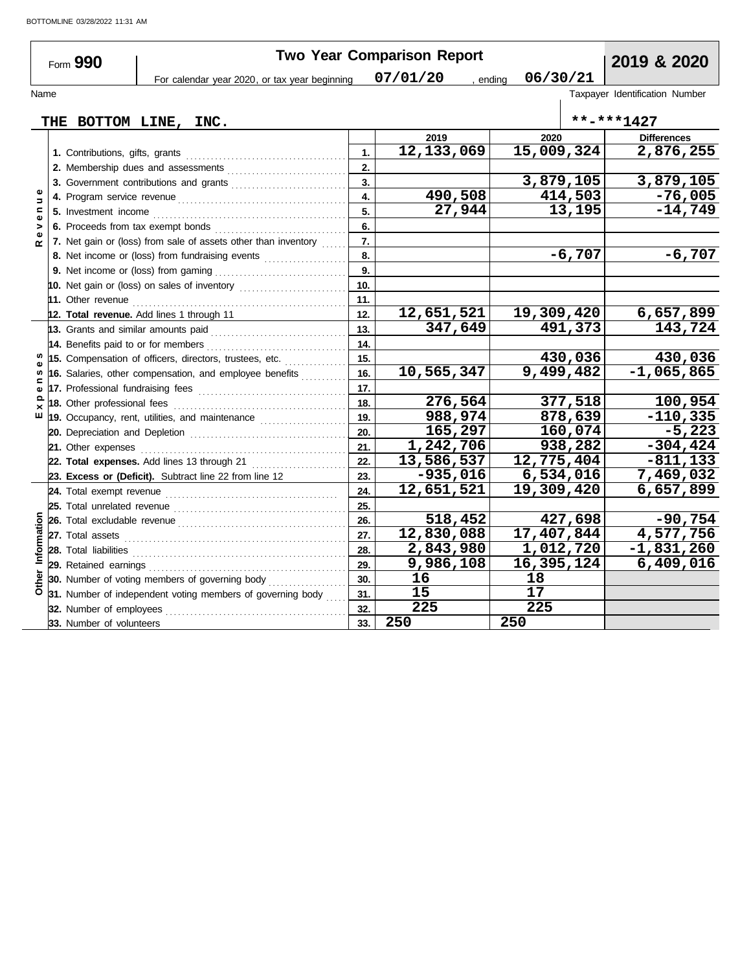|                                | Form 990                 |                                                                                                                                                                                                                                |                | Two Year Comparison Report |            |           | 2019 & 2020                    |
|--------------------------------|--------------------------|--------------------------------------------------------------------------------------------------------------------------------------------------------------------------------------------------------------------------------|----------------|----------------------------|------------|-----------|--------------------------------|
|                                |                          | For calendar year 2020, or tax year beginning                                                                                                                                                                                  |                | 07/01/20<br>, ending       | 06/30/21   |           |                                |
| Name                           |                          |                                                                                                                                                                                                                                |                |                            |            |           | Taxpayer Identification Number |
|                                |                          |                                                                                                                                                                                                                                |                |                            |            |           |                                |
|                                |                          | THE BOTTOM LINE, INC.                                                                                                                                                                                                          |                |                            |            |           | **-***1427                     |
|                                |                          |                                                                                                                                                                                                                                |                | 2019                       | 2020       |           | <b>Differences</b>             |
|                                |                          |                                                                                                                                                                                                                                | $\mathbf{1}$ . | 12,133,069                 | 15,009,324 |           | 2,876,255                      |
|                                |                          | 2. Membership dues and assessments [111] Martin Martin Martin Martin Martin Martin Martin Martin Martin Martin Martin Martin Martin Martin Martin Martin Martin Martin Martin Martin Martin Martin Martin Martin Martin Martin | 2.             |                            |            |           |                                |
|                                |                          |                                                                                                                                                                                                                                | 3.             |                            |            | 3,879,105 | 3,879,105                      |
| $\Rightarrow$                  |                          |                                                                                                                                                                                                                                | 4.             | 490,508                    |            | 414,503   | $-76,005$                      |
| $\mathbf{r}$<br>$\pmb{\omega}$ |                          |                                                                                                                                                                                                                                | 5.             | 27,944                     |            | 13,195    | $-14,749$                      |
| >                              |                          | 6. Proceeds from tax exempt bonds                                                                                                                                                                                              | 6.             |                            |            |           |                                |
| œ                              |                          | 7. Net gain or (loss) from sale of assets other than inventory                                                                                                                                                                 | 7.             |                            |            |           |                                |
|                                |                          |                                                                                                                                                                                                                                | 8.             |                            |            | $-6,707$  | $-6,707$                       |
|                                |                          |                                                                                                                                                                                                                                | 9.             |                            |            |           |                                |
|                                |                          |                                                                                                                                                                                                                                | 10.            |                            |            |           |                                |
|                                |                          |                                                                                                                                                                                                                                | 11.            |                            |            |           |                                |
|                                |                          | 12. Total revenue. Add lines 1 through 11                                                                                                                                                                                      | 12.            | 12,651,521                 | 19,309,420 |           | 6,657,899                      |
|                                |                          |                                                                                                                                                                                                                                | 13.            | 347,649                    |            | 491,373   | 143,724                        |
|                                |                          | 14. Benefits paid to or for members                                                                                                                                                                                            | 14.            |                            |            |           |                                |
|                                |                          | 15. Compensation of officers, directors, trustees, etc.                                                                                                                                                                        | 15.            |                            |            | 430,036   | 430,036                        |
| ⊆                              |                          | 16. Salaries, other compensation, and employee benefits                                                                                                                                                                        | 16.            | 10,565,347                 |            | 9,499,482 | $-1,065,865$                   |
|                                |                          | 17. Professional fundraising fees                                                                                                                                                                                              | 17.            |                            |            |           |                                |
|                                |                          |                                                                                                                                                                                                                                | 18.            | 276,564                    |            | 377,518   | 100,954                        |
| ш                              |                          | 19. Occupancy, rent, utilities, and maintenance <i>minimizoronial</i>                                                                                                                                                          | 19.            | 988,974                    |            | 878,639   | $-110,335$                     |
|                                |                          |                                                                                                                                                                                                                                | 20.            | 165,297                    |            | 160,074   | $-5,223$                       |
|                                | 21. Other expenses       |                                                                                                                                                                                                                                | 21.            | 1,242,706                  |            | 938,282   | $-304, 424$                    |
|                                |                          | 22. Total expenses. Add lines 13 through 21                                                                                                                                                                                    | 22.            | 13,586,537                 | 12,775,404 |           | $-811, 133$                    |
|                                |                          | 23. Excess or (Deficit). Subtract line 22 from line 12                                                                                                                                                                         | 23.            | $-935,016$                 |            | 6,534,016 | 7,469,032                      |
|                                |                          |                                                                                                                                                                                                                                | 24.            | 12,651,521                 | 19,309,420 |           | 6,657,899                      |
|                                |                          |                                                                                                                                                                                                                                | 25.            |                            |            |           |                                |
|                                |                          |                                                                                                                                                                                                                                | 26.            | 518,452                    |            | 427,698   | $-90,754$                      |
| Information                    |                          |                                                                                                                                                                                                                                | 27.            | 12,830,088                 | 17,407,844 |           | 4,577,756                      |
|                                |                          |                                                                                                                                                                                                                                | 28.            | 2,843,980                  |            | 1,012,720 | $-1,831,260$                   |
|                                |                          |                                                                                                                                                                                                                                | 29.            | 9,986,108                  | 16,395,124 |           | 6,409,016                      |
|                                |                          |                                                                                                                                                                                                                                | 30.            | 16                         | 18         |           |                                |
|                                |                          | <b>a 30.</b> Number of voting members or governing $\frac{1}{2}$ <b>31.</b> Number of independent voting members of governing body                                                                                             | 31.            | 15                         | 17         |           |                                |
|                                |                          |                                                                                                                                                                                                                                | 32.            | 225                        | 225        |           |                                |
|                                | 33. Number of volunteers |                                                                                                                                                                                                                                | 33.            | 250                        | 250        |           |                                |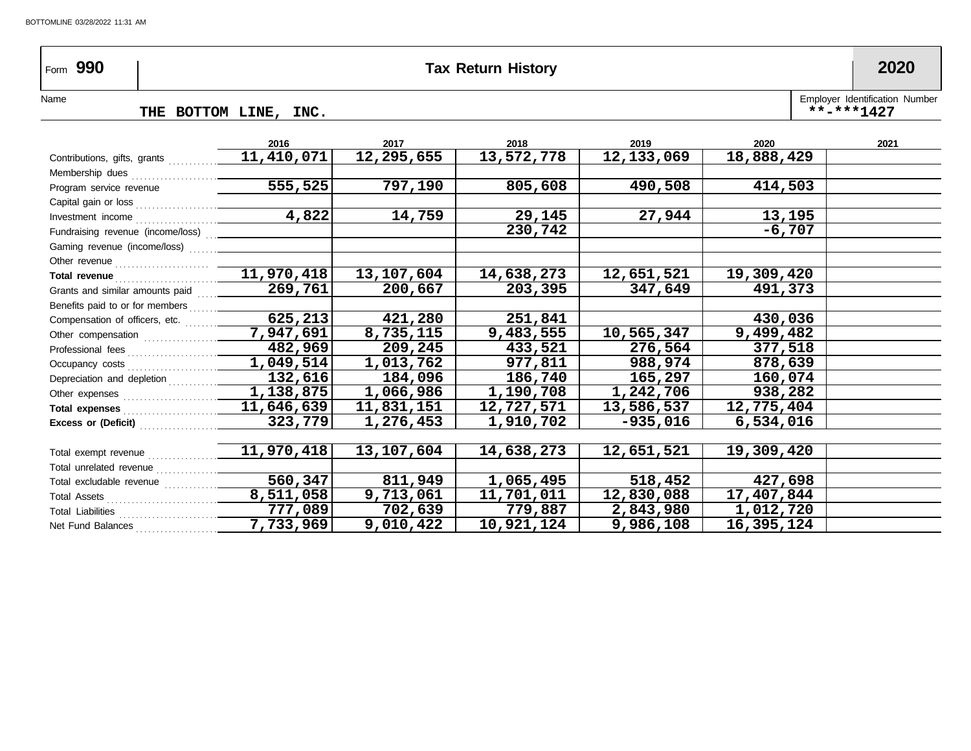## Form **990 Tax Return History 2020**

#### Name
THE BOTTOM LINE, INC. THE BOTTOM LINE, INC.

| 2016                                      | 2017                                                                 | 2018              | 2019         | 2020               | 2021 |
|-------------------------------------------|----------------------------------------------------------------------|-------------------|--------------|--------------------|------|
| 11,410,071                                | 12,295,655                                                           | 13,572,778        | 12, 133, 069 | 18,888,429         |      |
|                                           |                                                                      |                   |              |                    |      |
|                                           |                                                                      |                   |              | 414,503            |      |
| Capital gain or loss <sub>…………………</sub>   |                                                                      |                   |              |                    |      |
|                                           |                                                                      | 29,145            | 27,944       | 13,195             |      |
| Fundraising revenue (income/loss)  ______ |                                                                      | 230,742           |              | $-6,707$           |      |
|                                           |                                                                      |                   |              |                    |      |
|                                           |                                                                      |                   |              |                    |      |
|                                           | 13,107,604                                                           | 14,638,273        | 12,651,521   | 19,309,420         |      |
| 269,761                                   | 200,667                                                              | 203,395           | 347,649      | 491,373            |      |
| Benefits paid to or for members           |                                                                      |                   |              |                    |      |
|                                           | 421,280                                                              | 251,841           |              | 430,036            |      |
|                                           | 8,735,115                                                            | 9,483,555         | 10,565,347   | 9,499,482          |      |
| 482,969                                   | 209,245                                                              | 433,521           |              | 377,518            |      |
| 1,049,514                                 | 1,013,762                                                            | 977,811           | 988,974      | 878,639            |      |
| 132,616                                   | 184,096                                                              | 186,740           | 165,297      | 160,074            |      |
|                                           | 1,066,986                                                            | 1,190,708         | 1,242,706    | 938,282            |      |
| 11,646,639                                | 11,831,151                                                           | 12,727,571        | 13,586,537   | 12,775,404         |      |
| 323,779                                   | 1,276,453                                                            | 1,910,702         | $-935,016$   | 6,534,016          |      |
|                                           |                                                                      |                   |              |                    |      |
| 11,970,418                                | 13,107,604                                                           | 14,638,273        | 12,651,521   | 19,309,420         |      |
|                                           |                                                                      |                   |              |                    |      |
| 560,347                                   | 811,949                                                              | 1,065,495         | 518,452      | 427,698            |      |
| 8,511,058                                 | 9,713,061                                                            | 11,701,011        | 12,830,088   | 17,407,844         |      |
| 777,089                                   | 702,639                                                              | 779,887           | 2,843,980    | 1,012,720          |      |
| 7,733,969                                 | 9,010,422                                                            | 10,921,124        | 9,986,108    | 16,395,124         |      |
|                                           | 555,525<br>4,822<br>11,970,418<br>625, 213<br>7,947,691<br>1,138,875 | 797,190<br>14,759 | 805,608      | 490,508<br>276,564 |      |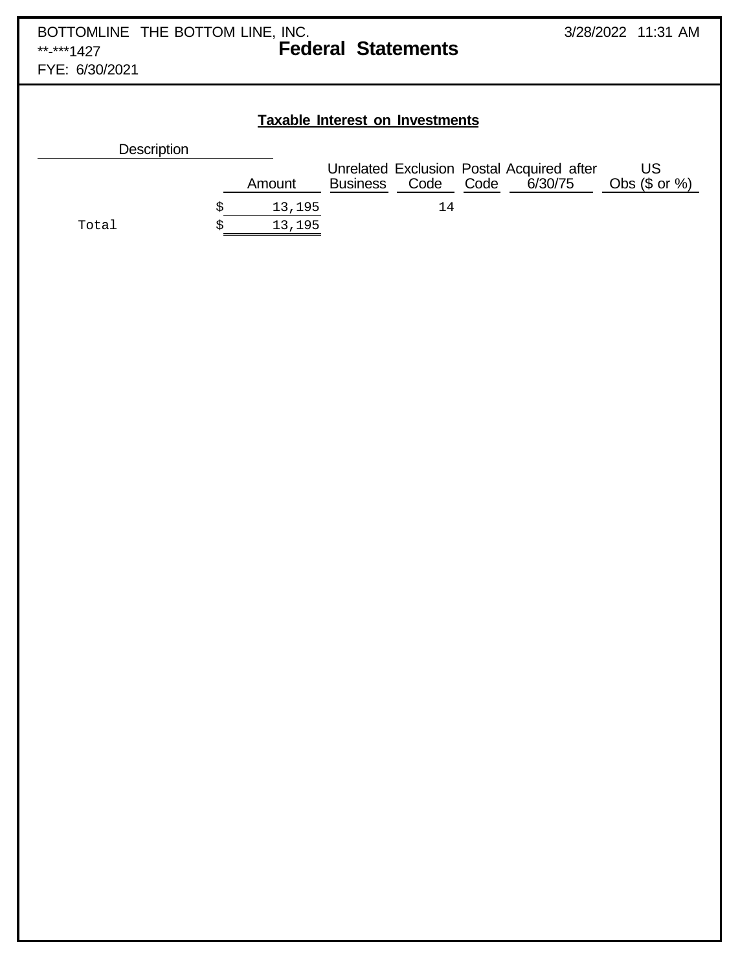FYE: 6/30/2021

## **Taxable Interest on Investments**

| <b>Description</b> |        |                 |           |                                                      |                        |
|--------------------|--------|-----------------|-----------|------------------------------------------------------|------------------------|
|                    | Amount | <b>Business</b> | Code Code | Unrelated Exclusion Postal Acquired after<br>6/30/75 | US<br>Obs $(\$$ or $%$ |
|                    | 13,195 |                 | 14        |                                                      |                        |
| Total              | 13,195 |                 |           |                                                      |                        |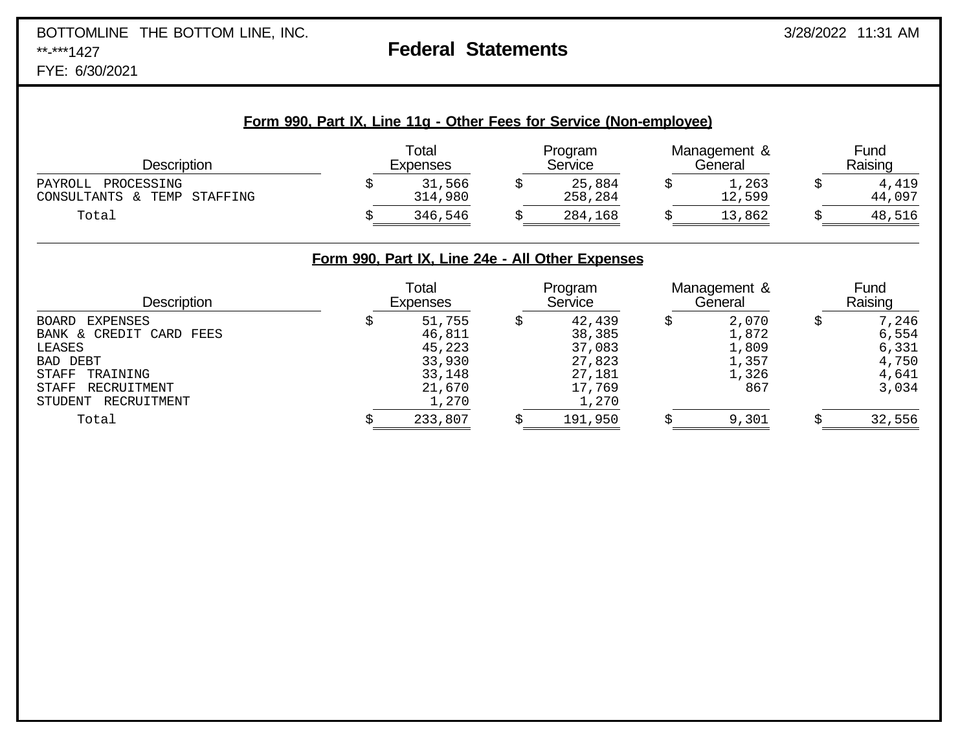# BOTTOMLINE THE BOTTOM LINE, INC. 3/28/2022 11:31 AM

## **Federal Statements**

FYE: 6/30/2021

| Form 990, Part IX, Line 11g - Other Fees for Service (Non-employee) |
|---------------------------------------------------------------------|
|---------------------------------------------------------------------|

| Description                                                | Total<br><b>Expenses</b> |  | Program<br>Service |  | Management &<br>General |  | Fund<br>Raising |  |
|------------------------------------------------------------|--------------------------|--|--------------------|--|-------------------------|--|-----------------|--|
| PAYROLL<br>PROCESSING<br>CONSULTANTS &<br>TEMP<br>STAFFING | 31,566<br>314,980        |  | 25,884<br>258,284  |  | 1,263<br>12,599         |  | 4,419<br>44,097 |  |
| Total                                                      | 346,546                  |  | 284,168            |  | 13,862                  |  | 48,516          |  |

## **Form 990, Part IX, Line 24e - All Other Expenses**

| <b>Description</b>      | Total<br><b>Expenses</b> |  | Program<br>Service |  | Management &<br>General | Fund<br>Raising |        |
|-------------------------|--------------------------|--|--------------------|--|-------------------------|-----------------|--------|
| EXPENSES<br>BOARD       | 51,755                   |  | 42,439             |  | 2,070                   |                 | 7,246  |
| BANK & CREDIT CARD FEES | 46,811                   |  | 38,385             |  | 1,872                   |                 | 6,554  |
| LEASES                  | 45,223                   |  | 37,083             |  | 1,809                   |                 | 6,331  |
| BAD DEBT                | 33,930                   |  | 27,823             |  | 1,357                   |                 | 4,750  |
| TRAINING<br>STAFF       | 33,148                   |  | 27,181             |  | 1,326                   |                 | 4,641  |
| RECRUITMENT<br>STAFF    | 21,670                   |  | 17,769             |  | 867                     |                 | 3,034  |
| RECRUITMENT<br>STUDENT  | 1,270                    |  | 1,270              |  |                         |                 |        |
| Total                   | 233,807                  |  | 191,950            |  | 9,301                   |                 | 32,556 |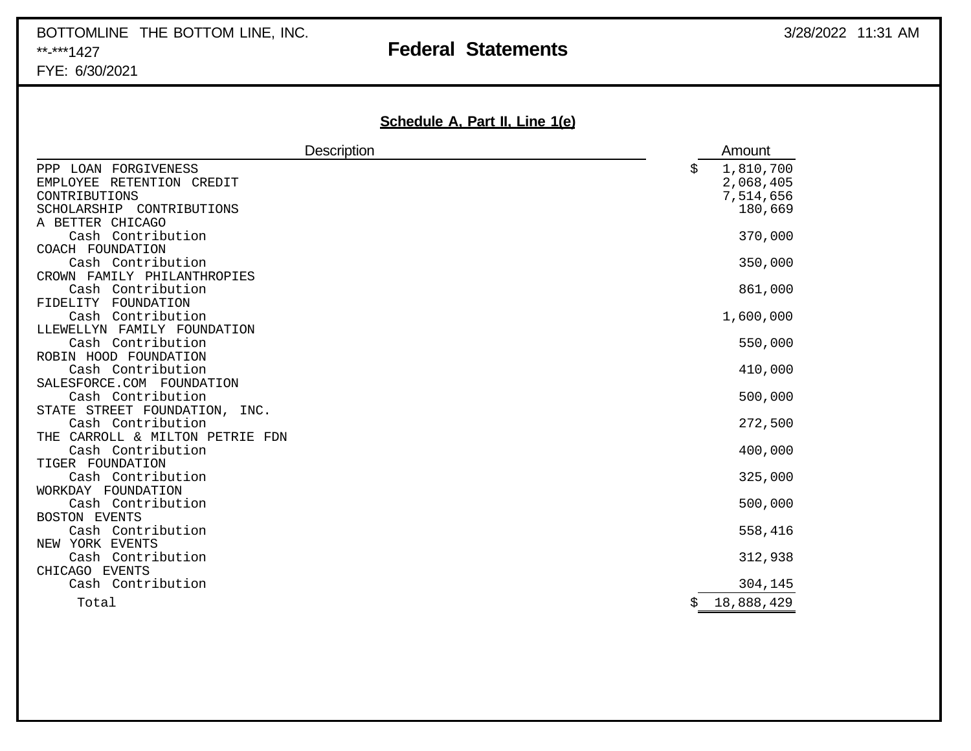# BOTTOMLINE THE BOTTOM LINE, INC. **A CONSESSED A CONSESSION CONSESSION** 3/28/2022 11:31 AM \*\*-\*\*\*1427 **Federal Statements**

FYE: 6/30/2021

## **Schedule A, Part II, Line 1(e)**

| <b>Description</b>                                                                                    | Amount                                               |
|-------------------------------------------------------------------------------------------------------|------------------------------------------------------|
| PPP LOAN FORGIVENESS<br>EMPLOYEE<br>RETENTION CREDIT<br>CONTRIBUTIONS<br>SCHOLARSHIP<br>CONTRIBUTIONS | \$<br>1,810,700<br>2,068,405<br>7,514,656<br>180,669 |
| A BETTER CHICAGO<br>Cash Contribution                                                                 | 370,000                                              |
| COACH FOUNDATION                                                                                      |                                                      |
| Cash Contribution                                                                                     | 350,000                                              |
| CROWN FAMILY PHILANTHROPIES                                                                           |                                                      |
| Cash Contribution                                                                                     | 861,000                                              |
| FIDELITY FOUNDATION                                                                                   |                                                      |
| Cash Contribution                                                                                     | 1,600,000                                            |
| LLEWELLYN FAMILY FOUNDATION                                                                           |                                                      |
| Cash Contribution<br>ROBIN HOOD FOUNDATION                                                            | 550,000                                              |
| Cash Contribution                                                                                     | 410,000                                              |
| SALESFORCE.COM FOUNDATION                                                                             |                                                      |
| Cash Contribution                                                                                     | 500,000                                              |
| STATE STREET FOUNDATION,<br>INC.                                                                      |                                                      |
| Cash Contribution                                                                                     | 272,500                                              |
| THE CARROLL & MILTON PETRIE FDN                                                                       |                                                      |
| Cash Contribution                                                                                     | 400,000                                              |
| TIGER FOUNDATION                                                                                      |                                                      |
| Cash Contribution                                                                                     | 325,000                                              |
| WORKDAY FOUNDATION                                                                                    |                                                      |
| Cash Contribution                                                                                     | 500,000                                              |
| <b>BOSTON EVENTS</b>                                                                                  |                                                      |
| Cash Contribution                                                                                     | 558,416                                              |
| NEW YORK EVENTS<br>Cash Contribution                                                                  | 312,938                                              |
| CHICAGO EVENTS                                                                                        |                                                      |
| Cash Contribution                                                                                     | 304,145                                              |
|                                                                                                       |                                                      |
| Total                                                                                                 | \$<br>18,888,429                                     |